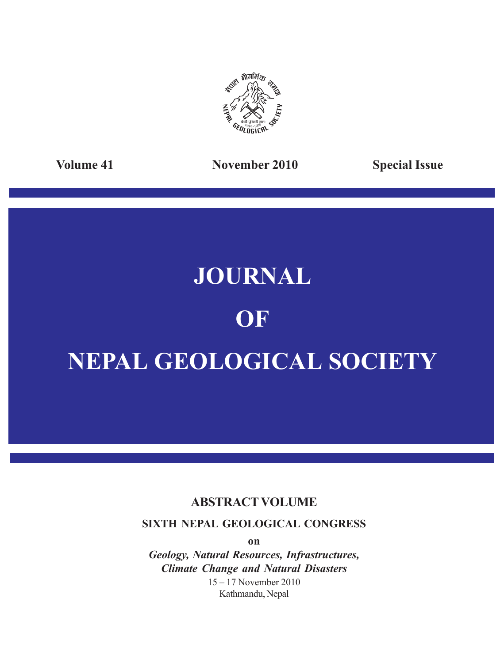

**Volume 41 November 2010 Special Issue**

# **JOURNAL**

# **OF**

# **NEPAL GEOLOGICAL SOCIETY**

# **ABSTRACT VOLUME**

**SIXTH NEPAL GEOLOGICAL CONGRESS**

**on**

*Geology, Natural Resources, Infrastructures, Climate Change and Natural Disasters* 15 – 17 November 2010 Kathmandu, Nepal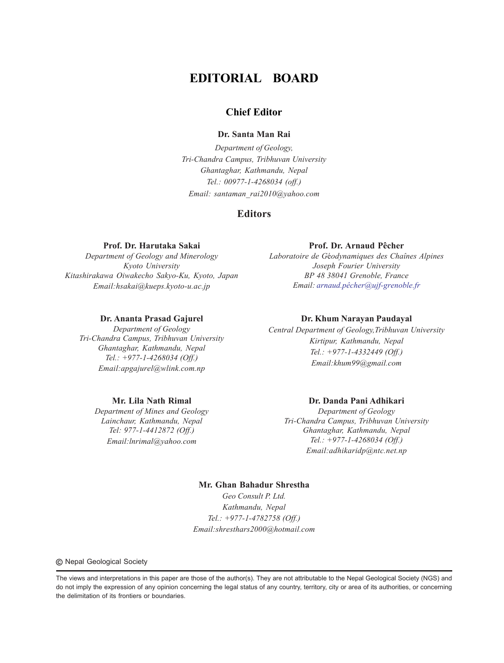# **EDITORIAL BOARD**

# **Chief Editor**

#### **Dr. Santa Man Rai**

*Department of Geology, Tri-Chandra Campus, Tribhuvan University Ghantaghar, Kathmandu, Nepal Tel.: 00977-1-4268034 (off.) Email: santaman\_rai2010@yahoo.com*

## **Editors**

#### **Prof. Dr. Harutaka Sakai**

*Department of Geology and Minerology Kyoto University Kitashirakawa Oiwakecho Sakyo-Ku, Kyoto, Japan Email:hsakai@kueps.kyoto-u.ac.jp*

#### **Dr. Ananta Prasad Gajurel**

*Department of Geology Tri-Chandra Campus, Tribhuvan University Ghantaghar, Kathmandu, Nepal Tel.: +977-1-4268034 (Off.) Email:apgajurel@wlink.com.np*

#### **Mr. Lila Nath Rimal**

*Department of Mines and Geology Lainchaur, Kathmandu, Nepal Tel: 977-1-4412872 (Off.) Email:lnrimal@yahoo.com*

### **Prof. Dr. Arnaud Pêcher**

*Laboratoire de G*é*odynamiques des Chaînes Alpines Joseph Fourier University BP 48 38041 Grenoble, France Email: arnaud.pêcher@ujf-grenoble.fr*

#### **Dr. Khum Narayan Paudayal**

*Central Department of Geology,Tribhuvan University Kirtipur, Kathmandu, Nepal Tel.: +977-1-4332449 (Off.) Email:khum99@gmail.com*

### **Dr. Danda Pani Adhikari**

*Department of Geology Tri-Chandra Campus, Tribhuvan University Ghantaghar, Kathmandu, Nepal Tel.: +977-1-4268034 (Off.) Email:adhikaridp@ntc.net.np*

## **Mr. Ghan Bahadur Shrestha** *Geo Consult P. Ltd. Kathmandu, Nepal Tel.: +977-1-4782758 (Off.)*

*Email:shresthars2000@hotmail.com*

**©** Nepal Geological Society

The views and interpretations in this paper are those of the author(s). They are not attributable to the Nepal Geological Society (NGS) and do not imply the expression of any opinion concerning the legal status of any country, territory, city or area of its authorities, or concerning the delimitation of its frontiers or boundaries.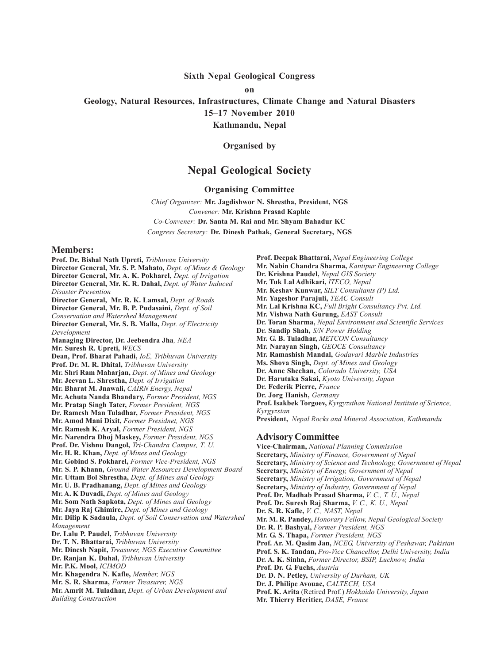#### **Sixth Nepal Geological Congress**

**on**

**Geology, Natural Resources, Infrastructures, Climate Change and Natural Disasters**

**15–17 November 2010**

**Kathmandu, Nepal**

**Organised by**

# **Nepal Geological Society**

**Organising Committee**

*Chief Organizer:* **Mr. Jagdishwor N. Shrestha, President, NGS** *Convener:* **Mr. Krishna Prasad Kaphle** *Co-Convener:* **Dr. Santa M. Rai and Mr. Shyam Bahadur KC** *Congress Secretary:* **Dr. Dinesh Pathak, General Secretary, NGS**

#### **Members:**

**Prof. Dr. Bishal Nath Upreti,** *Tribhuvan University* **Director General, Mr. S. P. Mahato,** *Dept. of Mines & Geology* **Director General, Mr. A. K. Pokharel,** *Dept. of Irrigation* **Director General, Mr. K. R. Dahal,** *Dept. of Water Induced Disaster Prevention* **Director General, Mr. R. K. Lamsal,** *Dept. of Roads* **Director General, Mr. B. P. Pudasaini,** *Dept. of Soil Conservation and Watershed Management* **Director General, Mr. S. B. Malla,** *Dept. of Electricity Development* **Managing Director, Dr. Jeebendra Jha***, NEA* **Mr. Suresh R. Upreti,** *WECS* **Dean, Prof. Bharat Pahadi,** *IoE, Tribhuvan University* **Prof. Dr. M. R. Dhital,** *Tribhuvan University* **Mr. Shri Ram Maharjan,** *Dept. of Mines and Geology* **Mr. Jeevan L. Shrestha,** *Dept. of Irrigation* **Mr. Bharat M. Jnawali,** *CAIRN Energy, Nepal* **Mr. Achuta Nanda Bhandary,** *Former President, NGS* **Mr. Pratap Singh Tater,** *Former President, NGS* **Dr. Ramesh Man Tuladhar,** *Former President, NGS* **Mr. Amod Mani Dixit,** *Former Presidnet, NGS* **Mr. Ramesh K. Aryal,** *Former President, NGS* **Mr. Narendra Dhoj Maskey,** *Former President, NGS* **Prof. Dr. Vishnu Dangol,** *Tri-Chandra Campus, T. U.* **Mr. H. R. Khan,** *Dept. of Mines and Geology* **Mr. Gobind S. Pokharel,** *Former Vice-President, NGS* **Mr. S. P. Khann,** *Ground Water Resources Development Board* **Mr. Uttam Bol Shrestha,** *Dept. of Mines and Geology* **Mr. U. B. Pradhanang,** *Dept. of Mines and Geology* **Mr. A. K Duvadi,** *Dept. of Mines and Geology* **Mr. Som Nath Sapkota,** *Dept. of Mines and Geology* **Mr. Jaya Raj Ghimire,** *Dept. of Mines and Geology* **Mr. Dilip K Sadaula,** *Dept. of Soil Conservation and Watershed Management* **Dr. Lalu P. Paudel,** *Tribhuvan University* **Dr. T. N. Bhattarai,** *Tribhuvan University* **Mr. Dinesh Napit,** *Treasurer, NGS Executive Committee* **Dr. Ranjan K. Dahal,** *Tribhuvan University* **Mr. P.K. Mool,** *ICIMOD* **Mr. Khagendra N. Kafle,** *Member, NGS* **Mr. S. R. Sharma,** *Former Treasurer, NGS* **Mr. Amrit M. Tuladhar,** *Dept. of Urban Development and Building Construction*

**Prof. Deepak Bhattarai,** *Nepal Engineering College* **Mr. Nabin Chandra Sharma,** *Kantipur Engineering College* **Dr. Krishna Paudel,** *Nepal GIS Society* **Mr. Tuk Lal Adhikari,** *ITECO, Nepal* **Mr. Keshav Kunwar,** *SILT Consultants (P) Ltd.* **Mr. Yageshor Parajuli,** *TEAC Consult* **Mr. Lal Krishna KC,** *Full Bright Consultancy Pvt. Ltd.* **Mr. Vishwa Nath Gurung,** *EAST Consult* **Dr. Toran Sharma,** *Nepal Environment and Scientific Services* **Dr. Sandip Shah,** *S/N Power Holding* **Mr. G. B. Tuladhar,** *METCON Consultancy* **Mr. Narayan Singh,** *GEOCE Consultancy* **Mr. Ramashish Mandal,** *Godavari Marble Industries* **Ms. Shova Singh,** *Dept. of Mines and Geology* **Dr. Anne Sheehan,** *Colorado University, USA* **Dr. Harutaka Sakai,** *Kyoto University, Japan* **Dr. Federik Pierre,** *France* **Dr. Jorg Hanish,** *Germany* **Prof. Isakbek Torgoev,** *Kyrgyzsthan National Institute of Science, Kyrgyzstan* **President,** *Nepal Rocks and Mineral Association, Kathmandu* **Advisory Committee Vice-Chairman,** *National Planning Commission* **Secretary,** *Ministry of Finance, Government of Nepal* **Secretary,** *Ministry of Science and Technology, Government of Nepal* **Secretary,** *Ministry of Energy, Government of Nepal* **Secretary,** *Ministry of Irrigation, Government of Nepal* **Secretary,** *Ministry of Industry, Government of Nepal* **Prof. Dr. Madhab Prasad Sharma,** *V. C., T. U., Nepal* **Prof. Dr. Suresh Raj Sharma,** *V. C., K. U., Nepal* **Dr. S. R. Kafle,** *V. C., NAST, Nepal* **Mr. M. R. Pandey,** *Honorary Fellow, Nepal Geological Society* **Dr. R. P. Bashyal,** *Former President, NGS* **Mr. G. S. Thapa,** *Former President, NGS* **Prof. Ar. M. Qasim Jan,** *NCEG, University of Peshawar, Pakistan* **Prof. S. K. Tandan,** *Pro-Vice Chancellor, Delhi University, India* **Dr. A. K. Sinha,** *Former Director, BSIP, Lucknow, India* **Prof. Dr. G. Fuchs,** *Austria* **Dr. D. N. Petley,** *University of Durham, UK* **Dr. J. Philipe Avouac,** *CALTECH, USA* **Prof. K. Arita** (Retired Prof.) *Hokkaido University, Japan* **Mr. Thierry Heritier,** *DASE, France*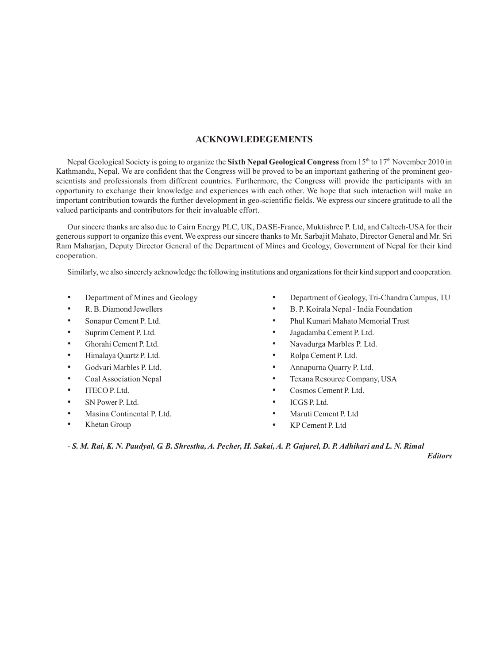## **ACKNOWLEDEGEMENTS**

Nepal Geological Society is going to organize the **Sixth Nepal Geological Congress** from 15th to 17th November 2010 in Kathmandu, Nepal. We are confident that the Congress will be proved to be an important gathering of the prominent geoscientists and professionals from different countries. Furthermore, the Congress will provide the participants with an opportunity to exchange their knowledge and experiences with each other. We hope that such interaction will make an important contribution towards the further development in geo-scientific fields. We express our sincere gratitude to all the valued participants and contributors for their invaluable effort.

Our sincere thanks are also due to Cairn Energy PLC, UK, DASE-France, Muktishree P. Ltd, and Caltech-USA for their generous support to organize this event. We express our sincere thanks to Mr. Sarbajit Mahato, Director General and Mr. Sri Ram Maharjan, Deputy Director General of the Department of Mines and Geology, Government of Nepal for their kind cooperation.

Similarly, we also sincerely acknowledge the following institutions and organizations for their kind support and cooperation.

- Department of Mines and Geology
- R. B. Diamond Jewellers
- Sonapur Cement P. Ltd.
- Suprim Cement P. Ltd.
- Ghorahi Cement P. Ltd.
- Himalaya Quartz P. Ltd.
- Godvari Marbles P. Ltd.
- Coal Association Nepal
- ITECO P. Ltd.
- SN Power P. Ltd.
- Masina Continental P. Ltd.
- Khetan Group
- Department of Geology, Tri-Chandra Campus, TU
- B. P. Koirala Nepal India Foundation
- Phul Kumari Mahato Memorial Trust
- Jagadamba Cement P. Ltd.
- Navadurga Marbles P. Ltd.
- Rolpa Cement P. Ltd.
- Annapurna Quarry P. Ltd.
- Texana Resource Company, USA
- Cosmos Cement P. Ltd.
- ICGS P. Ltd.
- Maruti Cement P. Ltd
- KP Cement P. Ltd

- *S. M. Rai, K. N. Paudyal, G. B. Shrestha, A. Pecher, H. Sakai, A. P. Gajurel, D. P. Adhikari and L. N. Rimal*

*Editors*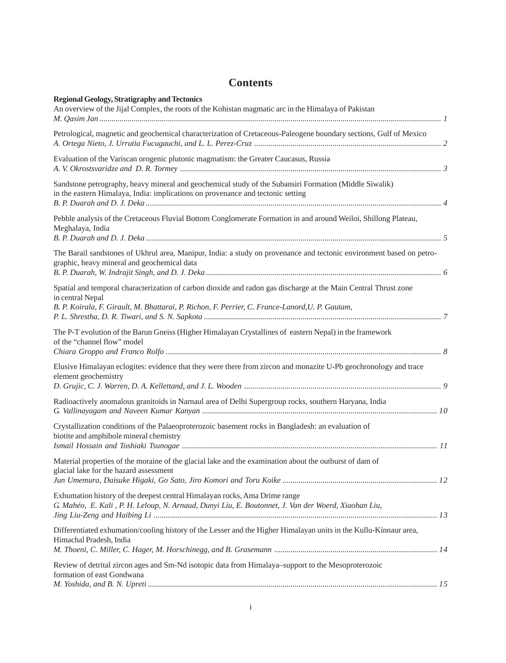# **Contents**

| <b>Regional Geology, Stratigraphy and Tectonics</b><br>An overview of the Jijal Complex, the roots of the Kohistan magmatic arc in the Himalaya of Pakistan                                                                            |  |
|----------------------------------------------------------------------------------------------------------------------------------------------------------------------------------------------------------------------------------------|--|
| Petrological, magnetic and geochemical characterization of Cretaceous-Paleogene boundary sections, Gulf of Mexico                                                                                                                      |  |
| Evaluation of the Variscan orogenic plutonic magmatism: the Greater Caucasus, Russia                                                                                                                                                   |  |
| Sandstone petrography, heavy mineral and geochemical study of the Subansiri Formation (Middle Siwalik)<br>in the eastern Himalaya, India: implications on provenance and tectonic setting                                              |  |
| Pebble analysis of the Cretaceous Fluvial Bottom Conglomerate Formation in and around Weiloi, Shillong Plateau,<br>Meghalaya, India                                                                                                    |  |
| The Barail sandstones of Ukhrul area, Manipur, India: a study on provenance and tectonic environment based on petro-<br>graphic, heavy mineral and geochemical data                                                                    |  |
| Spatial and temporal characterization of carbon dioxide and radon gas discharge at the Main Central Thrust zone<br>in central Nepal<br>B. P. Koirala, F. Girault, M. Bhattarai, P. Richon, F. Perrier, C. France-Lanord, U. P. Gautam, |  |
| The P-T evolution of the Barun Gneiss (Higher Himalayan Crystallines of eastern Nepal) in the framework<br>of the "channel flow" model                                                                                                 |  |
| Elusive Himalayan eclogites: evidence that they were there from zircon and monazite U-Pb geochronology and trace<br>element geochemistry                                                                                               |  |
| Radioactively anomalous granitoids in Narnaul area of Delhi Supergroup rocks, southern Haryana, India                                                                                                                                  |  |
| Crystallization conditions of the Palaeoproterozoic basement rocks in Bangladesh: an evaluation of<br>biotite and amphibole mineral chemistry                                                                                          |  |
| Material properties of the moraine of the glacial lake and the examination about the outburst of dam of<br>glacial lake for the hazard assessment                                                                                      |  |
| Exhumation history of the deepest central Himalayan rocks, Ama Drime range<br>G. Mahéo, E. Kali, P. H. Leloup, N. Arnaud, Dunyi Liu, E. Boutonnet, J. Van der Woerd, Xiaohan Liu,                                                      |  |
| Differentiated exhumation/cooling history of the Lesser and the Higher Himalayan units in the Kullu-Kinnaur area,<br>Himachal Pradesh, India                                                                                           |  |
| Review of detrital zircon ages and Sm-Nd isotopic data from Himalaya-support to the Mesoproterozoic<br>formation of east Gondwana                                                                                                      |  |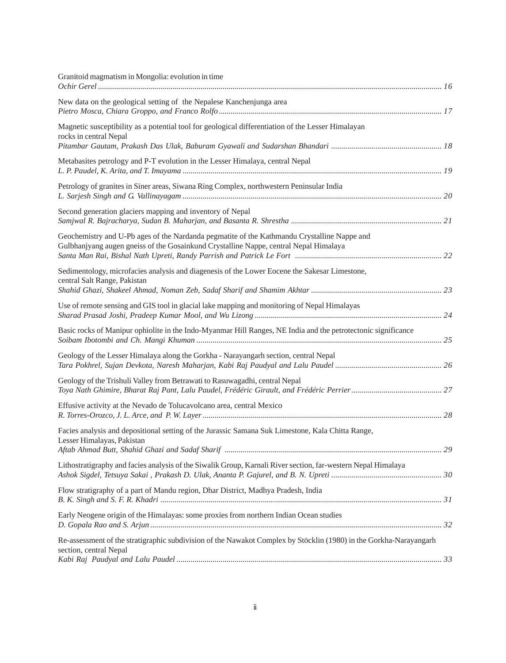| Granitoid magmatism in Mongolia: evolution in time                                                                                                                                   |  |
|--------------------------------------------------------------------------------------------------------------------------------------------------------------------------------------|--|
| New data on the geological setting of the Nepalese Kanchenjunga area                                                                                                                 |  |
| Magnetic susceptibility as a potential tool for geological differentiation of the Lesser Himalayan<br>rocks in central Nepal                                                         |  |
| Metabasites petrology and P-T evolution in the Lesser Himalaya, central Nepal                                                                                                        |  |
| Petrology of granites in Siner areas, Siwana Ring Complex, northwestern Peninsular India                                                                                             |  |
| Second generation glaciers mapping and inventory of Nepal                                                                                                                            |  |
| Geochemistry and U-Pb ages of the Nardanda pegmatite of the Kathmandu Crystalline Nappe and<br>Gulbhanjyang augen gneiss of the Gosainkund Crystalline Nappe, central Nepal Himalaya |  |
| Sedimentology, microfacies analysis and diagenesis of the Lower Eocene the Sakesar Limestone,<br>central Salt Range, Pakistan                                                        |  |
| Use of remote sensing and GIS tool in glacial lake mapping and monitoring of Nepal Himalayas                                                                                         |  |
| Basic rocks of Manipur ophiolite in the Indo-Myanmar Hill Ranges, NE India and the petrotectonic significance                                                                        |  |
| Geology of the Lesser Himalaya along the Gorkha - Narayangarh section, central Nepal                                                                                                 |  |
| Geology of the Trishuli Valley from Betrawati to Rasuwagadhi, central Nepal                                                                                                          |  |
| Effusive activity at the Nevado de Tolucavolcano area, central Mexico                                                                                                                |  |
| Facies analysis and depositional setting of the Jurassic Samana Suk Limestone, Kala Chitta Range,<br>Lesser Himalayas, Pakistan                                                      |  |
| Lithostratigraphy and facies analysis of the Siwalik Group, Karnali River section, far-western Nepal Himalaya                                                                        |  |
| Flow stratigraphy of a part of Mandu region, Dhar District, Madhya Pradesh, India                                                                                                    |  |
| Early Neogene origin of the Himalayas: some proxies from northern Indian Ocean studies                                                                                               |  |
| Re-assessment of the stratigraphic subdivision of the Nawakot Complex by Stöcklin (1980) in the Gorkha-Narayangarh<br>section, central Nepal                                         |  |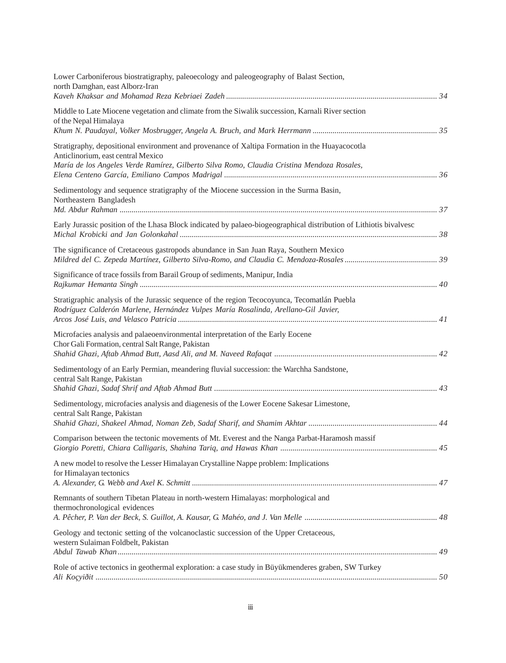| Lower Carboniferous biostratigraphy, paleoecology and paleogeography of Balast Section,<br>north Damghan, east Alborz-Iran                                                                                                         |  |
|------------------------------------------------------------------------------------------------------------------------------------------------------------------------------------------------------------------------------------|--|
| Middle to Late Miocene vegetation and climate from the Siwalik succession, Karnali River section<br>of the Nepal Himalaya                                                                                                          |  |
| Stratigraphy, depositional environment and provenance of Xaltipa Formation in the Huayacocotla<br>Anticlinorium, east central Mexico<br>María de los Angeles Verde Ramírez, Gilberto Silva Romo, Claudia Cristina Mendoza Rosales, |  |
| Sedimentology and sequence stratigraphy of the Miocene succession in the Surma Basin,<br>Northeastern Bangladesh                                                                                                                   |  |
| Early Jurassic position of the Lhasa Block indicated by palaeo-biogeographical distribution of Lithiotis bivalvesc                                                                                                                 |  |
| The significance of Cretaceous gastropods abundance in San Juan Raya, Southern Mexico                                                                                                                                              |  |
| Significance of trace fossils from Barail Group of sediments, Manipur, India                                                                                                                                                       |  |
| Stratigraphic analysis of the Jurassic sequence of the region Tecocoyunca, Tecomatlán Puebla<br>Rodríguez Calderón Marlene, Hernández Vulpes María Rosalinda, Arellano-Gil Javier,                                                 |  |
| Microfacies analysis and palaeoenvironmental interpretation of the Early Eocene<br>Chor Gali Formation, central Salt Range, Pakistan                                                                                               |  |
| Sedimentology of an Early Permian, meandering fluvial succession: the Warchha Sandstone,<br>central Salt Range, Pakistan                                                                                                           |  |
| Sedimentology, microfacies analysis and diagenesis of the Lower Eocene Sakesar Limestone,<br>central Salt Range, Pakistan                                                                                                          |  |
| Comparison between the tectonic movements of Mt. Everest and the Nanga Parbat-Haramosh massif                                                                                                                                      |  |
| A new model to resolve the Lesser Himalayan Crystalline Nappe problem: Implications<br>for Himalayan tectonics                                                                                                                     |  |
| Remnants of southern Tibetan Plateau in north-western Himalayas: morphological and<br>thermochronological evidences                                                                                                                |  |
| Geology and tectonic setting of the volcanoclastic succession of the Upper Cretaceous,<br>western Sulaiman Foldbelt, Pakistan                                                                                                      |  |
| Role of active tectonics in geothermal exploration: a case study in Büyükmenderes graben, SW Turkey                                                                                                                                |  |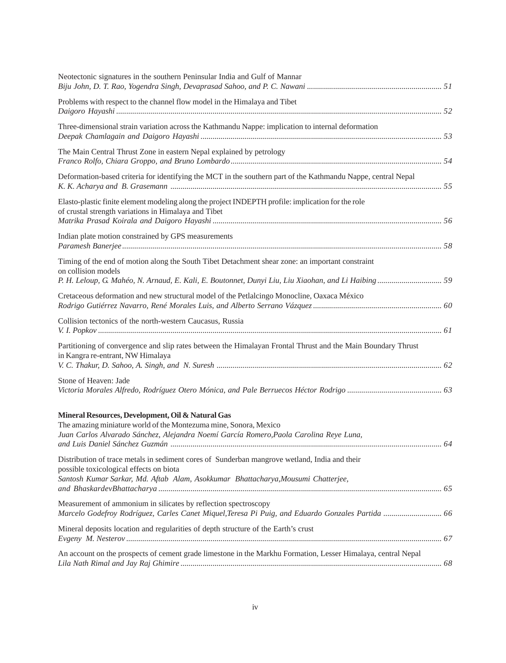| Neotectonic signatures in the southern Peninsular India and Gulf of Mannar                                                                                                                                                    |  |
|-------------------------------------------------------------------------------------------------------------------------------------------------------------------------------------------------------------------------------|--|
| Problems with respect to the channel flow model in the Himalaya and Tibet                                                                                                                                                     |  |
| Three-dimensional strain variation across the Kathmandu Nappe: implication to internal deformation                                                                                                                            |  |
| The Main Central Thrust Zone in eastern Nepal explained by petrology                                                                                                                                                          |  |
| Deformation-based criteria for identifying the MCT in the southern part of the Kathmandu Nappe, central Nepal                                                                                                                 |  |
| Elasto-plastic finite element modeling along the project INDEPTH profile: implication for the role<br>of crustal strength variations in Himalaya and Tibet                                                                    |  |
| Indian plate motion constrained by GPS measurements                                                                                                                                                                           |  |
| Timing of the end of motion along the South Tibet Detachment shear zone: an important constraint<br>on collision models                                                                                                       |  |
| Cretaceous deformation and new structural model of the Petlalcingo Monocline, Oaxaca México                                                                                                                                   |  |
| Collision tectonics of the north-western Caucasus, Russia                                                                                                                                                                     |  |
| Partitioning of convergence and slip rates between the Himalayan Frontal Thrust and the Main Boundary Thrust<br>in Kangra re-entrant, NW Himalaya                                                                             |  |
| Stone of Heaven: Jade                                                                                                                                                                                                         |  |
| Mineral Resources, Development, Oil & Natural Gas<br>The amazing miniature world of the Montezuma mine, Sonora, Mexico<br>Juan Carlos Alvarado Sánchez, Alejandra Noemí García Romero, Paola Carolina Reye Luna,              |  |
| Distribution of trace metals in sediment cores of Sunderban mangrove wetland, India and their<br>possible toxicological effects on biota<br>Santosh Kumar Sarkar, Md. Aftab Alam, Asokkumar Bhattacharya, Mousumi Chatterjee, |  |
| Measurement of ammonium in silicates by reflection spectroscopy<br>Marcelo Godefroy Rodríguez, Carles Canet Miquel, Teresa Pi Puig, and Eduardo Gonzales Partida  66                                                          |  |
| Mineral deposits location and regularities of depth structure of the Earth's crust                                                                                                                                            |  |
| An account on the prospects of cement grade limestone in the Markhu Formation, Lesser Himalaya, central Nepal                                                                                                                 |  |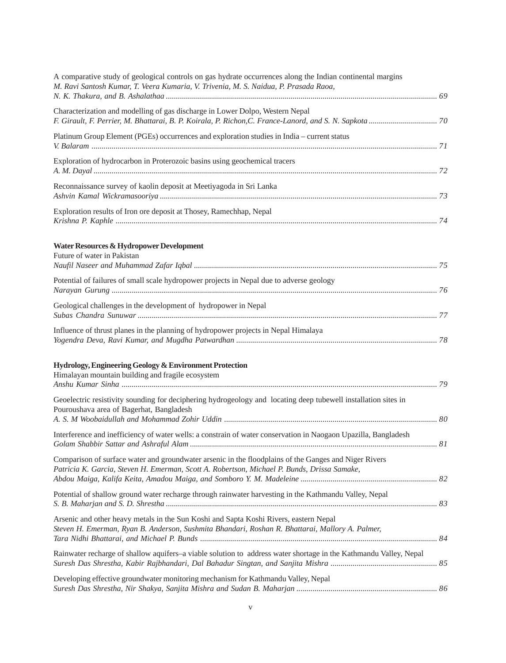| A comparative study of geological controls on gas hydrate occurrences along the Indian continental margins<br>M. Ravi Santosh Kumar, T. Veera Kumaria, V. Trivenia, M. S. Naidua, P. Prasada Raoa,   |  |
|------------------------------------------------------------------------------------------------------------------------------------------------------------------------------------------------------|--|
| Characterization and modelling of gas discharge in Lower Dolpo, Western Nepal                                                                                                                        |  |
| Platinum Group Element (PGEs) occurrences and exploration studies in India – current status                                                                                                          |  |
| Exploration of hydrocarbon in Proterozoic basins using geochemical tracers                                                                                                                           |  |
| Reconnaissance survey of kaolin deposit at Meetiyagoda in Sri Lanka                                                                                                                                  |  |
| Exploration results of Iron ore deposit at Thosey, Ramechhap, Nepal                                                                                                                                  |  |
| Water Resources & Hydropower Development<br>Future of water in Pakistan                                                                                                                              |  |
| Potential of failures of small scale hydropower projects in Nepal due to adverse geology                                                                                                             |  |
| Geological challenges in the development of hydropower in Nepal                                                                                                                                      |  |
| Influence of thrust planes in the planning of hydropower projects in Nepal Himalaya                                                                                                                  |  |
| Hydrology, Engineering Geology & Environment Protection<br>Himalayan mountain building and fragile ecosystem                                                                                         |  |
| Geoelectric resistivity sounding for deciphering hydrogeology and locating deep tubewell installation sites in<br>Pouroushava area of Bagerhat, Bangladesh                                           |  |
| Interference and inefficiency of water wells: a constrain of water conservation in Naogaon Upazilla, Bangladesh                                                                                      |  |
| Comparison of surface water and groundwater arsenic in the floodplains of the Ganges and Niger Rivers<br>Patricia K. Garcia, Steven H. Emerman, Scott A. Robertson, Michael P. Bunds, Drissa Samake, |  |
| Potential of shallow ground water recharge through rainwater harvesting in the Kathmandu Valley, Nepal                                                                                               |  |
| Arsenic and other heavy metals in the Sun Koshi and Sapta Koshi Rivers, eastern Nepal<br>Steven H. Emerman, Ryan B. Anderson, Sushmita Bhandari, Roshan R. Bhattarai, Mallory A. Palmer,             |  |
| Rainwater recharge of shallow aquifers–a viable solution to address water shortage in the Kathmandu Valley, Nepal                                                                                    |  |
| Developing effective groundwater monitoring mechanism for Kathmandu Valley, Nepal                                                                                                                    |  |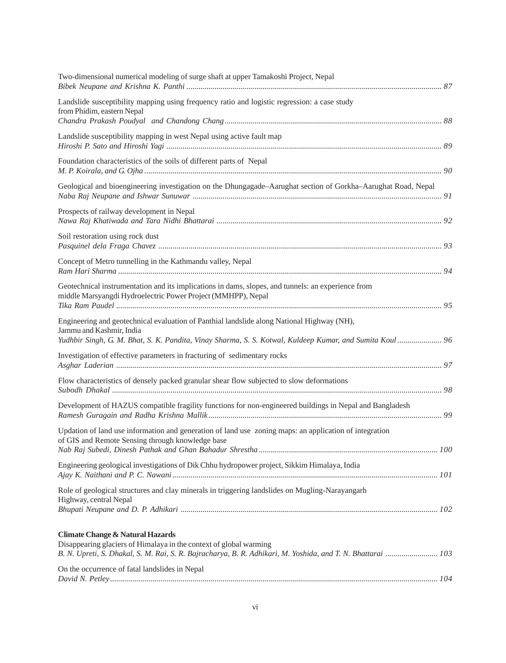| Two-dimensional numerical modeling of surge shaft at upper Tamakoshi Project, Nepal                                                                                                                                               |  |
|-----------------------------------------------------------------------------------------------------------------------------------------------------------------------------------------------------------------------------------|--|
| Landslide susceptibility mapping using frequency ratio and logistic regression: a case study<br>from Phidim, eastern Nepal                                                                                                        |  |
| Landslide susceptibility mapping in west Nepal using active fault map                                                                                                                                                             |  |
| Foundation characteristics of the soils of different parts of Nepal                                                                                                                                                               |  |
| Geological and bioengineering investigation on the Dhungagade–Aarughat section of Gorkha–Aarughat Road, Nepal                                                                                                                     |  |
| Prospects of railway development in Nepal                                                                                                                                                                                         |  |
| Soil restoration using rock dust                                                                                                                                                                                                  |  |
| Concept of Metro tunnelling in the Kathmandu valley, Nepal                                                                                                                                                                        |  |
| Geotechnical instrumentation and its implications in dams, slopes, and tunnels: an experience from<br>middle Marsyangdi Hydroelectric Power Project (MMHPP), Nepal                                                                |  |
| Engineering and geotechnical evaluation of Panthial landslide along National Highway (NH),<br>Jammu and Kashmir, India<br>Yudhbir Singh, G. M. Bhat, S. K. Pandita, Vinay Sharma, S. S. Kotwal, Kuldeep Kumar, and Sumita Koul 96 |  |
| Investigation of effective parameters in fracturing of sedimentary rocks                                                                                                                                                          |  |
| Flow characteristics of densely packed granular shear flow subjected to slow deformations                                                                                                                                         |  |
| Development of HAZUS compatible fragility functions for non-engineered buildings in Nepal and Bangladesh                                                                                                                          |  |
| Updation of land use information and generation of land use zoning maps: an application of integration<br>of GIS and Remote Sensing through knowledge base                                                                        |  |
| Engineering geological investigations of Dik Chhu hydropower project, Sikkim Himalaya, India                                                                                                                                      |  |
| Role of geological structures and clay minerals in triggering landslides on Mugling-Narayangarh<br>Highway, central Nepal                                                                                                         |  |
| <b>Climate Change &amp; Natural Hazards</b><br>Disappearing glaciers of Himalaya in the context of global warming<br>B. N. Upreti, S. Dhakal, S. M. Rai, S. R. Bajracharya, B. R. Adhikari, M. Yoshida, and T. N. Bhattarai  103  |  |
| On the occurrence of fatal landslides in Nepal                                                                                                                                                                                    |  |
|                                                                                                                                                                                                                                   |  |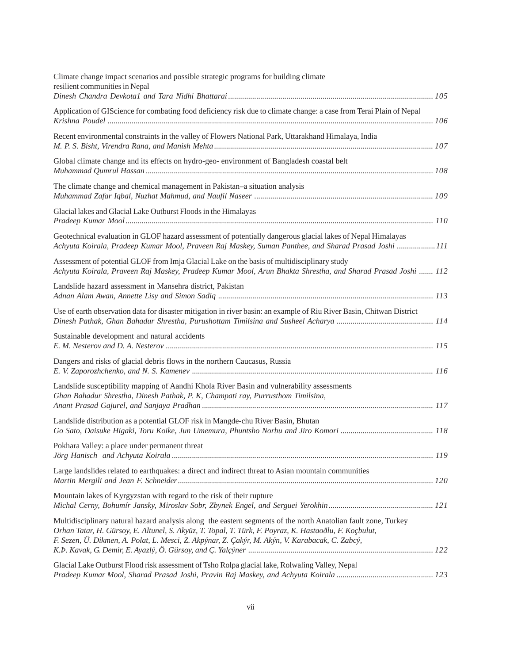| Achyuta Koirala, Pradeep Kumar Mool, Praveen Raj Maskey, Suman Panthee, and Sharad Prasad Joshi 111         |
|-------------------------------------------------------------------------------------------------------------|
| Achyuta Koirala, Praveen Raj Maskey, Pradeep Kumar Mool, Arun Bhakta Shrestha, and Sharad Prasad Joshi  112 |
|                                                                                                             |
|                                                                                                             |
|                                                                                                             |
|                                                                                                             |
|                                                                                                             |
| 118                                                                                                         |
|                                                                                                             |
|                                                                                                             |
|                                                                                                             |
|                                                                                                             |
|                                                                                                             |
|                                                                                                             |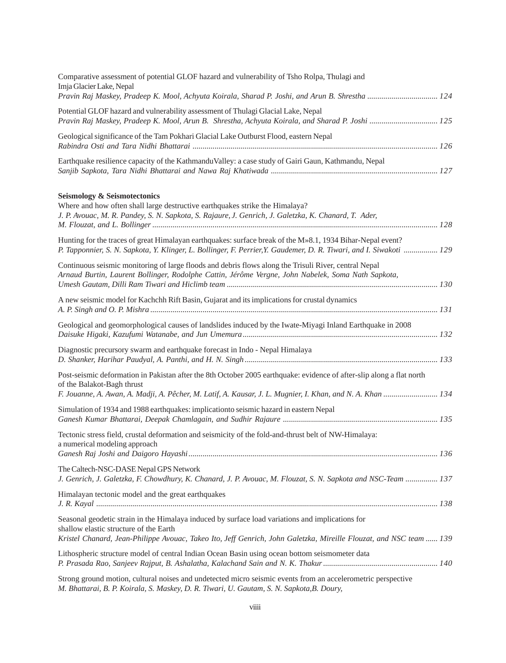| Comparative assessment of potential GLOF hazard and vulnerability of Tsho Rolpa, Thulagi and<br>Imja Glacier Lake, Nepal<br>Pravin Raj Maskey, Pradeep K. Mool, Achyuta Koirala, Sharad P. Joshi, and Arun B. Shrestha  124                                       |
|-------------------------------------------------------------------------------------------------------------------------------------------------------------------------------------------------------------------------------------------------------------------|
| Potential GLOF hazard and vulnerability assessment of Thulagi Glacial Lake, Nepal<br>Pravin Raj Maskey, Pradeep K. Mool, Arun B. Shrestha, Achyuta Koirala, and Sharad P. Joshi  125                                                                              |
| Geological significance of the Tam Pokhari Glacial Lake Outburst Flood, eastern Nepal                                                                                                                                                                             |
| Earthquake resilience capacity of the KathmanduValley: a case study of Gairi Gaun, Kathmandu, Nepal                                                                                                                                                               |
| <b>Seismology &amp; Seismotectonics</b><br>Where and how often shall large destructive earthquakes strike the Himalaya?<br>J. P. Avouac, M. R. Pandey, S. N. Sapkota, S. Rajaure, J. Genrich, J. Galetzka, K. Chanard, T. Ader,                                   |
| Hunting for the traces of great Himalayan earthquakes: surface break of the M»8.1, 1934 Bihar-Nepal event?<br>P. Tapponnier, S. N. Sapkota, Y. Klinger, L. Bollinger, F. Perrier, Y. Gaudemer, D. R. Tiwari, and I. Siwakoti  129                                 |
| Continuous seismic monitoring of large floods and debris flows along the Trisuli River, central Nepal<br>Arnaud Burtin, Laurent Bollinger, Rodolphe Cattin, Jérôme Vergne, John Nabelek, Soma Nath Sapkota,                                                       |
| A new seismic model for Kachchh Rift Basin, Gujarat and its implications for crustal dynamics                                                                                                                                                                     |
| Geological and geomorphological causes of landslides induced by the Iwate-Miyagi Inland Earthquake in 2008                                                                                                                                                        |
| Diagnostic precursory swarm and earthquake forecast in Indo - Nepal Himalaya                                                                                                                                                                                      |
| Post-seismic deformation in Pakistan after the 8th October 2005 earthquake: evidence of after-slip along a flat north<br>of the Balakot-Bagh thrust<br>F. Jouanne, A. Awan, A. Madji, A. Pêcher, M. Latif, A. Kausar, J. L. Mugnier, I. Khan, and N. A. Khan  134 |
| Simulation of 1934 and 1988 earthquakes: implication to seismic hazard in eastern Nepal                                                                                                                                                                           |
| Tectonic stress field, crustal deformation and seismicity of the fold-and-thrust belt of NW-Himalaya:<br>a numerical modeling approach                                                                                                                            |
| The Caltech-NSC-DASE Nepal GPS Network<br>J. Genrich, J. Galetzka, F. Chowdhury, K. Chanard, J. P. Avouac, M. Flouzat, S. N. Sapkota and NSC-Team  137                                                                                                            |
| Himalayan tectonic model and the great earthquakes                                                                                                                                                                                                                |
| Seasonal geodetic strain in the Himalaya induced by surface load variations and implications for<br>shallow elastic structure of the Earth<br>Kristel Chanard, Jean-Philippe Avouac, Takeo Ito, Jeff Genrich, John Galetzka, Mireille Flouzat, and NSC team  139  |
| Lithospheric structure model of central Indian Ocean Basin using ocean bottom seismometer data                                                                                                                                                                    |
| Strong ground motion, cultural noises and undetected micro seismic events from an accelerometric perspective                                                                                                                                                      |

*M. Bhattarai, B. P. Koirala, S. Maskey, D. R. Tiwari, U. Gautam, S. N. Sapkota,B. Doury,*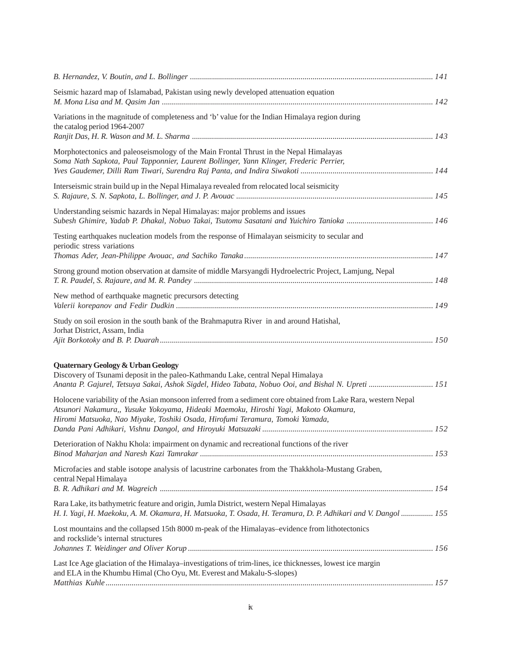| Seismic hazard map of Islamabad, Pakistan using newly developed attenuation equation                                                                                                                                                                                                                                                                                                         |  |
|----------------------------------------------------------------------------------------------------------------------------------------------------------------------------------------------------------------------------------------------------------------------------------------------------------------------------------------------------------------------------------------------|--|
| Variations in the magnitude of completeness and 'b' value for the Indian Himalaya region during<br>the catalog period 1964-2007                                                                                                                                                                                                                                                              |  |
| Morphotectonics and paleoseismology of the Main Frontal Thrust in the Nepal Himalayas<br>Soma Nath Sapkota, Paul Tapponnier, Laurent Bollinger, Yann Klinger, Frederic Perrier,                                                                                                                                                                                                              |  |
| Interseismic strain build up in the Nepal Himalaya revealed from relocated local seismicity                                                                                                                                                                                                                                                                                                  |  |
| Understanding seismic hazards in Nepal Himalayas: major problems and issues                                                                                                                                                                                                                                                                                                                  |  |
| Testing earthquakes nucleation models from the response of Himalayan seismicity to secular and<br>periodic stress variations                                                                                                                                                                                                                                                                 |  |
| Strong ground motion observation at damsite of middle Marsyangdi Hydroelectric Project, Lamjung, Nepal                                                                                                                                                                                                                                                                                       |  |
| New method of earthquake magnetic precursors detecting                                                                                                                                                                                                                                                                                                                                       |  |
| Study on soil erosion in the south bank of the Brahmaputra River in and around Hatishal,<br>Jorhat District, Assam, India                                                                                                                                                                                                                                                                    |  |
| Quaternary Geology & Urban Geology<br>Discovery of Tsunami deposit in the paleo-Kathmandu Lake, central Nepal Himalaya                                                                                                                                                                                                                                                                       |  |
| Ananta P. Gajurel, Tetsuya Sakai, Ashok Sigdel, Hideo Tabata, Nobuo Ooi, and Bishal N. Upreti  151<br>Holocene variability of the Asian monsoon inferred from a sediment core obtained from Lake Rara, western Nepal<br>Atsunori Nakamura,, Yusuke Yokoyama, Hideaki Maemoku, Hiroshi Yagi, Makoto Okamura,<br>Hiromi Matsuoka, Nao Miyake, Toshiki Osada, Hirofumi Teramura, Tomoki Yamada, |  |
| Deterioration of Nakhu Khola: impairment on dynamic and recreational functions of the river                                                                                                                                                                                                                                                                                                  |  |
| Microfacies and stable isotope analysis of lacustrine carbonates from the Thakkhola-Mustang Graben,<br>central Nepal Himalaya                                                                                                                                                                                                                                                                |  |
| Rara Lake, its bathymetric feature and origin, Jumla District, western Nepal Himalayas<br>H. I. Yagi, H. Maekoku, A. M. Okamura, H. Matsuoka, T. Osada, H. Teramura, D. P. Adhikari and V. Dangol  155                                                                                                                                                                                       |  |
| Lost mountains and the collapsed 15th 8000 m-peak of the Himalayas-evidence from lithotectonics<br>and rockslide's internal structures                                                                                                                                                                                                                                                       |  |
| Last Ice Age glaciation of the Himalaya-investigations of trim-lines, ice thicknesses, lowest ice margin<br>and ELA in the Khumbu Himal (Cho Oyu, Mt. Everest and Makalu-S-slopes)                                                                                                                                                                                                           |  |
|                                                                                                                                                                                                                                                                                                                                                                                              |  |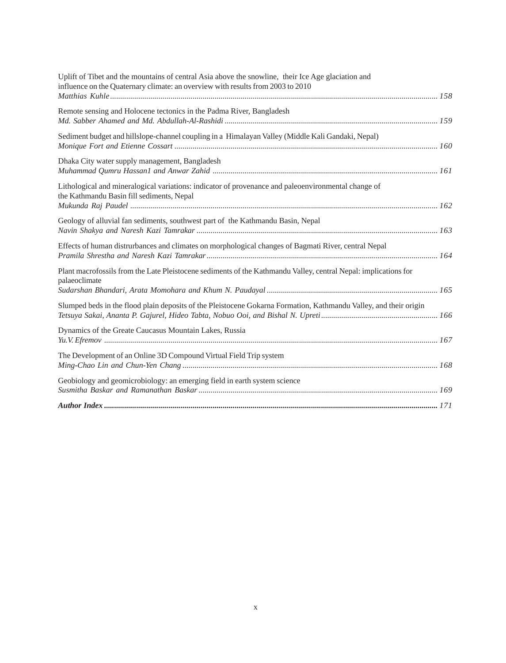| Uplift of Tibet and the mountains of central Asia above the snowline, their Ice Age glaciation and<br>influence on the Quaternary climate: an overview with results from 2003 to 2010 |  |
|---------------------------------------------------------------------------------------------------------------------------------------------------------------------------------------|--|
|                                                                                                                                                                                       |  |
| Remote sensing and Holocene tectonics in the Padma River, Bangladesh                                                                                                                  |  |
| Sediment budget and hillslope-channel coupling in a Himalayan Valley (Middle Kali Gandaki, Nepal)                                                                                     |  |
| Dhaka City water supply management, Bangladesh                                                                                                                                        |  |
| Lithological and mineralogical variations: indicator of provenance and paleoenvironmental change of<br>the Kathmandu Basin fill sediments, Nepal                                      |  |
| Geology of alluvial fan sediments, southwest part of the Kathmandu Basin, Nepal                                                                                                       |  |
| Effects of human distrurbances and climates on morphological changes of Bagmati River, central Nepal                                                                                  |  |
| Plant macrofossils from the Late Pleistocene sediments of the Kathmandu Valley, central Nepal: implications for<br>palaeoclimate                                                      |  |
| Slumped beds in the flood plain deposits of the Pleistocene Gokarna Formation, Kathmandu Valley, and their origin                                                                     |  |
| Dynamics of the Greate Caucasus Mountain Lakes, Russia                                                                                                                                |  |
| The Development of an Online 3D Compound Virtual Field Trip system                                                                                                                    |  |
| Geobiology and geomicrobiology: an emerging field in earth system science                                                                                                             |  |
|                                                                                                                                                                                       |  |

*Journal of Nepal Geological Society, 2010, Vol. 41 (Sp. Issue)*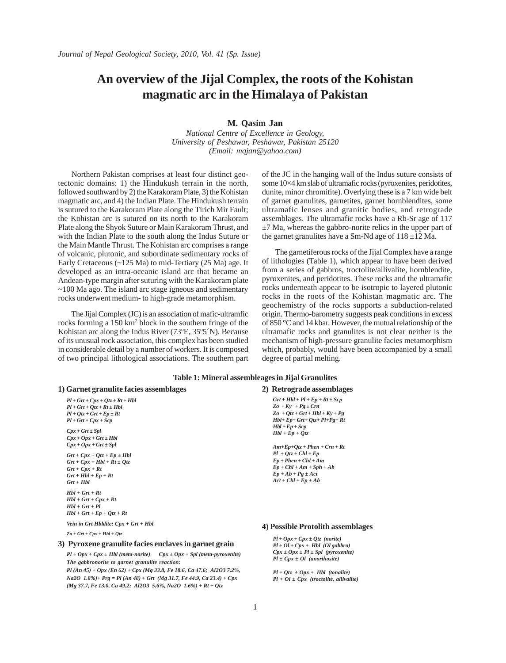# **An overview of the Jijal Complex, the roots of the Kohistan magmatic arc in the Himalaya of Pakistan**

**M. Qasim Jan**

*National Centre of Excellence in Geology, University of Peshawar, Peshawar, Pakistan 25120 (Email: mqjan@yahoo.com)*

 Northern Pakistan comprises at least four distinct geotectonic domains: 1) the Hindukush terrain in the north, followed southward by 2) the Karakoram Plate, 3) the Kohistan magmatic arc, and 4) the Indian Plate. The Hindukush terrain is sutured to the Karakoram Plate along the Tirich Mir Fault; the Kohistan arc is sutured on its north to the Karakoram Plate along the Shyok Suture or Main Karakoram Thrust, and with the Indian Plate to the south along the Indus Suture or the Main Mantle Thrust. The Kohistan arc comprises a range of volcanic, plutonic, and subordinate sedimentary rocks of Early Cretaceous (~125 Ma) to mid-Tertiary (25 Ma) age. It developed as an intra-oceanic island arc that became an Andean-type margin after suturing with the Karakoram plate  $\sim$ 100 Ma ago. The island arc stage igneous and sedimentary rocks underwent medium- to high-grade metamorphism.

 The Jijal Complex (JC) is an association of mafic-ultramfic rocks forming a 150 km<sup>2</sup> block in the southern fringe of the Kohistan arc along the Indus River (73ºE, 35º5´N). Because of its unusual rock association, this complex has been studied in considerable detail by a number of workers. It is composed of two principal lithological associations. The southern part of the JC in the hanging wall of the Indus suture consists of some 10×4 km slab of ultramafic rocks (pyroxenites, peridotites, dunite, minor chromitite). Overlying these is a 7 km wide belt of garnet granulites, garnetites, garnet hornblendites, some ultramafic lenses and granitic bodies, and retrograde assemblages. The ultramafic rocks have a Rb-Sr age of 117  $\pm$ 7 Ma, whereas the gabbro-norite relics in the upper part of the garnet granulites have a Sm-Nd age of  $118 \pm 12$  Ma.

 The garnetiferous rocks of the Jijal Complex have a range of lithologies (Table 1), which appear to have been derived from a series of gabbros, troctolite/allivalite, hornblendite, pyroxenites, and peridotites. These rocks and the ultramafic rocks underneath appear to be isotropic to layered plutonic rocks in the roots of the Kohistan magmatic arc. The geochemistry of the rocks supports a subduction-related origin. Thermo-barometry suggests peak conditions in excess of 850 °C and 14 kbar. However, the mutual relationship of the ultramafic rocks and granulites is not clear neither is the mechanism of high-pressure granulite facies metamorphism which, probably, would have been accompanied by a small degree of partial melting.

#### **Table 1: Mineral assembleages in Jijal Granulites**

#### *Pl + Grt + Cpx + Qtz + Rt ± Hbl Pl + Grt + Qtz + Rt ± Hbl Pl + Qtz + Grt + Ep ± Rt Pl + Grt + Cpx + Scp Cpx + Grt ± Spl Cpx + Opx + Grt ± Hbl*   $Cpx + Opx + Grt \pm Spl$  $Grt + Cpx + Qtz + Ep \pm Hbl$  $Grt + Cpx + Hbl + Rt \pm Qtz$  $Grt + Cpx + Rt$  $Grt + Hbl + Ep + Rt$ *Grt + Hbl Hbl + Grt + Rt*  $Hbl + Grt + Cpx \pm Rt$ *Hbl + Grt + Pl*  $Hbl + Grt + Ep + Qtz + Rt$ *Vein in Grt Hbldite: Cpx + Grt + Hbl* **1) Garnet granulite facies assemblages 2) Retrograde assemblages** *Grt + Hbl + Pl + Ep + Rt ± Scp Zo + Ky + Pg ± Crn Zo + Qtz + Grt + Hbl + Ky + Pg Hbl+ Ep+ Grt+ Qtz+ Pl+Pg+ Rt Hbl + Ep + Scp Hbl + Ep + Qtz Am+Ep+Qtz + Phen + Crn + Rt Pl + Qtz + Chl + Ep Ep + Phen + Chl + Am Ep + Chl + Am + Sph + Ab Ep + Ab + Pg ± Act*  $Act + Chl + Ep \pm Ab$

 $Zo + Grt \pm Cpx \pm Hbl \pm Qtz$ 

#### **3) Pyroxene granulite facies enclaves in garnet grain**

*Pl + Opx + Cpx ± Hbl (meta-norite) Cpx ± Opx + Spl (meta-pyroxenite) The gabbronorite to garnet granulite reaction: Pl (An 45) + Opx (En 62) + Cpx (Mg 33.8, Fe 18.6, Ca 47.6; Al2O3 7.2%, Na2O 1.8%)+ Prg = Pl (An 48) + Grt (Mg 31.7, Fe 44.9, Ca 23.4) + Cpx (Mg 37.7, Fe 13.0, Ca 49.2; Al2O3 5.6%, Na2O 1.6%) + Rt + Qtz*

#### **4) Possible Protolith assemblages**

*Pl + Opx + Cpx ± Qtz (norite) Pl + Ol + Cpx ± Hbl (Ol gabbro) Cpx ± Opx ± Pl ± Spl (pyroxenite) Pl ± Cpx ± Ol (anorthosite)*

*Pl + Qtz ± Opx ± Hbl (tonalite) Pl + Ol ± Cpx (troctolite, allivalite)*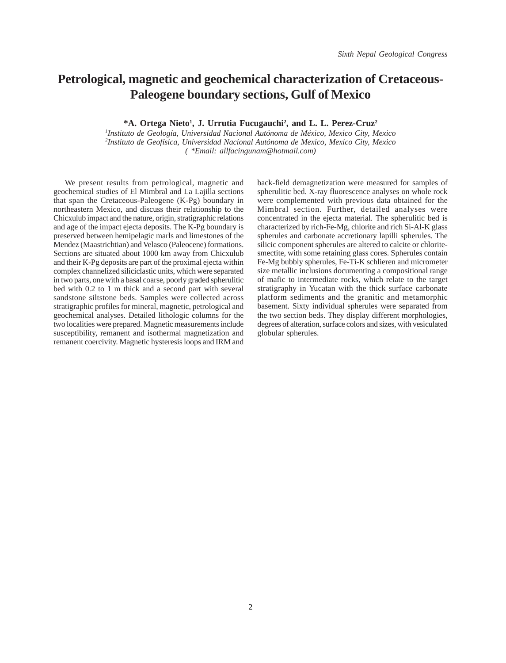# **Petrological, magnetic and geochemical characterization of Cretaceous-Paleogene boundary sections, Gulf of Mexico**

<sup>\*</sup>A. Ortega Nieto<sup>1</sup>, J. Urrutia Fucugauchi<sup>2</sup>, and L. L. Perez-Cruz<sup>2</sup>

*1 Instituto de Geología, Universidad Nacional Autónoma de México, Mexico City, Mexico 2 Instituto de Geofísica, Universidad Nacional Autónoma de Mexico, Mexico City, Mexico ( \*Email: allfacingunam@hotmail.com)*

We present results from petrological, magnetic and geochemical studies of El Mimbral and La Lajilla sections that span the Cretaceous-Paleogene (K-Pg) boundary in northeastern Mexico, and discuss their relationship to the Chicxulub impact and the nature, origin, stratigraphic relations and age of the impact ejecta deposits. The K-Pg boundary is preserved between hemipelagic marls and limestones of the Mendez (Maastrichtian) and Velasco (Paleocene) formations. Sections are situated about 1000 km away from Chicxulub and their K-Pg deposits are part of the proximal ejecta within complex channelized siliciclastic units, which were separated in two parts, one with a basal coarse, poorly graded spherulitic bed with 0.2 to 1 m thick and a second part with several sandstone siltstone beds. Samples were collected across stratigraphic profiles for mineral, magnetic, petrological and geochemical analyses. Detailed lithologic columns for the two localities were prepared. Magnetic measurements include susceptibility, remanent and isothermal magnetization and remanent coercivity. Magnetic hysteresis loops and IRM and

back-field demagnetization were measured for samples of spherulitic bed. X-ray fluorescence analyses on whole rock were complemented with previous data obtained for the Mimbral section. Further, detailed analyses were concentrated in the ejecta material. The spherulitic bed is characterized by rich-Fe-Mg, chlorite and rich Si-Al-K glass spherules and carbonate accretionary lapilli spherules. The silicic component spherules are altered to calcite or chloritesmectite, with some retaining glass cores. Spherules contain Fe-Mg bubbly spherules, Fe-Ti-K schlieren and micrometer size metallic inclusions documenting a compositional range of mafic to intermediate rocks, which relate to the target stratigraphy in Yucatan with the thick surface carbonate platform sediments and the granitic and metamorphic basement. Sixty individual spherules were separated from the two section beds. They display different morphologies, degrees of alteration, surface colors and sizes, with vesiculated globular spherules.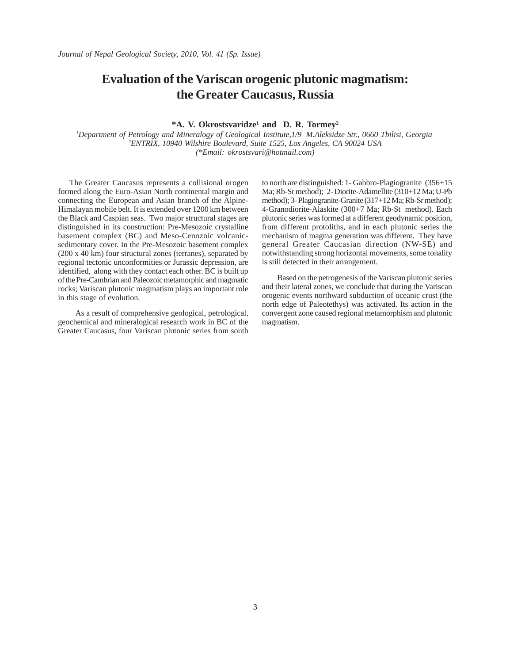# **Evaluation of the Variscan orogenic plutonic magmatism: the Greater Caucasus, Russia**

#### **\*A. V. Okrostsvaridze1 and D. R. Tormey2**

*1 Department of Petrology and Mineralogy of Geological Institute,1/9 M.Aleksidze Str., 0660 Tbilisi, Georgia 2 ENTRIX, 10940 Wilshire Boulevard, Suite 1525, Los Angeles, CA 90024 USA (\*Email: okrostsvari@hotmail.com)*

The Greater Caucasus represents a collisional orogen formed along the Euro-Asian North continental margin and connecting the European and Asian branch of the Alpine-Himalayan mobile belt. It is extended over 1200 km between the Black and Caspian seas. Two major structural stages are distinguished in its construction: Pre-Mesozoic crystalline basement complex (BC) and Meso-Cenozoic volcanicsedimentary cover. In the Pre-Mesozoic basement complex (200 x 40 km) four structural zones (terranes), separated by regional tectonic unconformities or Jurassic depression, are identified, along with they contact each other. BC is built up of the Pre-Cambrian and Paleozoic metamorphic and magmatic rocks; Variscan plutonic magmatism plays an important role in this stage of evolution.

 As a result of comprehensive geological, petrological, geochemical and mineralogical research work in BC of the Greater Caucasus, four Variscan plutonic series from south to north are distinguished: 1- Gabbro-Plagiogranite (356+15 Ma; Rb-Sr method); 2- Diorite-Adamellite (310+12 Ma; U-Pb method); 3- Plagiogranite-Granite (317+12 Ma; Rb-Sr method); 4-Granodiorite-Alaskite (300+7 Ma; Rb-St method). Each plutonic series was formed at a different geodynamic position, from different protoliths, and in each plutonic series the mechanism of magma generation was different. They have general Greater Caucasian direction (NW-SE) and notwithstanding strong horizontal movements, some tonality is still detected in their arrangement.

 Based on the petrogenesis of the Variscan plutonic series and their lateral zones, we conclude that during the Variscan orogenic events northward subduction of oceanic crust (the north edge of Paleotethys) was activated. Its action in the convergent zone caused regional metamorphism and plutonic magmatism.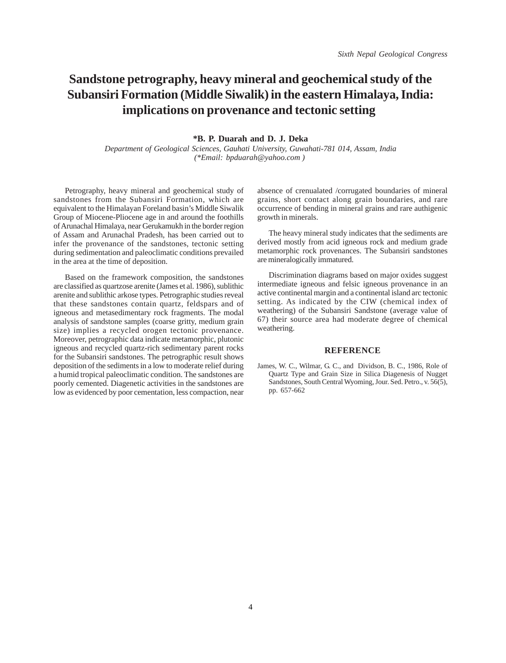# **Sandstone petrography, heavy mineral and geochemical study of the Subansiri Formation (Middle Siwalik) in the eastern Himalaya, India: implications on provenance and tectonic setting**

#### **\*B. P. Duarah and D. J. Deka**

*Department of Geological Sciences, Gauhati University, Guwahati-781 014, Assam, India (\*Email: bpduarah@yahoo.com )* 

Petrography, heavy mineral and geochemical study of sandstones from the Subansiri Formation, which are equivalent to the Himalayan Foreland basin's Middle Siwalik Group of Miocene-Pliocene age in and around the foothills of Arunachal Himalaya, near Gerukamukh in the border region of Assam and Arunachal Pradesh, has been carried out to infer the provenance of the sandstones, tectonic setting during sedimentation and paleoclimatic conditions prevailed in the area at the time of deposition.

Based on the framework composition, the sandstones are classified as quartzose arenite (James et al. 1986), sublithic arenite and sublithic arkose types. Petrographic studies reveal that these sandstones contain quartz, feldspars and of igneous and metasedimentary rock fragments. The modal analysis of sandstone samples (coarse gritty, medium grain size) implies a recycled orogen tectonic provenance. Moreover, petrographic data indicate metamorphic, plutonic igneous and recycled quartz-rich sedimentary parent rocks for the Subansiri sandstones. The petrographic result shows deposition of the sediments in a low to moderate relief during a humid tropical paleoclimatic condition. The sandstones are poorly cemented. Diagenetic activities in the sandstones are low as evidenced by poor cementation, less compaction, near

absence of crenualated /corrugated boundaries of mineral grains, short contact along grain boundaries, and rare occurrence of bending in mineral grains and rare authigenic growth in minerals.

The heavy mineral study indicates that the sediments are derived mostly from acid igneous rock and medium grade metamorphic rock provenances. The Subansiri sandstones are mineralogically immatured.

Discrimination diagrams based on major oxides suggest intermediate igneous and felsic igneous provenance in an active continental margin and a continental island arc tectonic setting. As indicated by the CIW (chemical index of weathering) of the Subansiri Sandstone (average value of 67) their source area had moderate degree of chemical weathering.

#### **REFERENCE**

James, W. C., Wilmar, G. C., and Dividson, B. C., 1986, Role of Quartz Type and Grain Size in Silica Diagenesis of Nugget Sandstones, South Central Wyoming, Jour. Sed. Petro., v. 56(5), pp. 657-662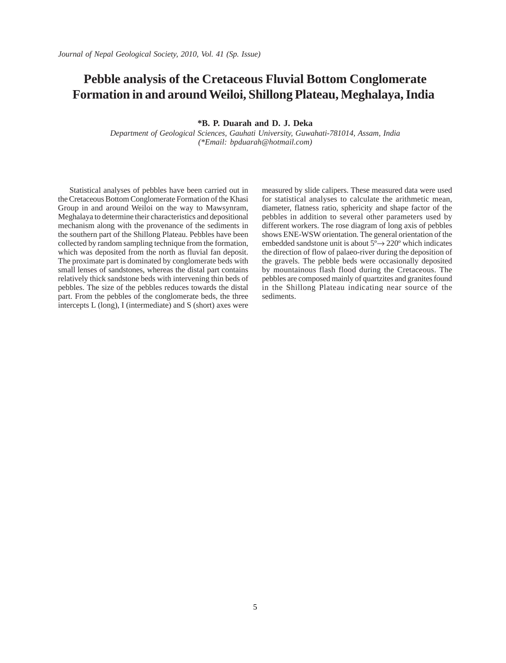# **Pebble analysis of the Cretaceous Fluvial Bottom Conglomerate Formation in and around Weiloi, Shillong Plateau, Meghalaya, India**

**\*B. P. Duarah and D. J. Deka**

*Department of Geological Sciences, Gauhati University, Guwahati-781014, Assam, India (\*Email: bpduarah@hotmail.com)*

Statistical analyses of pebbles have been carried out in the Cretaceous Bottom Conglomerate Formation of the Khasi Group in and around Weiloi on the way to Mawsynram, Meghalaya to determine their characteristics and depositional mechanism along with the provenance of the sediments in the southern part of the Shillong Plateau. Pebbles have been collected by random sampling technique from the formation, which was deposited from the north as fluvial fan deposit. The proximate part is dominated by conglomerate beds with small lenses of sandstones, whereas the distal part contains relatively thick sandstone beds with intervening thin beds of pebbles. The size of the pebbles reduces towards the distal part. From the pebbles of the conglomerate beds, the three intercepts L (long), I (intermediate) and S (short) axes were

measured by slide calipers. These measured data were used for statistical analyses to calculate the arithmetic mean, diameter, flatness ratio, sphericity and shape factor of the pebbles in addition to several other parameters used by different workers. The rose diagram of long axis of pebbles shows ENE-WSW orientation. The general orientation of the embedded sandstone unit is about 5º→ 220º which indicates the direction of flow of palaeo-river during the deposition of the gravels. The pebble beds were occasionally deposited by mountainous flash flood during the Cretaceous. The pebbles are composed mainly of quartzites and granites found in the Shillong Plateau indicating near source of the sediments.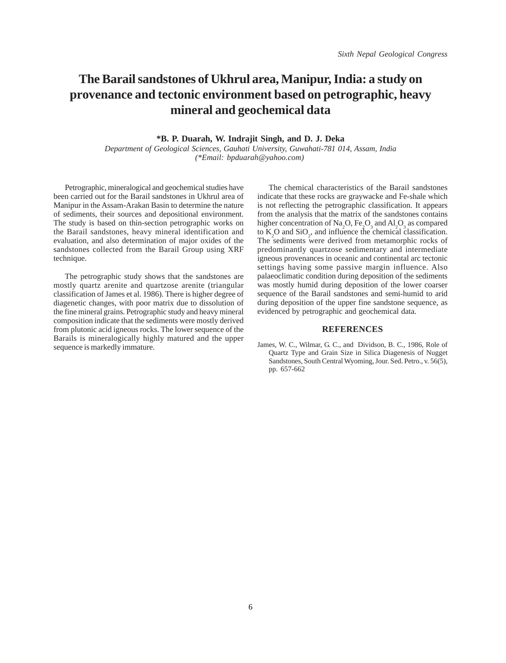# **The Barail sandstones of Ukhrul area, Manipur, India: a study on provenance and tectonic environment based on petrographic, heavy mineral and geochemical data**

#### **\*B. P. Duarah, W. Indrajit Singh, and D. J. Deka**

*Department of Geological Sciences, Gauhati University, Guwahati-781 014, Assam, India (\*Email: bpduarah@yahoo.com)* 

Petrographic, mineralogical and geochemical studies have been carried out for the Barail sandstones in Ukhrul area of Manipur in the Assam-Arakan Basin to determine the nature of sediments, their sources and depositional environment. The study is based on thin-section petrographic works on the Barail sandstones, heavy mineral identification and evaluation, and also determination of major oxides of the sandstones collected from the Barail Group using XRF technique.

The petrographic study shows that the sandstones are mostly quartz arenite and quartzose arenite (triangular classification of James et al. 1986). There is higher degree of diagenetic changes, with poor matrix due to dissolution of the fine mineral grains. Petrographic study and heavy mineral composition indicate that the sediments were mostly derived from plutonic acid igneous rocks. The lower sequence of the Barails is mineralogically highly matured and the upper sequence is markedly immature.

The chemical characteristics of the Barail sandstones indicate that these rocks are graywacke and Fe-shale which is not reflecting the petrographic classification. It appears from the analysis that the matrix of the sandstones contains higher concentration of Na<sub>2</sub>O, Fe<sub>2</sub>O<sub>3</sub> and Al<sub>2</sub>O<sub>3</sub> as compared to  $K_2$ O and  $SiO_2$ , and influence the chemical classification. The sediments were derived from metamorphic rocks of predominantly quartzose sedimentary and intermediate igneous provenances in oceanic and continental arc tectonic settings having some passive margin influence. Also palaeoclimatic condition during deposition of the sediments was mostly humid during deposition of the lower coarser sequence of the Barail sandstones and semi-humid to arid during deposition of the upper fine sandstone sequence, as evidenced by petrographic and geochemical data.

#### **REFERENCES**

James, W. C., Wilmar, G. C., and Dividson, B. C., 1986, Role of Quartz Type and Grain Size in Silica Diagenesis of Nugget Sandstones, South Central Wyoming, Jour. Sed. Petro., v. 56(5), pp. 657-662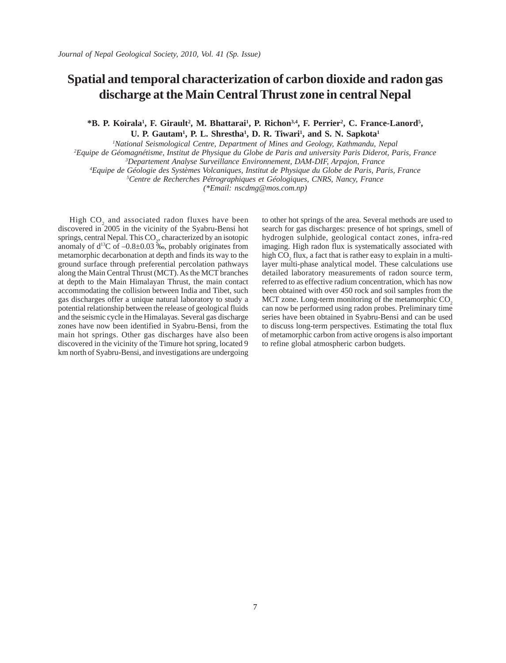# **Spatial and temporal characterization of carbon dioxide and radon gas discharge at the Main Central Thrust zone in central Nepal**

\*B. P. Koirala<sup>1</sup>, F. Girault<sup>2</sup>, M. Bhattarai<sup>1</sup>, P. Richon<sup>3,4</sup>, F. Perrier<sup>2</sup>, C. France-Lanord<sup>5</sup>, U. P. Gautam<sup>1</sup>, P. L. Shrestha<sup>1</sup>, D. R. Tiwari<sup>1</sup>, and S. N. Sapkota<sup>1</sup>

*1 National Seismological Centre, Department of Mines and Geology, Kathmandu, Nepal*

*2 Equipe de Géomagnétisme, Institut de Physique du Globe de Paris and university Paris Diderot, Paris, France*

*3 Departement Analyse Surveillance Environnement, DAM-DIF, Arpajon, France*

*4 Equipe de Géologie des Systèmes Volcaniques, Institut de Physique du Globe de Paris, Paris, France*

*5 Centre de Recherches Pétrographiques et Géologiques, CNRS, Nancy, France*

*(\*Email: nscdmg@mos.com.np)*

High  $CO<sub>2</sub>$  and associated radon fluxes have been discovered in 2005 in the vicinity of the Syabru-Bensi hot springs, central Nepal. This  $CO<sub>2</sub>$ , characterized by an isotopic anomaly of  $d^{13}C$  of  $-0.8\pm0.03$  ‰, probably originates from metamorphic decarbonation at depth and finds its way to the ground surface through preferential percolation pathways along the Main Central Thrust (MCT). As the MCT branches at depth to the Main Himalayan Thrust, the main contact accommodating the collision between India and Tibet, such gas discharges offer a unique natural laboratory to study a potential relationship between the release of geological fluids and the seismic cycle in the Himalayas. Several gas discharge zones have now been identified in Syabru-Bensi, from the main hot springs. Other gas discharges have also been discovered in the vicinity of the Timure hot spring, located 9 km north of Syabru-Bensi, and investigations are undergoing to other hot springs of the area. Several methods are used to search for gas discharges: presence of hot springs, smell of hydrogen sulphide, geological contact zones, infra-red imaging. High radon flux is systematically associated with high  $CO<sub>2</sub>$  flux, a fact that is rather easy to explain in a multilayer multi-phase analytical model. These calculations use detailed laboratory measurements of radon source term, referred to as effective radium concentration, which has now been obtained with over 450 rock and soil samples from the MCT zone. Long-term monitoring of the metamorphic  $CO<sub>2</sub>$ can now be performed using radon probes. Preliminary time series have been obtained in Syabru-Bensi and can be used to discuss long-term perspectives. Estimating the total flux of metamorphic carbon from active orogens is also important to refine global atmospheric carbon budgets.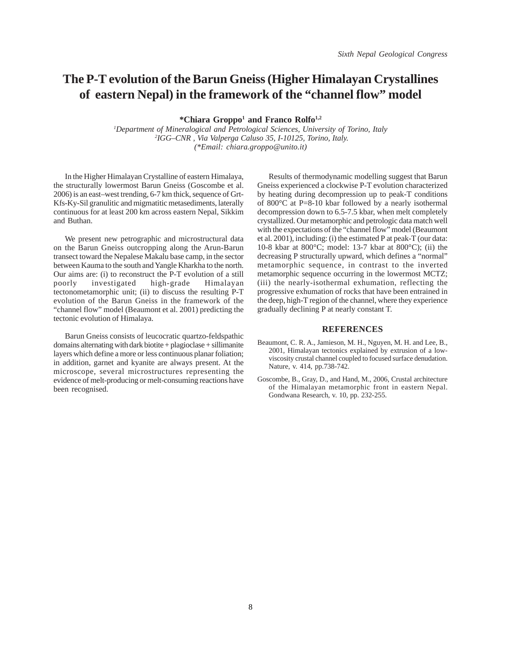# **The P-T evolution of the Barun Gneiss (Higher Himalayan Crystallines of eastern Nepal) in the framework of the "channel flow" model**

**\*Chiara Groppo1 and Franco Rolfo1,2**

*1 Department of Mineralogical and Petrological Sciences, University of Torino, Italy 2 IGG–CNR , Via Valperga Caluso 35, I-10125, Torino, Italy. (\*Email: chiara.groppo@unito.it)*

In the Higher Himalayan Crystalline of eastern Himalaya, the structurally lowermost Barun Gneiss (Goscombe et al. 2006) is an east–west trending, 6-7 km thick, sequence of Grt-Kfs-Ky-Sil granulitic and migmatitic metasediments, laterally continuous for at least 200 km across eastern Nepal, Sikkim and Buthan.

We present new petrographic and microstructural data on the Barun Gneiss outcropping along the Arun-Barun transect toward the Nepalese Makalu base camp, in the sector between Kauma to the south and Yangle Kharkha to the north. Our aims are: (i) to reconstruct the P-T evolution of a still poorly investigated high-grade Himalayan tectonometamorphic unit; (ii) to discuss the resulting P-T evolution of the Barun Gneiss in the framework of the "channel flow" model (Beaumont et al. 2001) predicting the tectonic evolution of Himalaya.

Barun Gneiss consists of leucocratic quartzo-feldspathic domains alternating with dark biotite + plagioclase + sillimanite layers which define a more or less continuous planar foliation; in addition, garnet and kyanite are always present. At the microscope, several microstructures representing the evidence of melt-producing or melt-consuming reactions have been recognised.

Results of thermodynamic modelling suggest that Barun Gneiss experienced a clockwise P-T evolution characterized by heating during decompression up to peak-T conditions of 800°C at P=8-10 kbar followed by a nearly isothermal decompression down to 6.5-7.5 kbar, when melt completely crystallized. Our metamorphic and petrologic data match well with the expectations of the "channel flow" model (Beaumont et al. 2001), including: (i) the estimated P at peak-T (our data: 10-8 kbar at 800°C; model: 13-7 kbar at 800°C); (ii) the decreasing P structurally upward, which defines a "normal" metamorphic sequence, in contrast to the inverted metamorphic sequence occurring in the lowermost MCTZ; (iii) the nearly-isothermal exhumation, reflecting the progressive exhumation of rocks that have been entrained in the deep, high-T region of the channel, where they experience gradually declining P at nearly constant T.

- Beaumont, C. R. A., Jamieson, M. H., Nguyen, M. H. and Lee, B., 2001, Himalayan tectonics explained by extrusion of a lowviscosity crustal channel coupled to focused surface denudation. Nature, v. 414, pp.738-742.
- Goscombe, B., Gray, D., and Hand, M., 2006, Crustal architecture of the Himalayan metamorphic front in eastern Nepal. Gondwana Research, v. 10, pp. 232-255.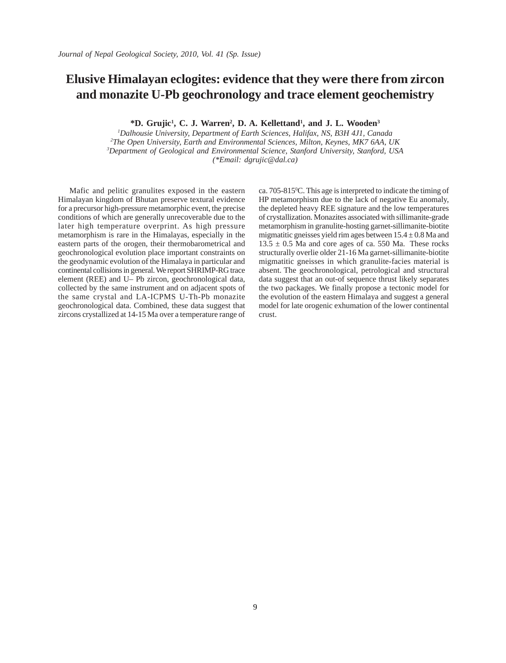# **Elusive Himalayan eclogites: evidence that they were there from zircon and monazite U-Pb geochronology and trace element geochemistry**

<sup>\*</sup>**D.** Grujic<sup>1</sup>, C. J. Warren<sup>2</sup>, D. A. Kellettand<sup>1</sup>, and J. L. Wooden<sup>3</sup>

 *Dalhousie University, Department of Earth Sciences, Halifax, NS, B3H 4J1, Canada The Open University, Earth and Environmental Sciences, Milton, Keynes, MK7 6AA, UK Department of Geological and Environmental Science, Stanford University, Stanford, USA (\*Email: dgrujic@dal.ca)*

Mafic and pelitic granulites exposed in the eastern Himalayan kingdom of Bhutan preserve textural evidence for a precursor high-pressure metamorphic event, the precise conditions of which are generally unrecoverable due to the later high temperature overprint. As high pressure metamorphism is rare in the Himalayas, especially in the eastern parts of the orogen, their thermobarometrical and geochronological evolution place important constraints on the geodynamic evolution of the Himalaya in particular and continental collisions in general. We report SHRIMP-RG trace element (REE) and U– Pb zircon, geochronological data, collected by the same instrument and on adjacent spots of the same crystal and LA-ICPMS U-Th-Pb monazite geochronological data. Combined, these data suggest that zircons crystallized at 14-15 Ma over a temperature range of

ca. 705-815°C. This age is interpreted to indicate the timing of HP metamorphism due to the lack of negative Eu anomaly, the depleted heavy REE signature and the low temperatures of crystallization. Monazites associated with sillimanite-grade metamorphism in granulite-hosting garnet-sillimanite-biotite migmatitic gneisses yield rim ages between  $15.4 \pm 0.8$  Ma and  $13.5 \pm 0.5$  Ma and core ages of ca. 550 Ma. These rocks structurally overlie older 21-16 Ma garnet-sillimanite-biotite migmatitic gneisses in which granulite-facies material is absent. The geochronological, petrological and structural data suggest that an out-of sequence thrust likely separates the two packages. We finally propose a tectonic model for the evolution of the eastern Himalaya and suggest a general model for late orogenic exhumation of the lower continental crust.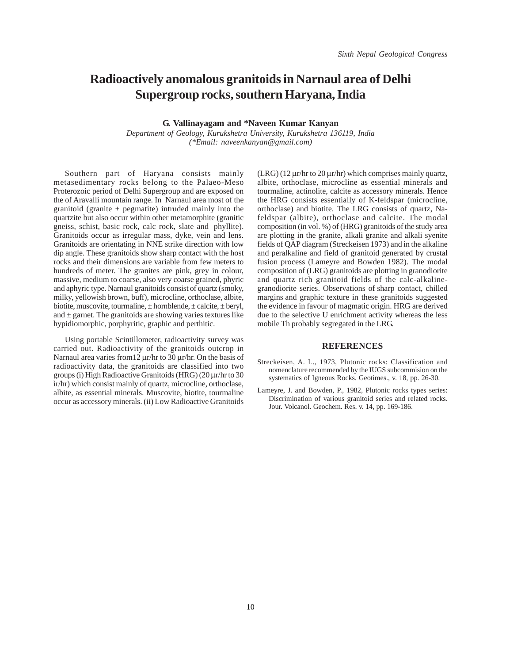# **Radioactively anomalous granitoids in Narnaul area of Delhi Supergroup rocks, southern Haryana, India**

**G. Vallinayagam and \*Naveen Kumar Kanyan**

*Department of Geology, Kurukshetra University, Kurukshetra 136119, India (\*Email: naveenkanyan@gmail.com)*

Southern part of Haryana consists mainly metasedimentary rocks belong to the Palaeo-Meso Proterozoic period of Delhi Supergroup and are exposed on the of Aravalli mountain range. In Narnaul area most of the granitoid (granite + pegmatite) intruded mainly into the quartzite but also occur within other metamorphite (granitic gneiss, schist, basic rock, calc rock, slate and phyllite). Granitoids occur as irregular mass, dyke, vein and lens. Granitoids are orientating in NNE strike direction with low dip angle. These granitoids show sharp contact with the host rocks and their dimensions are variable from few meters to hundreds of meter. The granites are pink, grey in colour, massive, medium to coarse, also very coarse grained, phyric and aphyric type. Narnaul granitoids consist of quartz (smoky, milky, yellowish brown, buff), microcline, orthoclase, albite, biotite, muscovite, tourmaline, ± hornblende, ± calcite, ± beryl, and  $\pm$  garnet. The granitoids are showing varies textures like hypidiomorphic, porphyritic, graphic and perthitic.

Using portable Scintillometer, radioactivity survey was carried out. Radioactivity of the granitoids outcrop in Narnaul area varies from12 μr/hr to 30 μr/hr. On the basis of radioactivity data, the granitoids are classified into two groups (i) High Radioactive Granitoids (HRG) (20 μr/hr to 30 ìr/hr) which consist mainly of quartz, microcline, orthoclase, albite, as essential minerals. Muscovite, biotite, tourmaline occur as accessory minerals. (ii) Low Radioactive Granitoids

(LRG) (12 μr/hr to 20 μr/hr) which comprises mainly quartz, albite, orthoclase, microcline as essential minerals and tourmaline, actinolite, calcite as accessory minerals. Hence the HRG consists essentially of K-feldspar (microcline, orthoclase) and biotite. The LRG consists of quartz, Nafeldspar (albite), orthoclase and calcite. The modal composition (in vol. %) of (HRG) granitoids of the study area are plotting in the granite, alkali granite and alkali syenite fields of QAP diagram (Streckeisen 1973) and in the alkaline and peralkaline and field of granitoid generated by crustal fusion process (Lameyre and Bowden 1982). The modal composition of (LRG) granitoids are plotting in granodiorite and quartz rich granitoid fields of the calc-alkalinegranodiorite series. Observations of sharp contact, chilled margins and graphic texture in these granitoids suggested the evidence in favour of magmatic origin. HRG are derived due to the selective U enrichment activity whereas the less mobile Th probably segregated in the LRG.

- Streckeisen, A. L., 1973, Plutonic rocks: Classification and nomenclature recommended by the IUGS subcommision on the systematics of Igneous Rocks. Geotimes., v. 18, pp. 26-30.
- Lameyre, J. and Bowden, P., 1982, Plutonic rocks types series: Discrimination of various granitoid series and related rocks. Jour. Volcanol. Geochem. Res. v. 14, pp. 169-186.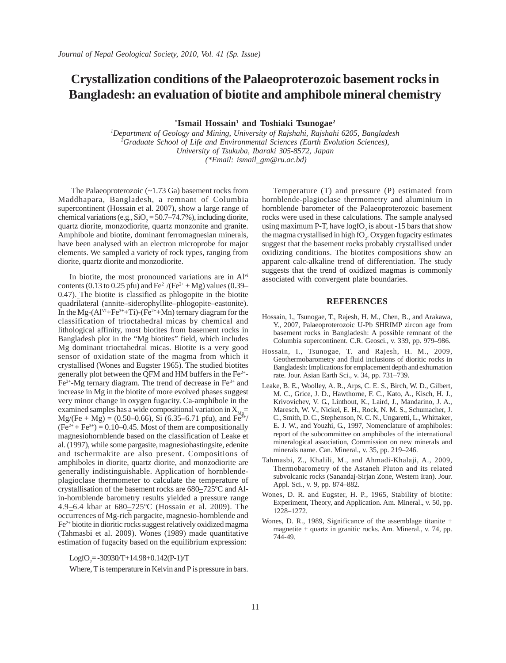# **Crystallization conditions of the Palaeoproterozoic basement rocks in Bangladesh: an evaluation of biotite and amphibole mineral chemistry**

 $*$ **Ismail Hossain<sup>1</sup> and Toshiaki Tsunogae<sup>2</sup>** 

*1 Department of Geology and Mining, University of Rajshahi, Rajshahi 6205, Bangladesh 2 Graduate School of Life and Environmental Sciences (Earth Evolution Sciences), University of Tsukuba, Ibaraki 305-8572, Japan (\*Email: ismail\_gm@ru.ac.bd)*

 The Palaeoproterozoic (~1.73 Ga) basement rocks from Maddhapara, Bangladesh, a remnant of Columbia supercontinent (Hossain et al. 2007), show a large range of chemical variations (e.g.,  $SiO_2 = 50.7 - 74.7\%$ ), including diorite, quartz diorite, monzodiorite, quartz monzonite and granite. Amphibole and biotite, dominant ferromagnesian minerals, have been analysed with an electron microprobe for major elements. We sampled a variety of rock types, ranging from diorite, quartz diorite and monzodiorite.

In biotite, the most pronounced variations are in Alvi contents (0.13 to 0.25 pfu) and  $Fe^{2+}/(Fe^{2+} + Mg)$  values (0.39– 0.47). The biotite is classified as phlogopite in the biotite quadrilateral (annite–siderophyllite–phlogopite–eastonite). In the Mg- $(Al^{VI}+Fe^{3+}+Ti)-(Fe^{2+}+Mn)$  ternary diagram for the classification of trioctahedral micas by chemical and lithological affinity, most biotites from basement rocks in Bangladesh plot in the "Mg biotites" field, which includes Mg dominant trioctahedral micas. Biotite is a very good sensor of oxidation state of the magma from which it crystallised (Wones and Eugster 1965). The studied biotites generally plot between the QFM and HM buffers in the  $Fe<sup>2+</sup>$ -Fe3+-Mg ternary diagram. The trend of decrease in Fe3+ and increase in Mg in the biotite of more evolved phases suggest very minor change in oxygen fugacity. Ca-amphibole in the examined samples has a wide compositional variation in  $X_{Mg}$ =  $Mg/(Fe + Mg) = (0.50-0.66)$ , Si (6.35–6.71 pfu), and Fe<sup>3+</sup>/  $(Fe<sup>2+</sup> + Fe<sup>3+</sup>) = 0.10-0.45$ . Most of them are compositionally magnesiohornblende based on the classification of Leake et al. (1997), while some pargasite, magnesiohastingsite, edenite and tschermakite are also present. Compositions of amphiboles in diorite, quartz diorite, and monzodiorite are generally indistinguishable. Application of hornblendeplagioclase thermometer to calculate the temperature of crystallisation of the basement rocks are 680–725ºC and Alin-hornblende barometry results yielded a pressure range 4.9–6.4 kbar at 680–725ºC (Hossain et al. 2009). The occurrences of Mg-rich pargacite, magnesio-hornblende and Fe2+ biotite in dioritic rocks suggest relatively oxidized magma (Tahmasbi et al. 2009). Wones (1989) made quantitative estimation of fugacity based on the equilibrium expression:

## $LogfO_2 = -30930/T + 14.98 + 0.142(P-1)/T$

Where, T is temperature in Kelvin and P is pressure in bars.

Temperature (T) and pressure (P) estimated from hornblende-plagioclase thermometry and aluminium in hornblende barometer of the Palaeoproterozoic basement rocks were used in these calculations. The sample analysed using maximum P-T, have  $log fO<sub>2</sub>$  is about -15 bars that show the magma crystallised in high  $fO_2$ . Oxygen fugacity estimates suggest that the basement rocks probably crystallised under oxidizing conditions. The biotites compositions show an apparent calc-alkaline trend of differentiation. The study suggests that the trend of oxidized magmas is commonly associated with convergent plate boundaries.

- Hossain, I., Tsunogae, T., Rajesh, H. M., Chen, B., and Arakawa, Y., 2007, Palaeoproterozoic U-Pb SHRIMP zircon age from basement rocks in Bangladesh: A possible remnant of the Columbia supercontinent. C.R. Geosci., v. 339, pp. 979–986.
- Hossain, I., Tsunogae, T. and Rajesh, H. M., 2009, Geothermobarometry and fluid inclusions of dioritic rocks in Bangladesh: Implications for emplacement depth and exhumation rate. Jour. Asian Earth Sci., v. 34, pp. 731–739.
- Leake, B. E., Woolley, A. R., Arps, C. E. S., Birch, W. D., Gilbert, M. C., Grice, J. D., Hawthorne, F. C., Kato, A., Kisch, H. J., Krivovichev, V. G., Linthout, K., Laird, J., Mandarino, J. A., Maresch, W. V., Nickel, E. H., Rock, N. M. S., Schumacher, J. C., Smith, D. C., Stephenson, N. C. N., Ungaretti, L., Whittaker, E. J. W., and Youzhi, G., 1997, Nomenclature of amphiboles: report of the subcommittee on amphiboles of the international mineralogical association, Commission on new minerals and minerals name. Can. Mineral., v. 35, pp. 219–246.
- Tahmasbi, Z., Khalili, M., and Ahmadi-Khalaji, A., 2009, Thermobarometry of the Astaneh Pluton and its related subvolcanic rocks (Sanandaj-Sirjan Zone, Western Iran). Jour. Appl. Sci., v. 9, pp. 874–882.
- Wones, D. R. and Eugster, H. P., 1965, Stability of biotite: Experiment, Theory, and Application. Am. Mineral., v. 50, pp. 1228–1272.
- Wones, D. R., 1989, Significance of the assemblage titanite + magnetite + quartz in granitic rocks. Am. Mineral., v. 74, pp. 744-49.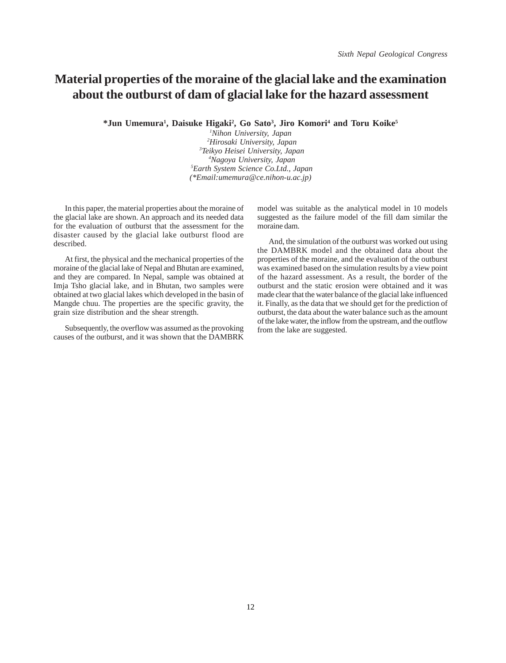# **Material properties of the moraine of the glacial lake and the examination about the outburst of dam of glacial lake for the hazard assessment**

<sup>\*</sup>Jun Umemura<sup>1</sup>, Daisuke Higaki<sup>2</sup>, Go Sato<sup>3</sup>, Jiro Komori<sup>4</sup> and Toru Koike<sup>5</sup>

 *Nihon University, Japan Hirosaki University, Japan Teikyo Heisei University, Japan Nagoya University, Japan Earth System Science Co.Ltd., Japan (\*Email:umemura@ce.nihon-u.ac.jp)*

In this paper, the material properties about the moraine of the glacial lake are shown. An approach and its needed data for the evaluation of outburst that the assessment for the disaster caused by the glacial lake outburst flood are described.

At first, the physical and the mechanical properties of the moraine of the glacial lake of Nepal and Bhutan are examined, and they are compared. In Nepal, sample was obtained at Imja Tsho glacial lake, and in Bhutan, two samples were obtained at two glacial lakes which developed in the basin of Mangde chuu. The properties are the specific gravity, the grain size distribution and the shear strength.

Subsequently, the overflow was assumed as the provoking causes of the outburst, and it was shown that the DAMBRK model was suitable as the analytical model in 10 models suggested as the failure model of the fill dam similar the moraine dam.

And, the simulation of the outburst was worked out using the DAMBRK model and the obtained data about the properties of the moraine, and the evaluation of the outburst was examined based on the simulation results by a view point of the hazard assessment. As a result, the border of the outburst and the static erosion were obtained and it was made clear that the water balance of the glacial lake influenced it. Finally, as the data that we should get for the prediction of outburst, the data about the water balance such as the amount of the lake water, the inflow from the upstream, and the outflow from the lake are suggested.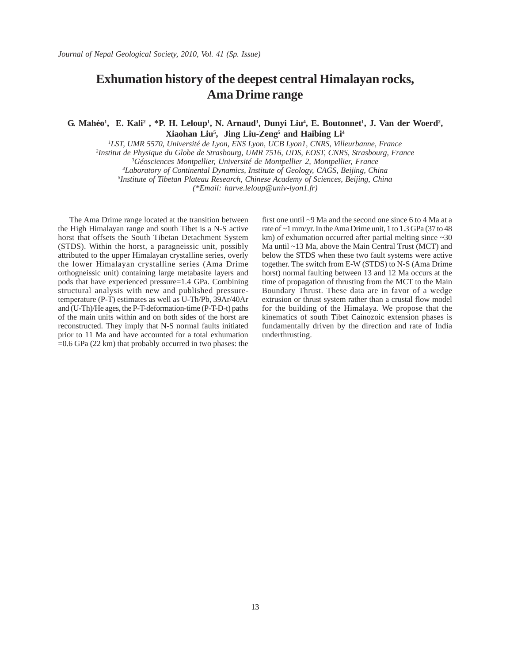# **Exhumation history of the deepest central Himalayan rocks, Ama Drime range**

G. Mahéo<sup>1</sup>, E. Kali<sup>2</sup>, \*P. H. Leloup<sup>1</sup>, N. Arnaud<sup>3</sup>, Dunyi Liu<sup>4</sup>, E. Boutonnet<sup>1</sup>, J. Van der Woerd<sup>2</sup>, **Xiaohan Liu5 , Jing Liu-Zeng5 and Haibing Li4**

 *LST, UMR 5570, Université de Lyon, ENS Lyon, UCB Lyon1, CNRS, Villeurbanne, France Institut de Physique du Globe de Strasbourg, UMR 7516, UDS, EOST, CNRS, Strasbourg, France Géosciences Montpellier, Université de Montpellier 2, Montpellier, France Laboratory of Continental Dynamics, Institute of Geology, CAGS, Beijing, China Institute of Tibetan Plateau Research, Chinese Academy of Sciences, Beijing, China*

*(\*Email: harve.leloup@univ-lyon1.fr)*

The Ama Drime range located at the transition between the High Himalayan range and south Tibet is a N-S active horst that offsets the South Tibetan Detachment System (STDS). Within the horst, a paragneissic unit, possibly attributed to the upper Himalayan crystalline series, overly the lower Himalayan crystalline series (Ama Drime orthogneissic unit) containing large metabasite layers and pods that have experienced pressure=1.4 GPa. Combining structural analysis with new and published pressuretemperature (P-T) estimates as well as U-Th/Pb, 39Ar/40Ar and (U-Th)/He ages, the P-T-deformation-time (P-T-D-t) paths of the main units within and on both sides of the horst are reconstructed. They imply that N-S normal faults initiated prior to 11 Ma and have accounted for a total exhumation =0.6 GPa (22 km) that probably occurred in two phases: the first one until ~9 Ma and the second one since 6 to 4 Ma at a rate of ~1 mm/yr. In the Ama Drime unit, 1 to 1.3 GPa (37 to 48 km) of exhumation occurred after partial melting since ~30 Ma until ~13 Ma, above the Main Central Trust (MCT) and below the STDS when these two fault systems were active together. The switch from E-W (STDS) to N-S (Ama Drime horst) normal faulting between 13 and 12 Ma occurs at the time of propagation of thrusting from the MCT to the Main Boundary Thrust. These data are in favor of a wedge extrusion or thrust system rather than a crustal flow model for the building of the Himalaya. We propose that the kinematics of south Tibet Cainozoic extension phases is fundamentally driven by the direction and rate of India underthrusting.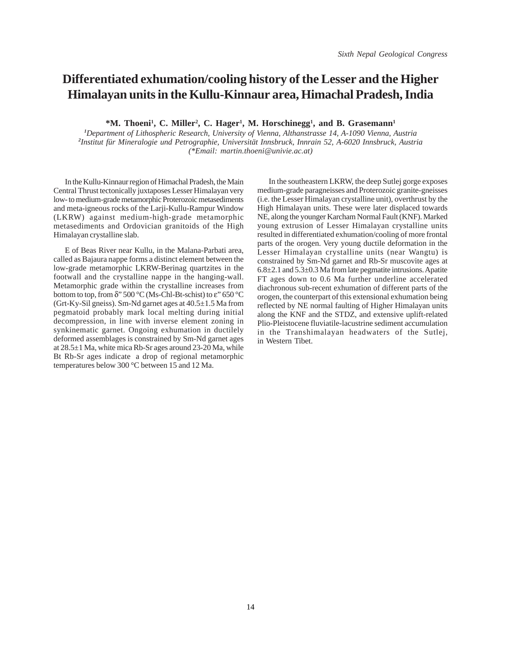# **Differentiated exhumation/cooling history of the Lesser and the Higher Himalayan units in the Kullu-Kinnaur area, Himachal Pradesh, India**

<sup>\*</sup>M. Thoeni<sup>1</sup>, C. Miller<sup>2</sup>, C. Hager<sup>1</sup>, M. Horschinegg<sup>1</sup>, and B. Grasemann<sup>1</sup>

*1 Department of Lithospheric Research, University of Vienna, Althanstrasse 14, A-1090 Vienna, Austria 2 Institut für Mineralogie und Petrographie, Universität Innsbruck, Innrain 52, A-6020 Innsbruck, Austria (\*Email: martin.thoeni@univie.ac.at)*

In the Kullu-Kinnaur region of Himachal Pradesh, the Main Central Thrust tectonically juxtaposes Lesser Himalayan very low- to medium-grade metamorphic Proterozoic metasediments and meta-igneous rocks of the Larji-Kullu-Rampur Window (LKRW) against medium-high-grade metamorphic metasediments and Ordovician granitoids of the High Himalayan crystalline slab.

E of Beas River near Kullu, in the Malana-Parbati area, called as Bajaura nappe forms a distinct element between the low-grade metamorphic LKRW-Berinag quartzites in the footwall and the crystalline nappe in the hanging-wall. Metamorphic grade within the crystalline increases from bottom to top, from  $\delta$ " 500 °C (Ms-Chl-Bt-schist) to  $\varepsilon$ " 650 °C (Grt-Ky-Sil gneiss). Sm-Nd garnet ages at 40.5±1.5 Ma from pegmatoid probably mark local melting during initial decompression, in line with inverse element zoning in synkinematic garnet. Ongoing exhumation in ductilely deformed assemblages is constrained by Sm-Nd garnet ages at 28.5±1 Ma, white mica Rb-Sr ages around 23-20 Ma, while Bt Rb-Sr ages indicate a drop of regional metamorphic temperatures below 300 °C between 15 and 12 Ma.

In the southeastern LKRW, the deep Sutlej gorge exposes medium-grade paragneisses and Proterozoic granite-gneisses (i.e. the Lesser Himalayan crystalline unit), overthrust by the High Himalayan units. These were later displaced towards NE, along the younger Karcham Normal Fault (KNF). Marked young extrusion of Lesser Himalayan crystalline units resulted in differentiated exhumation/cooling of more frontal parts of the orogen. Very young ductile deformation in the Lesser Himalayan crystalline units (near Wangtu) is constrained by Sm-Nd garnet and Rb-Sr muscovite ages at 6.8±2.1 and 5.3±0.3 Ma from late pegmatite intrusions. Apatite FT ages down to 0.6 Ma further underline accelerated diachronous sub-recent exhumation of different parts of the orogen, the counterpart of this extensional exhumation being reflected by NE normal faulting of Higher Himalayan units along the KNF and the STDZ, and extensive uplift-related Plio-Pleistocene fluviatile-lacustrine sediment accumulation in the Transhimalayan headwaters of the Sutlej, in Western Tibet.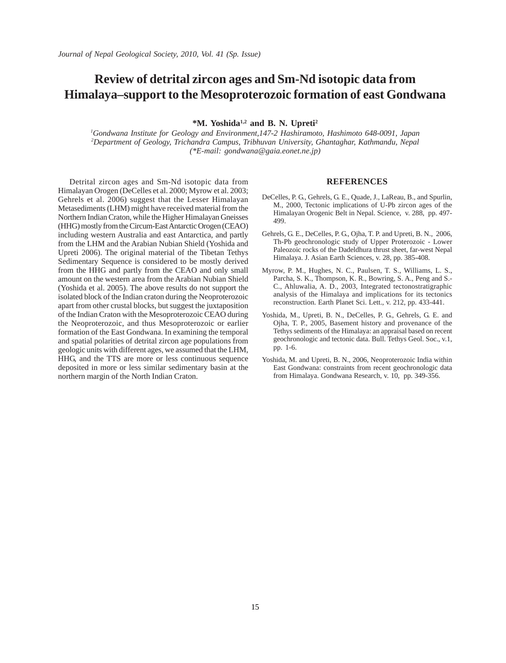# **Review of detrital zircon ages and Sm-Nd isotopic data from Himalaya–support to the Mesoproterozoic formation of east Gondwana**

**\*M. Yoshida1,2 and B. N. Upreti2**

*1 Gondwana Institute for Geology and Environment,147-2 Hashiramoto, Hashimoto 648-0091, Japan 2 Department of Geology, Trichandra Campus, Tribhuvan University, Ghantaghar, Kathmandu, Nepal (\*E-mail: gondwana@gaia.eonet.ne.jp)*

Detrital zircon ages and Sm-Nd isotopic data from Himalayan Orogen (DeCelles et al. 2000; Myrow et al. 2003; Gehrels et al. 2006) suggest that the Lesser Himalayan Metasediments (LHM) might have received material from the Northern Indian Craton, while the Higher Himalayan Gneisses (HHG) mostly from the Circum-East Antarctic Orogen (CEAO) including western Australia and east Antarctica, and partly from the LHM and the Arabian Nubian Shield (Yoshida and Upreti 2006). The original material of the Tibetan Tethys Sedimentary Sequence is considered to be mostly derived from the HHG and partly from the CEAO and only small amount on the western area from the Arabian Nubian Shield (Yoshida et al. 2005). The above results do not support the isolated block of the Indian craton during the Neoproterozoic apart from other crustal blocks, but suggest the juxtaposition of the Indian Craton with the Mesoproterozoic CEAO during the Neoproterozoic, and thus Mesoproterozoic or earlier formation of the East Gondwana. In examining the temporal and spatial polarities of detrital zircon age populations from geologic units with different ages, we assumed that the LHM, HHG, and the TTS are more or less continuous sequence deposited in more or less similar sedimentary basin at the northern margin of the North Indian Craton.

- DeCelles, P. G., Gehrels, G. E., Quade, J., LaReau, B., and Spurlin, M., 2000, Tectonic implications of U-Pb zircon ages of the Himalayan Orogenic Belt in Nepal. Science, v. 288, pp. 497- 499.
- Gehrels, G. E., DeCelles, P. G., Ojha, T. P. and Upreti, B. N., 2006, Th-Pb geochronologic study of Upper Proterozoic - Lower Paleozoic rocks of the Dadeldhura thrust sheet, far-west Nepal Himalaya. J. Asian Earth Sciences, v. 28, pp. 385-408.
- Myrow, P. M., Hughes, N. C., Paulsen, T. S., Williams, L. S., Parcha, S. K., Thompson, K. R., Bowring, S. A., Peng and S.- C., Ahluwalia, A. D., 2003, Integrated tectonostratigraphic analysis of the Himalaya and implications for its tectonics reconstruction. Earth Planet Sci. Lett., v. 212, pp. 433-441.
- Yoshida, M., Upreti, B. N., DeCelles, P. G., Gehrels, G. E. and Ojha, T. P., 2005, Basement history and provenance of the Tethys sediments of the Himalaya: an appraisal based on recent geochronologic and tectonic data. Bull. Tethys Geol. Soc., v.1, pp. 1-6.
- Yoshida, M. and Upreti, B. N., 2006, Neoproterozoic India within East Gondwana: constraints from recent geochronologic data from Himalaya. Gondwana Research, v. 10, pp. 349-356.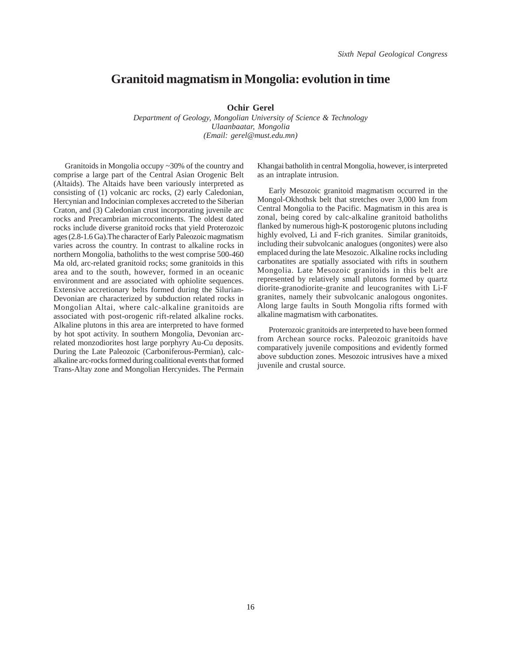# **Granitoid magmatism in Mongolia: evolution in time**

**Ochir Gerel**

*Department of Geology, Mongolian University of Science & Technology Ulaanbaatar, Mongolia (Email: gerel@must.edu.mn)*

Granitoids in Mongolia occupy ~30% of the country and comprise a large part of the Central Asian Orogenic Belt (Altaids). The Altaids have been variously interpreted as consisting of (1) volcanic arc rocks, (2) early Caledonian, Hercynian and Indocinian complexes accreted to the Siberian Craton, and (3) Caledonian crust incorporating juvenile arc rocks and Precambrian microcontinents. The oldest dated rocks include diverse granitoid rocks that yield Proterozoic ages (2.8-1.6 Ga).The character of Early Paleozoic magmatism varies across the country. In contrast to alkaline rocks in northern Mongolia, batholiths to the west comprise 500-460 Ma old, arc-related granitoid rocks; some granitoids in this area and to the south, however, formed in an oceanic environment and are associated with ophiolite sequences. Extensive accretionary belts formed during the Silurian-Devonian are characterized by subduction related rocks in Mongolian Altai, where calc-alkaline granitoids are associated with post-orogenic rift-related alkaline rocks. Alkaline plutons in this area are interpreted to have formed by hot spot activity. In southern Mongolia, Devonian arcrelated monzodiorites host large porphyry Au-Cu deposits. During the Late Paleozoic (Carboniferous-Permian), calcalkaline arc-rocks formed during coalitional events that formed Trans-Altay zone and Mongolian Hercynides. The Permain

Khangai batholith in central Mongolia, however, is interpreted as an intraplate intrusion.

Early Mesozoic granitoid magmatism occurred in the Mongol-Okhothsk belt that stretches over 3,000 km from Central Mongolia to the Pacific. Magmatism in this area is zonal, being cored by calc-alkaline granitoid batholiths flanked by numerous high-K postorogenic plutons including highly evolved, Li and F-rich granites. Similar granitoids, including their subvolcanic analogues (ongonites) were also emplaced during the late Mesozoic. Alkaline rocks including carbonatites are spatially associated with rifts in southern Mongolia. Late Mesozoic granitoids in this belt are represented by relatively small plutons formed by quartz diorite-granodiorite-granite and leucogranites with Li-F granites, namely their subvolcanic analogous ongonites. Along large faults in South Mongolia rifts formed with alkaline magmatism with carbonatites.

Proterozoic granitoids are interpreted to have been formed from Archean source rocks. Paleozoic granitoids have comparatively juvenile compositions and evidently formed above subduction zones. Mesozoic intrusives have a mixed juvenile and crustal source.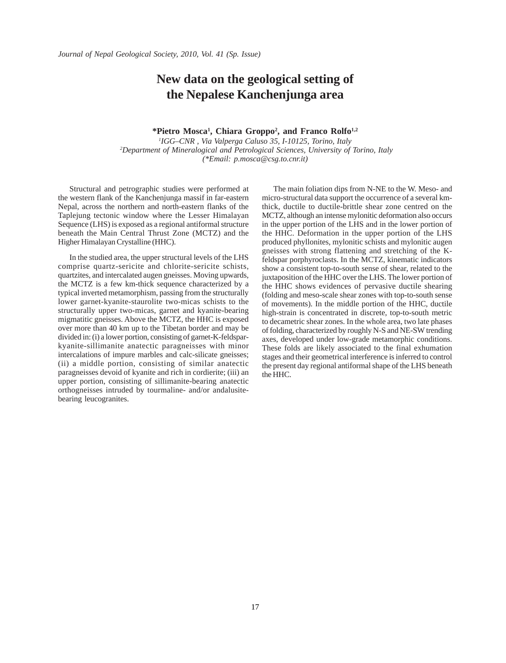# **New data on the geological setting of the Nepalese Kanchenjunga area**

#### **\*Pietro Mosca1 , Chiara Groppo2 , and Franco Rolfo1,2**

*1 IGG–CNR , Via Valperga Caluso 35, I-10125, Torino, Italy 2 Department of Mineralogical and Petrological Sciences, University of Torino, Italy (\*Email: p.mosca@csg.to.cnr.it)*

Structural and petrographic studies were performed at the western flank of the Kanchenjunga massif in far-eastern Nepal, across the northern and north-eastern flanks of the Taplejung tectonic window where the Lesser Himalayan Sequence (LHS) is exposed as a regional antiformal structure beneath the Main Central Thrust Zone (MCTZ) and the Higher Himalayan Crystalline (HHC).

In the studied area, the upper structural levels of the LHS comprise quartz-sericite and chlorite-sericite schists, quartzites, and intercalated augen gneisses. Moving upwards, the MCTZ is a few km-thick sequence characterized by a typical inverted metamorphism, passing from the structurally lower garnet-kyanite-staurolite two-micas schists to the structurally upper two-micas, garnet and kyanite-bearing migmatitic gneisses. Above the MCTZ, the HHC is exposed over more than 40 km up to the Tibetan border and may be divided in: (i) a lower portion, consisting of garnet-K-feldsparkyanite-sillimanite anatectic paragneisses with minor intercalations of impure marbles and calc-silicate gneisses; (ii) a middle portion, consisting of similar anatectic paragneisses devoid of kyanite and rich in cordierite; (iii) an upper portion, consisting of sillimanite-bearing anatectic orthogneisses intruded by tourmaline- and/or andalusitebearing leucogranites.

The main foliation dips from N-NE to the W. Meso- and micro-structural data support the occurrence of a several kmthick, ductile to ductile-brittle shear zone centred on the MCTZ, although an intense mylonitic deformation also occurs in the upper portion of the LHS and in the lower portion of the HHC. Deformation in the upper portion of the LHS produced phyllonites, mylonitic schists and mylonitic augen gneisses with strong flattening and stretching of the Kfeldspar porphyroclasts. In the MCTZ, kinematic indicators show a consistent top-to-south sense of shear, related to the juxtaposition of the HHC over the LHS. The lower portion of the HHC shows evidences of pervasive ductile shearing (folding and meso-scale shear zones with top-to-south sense of movements). In the middle portion of the HHC, ductile high-strain is concentrated in discrete, top-to-south metric to decametric shear zones. In the whole area, two late phases of folding, characterized by roughly N-S and NE-SW trending axes, developed under low-grade metamorphic conditions. These folds are likely associated to the final exhumation stages and their geometrical interference is inferred to control the present day regional antiformal shape of the LHS beneath the HHC.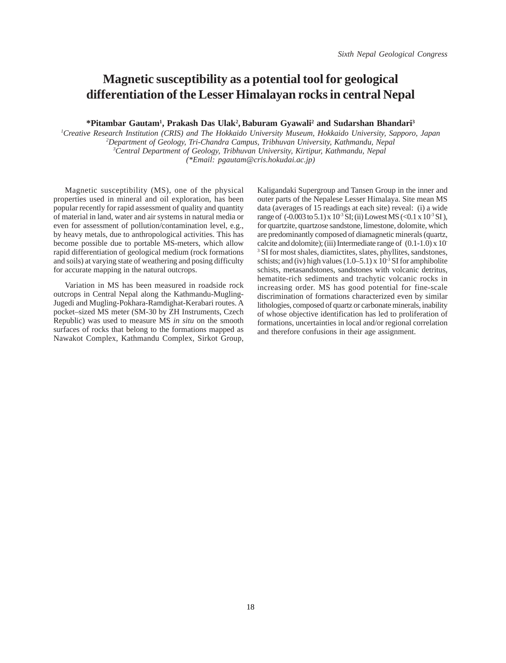# **Magnetic susceptibility as a potential tool for geological differentiation of the Lesser Himalayan rocks in central Nepal**

**\*Pitambar Gautam1 , Prakash Das Ulak2 , Baburam Gyawali2 and Sudarshan Bhandari3**

 *Creative Research Institution (CRIS) and The Hokkaido University Museum, Hokkaido University, Sapporo, Japan Department of Geology, Tri-Chandra Campus, Tribhuvan University, Kathmandu, Nepal Central Department of Geology, Tribhuvan University, Kirtipur, Kathmandu, Nepal (\*Email: pgautam@cris.hokudai.ac.jp)*

Magnetic susceptibility (MS), one of the physical properties used in mineral and oil exploration, has been popular recently for rapid assessment of quality and quantity of material in land, water and air systems in natural media or even for assessment of pollution/contamination level, e.g., by heavy metals, due to anthropological activities. This has become possible due to portable MS-meters, which allow rapid differentiation of geological medium (rock formations and soils) at varying state of weathering and posing difficulty for accurate mapping in the natural outcrops.

Variation in MS has been measured in roadside rock outcrops in Central Nepal along the Kathmandu-Mugling-Jugedi and Mugling-Pokhara-Ramdighat-Kerabari routes. A pocket–sized MS meter (SM-30 by ZH Instruments, Czech Republic) was used to measure MS *in situ* on the smooth surfaces of rocks that belong to the formations mapped as Nawakot Complex, Kathmandu Complex, Sirkot Group,

Kaligandaki Supergroup and Tansen Group in the inner and outer parts of the Nepalese Lesser Himalaya. Site mean MS data (averages of 15 readings at each site) reveal: (i) a wide range of  $(-0.003 \text{ to } 5.1) \times 10^{-3} \text{ SI}$ ; (ii) Lowest MS (<0.1 x 10<sup>-3</sup> SI). for quartzite, quartzose sandstone, limestone, dolomite, which are predominantly composed of diamagnetic minerals (quartz, calcite and dolomite); (iii) Intermediate range of  $(0.1-1.0) \times 10^{-7}$ 3 SI for most shales, diamictites, slates, phyllites, sandstones, schists; and (iv) high values  $(1.0–5.1) \times 10^{-3}$  SI for amphibolite schists, metasandstones, sandstones with volcanic detritus, hematite-rich sediments and trachytic volcanic rocks in increasing order. MS has good potential for fine-scale discrimination of formations characterized even by similar lithologies, composed of quartz or carbonate minerals, inability of whose objective identification has led to proliferation of formations, uncertainties in local and/or regional correlation and therefore confusions in their age assignment.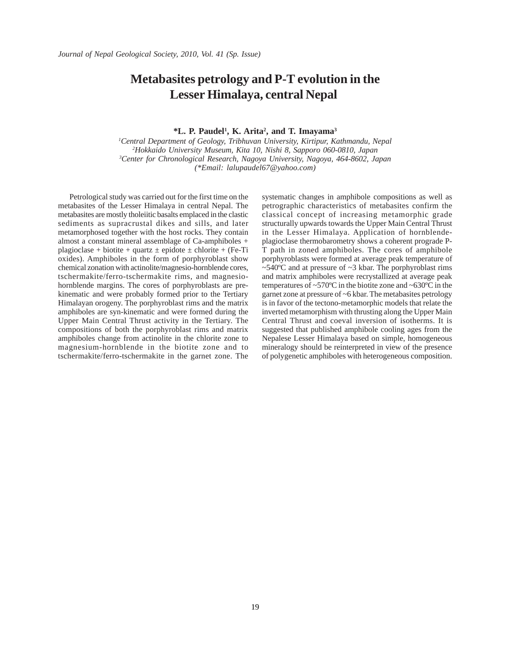# **Metabasites petrology and P-T evolution in the Lesser Himalaya, central Nepal**

**\*L. P. Paudel1 , K. Arita2 , and T. Imayama3**

 *Central Department of Geology, Tribhuvan University, Kirtipur, Kathmandu, Nepal Hokkaido University Museum, Kita 10, Nishi 8, Sapporo 060-0810, Japan Center for Chronological Research, Nagoya University, Nagoya, 464-8602, Japan (\*Email: lalupaudel67@yahoo.com)*

Petrological study was carried out for the first time on the metabasites of the Lesser Himalaya in central Nepal. The metabasites are mostly tholeiitic basalts emplaced in the clastic sediments as supracrustal dikes and sills, and later metamorphosed together with the host rocks. They contain almost a constant mineral assemblage of Ca-amphiboles + plagioclase + biotite + quartz  $\pm$  epidote  $\pm$  chlorite + (Fe-Ti oxides). Amphiboles in the form of porphyroblast show chemical zonation with actinolite/magnesio-hornblende cores, tschermakite/ferro-tschermakite rims, and magnesiohornblende margins. The cores of porphyroblasts are prekinematic and were probably formed prior to the Tertiary Himalayan orogeny. The porphyroblast rims and the matrix amphiboles are syn-kinematic and were formed during the Upper Main Central Thrust activity in the Tertiary. The compositions of both the porphyroblast rims and matrix amphiboles change from actinolite in the chlorite zone to magnesium-hornblende in the biotite zone and to tschermakite/ferro-tschermakite in the garnet zone. The systematic changes in amphibole compositions as well as petrographic characteristics of metabasites confirm the classical concept of increasing metamorphic grade structurally upwards towards the Upper Main Central Thrust in the Lesser Himalaya. Application of hornblendeplagioclase thermobarometry shows a coherent prograde P-T path in zoned amphiboles. The cores of amphibole porphyroblasts were formed at average peak temperature of  $\sim$ 540°C and at pressure of  $\sim$ 3 kbar. The porphyroblast rims and matrix amphiboles were recrystallized at average peak temperatures of ~570ºC in the biotite zone and ~630ºC in the garnet zone at pressure of ~6 kbar. The metabasites petrology is in favor of the tectono-metamorphic models that relate the inverted metamorphism with thrusting along the Upper Main Central Thrust and coeval inversion of isotherms. It is suggested that published amphibole cooling ages from the Nepalese Lesser Himalaya based on simple, homogeneous mineralogy should be reinterpreted in view of the presence of polygenetic amphiboles with heterogeneous composition.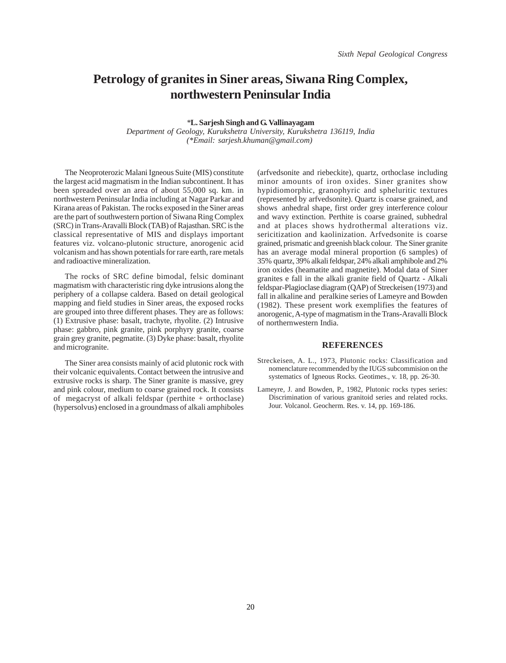# **Petrology of granites in Siner areas, Siwana Ring Complex, northwestern Peninsular India**

*\****L. Sarjesh Singh and G. Vallinayagam**

*Department of Geology, Kurukshetra University, Kurukshetra 136119, India (\*Email: sarjesh.khuman@gmail.com)* 

The Neoproterozic Malani Igneous Suite (MIS) constitute the largest acid magmatism in the Indian subcontinent. It has been spreaded over an area of about 55,000 sq. km. in northwestern Peninsular India including at Nagar Parkar and Kirana areas of Pakistan. The rocks exposed in the Siner areas are the part of southwestern portion of Siwana Ring Complex (SRC) in Trans-Aravalli Block (TAB) of Rajasthan. SRC is the classical representative of MIS and displays important features viz. volcano-plutonic structure, anorogenic acid volcanism and has shown potentials for rare earth, rare metals and radioactive mineralization.

The rocks of SRC define bimodal, felsic dominant magmatism with characteristic ring dyke intrusions along the periphery of a collapse caldera. Based on detail geological mapping and field studies in Siner areas, the exposed rocks are grouped into three different phases. They are as follows: (1) Extrusive phase: basalt, trachyte, rhyolite. (2) Intrusive phase: gabbro, pink granite, pink porphyry granite, coarse grain grey granite, pegmatite. (3) Dyke phase: basalt, rhyolite and microgranite.

The Siner area consists mainly of acid plutonic rock with their volcanic equivalents. Contact between the intrusive and extrusive rocks is sharp. The Siner granite is massive, grey and pink colour, medium to coarse grained rock. It consists of megacryst of alkali feldspar (perthite + orthoclase) (hypersolvus) enclosed in a groundmass of alkali amphiboles

(arfvedsonite and riebeckite), quartz, orthoclase including minor amounts of iron oxides. Siner granites show hypidiomorphic, granophyric and spheluritic textures (represented by arfvedsonite). Quartz is coarse grained, and shows anhedral shape, first order grey interference colour and wavy extinction. Perthite is coarse grained, subhedral and at places shows hydrothermal alterations viz. sericitization and kaolinization. Arfvedsonite is coarse grained, prismatic and greenish black colour. The Siner granite has an average modal mineral proportion (6 samples) of 35% quartz, 39% alkali feldspar, 24% alkali amphibole and 2% iron oxides (heamatite and magnetite). Modal data of Siner granites e fall in the alkali granite field of Quartz - Alkali feldspar-Plagioclase diagram (QAP) of Streckeisen (1973) and fall in alkaline and peralkine series of Lameyre and Bowden (1982). These present work exemplifies the features of anorogenic, A-type of magmatism in the Trans-Aravalli Block of northernwestern India.

- Streckeisen, A. L., 1973, Plutonic rocks: Classification and nomenclature recommended by the IUGS subcommision on the systematics of Igneous Rocks. Geotimes., v. 18, pp. 26-30.
- Lameyre, J. and Bowden, P., 1982, Plutonic rocks types series: Discrimination of various granitoid series and related rocks. Jour. Volcanol. Geocherm. Res. v. 14, pp. 169-186.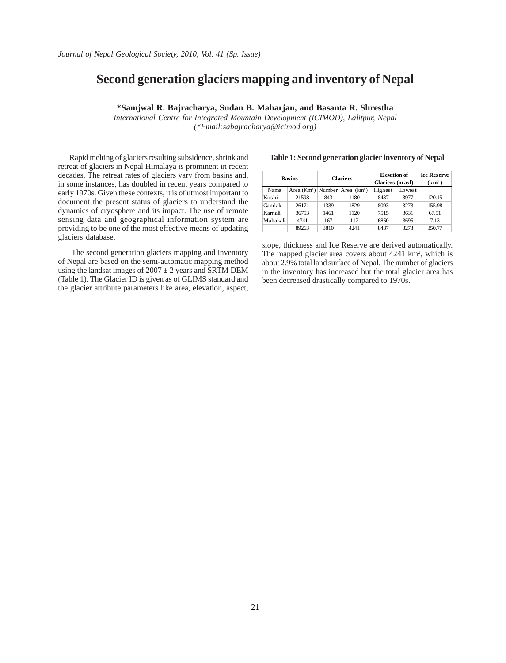# **Second generation glaciers mapping and inventory of Nepal**

**\*Samjwal R. Bajracharya, Sudan B. Maharjan, and Basanta R. Shrestha**

*International Centre for Integrated Mountain Development (ICIMOD), Lalitpur, Nepal (\*Email:sabajracharya@icimod.org)*

Rapid melting of glaciers resulting subsidence, shrink and retreat of glaciers in Nepal Himalaya is prominent in recent decades. The retreat rates of glaciers vary from basins and, in some instances, has doubled in recent years compared to early 1970s. Given these contexts, it is of utmost important to document the present status of glaciers to understand the dynamics of cryosphere and its impact. The use of remote sensing data and geographical information system are providing to be one of the most effective means of updating glaciers database.

The second generation glaciers mapping and inventory of Nepal are based on the semi-automatic mapping method using the landsat images of  $2007 \pm 2$  years and SRTM DEM (Table 1). The Glacier ID is given as of GLIMS standard and the glacier attribute parameters like area, elevation, aspect,

| <b>Basins</b> |       | <b>Glaciers</b> |                                    | <b>Elevation of</b><br>Glaciers (m asl) |        | <b>Ice Reserve</b><br>$(km^3)$ |
|---------------|-------|-----------------|------------------------------------|-----------------------------------------|--------|--------------------------------|
| Name          |       |                 | Area $(Km^2)$ Number Area $(Km^2)$ | Highest                                 | Lowest |                                |
| Koshi         | 21598 | 843             | 1180                               | 8437                                    | 3977   | 120.15                         |
| Gandaki       | 26171 | 1339            | 1829                               | 8093                                    | 3273   | 155.98                         |
| Karnali       | 36753 | 1461            | 1120                               | 7515                                    | 3631   | 67.51                          |
| Mahakali      | 4741  | 167             | 112                                | 6850                                    | 3695   | 7.13                           |
|               | 89263 | 3810            | 4241                               | 8437                                    | 3273   | 350.77                         |

**Table 1: Second generation glacier inventory of Nepal**

slope, thickness and Ice Reserve are derived automatically. The mapped glacier area covers about 4241 km<sup>2</sup>, which is about 2.9% total land surface of Nepal. The number of glaciers in the inventory has increased but the total glacier area has been decreased drastically compared to 1970s.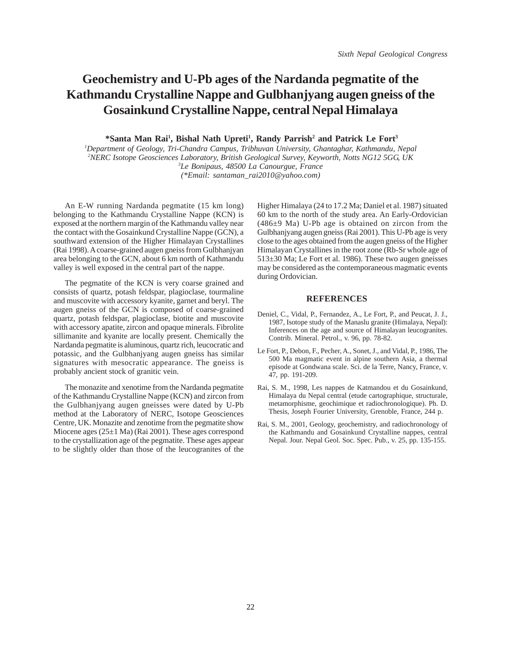# **Geochemistry and U-Pb ages of the Nardanda pegmatite of the Kathmandu Crystalline Nappe and Gulbhanjyang augen gneiss of the Gosainkund Crystalline Nappe, central Nepal Himalaya**

<sup>\*</sup>Santa Man Rai<sup>1</sup>, Bishal Nath Upreti<sup>1</sup>, Randy Parrish<sup>2</sup> and Patrick Le Fort<sup>3</sup>

 *Department of Geology, Tri-Chandra Campus, Tribhuvan University, Ghantaghar, Kathmandu, Nepal NERC Isotope Geosciences Laboratory, British Geological Survey, Keyworth, Notts NG12 5GG, UK Le Bonipaus, 48500 La Canourgue, France (\*Email: santaman\_rai2010@yahoo.com)*

An E-W running Nardanda pegmatite (15 km long) belonging to the Kathmandu Crystalline Nappe (KCN) is exposed at the northern margin of the Kathmandu valley near the contact with the Gosainkund Crystalline Nappe (GCN), a southward extension of the Higher Himalayan Crystallines (Rai 1998). A coarse-grained augen gneiss from Gulbhanjyan area belonging to the GCN, about 6 km north of Kathmandu valley is well exposed in the central part of the nappe.

The pegmatite of the KCN is very coarse grained and consists of quartz, potash feldspar, plagioclase, tourmaline and muscovite with accessory kyanite, garnet and beryl. The augen gneiss of the GCN is composed of coarse-grained quartz, potash feldspar, plagioclase, biotite and muscovite with accessory apatite, zircon and opaque minerals. Fibrolite sillimanite and kyanite are locally present. Chemically the Nardanda pegmatite is aluminous, quartz rich, leucocratic and potassic, and the Gulbhanjyang augen gneiss has similar signatures with mesocratic appearance. The gneiss is probably ancient stock of granitic vein.

The monazite and xenotime from the Nardanda pegmatite of the Kathmandu Crystalline Nappe (KCN) and zircon from the Gulbhanjyang augen gneisses were dated by U-Pb method at the Laboratory of NERC, Isotope Geosciences Centre, UK. Monazite and zenotime from the pegmatite show Miocene ages (25±1 Ma) (Rai 2001). These ages correspond to the crystallization age of the pegmatite. These ages appear to be slightly older than those of the leucogranites of the Higher Himalaya (24 to 17.2 Ma; Daniel et al. 1987) situated 60 km to the north of the study area. An Early-Ordovician (486±9 Ma) U-Pb age is obtained on zircon from the Gulbhanjyang augen gneiss (Rai 2001). This U-Pb age is very close to the ages obtained from the augen gneiss of the Higher Himalayan Crystallines in the root zone (Rb-Sr whole age of 513±30 Ma; Le Fort et al. 1986). These two augen gneisses may be considered as the contemporaneous magmatic events during Ordovician.

- Deniel, C., Vidal, P., Fernandez, A., Le Fort, P., and Peucat, J. J., 1987, Isotope study of the Manaslu granite (Himalaya, Nepal): Inferences on the age and source of Himalayan leucogranites. Contrib. Mineral. Petrol., v. 96, pp. 78-82.
- Le Fort, P., Debon, F., Pecher, A., Sonet, J., and Vidal, P., 1986, The 500 Ma magmatic event in alpine southern Asia, a thermal episode at Gondwana scale. Sci. de la Terre, Nancy, France, v. 47, pp. 191-209.
- Rai, S. M., 1998, Les nappes de Katmandou et du Gosainkund, Himalaya du Nepal central (etude cartographique, structurale, metamorphisme, geochimique et radiochronologique). Ph. D. Thesis, Joseph Fourier University, Grenoble, France, 244 p.
- Rai, S. M., 2001, Geology, geochemistry, and radiochronology of the Kathmandu and Gosainkund Crystalline nappes, central Nepal. Jour. Nepal Geol. Soc. Spec. Pub., v. 25, pp. 135-155.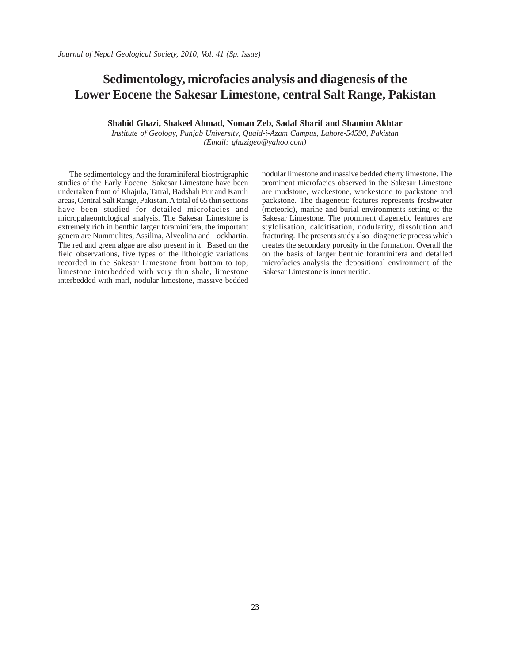### **Sedimentology, microfacies analysis and diagenesis of the Lower Eocene the Sakesar Limestone, central Salt Range, Pakistan**

**Shahid Ghazi, Shakeel Ahmad, Noman Zeb, Sadaf Sharif and Shamim Akhtar**

*Institute of Geology, Punjab University, Quaid-i-Azam Campus, Lahore-54590, Pakistan (Email: ghazigeo@yahoo.com)*

The sedimentology and the foraminiferal biostrtigraphic studies of the Early Eocene Sakesar Limestone have been undertaken from of Khajula, Tatral, Badshah Pur and Karuli areas, Central Salt Range, Pakistan. A total of 65 thin sections have been studied for detailed microfacies and micropalaeontological analysis. The Sakesar Limestone is extremely rich in benthic larger foraminifera, the important genera are Nummulites, Assilina, Alveolina and Lockhartia. The red and green algae are also present in it. Based on the field observations, five types of the lithologic variations recorded in the Sakesar Limestone from bottom to top; limestone interbedded with very thin shale, limestone interbedded with marl, nodular limestone, massive bedded nodular limestone and massive bedded cherty limestone. The prominent microfacies observed in the Sakesar Limestone are mudstone, wackestone, wackestone to packstone and packstone. The diagenetic features represents freshwater (meteoric), marine and burial environments setting of the Sakesar Limestone. The prominent diagenetic features are stylolisation, calcitisation, nodularity, dissolution and fracturing. The presents study also diagenetic process which creates the secondary porosity in the formation. Overall the on the basis of larger benthic foraminifera and detailed microfacies analysis the depositional environment of the Sakesar Limestone is inner neritic.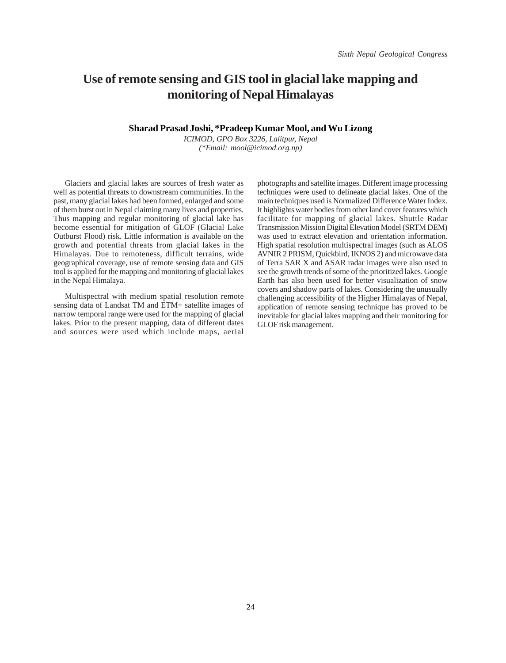### **Use of remote sensing and GIS tool in glacial lake mapping and monitoring of Nepal Himalayas**

#### **Sharad Prasad Joshi, \*Pradeep Kumar Mool, and Wu Lizong**

*ICIMOD, GPO Box 3226, Lalitpur, Nepal (\*Email: mool@icimod.org.np)*

Glaciers and glacial lakes are sources of fresh water as well as potential threats to downstream communities. In the past, many glacial lakes had been formed, enlarged and some of them burst out in Nepal claiming many lives and properties. Thus mapping and regular monitoring of glacial lake has become essential for mitigation of GLOF (Glacial Lake Outburst Flood) risk. Little information is available on the growth and potential threats from glacial lakes in the Himalayas. Due to remoteness, difficult terrains, wide geographical coverage, use of remote sensing data and GIS tool is applied for the mapping and monitoring of glacial lakes in the Nepal Himalaya.

Multispectral with medium spatial resolution remote sensing data of Landsat TM and ETM+ satellite images of narrow temporal range were used for the mapping of glacial lakes. Prior to the present mapping, data of different dates and sources were used which include maps, aerial

photographs and satellite images. Different image processing techniques were used to delineate glacial lakes. One of the main techniques used is Normalized Difference Water Index. It highlights water bodies from other land cover features which facilitate for mapping of glacial lakes. Shuttle Radar Transmission Mission Digital Elevation Model (SRTM DEM) was used to extract elevation and orientation information. High spatial resolution multispectral images (such as ALOS AVNIR 2 PRISM, Quickbird, IKNOS 2) and microwave data of Terra SAR X and ASAR radar images were also used to see the growth trends of some of the prioritized lakes. Google Earth has also been used for better visualization of snow covers and shadow parts of lakes. Considering the unusually challenging accessibility of the Higher Himalayas of Nepal, application of remote sensing technique has proved to be inevitable for glacial lakes mapping and their monitoring for GLOF risk management.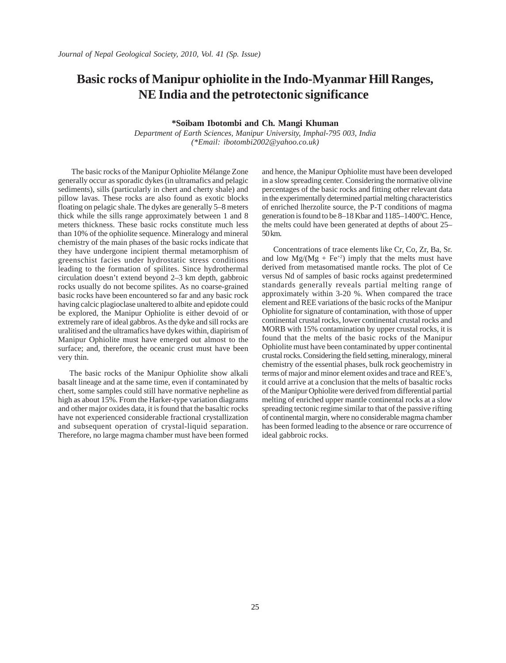### **Basic rocks of Manipur ophiolite in the Indo-Myanmar Hill Ranges, NE India and the petrotectonic significance**

**\*Soibam Ibotombi and Ch. Mangi Khuman**

*Department of Earth Sciences, Manipur University, Imphal-795 003, India (\*Email: ibotombi2002@yahoo.co.uk)*

 The basic rocks of the Manipur Ophiolite Mélange Zone generally occur as sporadic dykes (in ultramafics and pelagic sediments), sills (particularly in chert and cherty shale) and pillow lavas. These rocks are also found as exotic blocks floating on pelagic shale. The dykes are generally 5–8 meters thick while the sills range approximately between 1 and 8 meters thickness. These basic rocks constitute much less than 10% of the ophiolite sequence. Mineralogy and mineral chemistry of the main phases of the basic rocks indicate that they have undergone incipient thermal metamorphism of greenschist facies under hydrostatic stress conditions leading to the formation of spilites. Since hydrothermal circulation doesn't extend beyond 2–3 km depth, gabbroic rocks usually do not become spilites. As no coarse-grained basic rocks have been encountered so far and any basic rock having calcic plagioclase unaltered to albite and epidote could be explored, the Manipur Ophiolite is either devoid of or extremely rare of ideal gabbros. As the dyke and sill rocks are uralitised and the ultramafics have dykes within, diapirism of Manipur Ophiolite must have emerged out almost to the surface; and, therefore, the oceanic crust must have been very thin.

The basic rocks of the Manipur Ophiolite show alkali basalt lineage and at the same time, even if contaminated by chert, some samples could still have normative nepheline as high as about 15%. From the Harker-type variation diagrams and other major oxides data, it is found that the basaltic rocks have not experienced considerable fractional crystallization and subsequent operation of crystal-liquid separation. Therefore, no large magma chamber must have been formed and hence, the Manipur Ophiolite must have been developed in a slow spreading center. Considering the normative olivine percentages of the basic rocks and fitting other relevant data in the experimentally determined partial melting characteristics of enriched lherzolite source, the P-T conditions of magma generation is found to be 8–18 Kbar and 1185–1400°C. Hence, the melts could have been generated at depths of about 25– 50 km.

Concentrations of trace elements like Cr, Co, Zr, Ba, Sr. and low  $Mg/(Mg + Fe^{2})$  imply that the melts must have derived from metasomatised mantle rocks. The plot of Ce versus Nd of samples of basic rocks against predetermined standards generally reveals partial melting range of approximately within 3-20 %. When compared the trace element and REE variations of the basic rocks of the Manipur Ophiolite for signature of contamination, with those of upper continental crustal rocks, lower continental crustal rocks and MORB with 15% contamination by upper crustal rocks, it is found that the melts of the basic rocks of the Manipur Ophiolite must have been contaminated by upper continental crustal rocks. Considering the field setting, mineralogy, mineral chemistry of the essential phases, bulk rock geochemistry in terms of major and minor element oxides and trace and REE's, it could arrive at a conclusion that the melts of basaltic rocks of the Manipur Ophiolite were derived from differential partial melting of enriched upper mantle continental rocks at a slow spreading tectonic regime similar to that of the passive rifting of continental margin, where no considerable magma chamber has been formed leading to the absence or rare occurrence of ideal gabbroic rocks.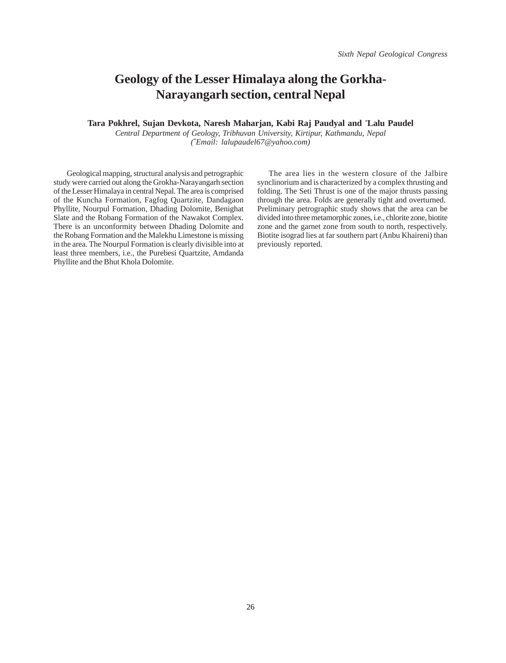## **Geology of the Lesser Himalaya along the Gorkha-Narayangarh section, central Nepal**

#### **Tara Pokhrel, Sujan Devkota, Naresh Maharjan, Kabi Raj Paudyal and** *\** **Lalu Paudel**

*Central Department of Geology, Tribhuvan University, Kirtipur, Kathmandu, Nepal (\* Email: lalupaudel67@yahoo.com)*

 Geological mapping, structural analysis and petrographic study were carried out along the Grokha-Narayangarh section of the Lesser Himalaya in central Nepal. The area is comprised of the Kuncha Formation, Fagfog Quartzite, Dandagaon Phyllite, Nourpul Formation, Dhading Dolomite, Benighat Slate and the Robang Formation of the Nawakot Complex. There is an unconformity between Dhading Dolomite and the Robang Formation and the Malekhu Limestone is missing in the area. The Nourpul Formation is clearly divisible into at least three members, i.e., the Purebesi Quartzite, Amdanda Phyllite and the Bhut Khola Dolomite.

The area lies in the western closure of the Jalbire synclinorium and is characterized by a complex thrusting and folding. The Seti Thrust is one of the major thrusts passing through the area. Folds are generally tight and overturned. Preliminary petrographic study shows that the area can be divided into three metamorphic zones, i.e., chlorite zone, biotite zone and the garnet zone from south to north, respectively. Biotite isograd lies at far southern part (Anbu Khaireni) than previously reported.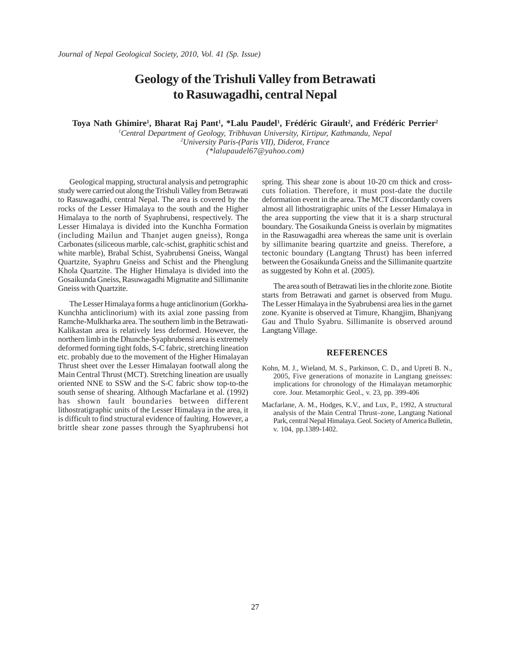## **Geology of the Trishuli Valley from Betrawati to Rasuwagadhi, central Nepal**

Toya Nath Ghimire<sup>1</sup>, Bharat Raj Pant<sup>1</sup>, \*Lalu Paudel<sup>1</sup>, Frédéric Girault<sup>2</sup>, and Frédéric Perrier<sup>2</sup>

*1 Central Department of Geology, Tribhuvan University, Kirtipur, Kathmandu, Nepal 2 University Paris-(Paris VII), Diderot, France (\*lalupaudel67@yahoo.com)*

Geological mapping, structural analysis and petrographic study were carried out along the Trishuli Valley from Betrawati to Rasuwagadhi, central Nepal. The area is covered by the rocks of the Lesser Himalaya to the south and the Higher Himalaya to the north of Syaphrubensi, respectively. The Lesser Himalaya is divided into the Kunchha Formation (including Mailun and Thanjet augen gneiss), Ronga Carbonates (siliceous marble, calc-schist, graphitic schist and white marble), Brabal Schist, Syabrubensi Gneiss, Wangal Quartzite, Syaphru Gneiss and Schist and the Phenglung Khola Quartzite. The Higher Himalaya is divided into the Gosaikunda Gneiss, Rasuwagadhi Migmatite and Sillimanite Gneiss with Quartzite.

The Lesser Himalaya forms a huge anticlinorium (Gorkha-Kunchha anticlinorium) with its axial zone passing from Ramche-Mulkharka area. The southern limb in the Betrawati-Kalikastan area is relatively less deformed. However, the northern limb in the Dhunche-Syaphrubensi area is extremely deformed forming tight folds, S-C fabric, stretching lineation etc. probably due to the movement of the Higher Himalayan Thrust sheet over the Lesser Himalayan footwall along the Main Central Thrust (MCT). Stretching lineation are usually oriented NNE to SSW and the S-C fabric show top-to-the south sense of shearing. Although Macfarlane et al. (1992) has shown fault boundaries between different lithostratigraphic units of the Lesser Himalaya in the area, it is difficult to find structural evidence of faulting. However, a brittle shear zone passes through the Syaphrubensi hot spring. This shear zone is about 10-20 cm thick and crosscuts foliation. Therefore, it must post-date the ductile deformation event in the area. The MCT discordantly covers almost all lithostratigraphic units of the Lesser Himalaya in the area supporting the view that it is a sharp structural boundary. The Gosaikunda Gneiss is overlain by migmatites in the Rasuwagadhi area whereas the same unit is overlain by sillimanite bearing quartzite and gneiss. Therefore, a tectonic boundary (Langtang Thrust) has been inferred between the Gosaikunda Gneiss and the Sillimanite quartzite as suggested by Kohn et al. (2005).

The area south of Betrawati lies in the chlorite zone. Biotite starts from Betrawati and garnet is observed from Mugu. The Lesser Himalaya in the Syabrubensi area lies in the garnet zone. Kyanite is observed at Timure, Khangjim, Bhanjyang Gau and Thulo Syabru. Sillimanite is observed around Langtang Village.

#### **REFERENCES**

- Kohn, M. J., Wieland, M. S., Parkinson, C. D., and Upreti B. N., 2005, Five generations of monazite in Langtang gneisses: implications for chronology of the Himalayan metamorphic core. Jour. Metamorphic Geol., v. 23, pp. 399-406
- Macfarlane, A. M., Hodges, K.V., and Lux, P., 1992, A structural analysis of the Main Central Thrust–zone, Langtang National Park, central Nepal Himalaya. Geol. Society of America Bulletin, v. 104, pp.1389-1402.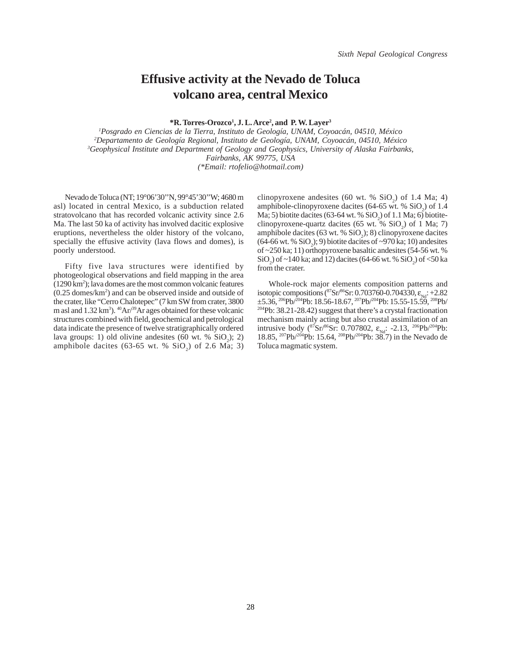#### **Effusive activity at the Nevado de Toluca volcano area, central Mexico**

**\*R. Torres-Orozco1 , J. L. Arce2 , and P. W. Layer3**

*1 Posgrado en Ciencias de la Tierra, Instituto de Geología, UNAM, Coyoacán, 04510, México 2 Departamento de Geología Regional, Instituto de Geología, UNAM, Coyoacán, 04510, México 3 Geophysical Institute and Department of Geology and Geophysics, University of Alaska Fairbanks, Fairbanks, AK 99775, USA (\*Email: rtofelio@hotmail.com)*

Nevado de Toluca (NT; 19°06'30''N, 99°45'30''W; 4680 m asl) located in central Mexico, is a subduction related stratovolcano that has recorded volcanic activity since 2.6 Ma. The last 50 ka of activity has involved dacitic explosive eruptions, nevertheless the older history of the volcano, specially the effusive activity (lava flows and domes), is poorly understood.

Fifty five lava structures were identified by photogeological observations and field mapping in the area (1290 km2 ); lava domes are the most common volcanic features (0.25 domes/km2 ) and can be observed inside and outside of the crater, like "Cerro Chalotepec" (7 km SW from crater, 3800 m asl and 1.32 km<sup>3</sup>). <sup>40</sup>Ar<sup>/39</sup>Ar ages obtained for these volcanic structures combined with field, geochemical and petrological data indicate the presence of twelve stratigraphically ordered lava groups: 1) old olivine andesites  $(60 \text{ wt. } % 5iO<sub>2</sub>)$ ; 2) amphibole dacites (63-65 wt. %  $SiO<sub>2</sub>$ ) of 2.6 Ma; 3)

clinopyroxene andesites (60 wt. %  $SiO_2$ ) of 1.4 Ma; 4) amphibole-clinopyroxene dacites  $(64-65 \text{ wt. } % 602)$  of 1.4 Ma; 5) biotite dacites (63-64 wt. %  $SiO_2$ ) of 1.1 Ma; 6) biotiteclinopyroxene-quartz dacites (65 wt. %  $SiO_2$ ) of 1 Ma; 7) amphibole dacites (63 wt. %  $SiO<sub>2</sub>$ ); 8) clinopyroxene dacites  $(64-66 \text{ wt. } %$  SiO<sub>2</sub>); 9) biotite dacites of ~970 ka; 10) andesites of ~250 ka; 11) orthopyroxene basaltic andesites (54-56 wt. %  $\text{SiO}_2$ ) of ~140 ka; and 12) dacites (64-66 wt. %  $\text{SiO}_2$ ) of <50 ka from the crater.

Whole-rock major elements composition patterns and isotopic compositions ( ${}^{87}Sr/{}^{86}Sr$ : 0.703760-0.704330,  $\varepsilon_{Nd}$ : +2.82  $\pm$ 5.36, <sup>206</sup>Pb/<sup>204</sup>Pb: 18.56-18.67, <sup>207</sup>Pb/<sup>204</sup>Pb: 15.55-15.59, <sup>208</sup>Pb/ 204Pb: 38.21-28.42) suggest that there's a crystal fractionation mechanism mainly acting but also crustal assimilation of an intrusive body ( ${}^{87}Sr/{}^{86}Sr$ : 0.707802,  $\varepsilon_{Nd}$ : -2.13,  ${}^{206}Pb/{}^{204}Pb$ : 18.85, 207Pb/204Pb: 15.64, 208Pb/204Pb: 38.7) in the Nevado de Toluca magmatic system.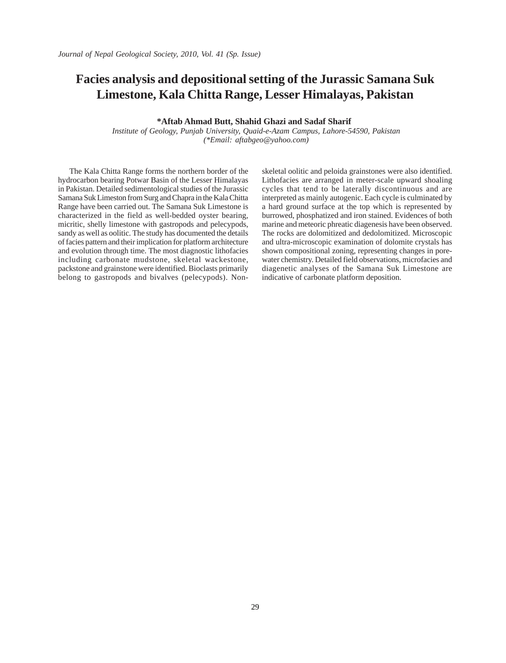## **Facies analysis and depositional setting of the Jurassic Samana Suk Limestone, Kala Chitta Range, Lesser Himalayas, Pakistan**

**\*Aftab Ahmad Butt, Shahid Ghazi and Sadaf Sharif** 

 *Institute of Geology, Punjab University, Quaid-e-Azam Campus, Lahore-54590, Pakistan (\*Email: aftabgeo@yahoo.com)*

The Kala Chitta Range forms the northern border of the hydrocarbon bearing Potwar Basin of the Lesser Himalayas in Pakistan. Detailed sedimentological studies of the Jurassic Samana Suk Limeston from Surg and Chapra in the Kala Chitta Range have been carried out. The Samana Suk Limestone is characterized in the field as well-bedded oyster bearing, micritic, shelly limestone with gastropods and pelecypods, sandy as well as oolitic. The study has documented the details of facies pattern and their implication for platform architecture and evolution through time. The most diagnostic lithofacies including carbonate mudstone, skeletal wackestone, packstone and grainstone were identified. Bioclasts primarily belong to gastropods and bivalves (pelecypods). Non-

skeletal oolitic and peloida grainstones were also identified. Lithofacies are arranged in meter-scale upward shoaling cycles that tend to be laterally discontinuous and are interpreted as mainly autogenic. Each cycle is culminated by a hard ground surface at the top which is represented by burrowed, phosphatized and iron stained. Evidences of both marine and meteoric phreatic diagenesis have been observed. The rocks are dolomitized and dedolomitized. Microscopic and ultra-microscopic examination of dolomite crystals has shown compositional zoning, representing changes in porewater chemistry. Detailed field observations, microfacies and diagenetic analyses of the Samana Suk Limestone are indicative of carbonate platform deposition.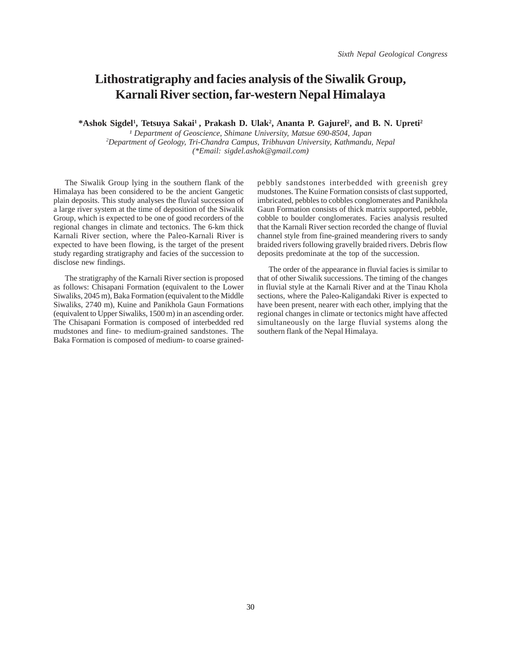#### **Lithostratigraphy and facies analysis of the Siwalik Group, Karnali River section, far-western Nepal Himalaya**

\*Ashok Sigdel<sup>1</sup>, Tetsuya Sakai<sup>1</sup>, Prakash D. Ulak<sup>2</sup>, Ananta P. Gajurel<sup>2</sup>, and B. N. Upreti<sup>2</sup>

<sup>1</sup> Department of Geoscience, Shimane University, Matsue 690-8504, Japan *2 Department of Geology, Tri-Chandra Campus, Tribhuvan University, Kathmandu, Nepal (\*Email: sigdel.ashok@gmail.com)*

The Siwalik Group lying in the southern flank of the Himalaya has been considered to be the ancient Gangetic plain deposits. This study analyses the fluvial succession of a large river system at the time of deposition of the Siwalik Group, which is expected to be one of good recorders of the regional changes in climate and tectonics. The 6-km thick Karnali River section, where the Paleo-Karnali River is expected to have been flowing, is the target of the present study regarding stratigraphy and facies of the succession to disclose new findings.

The stratigraphy of the Karnali River section is proposed as follows: Chisapani Formation (equivalent to the Lower Siwaliks, 2045 m), Baka Formation (equivalent to the Middle Siwaliks, 2740 m), Kuine and Panikhola Gaun Formations (equivalent to Upper Siwaliks, 1500 m) in an ascending order. The Chisapani Formation is composed of interbedded red mudstones and fine- to medium-grained sandstones. The Baka Formation is composed of medium- to coarse grainedpebbly sandstones interbedded with greenish grey mudstones. The Kuine Formation consists of clast supported, imbricated, pebbles to cobbles conglomerates and Panikhola Gaun Formation consists of thick matrix supported, pebble, cobble to boulder conglomerates. Facies analysis resulted that the Karnali River section recorded the change of fluvial channel style from fine-grained meandering rivers to sandy braided rivers following gravelly braided rivers. Debris flow deposits predominate at the top of the succession.

The order of the appearance in fluvial facies is similar to that of other Siwalik successions. The timing of the changes in fluvial style at the Karnali River and at the Tinau Khola sections, where the Paleo-Kaligandaki River is expected to have been present, nearer with each other, implying that the regional changes in climate or tectonics might have affected simultaneously on the large fluvial systems along the southern flank of the Nepal Himalaya.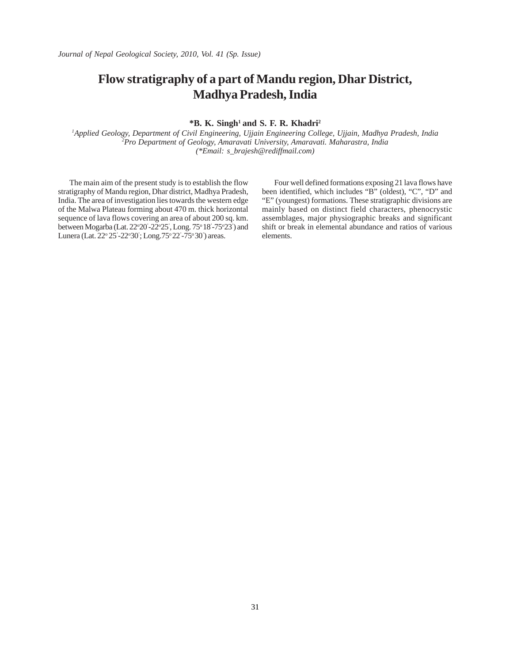## **Flow stratigraphy of a part of Mandu region, Dhar District, Madhya Pradesh, India**

#### **\*B. K. Singh1 and S. F. R. Khadri2**

*1 Applied Geology, Department of Civil Engineering, Ujjain Engineering College, Ujjain, Madhya Pradesh, India 2 Pro Department of Geology, Amaravati University, Amaravati. Maharastra, India (\*Email: s\_brajesh@rediffmail.com)*

The main aim of the present study is to establish the flow stratigraphy of Mandu region, Dhar district, Madhya Pradesh, India. The area of investigation lies towards the western edge of the Malwa Plateau forming about 470 m. thick horizontal sequence of lava flows covering an area of about 200 sq. km. between Mogarba (Lat. 22°20'-22°25', Long. 75° 18'-75°23') and Lunera (Lat. 22° 25'-22°30'; Long.75° 22'-75° 30') areas.

Four well defined formations exposing 21 lava flows have been identified, which includes "B" (oldest), "C", "D" and "E" (youngest) formations. These stratigraphic divisions are mainly based on distinct field characters, phenocrystic assemblages, major physiographic breaks and significant shift or break in elemental abundance and ratios of various elements.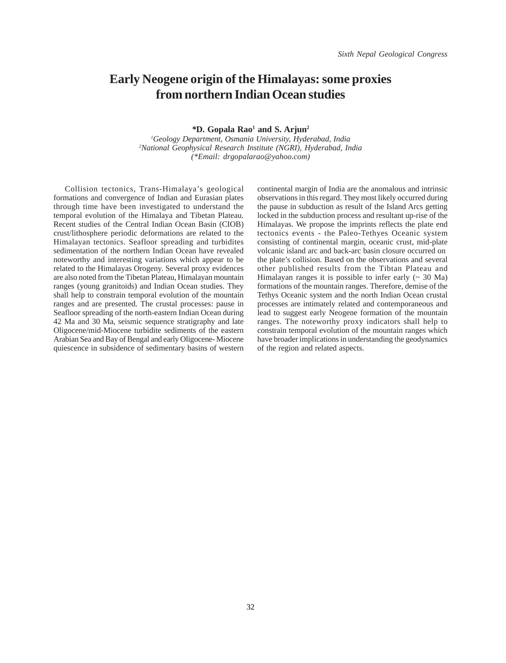#### **Early Neogene origin of the Himalayas: some proxies from northern Indian Ocean studies**

*\****D. Gopala Rao1 and S. Arjun2**

*1 Geology Department, Osmania University, Hyderabad, India 2 National Geophysical Research Institute (NGRI), Hyderabad, India (\*Email: drgopalarao@yahoo.com)*

Collision tectonics, Trans-Himalaya's geological formations and convergence of Indian and Eurasian plates through time have been investigated to understand the temporal evolution of the Himalaya and Tibetan Plateau. Recent studies of the Central Indian Ocean Basin (CIOB) crust/lithosphere periodic deformations are related to the Himalayan tectonics. Seafloor spreading and turbidites sedimentation of the northern Indian Ocean have revealed noteworthy and interesting variations which appear to be related to the Himalayas Orogeny. Several proxy evidences are also noted from the Tibetan Plateau, Himalayan mountain ranges (young granitoids) and Indian Ocean studies. They shall help to constrain temporal evolution of the mountain ranges and are presented. The crustal processes: pause in Seafloor spreading of the north-eastern Indian Ocean during 42 Ma and 30 Ma, seismic sequence stratigraphy and late Oligocene/mid-Miocene turbidite sediments of the eastern Arabian Sea and Bay of Bengal and early Oligocene- Miocene quiescence in subsidence of sedimentary basins of western continental margin of India are the anomalous and intrinsic observations in this regard. They most likely occurred during the pause in subduction as result of the Island Arcs getting locked in the subduction process and resultant up-rise of the Himalayas. We propose the imprints reflects the plate end tectonics events - the Paleo-Tethyes Oceanic system consisting of continental margin, oceanic crust, mid-plate volcanic island arc and back-arc basin closure occurred on the plate's collision. Based on the observations and several other published results from the Tibtan Plateau and Himalayan ranges it is possible to infer early  $($   $\sim$  30 Ma) formations of the mountain ranges. Therefore, demise of the Tethys Oceanic system and the north Indian Ocean crustal processes are intimately related and contemporaneous and lead to suggest early Neogene formation of the mountain ranges. The noteworthy proxy indicators shall help to constrain temporal evolution of the mountain ranges which have broader implications in understanding the geodynamics of the region and related aspects.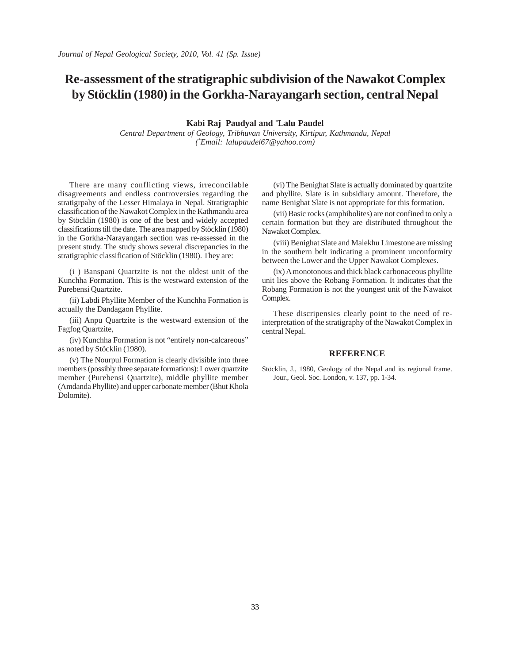## **Re-assessment of the stratigraphic subdivision of the Nawakot Complex by Stöcklin (1980) in the Gorkha-Narayangarh section, central Nepal**

**Kabi Raj Paudyal and \* Lalu Paudel**

*Central Department of Geology, Tribhuvan University, Kirtipur, Kathmandu, Nepal (\* Email: lalupaudel67@yahoo.com)*

There are many conflicting views, irreconcilable disagreements and endless controversies regarding the stratigrpahy of the Lesser Himalaya in Nepal. Stratigraphic classification of the Nawakot Complex in the Kathmandu area by Stöcklin (1980) is one of the best and widely accepted classifications till the date. The area mapped by Stöcklin (1980) in the Gorkha-Narayangarh section was re-assessed in the present study. The study shows several discrepancies in the stratigraphic classification of Stöcklin (1980). They are:

(i ) Banspani Quartzite is not the oldest unit of the Kunchha Formation. This is the westward extension of the Purebensi Quartzite.

(ii) Labdi Phyllite Member of the Kunchha Formation is actually the Dandagaon Phyllite.

(iii) Anpu Quartzite is the westward extension of the Fagfog Quartzite,

(iv) Kunchha Formation is not "entirely non-calcareous" as noted by Stöcklin (1980).

(v) The Nourpul Formation is clearly divisible into three members (possibly three separate formations): Lower quartzite member (Purebensi Quartzite), middle phyllite member (Amdanda Phyllite) and upper carbonate member (Bhut Khola Dolomite).

(vi) The Benighat Slate is actually dominated by quartzite and phyllite. Slate is in subsidiary amount. Therefore, the name Benighat Slate is not appropriate for this formation.

(vii) Basic rocks (amphibolites) are not confined to only a certain formation but they are distributed throughout the Nawakot Complex.

(viii) Benighat Slate and Malekhu Limestone are missing in the southern belt indicating a prominent unconformity between the Lower and the Upper Nawakot Complexes.

(ix) A monotonous and thick black carbonaceous phyllite unit lies above the Robang Formation. It indicates that the Robang Formation is not the youngest unit of the Nawakot Complex.

These discripensies clearly point to the need of reinterpretation of the stratigraphy of the Nawakot Complex in central Nepal.

#### **REFERENCE**

Stöcklin, J., 1980, Geology of the Nepal and its regional frame. Jour., Geol. Soc. London, v. 137, pp. 1-34.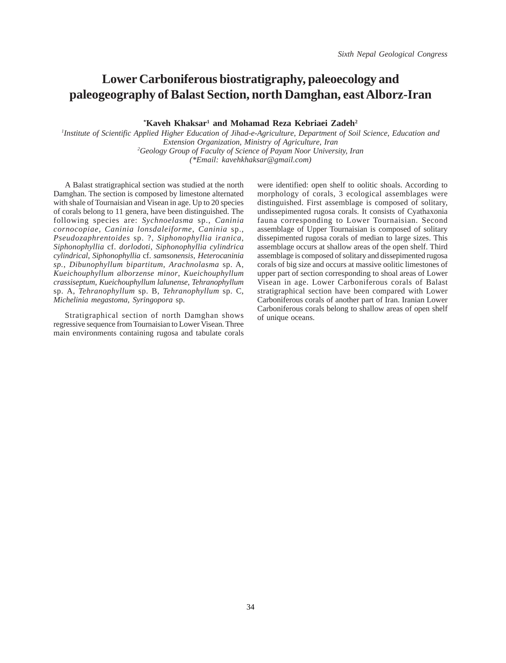### **Lower Carboniferous biostratigraphy, paleoecology and paleogeography of Balast Section, north Damghan, east Alborz-Iran**

 $*$ Kaveh Khaksar<sup>1</sup> and Mohamad Reza Kebriaei Zadeh<sup>2</sup>

*1 Institute of Scientific Applied Higher Education of Jihad-e-Agriculture, Department of Soil Science, Education and Extension Organization, Ministry of Agriculture, Iran 2 Geology Group of Faculty of Science of Payam Noor University, Iran (\*Email: kavehkhaksar@gmail.com)*

A Balast stratigraphical section was studied at the north Damghan. The section is composed by limestone alternated with shale of Tournaisian and Visean in age. Up to 20 species of corals belong to 11 genera, have been distinguished. The following species are: *Sychnoelasma* sp., *Caninia cornocopiae*, *Caninia lonsdaleiforme*, *Caninia* sp., *Pseudozaphrentoides* sp. ?, *Siphonophyllia iranica*, *Siphonophyllia* cf. *dorlodoti*, *Siphonophyllia cylindrica cylindrical*, *Siphonophyllia* cf. *samsonensis*, *Heterocaninia sp.*, *Dibunophyllum bipartitum*, *Arachnolasma* sp. A, *Kueichouphyllum alborzense minor*, *Kueichouphyllum crassiseptum*, *Kueichouphyllum lalunense*, *Tehranophyllum* sp. A, *Tehranophyllum* sp. B, *Tehranophyllum* sp. C, *Michelinia megastoma, Syringopora* sp.

Stratigraphical section of north Damghan shows regressive sequence from Tournaisian to Lower Visean. Three main environments containing rugosa and tabulate corals

were identified: open shelf to oolitic shoals. According to morphology of corals, 3 ecological assemblages were distinguished. First assemblage is composed of solitary, undissepimented rugosa corals. It consists of Cyathaxonia fauna corresponding to Lower Tournaisian. Second assemblage of Upper Tournaisian is composed of solitary dissepimented rugosa corals of median to large sizes. This assemblage occurs at shallow areas of the open shelf. Third assemblage is composed of solitary and dissepimented rugosa corals of big size and occurs at massive oolitic limestones of upper part of section corresponding to shoal areas of Lower Visean in age. Lower Carboniferous corals of Balast stratigraphical section have been compared with Lower Carboniferous corals of another part of Iran. Iranian Lower Carboniferous corals belong to shallow areas of open shelf of unique oceans.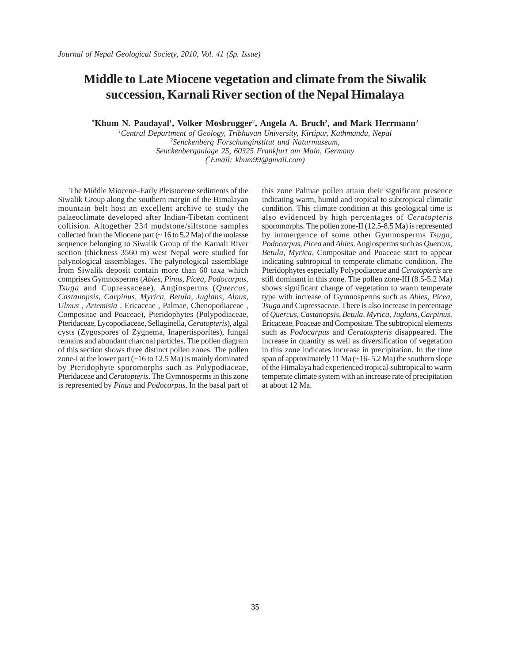### **Middle to Late Miocene vegetation and climate from the Siwalik succession, Karnali River section of the Nepal Himalaya**

<sup>\*</sup>Khum N. Paudayal<sup>1</sup>, Volker Mosbrugger<sup>2</sup>, Angela A. Bruch<sup>2</sup>, and Mark Herrmann<sup>2</sup>

*1 Central Department of Geology, Tribhuvan University, Kirtipur, Kathmandu, Nepal 2 Senckenberg Forschunginstitut und Naturmuseum, Senckenberganlage 25, 60325 Frankfurt am Main, Germany (\* Email: khum99@gmail.com)*

The Middle Miocene–Early Pleistocene sediments of the Siwalik Group along the southern margin of the Himalayan mountain belt host an excellent archive to study the palaeoclimate developed after Indian-Tibetan continent collision. Altogether 234 mudstone/siltstone samples collected from the Miocene part (~ 16 to 5.2 Ma) of the molasse sequence belonging to Siwalik Group of the Karnali River section (thickness 3560 m) west Nepal were studied for palynological assemblages. The palynological assemblage from Siwalik deposit contain more than 60 taxa which comprises Gymnosperms (*Abies, Pinus, Picea, Podocarpus, Tsuga* and Cupressaceae), Angiosperms (*Quercus, Castanopsis, Carpinus, Myrica, Betula, Juglans, Alnus, Ulmus , Artemisia ,* Ericaceae , Palmae*,* Chenopodiaceae *,* Compositae and Poaceae)*,* Pteridophytes (Polypodiaceae, Pteridaceae, Lycopodiaceae, Sellaginella, *Ceratopteris*), algal cysts (Zygospores of Zygnema*,* Inapertisporites), fungal remains and abundant charcoal particles. The pollen diagram of this section shows three distinct pollen zones. The pollen zone-I at the lower part  $(~16$  to  $12.5$  Ma) is mainly dominated by Pteridophyte sporomorphs such as Polypodiaceae, Pteridaceae and *Ceratopteris*. The Gymnosperms in this zone is represented by *Pinus* and *Podocarpus*. In the basal part of this zone Palmae pollen attain their significant presence indicating warm, humid and tropical to subtropical climatic condition. This climate condition at this geological time is also evidenced by high percentages of *Ceratopteris* sporomorphs. The pollen zone-II (12.5-8.5 Ma) is represented by immergence of some other Gymnosperms *Tsuga, Podocarpus, Picea* and *Abies*. Angiosperms such as *Quercus, Betula, Myrica,* Compositae and Poaceae start to appear indicating subtropical to temperate climatic condition. The Pteridophytes especially Polypodiaceae and *Ceratopteris* are still dominant in this zone. The pollen zone-III (8.5-5.2 Ma) shows significant change of vegetation to warm temperate type with increase of Gymnosperms such as *Abies, Picea, Tsuga* and Cupressaceae*.* There is also increase in percentage of *Quercus, Castanopsis, Betula, Myrica, Juglans, Carpinus,* Ericaceae, Poaceae and Compositae. The subtropical elements such as *Podocarpus* and *Ceratospteris* disappeared. The increase in quantity as well as diversification of vegetation in this zone indicates increase in precipitation. In the time span of approximately 11 Ma (~16- 5.2 Ma) the southern slope of the Himalaya had experienced tropical-subtropical to warm temperate climate system with an increase rate of precipitation at about 12 Ma.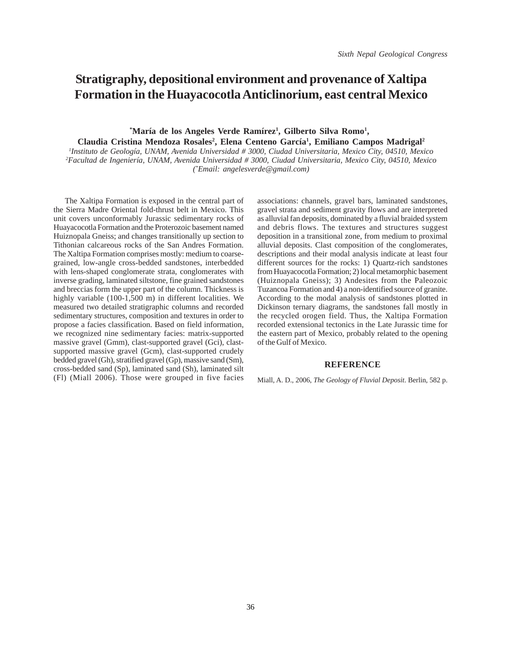## **Stratigraphy, depositional environment and provenance of Xaltipa Formation in the Huayacocotla Anticlinorium, east central Mexico**

\*María de los Angeles Verde Ramírez<sup>1</sup>, Gilberto Silva Romo<sup>1</sup>, Claudia Cristina Mendoza Rosales<sup>2</sup>, Elena Centeno García<sup>1</sup>, Emiliano Campos Madrigal<sup>2</sup>

*1 Instituto de Geología, UNAM, Avenida Universidad # 3000, Ciudad Universitaria, Mexico City, 04510, Mexico 2 Facultad de Ingeniería, UNAM, Avenida Universidad # 3000, Ciudad Universitaria, Mexico City, 04510, Mexico (\* Email: angelesverde@gmail.com)*

The Xaltipa Formation is exposed in the central part of the Sierra Madre Oriental fold-thrust belt in Mexico. This unit covers unconformably Jurassic sedimentary rocks of Huayacocotla Formation and the Proterozoic basement named Huiznopala Gneiss; and changes transitionally up section to Tithonian calcareous rocks of the San Andres Formation. The Xaltipa Formation comprises mostly: medium to coarsegrained, low-angle cross-bedded sandstones, interbedded with lens-shaped conglomerate strata, conglomerates with inverse grading, laminated siltstone, fine grained sandstones and breccias form the upper part of the column. Thickness is highly variable (100-1,500 m) in different localities. We measured two detailed stratigraphic columns and recorded sedimentary structures, composition and textures in order to propose a facies classification. Based on field information, we recognized nine sedimentary facies: matrix-supported massive gravel (Gmm), clast-supported gravel (Gci), clastsupported massive gravel (Gcm), clast-supported crudely bedded gravel (Gh), stratified gravel (Gp), massive sand (Sm), cross-bedded sand (Sp), laminated sand (Sh), laminated silt (Fl) (Miall 2006). Those were grouped in five facies

associations: channels, gravel bars, laminated sandstones, gravel strata and sediment gravity flows and are interpreted as alluvial fan deposits, dominated by a fluvial braided system and debris flows. The textures and structures suggest deposition in a transitional zone, from medium to proximal alluvial deposits. Clast composition of the conglomerates, descriptions and their modal analysis indicate at least four different sources for the rocks: 1) Quartz-rich sandstones from Huayacocotla Formation; 2) local metamorphic basement (Huiznopala Gneiss); 3) Andesites from the Paleozoic Tuzancoa Formation and 4) a non-identified source of granite. According to the modal analysis of sandstones plotted in Dickinson ternary diagrams, the sandstones fall mostly in the recycled orogen field. Thus, the Xaltipa Formation recorded extensional tectonics in the Late Jurassic time for the eastern part of Mexico, probably related to the opening of the Gulf of Mexico.

#### **REFERENCE**

Miall, A. D., 2006, *The Geology of Fluvial Deposit*. Berlin, 582 p.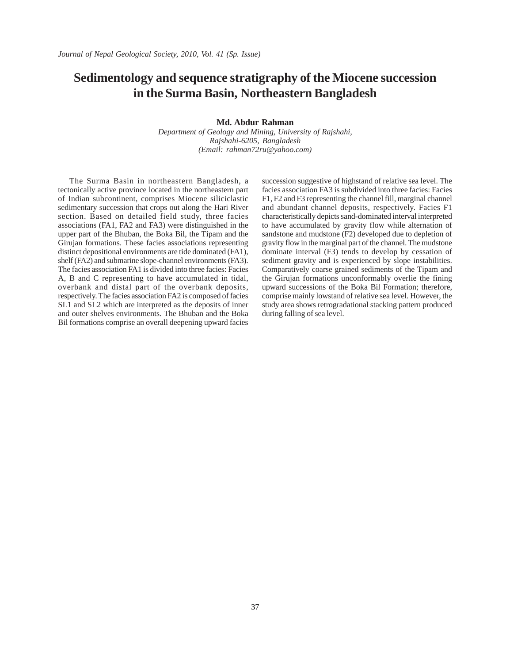### **Sedimentology and sequence stratigraphy of the Miocene succession in the Surma Basin, Northeastern Bangladesh**

**Md. Abdur Rahman**

*Department of Geology and Mining, University of Rajshahi, Rajshahi-6205, Bangladesh (Email: rahman72ru@yahoo.com)*

The Surma Basin in northeastern Bangladesh, a tectonically active province located in the northeastern part of Indian subcontinent, comprises Miocene siliciclastic sedimentary succession that crops out along the Hari River section. Based on detailed field study, three facies associations (FA1, FA2 and FA3) were distinguished in the upper part of the Bhuban, the Boka Bil, the Tipam and the Girujan formations. These facies associations representing distinct depositional environments are tide dominated (FA1), shelf (FA2) and submarine slope-channel environments (FA3). The facies association FA1 is divided into three facies: Facies A, B and C representing to have accumulated in tidal, overbank and distal part of the overbank deposits, respectively. The facies association FA2 is composed of facies SL1 and SL2 which are interpreted as the deposits of inner and outer shelves environments. The Bhuban and the Boka Bil formations comprise an overall deepening upward facies

succession suggestive of highstand of relative sea level. The facies association FA3 is subdivided into three facies: Facies F1, F2 and F3 representing the channel fill, marginal channel and abundant channel deposits, respectively. Facies F1 characteristically depicts sand-dominated interval interpreted to have accumulated by gravity flow while alternation of sandstone and mudstone (F2) developed due to depletion of gravity flow in the marginal part of the channel. The mudstone dominate interval (F3) tends to develop by cessation of sediment gravity and is experienced by slope instabilities. Comparatively coarse grained sediments of the Tipam and the Girujan formations unconformably overlie the fining upward successions of the Boka Bil Formation; therefore, comprise mainly lowstand of relative sea level. However, the study area shows retrogradational stacking pattern produced during falling of sea level.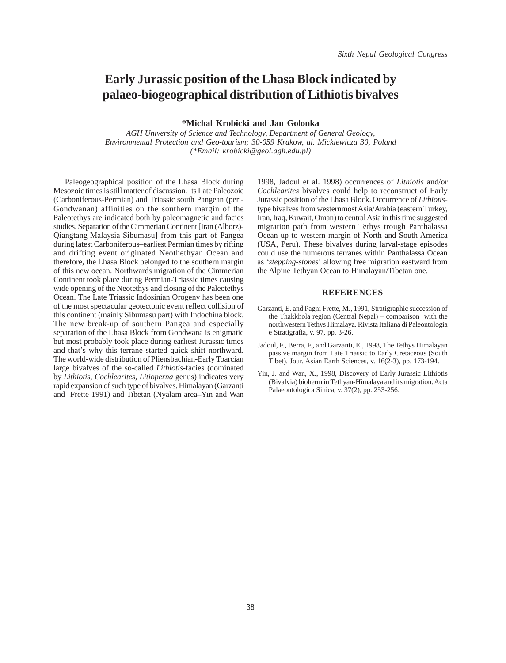## **Early Jurassic position of the Lhasa Block indicated by palaeo-biogeographical distribution of Lithiotis bivalves**

**\*Michal Krobicki and Jan Golonka**

*AGH University of Science and Technology, Department of General Geology, Environmental Protection and Geo-tourism; 30-059 Krakow, al. Mickiewicza 30, Poland (\*Email: krobicki@geol.agh.edu.pl)*

Paleogeographical position of the Lhasa Block during Mesozoic times is still matter of discussion. Its Late Paleozoic (Carboniferous-Permian) and Triassic south Pangean (peri-Gondwanan) affinities on the southern margin of the Paleotethys are indicated both by paleomagnetic and facies studies. Separation of the Cimmerian Continent [Iran (Alborz)- Qiangtang-Malaysia-Sibumasu] from this part of Pangea during latest Carboniferous–earliest Permian times by rifting and drifting event originated Neothethyan Ocean and therefore, the Lhasa Block belonged to the southern margin of this new ocean. Northwards migration of the Cimmerian Continent took place during Permian-Triassic times causing wide opening of the Neotethys and closing of the Paleotethys Ocean. The Late Triassic Indosinian Orogeny has been one of the most spectacular geotectonic event reflect collision of this continent (mainly Sibumasu part) with Indochina block. The new break-up of southern Pangea and especially separation of the Lhasa Block from Gondwana is enigmatic but most probably took place during earliest Jurassic times and that's why this terrane started quick shift northward. The world-wide distribution of Pliensbachian-Early Toarcian large bivalves of the so-called *Lithiotis*-facies (dominated by *Lithiotis*, *Cochlearites*, *Litioperna* genus) indicates very rapid expansion of such type of bivalves. Himalayan (Garzanti and Frette 1991) and Tibetan (Nyalam area–Yin and Wan

1998, Jadoul et al. 1998) occurrences of *Lithiotis* and/or *Cochlearites* bivalves could help to reconstruct of Early Jurassic position of the Lhasa Block. Occurrence of *Lithiotis*type bivalves from westernmost Asia/Arabia (eastern Turkey, Iran, Iraq, Kuwait, Oman) to central Asia in this time suggested migration path from western Tethys trough Panthalassa Ocean up to western margin of North and South America (USA, Peru). These bivalves during larval-stage episodes could use the numerous terranes within Panthalassa Ocean as *'stepping-stones*' allowing free migration eastward from the Alpine Tethyan Ocean to Himalayan/Tibetan one.

#### **REFERENCES**

- Garzanti, E. and Pagni Frette, M., 1991, Stratigraphic succession of the Thakkhola region (Central Nepal) – comparison with the northwestern Tethys Himalaya. Rivista Italiana di Paleontologia e Stratigrafia, v. 97, pp. 3-26.
- Jadoul, F., Berra, F., and Garzanti, E., 1998, The Tethys Himalayan passive margin from Late Triassic to Early Cretaceous (South Tibet). Jour. Asian Earth Sciences, v. 16(2-3), pp. 173-194.
- Yin, J. and Wan, X., 1998, Discovery of Early Jurassic Lithiotis (Bivalvia) bioherm in Tethyan-Himalaya and its migration. Acta Palaeontologica Sinica, v. 37(2), pp. 253-256.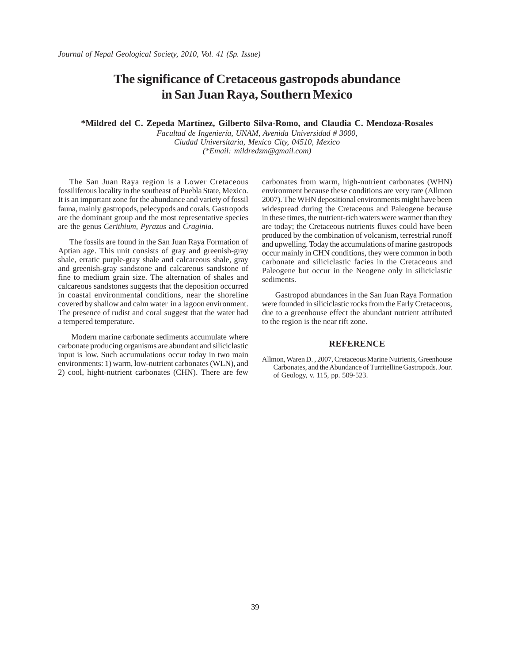### **The significance of Cretaceous gastropods abundance in San Juan Raya, Southern Mexico**

**\*Mildred del C. Zepeda Martínez, Gilberto Silva-Romo, and Claudia C. Mendoza-Rosales**

*Facultad de Ingeniería, UNAM, Avenida Universidad # 3000, Ciudad Universitaria, Mexico City, 04510, Mexico (\*Email: mildredzm@gmail.com)*

The San Juan Raya region is a Lower Cretaceous fossiliferous locality in the southeast of Puebla State, Mexico. It is an important zone for the abundance and variety of fossil fauna, mainly gastropods, pelecypods and corals. Gastropods are the dominant group and the most representative species are the genus *Cerithium, Pyrazus* and *Craginia.*

The fossils are found in the San Juan Raya Formation of Aptian age. This unit consists of gray and greenish-gray shale, erratic purple-gray shale and calcareous shale, gray and greenish-gray sandstone and calcareous sandstone of fine to medium grain size. The alternation of shales and calcareous sandstones suggests that the deposition occurred in coastal environmental conditions, near the shoreline covered by shallow and calm water in a lagoon environment. The presence of rudist and coral suggest that the water had a tempered temperature.

 Modern marine carbonate sediments accumulate where carbonate producing organisms are abundant and siliciclastic input is low. Such accumulations occur today in two main environments: 1) warm, low-nutrient carbonates (WLN), and 2) cool, hight-nutrient carbonates (CHN). There are few

carbonates from warm, high-nutrient carbonates (WHN) environment because these conditions are very rare (Allmon 2007). The WHN depositional environments might have been widespread during the Cretaceous and Paleogene because in these times, the nutrient-rich waters were warmer than they are today; the Cretaceous nutrients fluxes could have been produced by the combination of volcanism, terrestrial runoff and upwelling. Today the accumulations of marine gastropods occur mainly in CHN conditions, they were common in both carbonate and siliciclastic facies in the Cretaceous and Paleogene but occur in the Neogene only in siliciclastic sediments.

 Gastropod abundances in the San Juan Raya Formation were founded in siliciclastic rocks from the Early Cretaceous, due to a greenhouse effect the abundant nutrient attributed to the region is the near rift zone.

#### **REFERENCE**

Allmon, Waren D. , 2007, Cretaceous Marine Nutrients, Greenhouse Carbonates, and the Abundance of Turritelline Gastropods. Jour. of Geology, v. 115, pp. 509-523.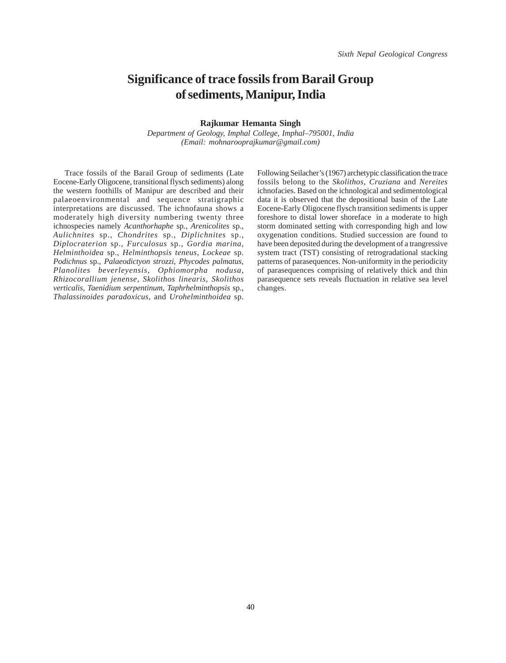### **Significance of trace fossils from Barail Group of sediments, Manipur, India**

#### **Rajkumar Hemanta Singh**

*Department of Geology, Imphal College, Imphal–795001, India (Email: mohnarooprajkumar@gmail.com)*

Trace fossils of the Barail Group of sediments (Late Eocene-Early Oligocene, transitional flysch sediments) along the western foothills of Manipur are described and their palaeoenvironmental and sequence stratigraphic interpretations are discussed. The ichnofauna shows a moderately high diversity numbering twenty three ichnospecies namely *Acanthorhaphe* sp*.*, *Arenicolites* sp., *Aulichnites* sp., *Chondrites* sp., *Diplichnites* sp., *Diplocraterion* sp., *Furculosus* sp., *Gordia marina, Helminthoidea* sp., *Helminthopsis teneus*, *Lockeae* sp. *Podichnus* sp., *Palaeodictyon strozzi*, *Phycodes palmatus*, *Planolites beverleyensis*, *Ophiomorpha nodusa*, *Rhizocorallium jenense, Skolithos linearis*, *Skolithos verticalis, Taenidium serpentinum, Taphrhelminthopsis* sp., *Thalassinoides paradoxicus*, and *Urohelminthoidea* sp.

Following Seilacher's (1967) archetypic classification the trace fossils belong to the *Skolithos*, *Cruziana* and *Nereites* ichnofacies. Based on the ichnological and sedimentological data it is observed that the depositional basin of the Late Eocene-Early Oligocene flysch transition sediments is upper foreshore to distal lower shoreface in a moderate to high storm dominated setting with corresponding high and low oxygenation conditions. Studied succession are found to have been deposited during the development of a trangressive system tract (TST) consisting of retrogradational stacking patterns of parasequences. Non-uniformity in the periodicity of parasequences comprising of relatively thick and thin parasequence sets reveals fluctuation in relative sea level changes.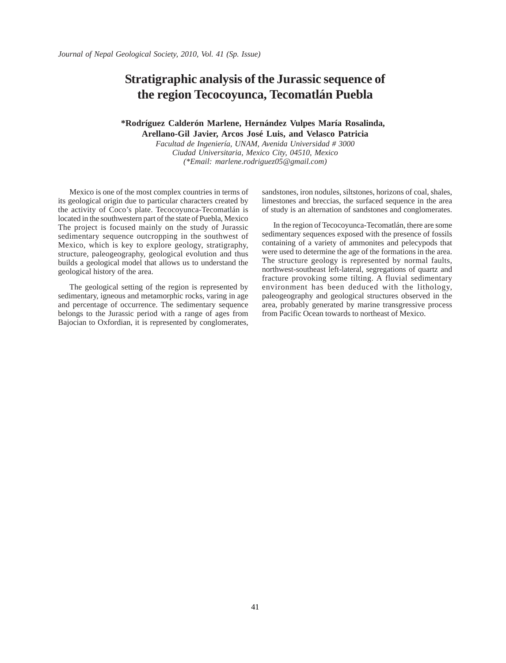### **Stratigraphic analysis of the Jurassic sequence of the region Tecocoyunca, Tecomatlán Puebla**

#### **\*Rodríguez Calderón Marlene, Hernández Vulpes María Rosalinda,**

**Arellano-Gil Javier, Arcos José Luis, and Velasco Patricia** *Facultad de Ingeniería, UNAM, Avenida Universidad # 3000*

*Ciudad Universitaria, Mexico City, 04510, Mexico (\*Email: marlene.rodriguez05@gmail.com)*

Mexico is one of the most complex countries in terms of its geological origin due to particular characters created by the activity of Coco's plate. Tecocoyunca-Tecomatlán is located in the southwestern part of the state of Puebla, Mexico The project is focused mainly on the study of Jurassic sedimentary sequence outcropping in the southwest of Mexico, which is key to explore geology, stratigraphy, structure, paleogeography, geological evolution and thus builds a geological model that allows us to understand the geological history of the area.

The geological setting of the region is represented by sedimentary, igneous and metamorphic rocks, varing in age and percentage of occurrence. The sedimentary sequence belongs to the Jurassic period with a range of ages from Bajocian to Oxfordian, it is represented by conglomerates, sandstones, iron nodules, siltstones, horizons of coal, shales, limestones and breccias, the surfaced sequence in the area of study is an alternation of sandstones and conglomerates.

In the region of Tecocoyunca-Tecomatlán, there are some sedimentary sequences exposed with the presence of fossils containing of a variety of ammonites and pelecypods that were used to determine the age of the formations in the area. The structure geology is represented by normal faults, northwest-southeast left-lateral, segregations of quartz and fracture provoking some tilting. A fluvial sedimentary environment has been deduced with the lithology, paleogeography and geological structures observed in the area, probably generated by marine transgressive process from Pacific Ocean towards to northeast of Mexico.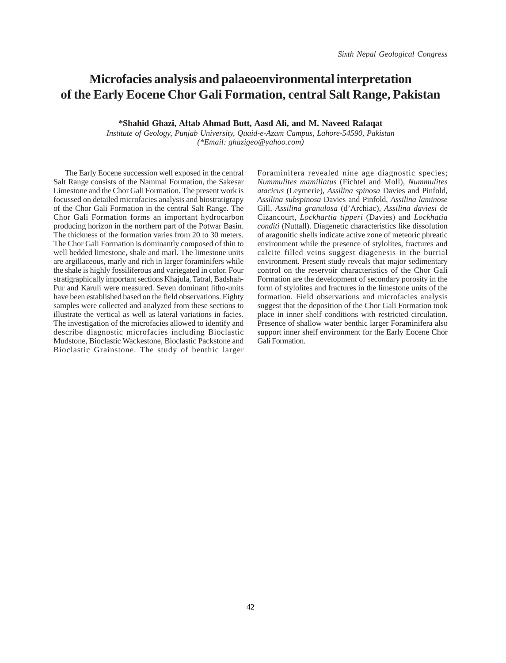## **Microfacies analysis and palaeoenvironmental interpretation of the Early Eocene Chor Gali Formation, central Salt Range, Pakistan**

**\*Shahid Ghazi, Aftab Ahmad Butt, Aasd Ali, and M. Naveed Rafaqat**

*Institute of Geology, Punjab University, Quaid-e-Azam Campus, Lahore-54590, Pakistan (\*Email: ghazigeo@yahoo.com)*

The Early Eocene succession well exposed in the central Salt Range consists of the Nammal Formation, the Sakesar Limestone and the Chor Gali Formation. The present work is focussed on detailed microfacies analysis and biostratigrapy of the Chor Gali Formation in the central Salt Range. The Chor Gali Formation forms an important hydrocarbon producing horizon in the northern part of the Potwar Basin. The thickness of the formation varies from 20 to 30 meters. The Chor Gali Formation is dominantly composed of thin to well bedded limestone, shale and marl. The limestone units are argillaceous, marly and rich in larger foraminifers while the shale is highly fossiliferous and variegated in color. Four stratigraphically important sections Khajula, Tatral, Badshah-Pur and Karuli were measured. Seven dominant litho-units have been established based on the field observations. Eighty samples were collected and analyzed from these sections to illustrate the vertical as well as lateral variations in facies. The investigation of the microfacies allowed to identify and describe diagnostic microfacies including Bioclastic Mudstone, Bioclastic Wackestone, Bioclastic Packstone and Bioclastic Grainstone. The study of benthic larger

Foraminifera revealed nine age diagnostic species; *Nummulites mamillatus* (Fichtel and Moll), *Nummulites atacicus* (Leymerie), *Assilina spinosa* Davies and Pinfold, *Assilina subspinosa* Davies and Pinfold, *Assilina laminose* Gill, *Assilina granulosa* (d'Archiac), *Assilina daviesi* de Cizancourt, *Lockhartia tipperi* (Davies) and *Lockhatia conditi* (Nuttall). Diagenetic characteristics like dissolution of aragonitic shells indicate active zone of meteoric phreatic environment while the presence of stylolites, fractures and calcite filled veins suggest diagenesis in the burrial environment. Present study reveals that major sedimentary control on the reservoir characteristics of the Chor Gali Formation are the development of secondary porosity in the form of stylolites and fractures in the limestone units of the formation. Field observations and microfacies analysis suggest that the deposition of the Chor Gali Formation took place in inner shelf conditions with restricted circulation. Presence of shallow water benthic larger Foraminifera also support inner shelf environment for the Early Eocene Chor Gali Formation.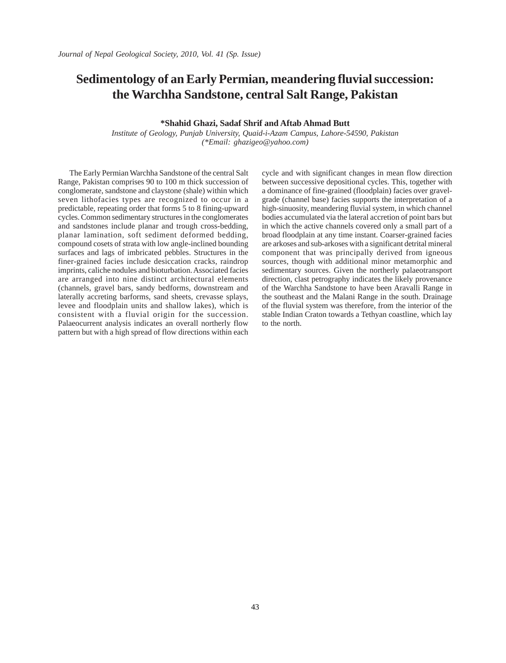### **Sedimentology of an Early Permian, meandering fluvial succession: the Warchha Sandstone, central Salt Range, Pakistan**

#### **\*Shahid Ghazi, Sadaf Shrif and Aftab Ahmad Butt**

*Institute of Geology, Punjab University, Quaid-i-Azam Campus, Lahore-54590, Pakistan (\*Email: ghazigeo@yahoo.com)*

The Early Permian Warchha Sandstone of the central Salt Range, Pakistan comprises 90 to 100 m thick succession of conglomerate, sandstone and claystone (shale) within which seven lithofacies types are recognized to occur in a predictable, repeating order that forms 5 to 8 fining-upward cycles. Common sedimentary structures in the conglomerates and sandstones include planar and trough cross-bedding, planar lamination, soft sediment deformed bedding, compound cosets of strata with low angle-inclined bounding surfaces and lags of imbricated pebbles. Structures in the finer-grained facies include desiccation cracks, raindrop imprints, caliche nodules and bioturbation. Associated facies are arranged into nine distinct architectural elements (channels, gravel bars, sandy bedforms, downstream and laterally accreting barforms, sand sheets, crevasse splays, levee and floodplain units and shallow lakes), which is consistent with a fluvial origin for the succession. Palaeocurrent analysis indicates an overall northerly flow pattern but with a high spread of flow directions within each cycle and with significant changes in mean flow direction between successive depositional cycles. This, together with a dominance of fine-grained (floodplain) facies over gravelgrade (channel base) facies supports the interpretation of a high-sinuosity, meandering fluvial system, in which channel bodies accumulated via the lateral accretion of point bars but in which the active channels covered only a small part of a broad floodplain at any time instant. Coarser-grained facies are arkoses and sub-arkoses with a significant detrital mineral component that was principally derived from igneous sources, though with additional minor metamorphic and sedimentary sources. Given the northerly palaeotransport direction, clast petrography indicates the likely provenance of the Warchha Sandstone to have been Aravalli Range in the southeast and the Malani Range in the south. Drainage of the fluvial system was therefore, from the interior of the stable Indian Craton towards a Tethyan coastline, which lay to the north.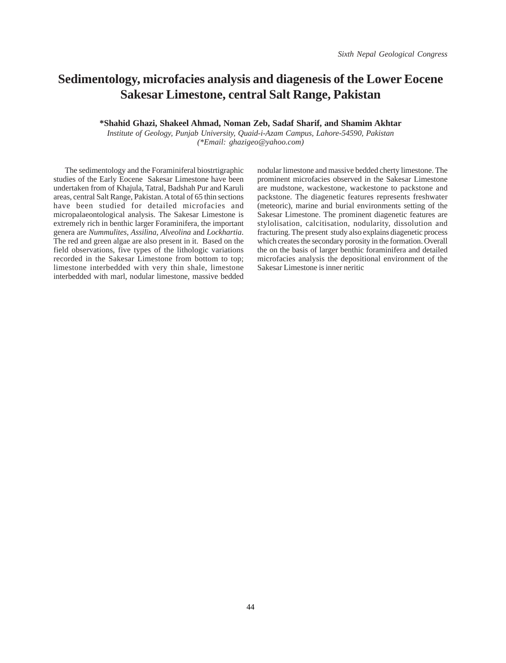# **Sedimentology, microfacies analysis and diagenesis of the Lower Eocene Sakesar Limestone, central Salt Range, Pakistan**

**\*Shahid Ghazi, Shakeel Ahmad, Noman Zeb, Sadaf Sharif, and Shamim Akhtar**

*Institute of Geology, Punjab University, Quaid-i-Azam Campus, Lahore-54590, Pakistan (\*Email: ghazigeo@yahoo.com)*

The sedimentology and the Foraminiferal biostrtigraphic studies of the Early Eocene Sakesar Limestone have been undertaken from of Khajula, Tatral, Badshah Pur and Karuli areas, central Salt Range, Pakistan. A total of 65 thin sections have been studied for detailed microfacies and micropalaeontological analysis. The Sakesar Limestone is extremely rich in benthic larger Foraminifera, the important genera are *Nummulites, Assilina, Alveolina* and *Lockhartia*. The red and green algae are also present in it. Based on the field observations, five types of the lithologic variations recorded in the Sakesar Limestone from bottom to top; limestone interbedded with very thin shale, limestone interbedded with marl, nodular limestone, massive bedded

nodular limestone and massive bedded cherty limestone. The prominent microfacies observed in the Sakesar Limestone are mudstone, wackestone, wackestone to packstone and packstone. The diagenetic features represents freshwater (meteoric), marine and burial environments setting of the Sakesar Limestone. The prominent diagenetic features are stylolisation, calcitisation, nodularity, dissolution and fracturing. The present study also explains diagenetic process which creates the secondary porosity in the formation. Overall the on the basis of larger benthic foraminifera and detailed microfacies analysis the depositional environment of the Sakesar Limestone is inner neritic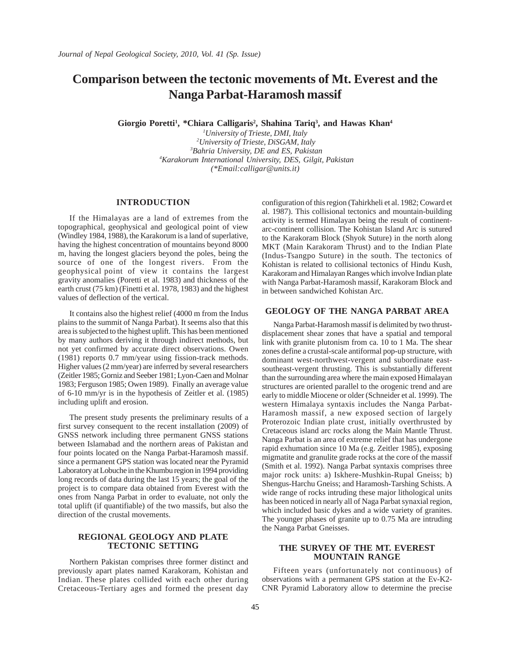### **Comparison between the tectonic movements of Mt. Everest and the Nanga Parbat-Haramosh massif**

Giorgio Poretti<sup>1</sup>, \*Chiara Calligaris<sup>2</sup>, Shahina Tariq<sup>3</sup>, and Hawas Khan<sup>4</sup>

 *University of Trieste, DMI, Italy University of Trieste, DiSGAM, Italy Bahria University, DE and ES, Pakistan Karakorum International University, DES, Gilgit, Pakistan (\*Email:calligar@units.it)*

#### **INTRODUCTION**

If the Himalayas are a land of extremes from the topographical, geophysical and geological point of view (Windley 1984, 1988), the Karakorum is a land of superlative, having the highest concentration of mountains beyond 8000 m, having the longest glaciers beyond the poles, being the source of one of the longest rivers. From the geophysical point of view it contains the largest gravity anomalies (Poretti et al. 1983) and thickness of the earth crust (75 km) (Finetti et al. 1978, 1983) and the highest values of deflection of the vertical.

It contains also the highest relief (4000 m from the Indus plains to the summit of Nanga Parbat). It seems also that this area is subjected to the highest uplift. This has been mentioned by many authors deriving it through indirect methods, but not yet confirmed by accurate direct observations. Owen (1981) reports 0.7 mm/year using fission-track methods. Higher values (2 mm/year) are inferred by several researchers (Zeitler 1985; Gorniz and Seeber 1981; Lyon-Caen and Molnar 1983; Ferguson 1985; Owen 1989). Finally an average value of 6-10 mm/yr is in the hypothesis of Zeitler et al. (1985) including uplift and erosion.

The present study presents the preliminary results of a first survey consequent to the recent installation (2009) of GNSS network including three permanent GNSS stations between Islamabad and the northern areas of Pakistan and four points located on the Nanga Parbat-Haramosh massif. since a permanent GPS station was located near the Pyramid Laboratory at Lobuche in the Khumbu region in 1994 providing long records of data during the last 15 years; the goal of the project is to compare data obtained from Everest with the ones from Nanga Parbat in order to evaluate, not only the total uplift (if quantifiable) of the two massifs, but also the direction of the crustal movements.

#### **REGIONAL GEOLOGY AND PLATE TECTONIC SETTING**

Northern Pakistan comprises three former distinct and previously apart plates named Karakoram, Kohistan and Indian. These plates collided with each other during Cretaceous-Tertiary ages and formed the present day

configuration of this region (Tahirkheli et al. 1982; Coward et al. 1987). This collisional tectonics and mountain-building activity is termed Himalayan being the result of continentarc-continent collision. The Kohistan Island Arc is sutured to the Karakoram Block (Shyok Suture) in the north along MKT (Main Karakoram Thrust) and to the Indian Plate (Indus-Tsangpo Suture) in the south. The tectonics of Kohistan is related to collisional tectonics of Hindu Kush, Karakoram and Himalayan Ranges which involve Indian plate with Nanga Parbat-Haramosh massif, Karakoram Block and in between sandwiched Kohistan Arc.

#### **GEOLOGY OF THE NANGA PARBAT AREA**

Nanga Parbat-Haramosh massif is delimited by two thrustdisplacement shear zones that have a spatial and temporal link with granite plutonism from ca. 10 to 1 Ma. The shear zones define a crustal-scale antiformal pop-up structure, with dominant west-northwest-vergent and subordinate eastsoutheast-vergent thrusting. This is substantially different than the surrounding area where the main exposed Himalayan structures are oriented parallel to the orogenic trend and are early to middle Miocene or older (Schneider et al. 1999). The western Himalaya syntaxis includes the Nanga Parbat-Haramosh massif, a new exposed section of largely Proterozoic Indian plate crust, initially overthrusted by Cretaceous island arc rocks along the Main Mantle Thrust. Nanga Parbat is an area of extreme relief that has undergone rapid exhumation since 10 Ma (e.g. Zeitler 1985), exposing migmatite and granulite grade rocks at the core of the massif (Smith et al. 1992). Nanga Parbat syntaxis comprises three major rock units: a) Iskhere-Mushkin-Rupal Gneiss; b) Shengus-Harchu Gneiss; and Haramosh-Tarshing Schists. A wide range of rocks intruding these major lithological units has been noticed in nearly all of Naga Parbat synaxial region, which included basic dykes and a wide variety of granites. The younger phases of granite up to 0.75 Ma are intruding the Nanga Parbat Gneisses.

#### **THE SURVEY OF THE MT. EVEREST MOUNTAIN RANGE**

Fifteen years (unfortunately not continuous) of observations with a permanent GPS station at the Ev-K2- CNR Pyramid Laboratory allow to determine the precise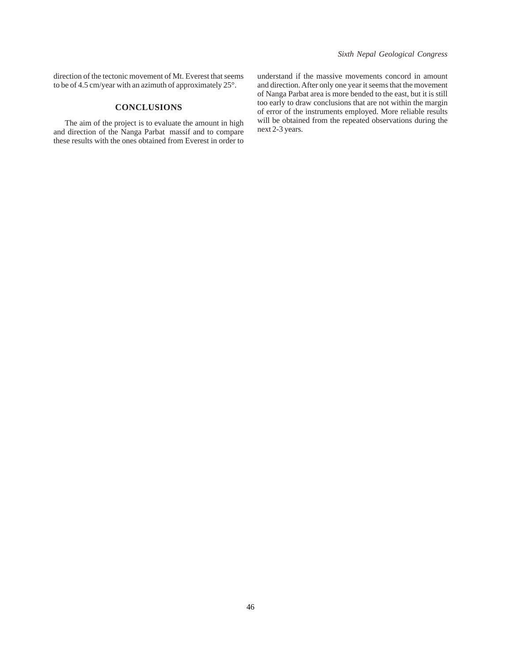direction of the tectonic movement of Mt. Everest that seems to be of 4.5 cm/year with an azimuth of approximately 25°.

#### **CONCLUSIONS**

The aim of the project is to evaluate the amount in high and direction of the Nanga Parbat massif and to compare these results with the ones obtained from Everest in order to understand if the massive movements concord in amount and direction. After only one year it seems that the movement of Nanga Parbat area is more bended to the east, but it is still too early to draw conclusions that are not within the margin of error of the instruments employed. More reliable results will be obtained from the repeated observations during the next 2-3 years.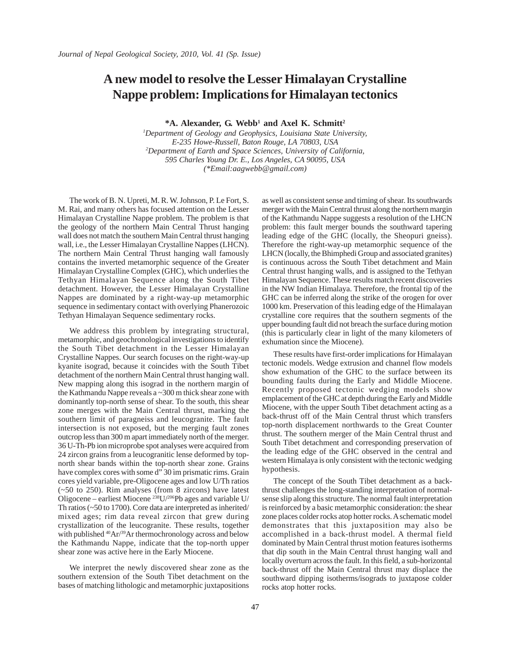## **A new model to resolve the Lesser Himalayan Crystalline Nappe problem: Implications for Himalayan tectonics**

\*A. Alexander, G. Webb<sup>1</sup> and Axel K. Schmitt<sup>2</sup>

*1 Department of Geology and Geophysics, Louisiana State University, E-235 Howe-Russell, Baton Rouge, LA 70803, USA 2 Department of Earth and Space Sciences, University of California, 595 Charles Young Dr. E., Los Angeles, CA 90095, USA (\*Email:aagwebb@gmail.com)*

The work of B. N. Upreti, M. R. W. Johnson, P. Le Fort, S. M. Rai, and many others has focused attention on the Lesser Himalayan Crystalline Nappe problem. The problem is that the geology of the northern Main Central Thrust hanging wall does not match the southern Main Central thrust hanging wall, i.e., the Lesser Himalayan Crystalline Nappes (LHCN). The northern Main Central Thrust hanging wall famously contains the inverted metamorphic sequence of the Greater Himalayan Crystalline Complex (GHC), which underlies the Tethyan Himalayan Sequence along the South Tibet detachment. However, the Lesser Himalayan Crystalline Nappes are dominated by a right-way-up metamorphic sequence in sedimentary contact with overlying Phanerozoic Tethyan Himalayan Sequence sedimentary rocks.

We address this problem by integrating structural, metamorphic, and geochronological investigations to identify the South Tibet detachment in the Lesser Himalayan Crystalline Nappes. Our search focuses on the right-way-up kyanite isograd, because it coincides with the South Tibet detachment of the northern Main Central thrust hanging wall. New mapping along this isograd in the northern margin of the Kathmandu Nappe reveals a ~300 m thick shear zone with dominantly top-north sense of shear. To the south, this shear zone merges with the Main Central thrust, marking the southern limit of paragneiss and leucogranite. The fault intersection is not exposed, but the merging fault zones outcrop less than 300 m apart immediately north of the merger. 36 U-Th-Pb ion microprobe spot analyses were acquired from 24 zircon grains from a leucogranitic lense deformed by topnorth shear bands within the top-north shear zone. Grains have complex cores with some d" 30 im prismatic rims. Grain cores yield variable, pre-Oligocene ages and low U/Th ratios (~50 to 250). Rim analyses (from 8 zircons) have latest Oligocene – earliest Miocene 238U/206Pb ages and variable U/ Th ratios (~50 to 1700). Core data are interpreted as inherited/ mixed ages; rim data reveal zircon that grew during crystallization of the leucogranite. These results, together with published <sup>40</sup>Ar/<sup>39</sup>Ar thermochronology across and below the Kathmandu Nappe, indicate that the top-north upper shear zone was active here in the Early Miocene.

We interpret the newly discovered shear zone as the southern extension of the South Tibet detachment on the bases of matching lithologic and metamorphic juxtapositions as well as consistent sense and timing of shear. Its southwards merger with the Main Central thrust along the northern margin of the Kathmandu Nappe suggests a resolution of the LHCN problem: this fault merger bounds the southward tapering leading edge of the GHC (locally, the Sheopuri gneiss). Therefore the right-way-up metamorphic sequence of the LHCN (locally, the Bhimphedi Group and associated granites) is continuous across the South Tibet detachment and Main Central thrust hanging walls, and is assigned to the Tethyan Himalayan Sequence. These results match recent discoveries in the NW Indian Himalaya. Therefore, the frontal tip of the GHC can be inferred along the strike of the orogen for over 1000 km. Preservation of this leading edge of the Himalayan crystalline core requires that the southern segments of the upper bounding fault did not breach the surface during motion (this is particularly clear in light of the many kilometers of exhumation since the Miocene).

These results have first-order implications for Himalayan tectonic models. Wedge extrusion and channel flow models show exhumation of the GHC to the surface between its bounding faults during the Early and Middle Miocene. Recently proposed tectonic wedging models show emplacement of the GHC at depth during the Early and Middle Miocene, with the upper South Tibet detachment acting as a back-thrust off of the Main Central thrust which transfers top-north displacement northwards to the Great Counter thrust. The southern merger of the Main Central thrust and South Tibet detachment and corresponding preservation of the leading edge of the GHC observed in the central and western Himalaya is only consistent with the tectonic wedging hypothesis.

The concept of the South Tibet detachment as a backthrust challenges the long-standing interpretation of normalsense slip along this structure. The normal fault interpretation is reinforced by a basic metamorphic consideration: the shear zone places colder rocks atop hotter rocks. A schematic model demonstrates that this juxtaposition may also be accomplished in a back-thrust model. A thermal field dominated by Main Central thrust motion features isotherms that dip south in the Main Central thrust hanging wall and locally overturn across the fault. In this field, a sub-horizontal back-thrust off the Main Central thrust may displace the southward dipping isotherms/isograds to juxtapose colder rocks atop hotter rocks.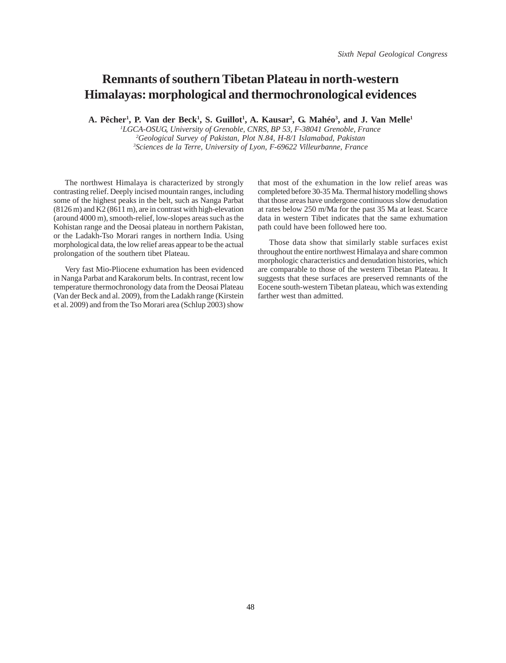### **Remnants of southern Tibetan Plateau in north-western Himalayas: morphological and thermochronological evidences**

A. Pêcher<sup>1</sup>, P. Van der Beck<sup>1</sup>, S. Guillot<sup>1</sup>, A. Kausar<sup>2</sup>, G. Mahéo<sup>3</sup>, and J. Van Melle<sup>1</sup>

*1 LGCA-OSUG, University of Grenoble, CNRS, BP 53, F-38041 Grenoble, France 2 Geological Survey of Pakistan, Plot N.84, H-8/1 Islamabad, Pakistan 3 Sciences de la Terre, University of Lyon, F-69622 Villeurbanne, France*

The northwest Himalaya is characterized by strongly contrasting relief. Deeply incised mountain ranges, including some of the highest peaks in the belt, such as Nanga Parbat (8126 m) and K2 (8611 m), are in contrast with high-elevation (around 4000 m), smooth-relief, low-slopes areas such as the Kohistan range and the Deosai plateau in northern Pakistan, or the Ladakh-Tso Morari ranges in northern India. Using morphological data, the low relief areas appear to be the actual prolongation of the southern tibet Plateau.

Very fast Mio-Pliocene exhumation has been evidenced in Nanga Parbat and Karakorum belts. In contrast, recent low temperature thermochronology data from the Deosai Plateau (Van der Beck and al. 2009), from the Ladakh range (Kirstein et al. 2009) and from the Tso Morari area (Schlup 2003) show

that most of the exhumation in the low relief areas was completed before 30-35 Ma. Thermal history modelling shows that those areas have undergone continuous slow denudation at rates below 250 m/Ma for the past 35 Ma at least. Scarce data in western Tibet indicates that the same exhumation path could have been followed here too.

Those data show that similarly stable surfaces exist throughout the entire northwest Himalaya and share common morphologic characteristics and denudation histories, which are comparable to those of the western Tibetan Plateau. It suggests that these surfaces are preserved remnants of the Eocene south-western Tibetan plateau, which was extending farther west than admitted.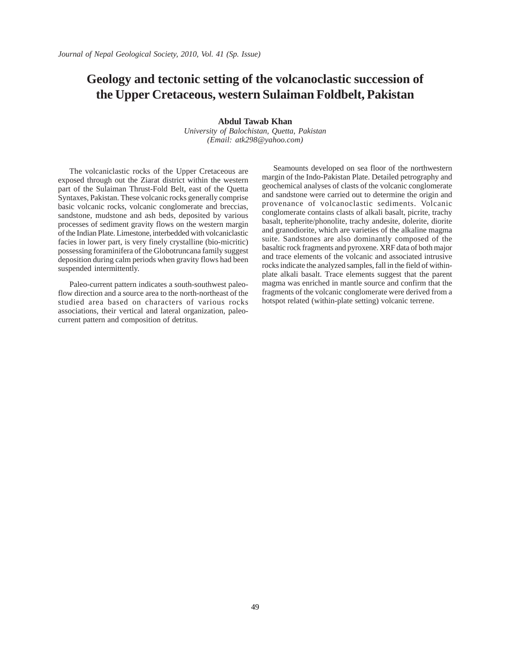## **Geology and tectonic setting of the volcanoclastic succession of the Upper Cretaceous, western Sulaiman Foldbelt, Pakistan**

**Abdul Tawab Khan**

*University of Balochistan, Quetta, Pakistan (Email: atk298@yahoo.com)*

The volcaniclastic rocks of the Upper Cretaceous are exposed through out the Ziarat district within the western part of the Sulaiman Thrust-Fold Belt, east of the Quetta Syntaxes, Pakistan. These volcanic rocks generally comprise basic volcanic rocks, volcanic conglomerate and breccias, sandstone, mudstone and ash beds, deposited by various processes of sediment gravity flows on the western margin of the Indian Plate. Limestone, interbedded with volcaniclastic facies in lower part, is very finely crystalline (bio-micritic) possessing foraminifera of the Globotruncana family suggest deposition during calm periods when gravity flows had been suspended intermittently.

Paleo-current pattern indicates a south-southwest paleoflow direction and a source area to the north-northeast of the studied area based on characters of various rocks associations, their vertical and lateral organization, paleocurrent pattern and composition of detritus.

Seamounts developed on sea floor of the northwestern margin of the Indo-Pakistan Plate. Detailed petrography and geochemical analyses of clasts of the volcanic conglomerate and sandstone were carried out to determine the origin and provenance of volcanoclastic sediments. Volcanic conglomerate contains clasts of alkali basalt, picrite, trachy basalt, tepherite/phonolite, trachy andesite, dolerite, diorite and granodiorite, which are varieties of the alkaline magma suite. Sandstones are also dominantly composed of the basaltic rock fragments and pyroxene. XRF data of both major and trace elements of the volcanic and associated intrusive rocks indicate the analyzed samples, fall in the field of withinplate alkali basalt. Trace elements suggest that the parent magma was enriched in mantle source and confirm that the fragments of the volcanic conglomerate were derived from a hotspot related (within-plate setting) volcanic terrene.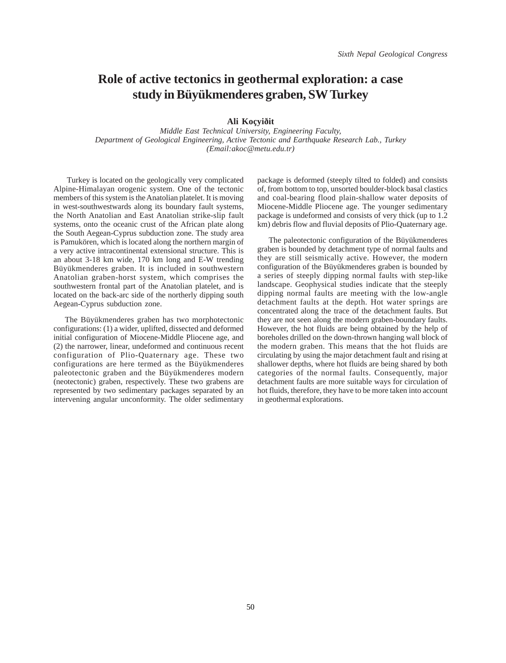### **Role of active tectonics in geothermal exploration: a case study in Büyükmenderes graben, SW Turkey**

**Ali Koçyiðit**

*Middle East Technical University, Engineering Faculty, Department of Geological Engineering, Active Tectonic and Earthquake Research Lab., Turkey (Email:akoc@metu.edu.tr)*

Turkey is located on the geologically very complicated Alpine-Himalayan orogenic system. One of the tectonic members of this system is the Anatolian platelet. It is moving in west-southwestwards along its boundary fault systems, the North Anatolian and East Anatolian strike-slip fault systems, onto the oceanic crust of the African plate along the South Aegean-Cyprus subduction zone. The study area is Pamukören, which is located along the northern margin of a very active intracontinental extensional structure. This is an about 3-18 km wide, 170 km long and E-W trending Büyükmenderes graben. It is included in southwestern Anatolian graben-horst system, which comprises the southwestern frontal part of the Anatolian platelet, and is located on the back-arc side of the northerly dipping south Aegean-Cyprus subduction zone.

The Büyükmenderes graben has two morphotectonic configurations: (1) a wider, uplifted, dissected and deformed initial configuration of Miocene-Middle Pliocene age, and (2) the narrower, linear, undeformed and continuous recent configuration of Plio-Quaternary age. These two configurations are here termed as the Büyükmenderes paleotectonic graben and the Büyükmenderes modern (neotectonic) graben, respectively. These two grabens are represented by two sedimentary packages separated by an intervening angular unconformity. The older sedimentary

package is deformed (steeply tilted to folded) and consists of, from bottom to top, unsorted boulder-block basal clastics and coal-bearing flood plain-shallow water deposits of Miocene-Middle Pliocene age. The younger sedimentary package is undeformed and consists of very thick (up to 1.2 km) debris flow and fluvial deposits of Plio-Quaternary age.

The paleotectonic configuration of the Büyükmenderes graben is bounded by detachment type of normal faults and they are still seismically active. However, the modern configuration of the Büyükmenderes graben is bounded by a series of steeply dipping normal faults with step-like landscape. Geophysical studies indicate that the steeply dipping normal faults are meeting with the low-angle detachment faults at the depth. Hot water springs are concentrated along the trace of the detachment faults. But they are not seen along the modern graben-boundary faults. However, the hot fluids are being obtained by the help of boreholes drilled on the down-thrown hanging wall block of the modern graben. This means that the hot fluids are circulating by using the major detachment fault and rising at shallower depths, where hot fluids are being shared by both categories of the normal faults. Consequently, major detachment faults are more suitable ways for circulation of hot fluids, therefore, they have to be more taken into account in geothermal explorations.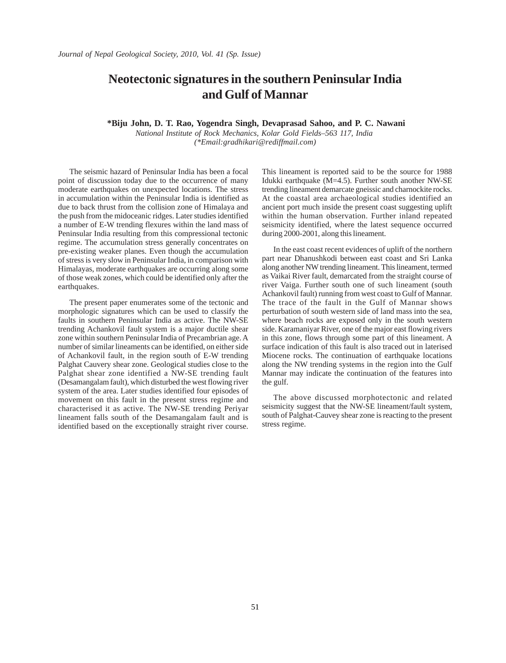### **Neotectonic signatures in the southern Peninsular India and Gulf of Mannar**

 **\*Biju John, D. T. Rao, Yogendra Singh, Devaprasad Sahoo, and P. C. Nawani**

*National Institute of Rock Mechanics, Kolar Gold Fields–563 117, India (\*Email:gradhikari@rediffmail.com)*

The seismic hazard of Peninsular India has been a focal point of discussion today due to the occurrence of many moderate earthquakes on unexpected locations. The stress in accumulation within the Peninsular India is identified as due to back thrust from the collision zone of Himalaya and the push from the midoceanic ridges. Later studies identified a number of E-W trending flexures within the land mass of Peninsular India resulting from this compressional tectonic regime. The accumulation stress generally concentrates on pre-existing weaker planes. Even though the accumulation of stress is very slow in Peninsular India, in comparison with Himalayas, moderate earthquakes are occurring along some of those weak zones, which could be identified only after the earthquakes.

The present paper enumerates some of the tectonic and morphologic signatures which can be used to classify the faults in southern Peninsular India as active. The NW-SE trending Achankovil fault system is a major ductile shear zone within southern Peninsular India of Precambrian age. A number of similar lineaments can be identified, on either side of Achankovil fault, in the region south of E-W trending Palghat Cauvery shear zone. Geological studies close to the Palghat shear zone identified a NW-SE trending fault (Desamangalam fault), which disturbed the west flowing river system of the area. Later studies identified four episodes of movement on this fault in the present stress regime and characterised it as active. The NW-SE trending Periyar lineament falls south of the Desamangalam fault and is identified based on the exceptionally straight river course.

This lineament is reported said to be the source for 1988 Idukki earthquake (M=4.5). Further south another NW-SE trending lineament demarcate gneissic and charnockite rocks. At the coastal area archaeological studies identified an ancient port much inside the present coast suggesting uplift within the human observation. Further inland repeated seismicity identified, where the latest sequence occurred during 2000-2001, along this lineament.

In the east coast recent evidences of uplift of the northern part near Dhanushkodi between east coast and Sri Lanka along another NW trending lineament. This lineament, termed as Vaikai River fault, demarcated from the straight course of river Vaiga. Further south one of such lineament (south Achankovil fault) running from west coast to Gulf of Mannar. The trace of the fault in the Gulf of Mannar shows perturbation of south western side of land mass into the sea, where beach rocks are exposed only in the south western side. Karamaniyar River, one of the major east flowing rivers in this zone, flows through some part of this lineament. A surface indication of this fault is also traced out in laterised Miocene rocks. The continuation of earthquake locations along the NW trending systems in the region into the Gulf Mannar may indicate the continuation of the features into the gulf.

The above discussed morphotectonic and related seismicity suggest that the NW-SE lineament/fault system, south of Palghat-Cauvey shear zone is reacting to the present stress regime.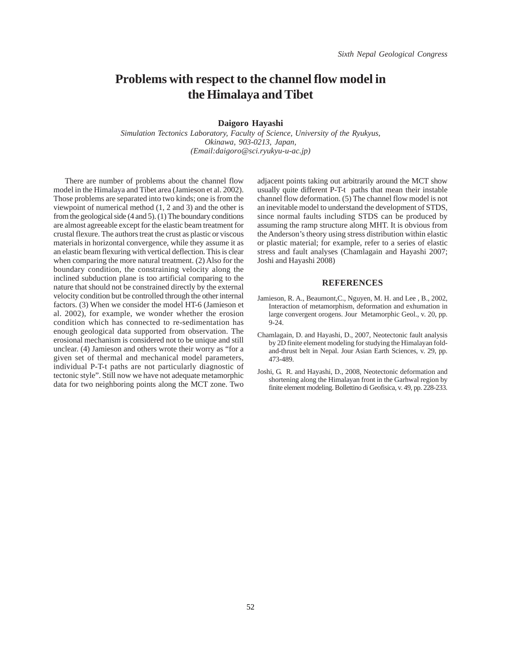#### **Problems with respect to the channel flow model in the Himalaya and Tibet**

#### **Daigoro Hayashi**

*Simulation Tectonics Laboratory, Faculty of Science, University of the Ryukyus, Okinawa, 903-0213, Japan, (Email:daigoro@sci.ryukyu-u-ac.jp)*

There are number of problems about the channel flow model in the Himalaya and Tibet area (Jamieson et al. 2002). Those problems are separated into two kinds; one is from the viewpoint of numerical method (1, 2 and 3) and the other is from the geological side (4 and 5). (1) The boundary conditions are almost agreeable except for the elastic beam treatment for crustal flexure. The authors treat the crust as plastic or viscous materials in horizontal convergence, while they assume it as an elastic beam flexuring with vertical deflection. This is clear when comparing the more natural treatment. (2) Also for the boundary condition, the constraining velocity along the inclined subduction plane is too artificial comparing to the nature that should not be constrained directly by the external velocity condition but be controlled through the other internal factors. (3) When we consider the model HT-6 (Jamieson et al. 2002), for example, we wonder whether the erosion condition which has connected to re-sedimentation has enough geological data supported from observation. The erosional mechanism is considered not to be unique and still unclear. (4) Jamieson and others wrote their worry as "for a given set of thermal and mechanical model parameters, individual P-T-t paths are not particularly diagnostic of tectonic style". Still now we have not adequate metamorphic data for two neighboring points along the MCT zone. Two

adjacent points taking out arbitrarily around the MCT show usually quite different P-T-t paths that mean their instable channel flow deformation. (5) The channel flow model is not an inevitable model to understand the development of STDS, since normal faults including STDS can be produced by assuming the ramp structure along MHT. It is obvious from the Anderson's theory using stress distribution within elastic or plastic material; for example, refer to a series of elastic stress and fault analyses (Chamlagain and Hayashi 2007; Joshi and Hayashi 2008)

#### **REFERENCES**

- Jamieson, R. A., Beaumont,C., Nguyen, M. H. and Lee , B., 2002, Interaction of metamorphism, deformation and exhumation in large convergent orogens. Jour Metamorphic Geol., v. 20, pp. 9-24.
- Chamlagain, D. and Hayashi, D., 2007, Neotectonic fault analysis by 2D finite element modeling for studying the Himalayan foldand-thrust belt in Nepal. Jour Asian Earth Sciences, v. 29, pp. 473-489.
- Joshi, G. R. and Hayashi, D., 2008, Neotectonic deformation and shortening along the Himalayan front in the Garhwal region by finite element modeling. Bollettino di Geofisica, v. 49, pp. 228-233.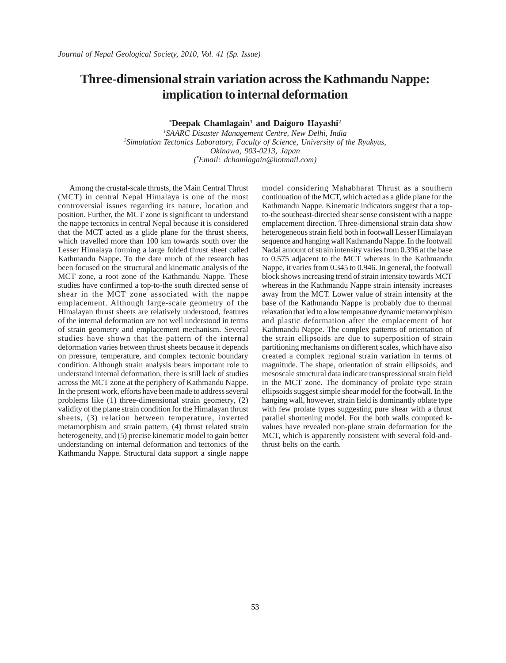### **Three-dimensional strain variation across the Kathmandu Nappe: implication to internal deformation**

<sup>\*</sup>Deepak Chamlagain<sup>1</sup> and Daigoro Hayashi<sup>2</sup>

*1 SAARC Disaster Management Centre, New Delhi, India 2 Simulation Tectonics Laboratory, Faculty of Science, University of the Ryukyus, Okinawa, 903-0213, Japan ( \* Email: dchamlagain@hotmail.com)*

Among the crustal-scale thrusts, the Main Central Thrust (MCT) in central Nepal Himalaya is one of the most controversial issues regarding its nature, location and position. Further, the MCT zone is significant to understand the nappe tectonics in central Nepal because it is considered that the MCT acted as a glide plane for the thrust sheets, which travelled more than 100 km towards south over the Lesser Himalaya forming a large folded thrust sheet called Kathmandu Nappe. To the date much of the research has been focused on the structural and kinematic analysis of the MCT zone, a root zone of the Kathmandu Nappe. These studies have confirmed a top-to-the south directed sense of shear in the MCT zone associated with the nappe emplacement. Although large-scale geometry of the Himalayan thrust sheets are relatively understood, features of the internal deformation are not well understood in terms of strain geometry and emplacement mechanism. Several studies have shown that the pattern of the internal deformation varies between thrust sheets because it depends on pressure, temperature, and complex tectonic boundary condition. Although strain analysis bears important role to understand internal deformation, there is still lack of studies across the MCT zone at the periphery of Kathmandu Nappe. In the present work, efforts have been made to address several problems like (1) three-dimensional strain geometry, (2) validity of the plane strain condition for the Himalayan thrust sheets, (3) relation between temperature, inverted metamorphism and strain pattern, (4) thrust related strain heterogeneity, and (5) precise kinematic model to gain better understanding on internal deformation and tectonics of the Kathmandu Nappe. Structural data support a single nappe

model considering Mahabharat Thrust as a southern continuation of the MCT, which acted as a glide plane for the Kathmandu Nappe. Kinematic indicators suggest that a topto-the southeast-directed shear sense consistent with a nappe emplacement direction. Three-dimensional strain data show heterogeneous strain field both in footwall Lesser Himalayan sequence and hanging wall Kathmandu Nappe. In the footwall Nadai amount of strain intensity varies from 0.396 at the base to 0.575 adjacent to the MCT whereas in the Kathmandu Nappe, it varies from 0.345 to 0.946. In general, the footwall block shows increasing trend of strain intensity towards MCT whereas in the Kathmandu Nappe strain intensity increases away from the MCT. Lower value of strain intensity at the base of the Kathmandu Nappe is probably due to thermal relaxation that led to a low temperature dynamic metamorphism and plastic deformation after the emplacement of hot Kathmandu Nappe. The complex patterns of orientation of the strain ellipsoids are due to superposition of strain partitioning mechanisms on different scales, which have also created a complex regional strain variation in terms of magnitude. The shape, orientation of strain ellipsoids, and mesoscale structural data indicate transpressional strain field in the MCT zone. The dominancy of prolate type strain ellipsoids suggest simple shear model for the footwall. In the hanging wall, however, strain field is dominantly oblate type with few prolate types suggesting pure shear with a thrust parallel shortening model. For the both walls computed kvalues have revealed non-plane strain deformation for the MCT, which is apparently consistent with several fold-andthrust belts on the earth.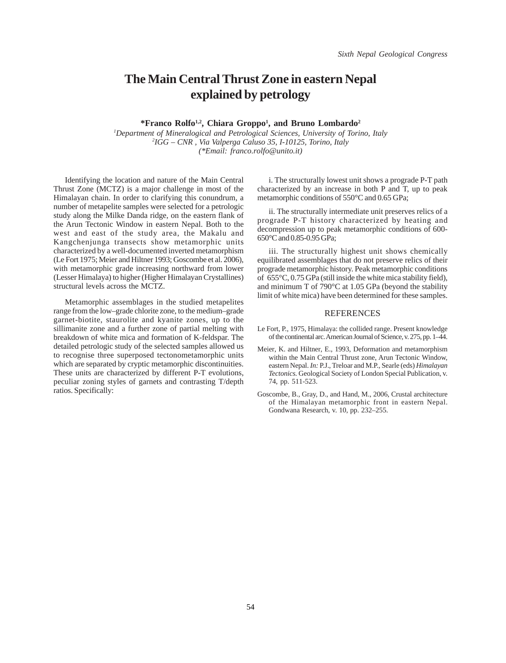### **The Main Central Thrust Zone in eastern Nepal explained by petrology**

**\*Franco Rolfo1,2, Chiara Groppo1 , and Bruno Lombardo2**

*1 Department of Mineralogical and Petrological Sciences, University of Torino, Italy 2 IGG – CNR , Via Valperga Caluso 35, I-10125, Torino, Italy (\*Email: franco.rolfo@unito.it)*

Identifying the location and nature of the Main Central Thrust Zone (MCTZ) is a major challenge in most of the Himalayan chain. In order to clarifying this conundrum, a number of metapelite samples were selected for a petrologic study along the Milke Danda ridge, on the eastern flank of the Arun Tectonic Window in eastern Nepal. Both to the west and east of the study area, the Makalu and Kangchenjunga transects show metamorphic units characterized by a well-documented inverted metamorphism (Le Fort 1975; Meier and Hiltner 1993; Goscombe et al. 2006), with metamorphic grade increasing northward from lower (Lesser Himalaya) to higher (Higher Himalayan Crystallines) structural levels across the MCTZ.

Metamorphic assemblages in the studied metapelites range from the low–grade chlorite zone, to the medium–grade garnet-biotite, staurolite and kyanite zones, up to the sillimanite zone and a further zone of partial melting with breakdown of white mica and formation of K-feldspar. The detailed petrologic study of the selected samples allowed us to recognise three superposed tectonometamorphic units which are separated by cryptic metamorphic discontinuities. These units are characterized by different P-T evolutions, peculiar zoning styles of garnets and contrasting T/depth ratios. Specifically:

i. The structurally lowest unit shows a prograde P-T path characterized by an increase in both P and T, up to peak metamorphic conditions of 550°C and 0.65 GPa;

ii. The structurally intermediate unit preserves relics of a prograde P-T history characterized by heating and decompression up to peak metamorphic conditions of 600- 650°C and 0.85-0.95 GPa;

iii. The structurally highest unit shows chemically equilibrated assemblages that do not preserve relics of their prograde metamorphic history. Peak metamorphic conditions of 655°C, 0.75 GPa (still inside the white mica stability field), and minimum T of 790°C at 1.05 GPa (beyond the stability limit of white mica) have been determined for these samples.

#### REFERENCES

- Le Fort, P., 1975, Himalaya: the collided range. Present knowledge of the continental arc. American Journal of Science, v. 275, pp. 1–44.
- Meier, K. and Hiltner, E., 1993, Deformation and metamorphism within the Main Central Thrust zone, Arun Tectonic Window, eastern Nepal. *In:* P.J., Treloar and M.P., Searle (eds) *Himalayan Tectonics.* Geological Society of London Special Publication, v. 74, pp. 511-523.
- Goscombe, B., Gray, D., and Hand, M., 2006, Crustal architecture of the Himalayan metamorphic front in eastern Nepal. Gondwana Research, v. 10, pp. 232–255.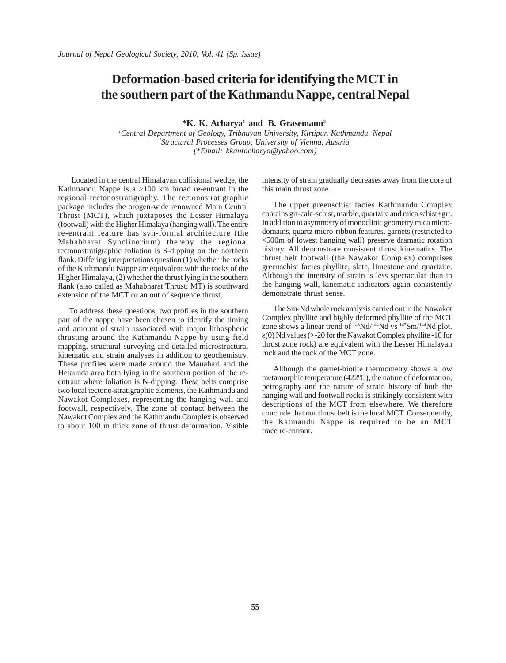### **Deformation-based criteria for identifying the MCT in the southern part of the Kathmandu Nappe, central Nepal**

**\*K. K. Acharya1 and B. Grasemann2**

*1 Central Department of Geology, Tribhuvan University, Kirtipur, Kathmandu, Nepal 2 Structural Processes Group, University of Vienna, Austria (\*Email: kkantacharya@yahoo.com)*

 Located in the central Himalayan collisional wedge, the Kathmandu Nappe is a >100 km broad re-entrant in the regional tectonostratigraphy. The tectonostratigraphic package includes the orogen-wide renowned Main Central Thrust (MCT), which juxtaposes the Lesser Himalaya (footwall) with the Higher Himalaya (hanging wall). The entire re-entrant feature has syn-formal architecture (the Mahabharat Synclinorium) thereby the regional tectonostratigraphic foliation is S-dipping on the northern flank. Differing interpretations question (1) whether the rocks of the Kathmandu Nappe are equivalent with the rocks of the Higher Himalaya, (2) whether the thrust lying in the southern flank (also called as Mahabharat Thrust, MT) is southward extension of the MCT or an out of sequence thrust.

To address these questions, two profiles in the southern part of the nappe have been chosen to identify the timing and amount of strain associated with major lithospheric thrusting around the Kathmandu Nappe by using field mapping, structural surveying and detailed microstructural kinematic and strain analyses in addition to geochemistry. These profiles were made around the Manahari and the Hetaunda area both lying in the southern portion of the reentrant where foliation is N-dipping. These belts comprise two local tectono-stratigraphic elements, the Kathmandu and Nawakot Complexes, representing the hanging wall and footwall, respectively. The zone of contact between the Nawakot Complex and the Kathmandu Complex is observed to about 100 m thick zone of thrust deformation. Visible intensity of strain gradually decreases away from the core of this main thrust zone.

The upper greenschist facies Kathmandu Complex contains grt-calc-schist, marble, quartzite and mica schist±grt. In addition to asymmetry of monoclinic geometry mica microdomains, quartz micro-ribbon features, garnets (restricted to <500m of lowest hanging wall) preserve dramatic rotation history. All demonstrate consistent thrust kinematics. The thrust belt footwall (the Nawakot Complex) comprises greenschist facies phyllite, slate, limestone and quartzite. Although the intensity of strain is less spectacular than in the hanging wall, kinematic indicators again consistently demonstrate thrust sense.

The Sm-Nd whole rock analysis carried out in the Nawakot Complex phyllite and highly deformed phyllite of the MCT zone shows a linear trend of 143Nd/144Nd vs 147Sm/144Nd plot.  $\varepsilon(0)$  Nd values (>-20 for the Nawakot Complex phyllite -16 for thrust zone rock) are equivalent with the Lesser Himalayan rock and the rock of the MCT zone.

Although the garnet-biotite thermometry shows a low metamorphic temperature (422ºC), the nature of deformation, petrography and the nature of strain history of both the hanging wall and footwall rocks is strikingly consistent with descriptions of the MCT from elsewhere. We therefore conclude that our thrust belt is the local MCT. Consequently, the Katmandu Nappe is required to be an MCT trace re-entrant.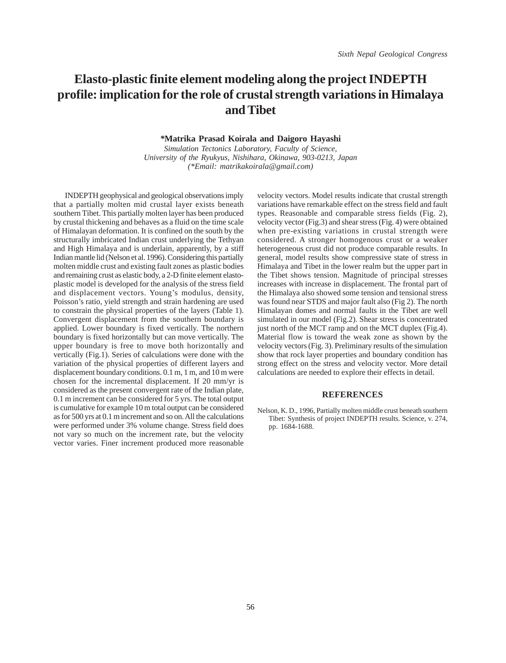## **Elasto-plastic finite element modeling along the project INDEPTH profile: implication for the role of crustal strength variations in Himalaya and Tibet**

*\****Matrika Prasad Koirala and Daigoro Hayashi**

*Simulation Tectonics Laboratory, Faculty of Science, University of the Ryukyus, Nishihara, Okinawa, 903-0213, Japan (\*Email: matrikakoirala@gmail.com)*

INDEPTH geophysical and geological observations imply that a partially molten mid crustal layer exists beneath southern Tibet. This partially molten layer has been produced by crustal thickening and behaves as a fluid on the time scale of Himalayan deformation. It is confined on the south by the structurally imbricated Indian crust underlying the Tethyan and High Himalaya and is underlain, apparently, by a stiff Indian mantle lid (Nelson et al. 1996). Considering this partially molten middle crust and existing fault zones as plastic bodies and remaining crust as elastic body, a 2-D finite element elastoplastic model is developed for the analysis of the stress field and displacement vectors. Young's modulus, density, Poisson's ratio, yield strength and strain hardening are used to constrain the physical properties of the layers (Table 1). Convergent displacement from the southern boundary is applied. Lower boundary is fixed vertically. The northern boundary is fixed horizontally but can move vertically. The upper boundary is free to move both horizontally and vertically (Fig.1). Series of calculations were done with the variation of the physical properties of different layers and displacement boundary conditions. 0.1 m, 1 m, and 10 m were chosen for the incremental displacement. If 20 mm/yr is considered as the present convergent rate of the Indian plate, 0.1 m increment can be considered for 5 yrs. The total output is cumulative for example 10 m total output can be considered as for 500 yrs at 0.1 m increment and so on. All the calculations were performed under 3% volume change. Stress field does not vary so much on the increment rate, but the velocity vector varies. Finer increment produced more reasonable velocity vectors. Model results indicate that crustal strength variations have remarkable effect on the stress field and fault types. Reasonable and comparable stress fields (Fig. 2), velocity vector (Fig.3) and shear stress (Fig. 4) were obtained when pre-existing variations in crustal strength were considered. A stronger homogenous crust or a weaker heterogeneous crust did not produce comparable results. In general, model results show compressive state of stress in Himalaya and Tibet in the lower realm but the upper part in the Tibet shows tension. Magnitude of principal stresses increases with increase in displacement. The frontal part of the Himalaya also showed some tension and tensional stress was found near STDS and major fault also (Fig 2). The north Himalayan domes and normal faults in the Tibet are well simulated in our model (Fig.2). Shear stress is concentrated just north of the MCT ramp and on the MCT duplex (Fig.4). Material flow is toward the weak zone as shown by the velocity vectors (Fig. 3). Preliminary results of the simulation show that rock layer properties and boundary condition has strong effect on the stress and velocity vector. More detail calculations are needed to explore their effects in detail.

#### **REFERENCES**

Nelson, K. D., 1996, Partially molten middle crust beneath southern Tibet: Synthesis of project INDEPTH results. Science, v. 274, pp. 1684-1688.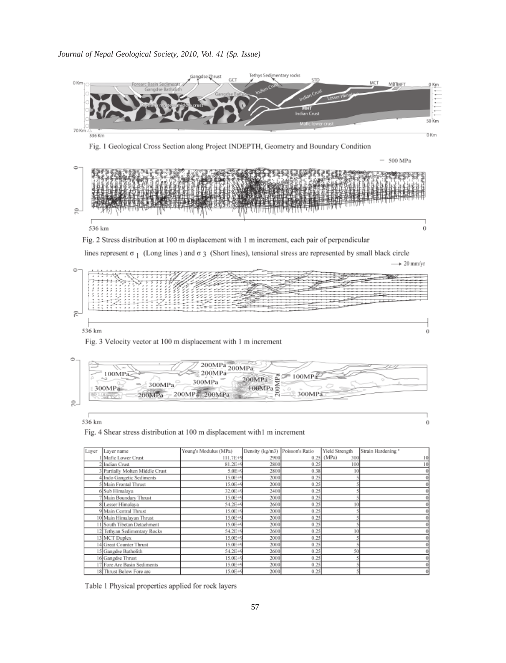#### *Journal of Nepal Geological Society, 2010, Vol. 41 (Sp. Issue)*





 $\theta$ 

536 km

Fig. 4 Shear stress distribution at 100 m displacement with1 m increment

| Layer | Layer name                    | Young's Modulus (MPa) | Density (kg/m3) Poisson's Ratio |      | Yield Strength | Strain Hardening <sup>®</sup> |
|-------|-------------------------------|-----------------------|---------------------------------|------|----------------|-------------------------------|
|       | Mafic Lower Crust             | 111.7E+9              | 2900                            | 0.25 | (MPa)<br>300   | 10 <sub>1</sub>               |
|       | 2 Indian Crust                | $81.2E+4$             | 2800                            | 0.25 | 100            | 10 <sub>1</sub>               |
|       | Partially Molten Middle Crust | 5.0E+9                | 2800                            | 0.38 | 10             |                               |
|       | 4 Indo Gangetic Sediments     | 15.0E+9               | 2000                            | 0.25 |                |                               |
|       | Main Frontal Thrust           | 15.0E+9               | 2000                            | 0.25 |                |                               |
|       | 6 Sub Himalava                | 32.0E+9               | 2400                            | 0.25 |                |                               |
|       | Main Boundary Thrust          | 15.0E+9               | 2000                            | 0.25 |                |                               |
|       | 8 Lesser Himalaya             | $54.2E+9$             | 2600                            | 0.25 |                |                               |
|       | 9 Main Central Thrust         | 15.0E+9               | 2000                            | 0.25 |                |                               |
|       | 10 Main Himalayan Thrust      | 15.0E+9               | 2000                            | 0.25 |                |                               |
|       | 11 South Tibetan Detachment   | 15.0E+9               | 2000                            | 0.25 |                |                               |
|       | 12 Tethyan Sedimentary Rocks  | 54.2E+9               | 2600                            | 0.25 |                |                               |
|       | 13 MCT Duplex                 | 15.0E+9               | 2000                            | 0.25 |                |                               |
|       | 14 Great Counter Thrust       | 15.0E+9               | 2000                            | 0.25 |                |                               |
|       | 15 Gangdse Batholith          | 54.2E+9               | 2600                            | 0.25 | 50             |                               |
|       | 16 Gangdse Thrust             | $15.0E + 9$           | 2000                            | 0.25 |                |                               |
|       | 17 Fore Are Basin Sediments   | $15.0E + 9$           | 2000                            | 0.25 |                |                               |
|       | 18 Thrust Below Fore are      | $15.0E + 9$           | 2000                            | 0.25 |                |                               |

Table 1 Physical properties applied for rock layers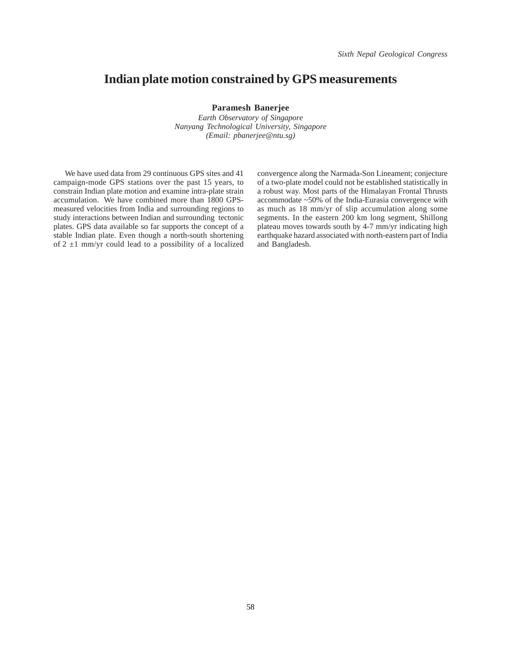#### **Indian plate motion constrained by GPS measurements**

**Paramesh Banerjee**

*Earth Observatory of Singapore Nanyang Technological University, Singapore (Email: pbanerjee@ntu.sg)*

We have used data from 29 continuous GPS sites and 41 campaign-mode GPS stations over the past 15 years, to constrain Indian plate motion and examine intra-plate strain accumulation. We have combined more than 1800 GPSmeasured velocities from India and surrounding regions to study interactions between Indian and surrounding tectonic plates. GPS data available so far supports the concept of a stable Indian plate. Even though a north-south shortening of  $2 \pm 1$  mm/yr could lead to a possibility of a localized convergence along the Narmada-Son Lineament; conjecture of a two-plate model could not be established statistically in a robust way. Most parts of the Himalayan Frontal Thrusts accommodate ~50% of the India-Eurasia convergence with as much as 18 mm/yr of slip accumulation along some segments. In the eastern 200 km long segment, Shillong plateau moves towards south by 4-7 mm/yr indicating high earthquake hazard associated with north-eastern part of India and Bangladesh.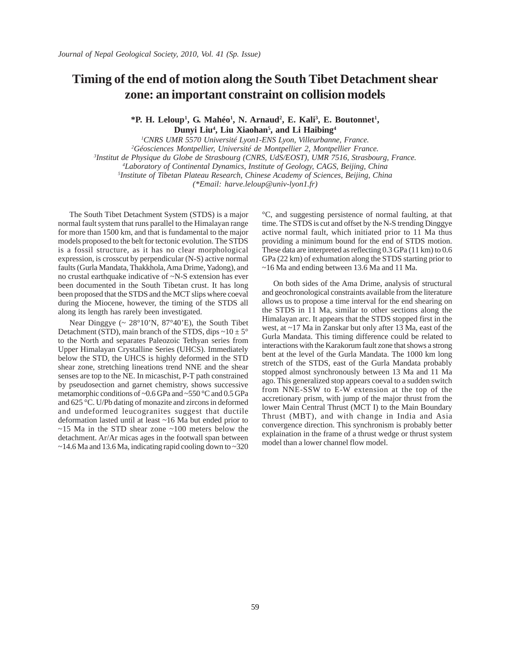### **Timing of the end of motion along the South Tibet Detachment shear zone: an important constraint on collision models**

\*P. H. Leloup<sup>1</sup>, G. Mahéo<sup>1</sup>, N. Arnaud<sup>2</sup>, E. Kali<sup>3</sup>, E. Boutonnet<sup>1</sup>, **Dunyi Liu4 , Liu Xiaohan5 , and Li Haibing4**

 *CNRS UMR 5570 Université Lyon1-ENS Lyon, Villeurbanne, France. Géosciences Montpellier, Université de Montpellier 2, Montpellier France. Institut de Physique du Globe de Strasbourg (CNRS, UdS/EOST), UMR 7516, Strasbourg, France. Laboratory of Continental Dynamics, Institute of Geology, CAGS, Beijing, China Institute of Tibetan Plateau Research, Chinese Academy of Sciences, Beijing, China (\*Email: harve.leloup@univ-lyon1.fr)*

The South Tibet Detachment System (STDS) is a major normal fault system that runs parallel to the Himalayan range for more than 1500 km, and that is fundamental to the major models proposed to the belt for tectonic evolution. The STDS is a fossil structure, as it has no clear morphological expression, is crosscut by perpendicular (N-S) active normal faults (Gurla Mandata, Thakkhola, Ama Drime, Yadong), and no crustal earthquake indicative of ~N-S extension has ever been documented in the South Tibetan crust. It has long been proposed that the STDS and the MCT slips where coeval during the Miocene, however, the timing of the STDS all along its length has rarely been investigated.

Near Dinggye  $\sim 28^{\circ}10^{\prime}$ N,  $87^{\circ}40^{\prime}$ E), the South Tibet Detachment (STD), main branch of the STDS, dips  $\sim 10 \pm 5^{\circ}$ to the North and separates Paleozoic Tethyan series from Upper Himalayan Crystalline Series (UHCS). Immediately below the STD, the UHCS is highly deformed in the STD shear zone, stretching lineations trend NNE and the shear senses are top to the NE. In micaschist, P-T path constrained by pseudosection and garnet chemistry, shows successive metamorphic conditions of ~0.6 GPa and ~550 °C and 0.5 GPa and 625 °C. U/Pb dating of monazite and zircons in deformed and undeformed leucogranites suggest that ductile deformation lasted until at least ~16 Ma but ended prior to  $\sim$ 15 Ma in the STD shear zone  $\sim$ 100 meters below the detachment. Ar/Ar micas ages in the footwall span between  $\sim$  14.6 Ma and 13.6 Ma, indicating rapid cooling down to  $\sim$  320

°C, and suggesting persistence of normal faulting, at that time. The STDS is cut and offset by the N-S trending Dinggye active normal fault, which initiated prior to 11 Ma thus providing a minimum bound for the end of STDS motion. These data are interpreted as reflecting 0.3 GPa (11 km) to 0.6 GPa (22 km) of exhumation along the STDS starting prior to ~16 Ma and ending between 13.6 Ma and 11 Ma.

On both sides of the Ama Drime, analysis of structural and geochronological constraints available from the literature allows us to propose a time interval for the end shearing on the STDS in 11 Ma, similar to other sections along the Himalayan arc. It appears that the STDS stopped first in the west, at ~17 Ma in Zanskar but only after 13 Ma, east of the Gurla Mandata. This timing difference could be related to interactions with the Karakorum fault zone that shows a strong bent at the level of the Gurla Mandata. The 1000 km long stretch of the STDS, east of the Gurla Mandata probably stopped almost synchronously between 13 Ma and 11 Ma ago. This generalized stop appears coeval to a sudden switch from NNE-SSW to E-W extension at the top of the accretionary prism, with jump of the major thrust from the lower Main Central Thrust (MCT I) to the Main Boundary Thrust (MBT), and with change in India and Asia convergence direction. This synchronism is probably better explaination in the frame of a thrust wedge or thrust system model than a lower channel flow model.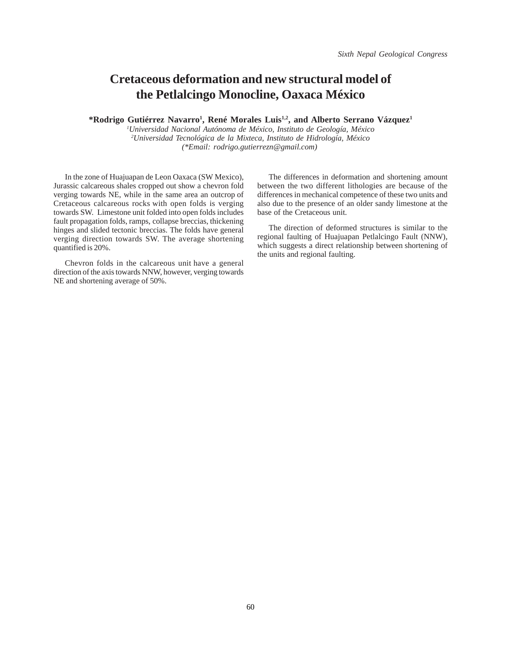# **Cretaceous deformation and new structural model of the Petlalcingo Monocline, Oaxaca México**

\*Rodrigo Gutiérrez Navarro<sup>1</sup>, René Morales Luis<sup>1,2</sup>, and Alberto Serrano Vázquez<sup>1</sup>

*1 Universidad Nacional Autónoma de México, Instituto de Geología, México 2 Universidad Tecnológica de la Mixteca, Instituto de Hidrología, México (\*Email: rodrigo.gutierrezn@gmail.com)* 

In the zone of Huajuapan de Leon Oaxaca (SW Mexico), Jurassic calcareous shales cropped out show a chevron fold verging towards NE, while in the same area an outcrop of Cretaceous calcareous rocks with open folds is verging towards SW. Limestone unit folded into open folds includes fault propagation folds, ramps, collapse breccias, thickening hinges and slided tectonic breccias. The folds have general verging direction towards SW. The average shortening quantified is 20%.

Chevron folds in the calcareous unit have a general direction of the axis towards NNW, however, verging towards NE and shortening average of 50%.

The differences in deformation and shortening amount between the two different lithologies are because of the differences in mechanical competence of these two units and also due to the presence of an older sandy limestone at the base of the Cretaceous unit.

The direction of deformed structures is similar to the regional faulting of Huajuapan Petlalcingo Fault (NNW), which suggests a direct relationship between shortening of the units and regional faulting.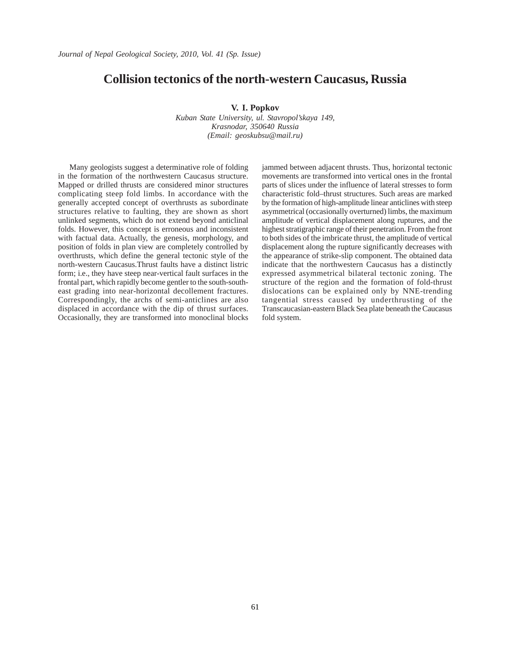#### **Collision tectonics of the north-western Caucasus, Russia**

**V. I. Popkov**

*Kuban State University, ul. Stavropol'skaya 149, Krasnodar, 350640 Russia (Email: geoskubsu@mail.ru)*

Many geologists suggest a determinative role of folding in the formation of the northwestern Caucasus structure. Mapped or drilled thrusts are considered minor structures complicating steep fold limbs. In accordance with the generally accepted concept of overthrusts as subordinate structures relative to faulting, they are shown as short unlinked segments, which do not extend beyond anticlinal folds. However, this concept is erroneous and inconsistent with factual data. Actually, the genesis, morphology, and position of folds in plan view are completely controlled by overthrusts, which define the general tectonic style of the north-western Caucasus.Thrust faults have a distinct listric form; i.e., they have steep near-vertical fault surfaces in the frontal part, which rapidly become gentler to the south-southeast grading into near-horizontal decollement fractures. Correspondingly, the archs of semi-anticlines are also displaced in accordance with the dip of thrust surfaces. Occasionally, they are transformed into monoclinal blocks jammed between adjacent thrusts. Thus, horizontal tectonic movements are transformed into vertical ones in the frontal parts of slices under the influence of lateral stresses to form characteristic fold–thrust structures. Such areas are marked by the formation of high-amplitude linear anticlines with steep asymmetrical (occasionally overturned) limbs, the maximum amplitude of vertical displacement along ruptures, and the highest stratigraphic range of their penetration. From the front to both sides of the imbricate thrust, the amplitude of vertical displacement along the rupture significantly decreases with the appearance of strike-slip component. The obtained data indicate that the northwestern Caucasus has a distinctly expressed asymmetrical bilateral tectonic zoning. The structure of the region and the formation of fold-thrust dislocations can be explained only by NNE-trending tangential stress caused by underthrusting of the Transcaucasian-eastern Black Sea plate beneath the Caucasus fold system.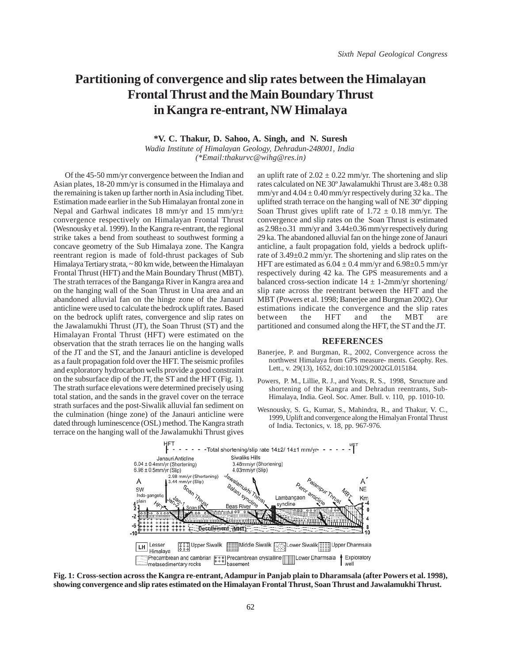## **Partitioning of convergence and slip rates between the Himalayan Frontal Thrust and the Main Boundary Thrust in Kangra re-entrant, NW Himalaya**

**\*V. C. Thakur, D. Sahoo, A. Singh, and N. Suresh**

*Wadia Institute of Himalayan Geology, Dehradun-248001, India (\*Email:thakurvc@wihg@res.in)*

Of the 45-50 mm/yr convergence between the Indian and Asian plates, 18-20 mm/yr is consumed in the Himalaya and the remaining is taken up farther north in Asia including Tibet. Estimation made earlier in the Sub Himalayan frontal zone in Nepal and Garhwal indicates 18 mm/yr and 15 mm/yr± convergence respectively on Himalayan Frontal Thrust (Wesnousky et al. 1999). In the Kangra re-entrant, the regional strike takes a bend from southeast to southwest forming a concave geometry of the Sub Himalaya zone. The Kangra reentrant region is made of fold-thrust packages of Sub Himalaya Tertiary strata, ~ 80 km wide, between the Himalayan Frontal Thrust (HFT) and the Main Boundary Thrust (MBT). The strath terraces of the Banganga River in Kangra area and on the hanging wall of the Soan Thrust in Una area and an abandoned alluvial fan on the hinge zone of the Janauri anticline were used to calculate the bedrock uplift rates. Based on the bedrock uplift rates, convergence and slip rates on the Jawalamukhi Thrust (JT), the Soan Thrust (ST) and the Himalayan Frontal Thrust (HFT) were estimated on the observation that the strath terraces lie on the hanging walls of the JT and the ST, and the Janauri anticline is developed as a fault propagation fold over the HFT. The seismic profiles and exploratory hydrocarbon wells provide a good constraint on the subsurface dip of the JT, the ST and the HFT (Fig. 1). The strath surface elevations were determined precisely using total station, and the sands in the gravel cover on the terrace strath surfaces and the post-Siwalik alluvial fan sediment on the culmination (hinge zone) of the Janauri anticline were dated through luminescence (OSL) method. The Kangra strath terrace on the hanging wall of the Jawalamukhi Thrust gives

an uplift rate of  $2.02 \pm 0.22$  mm/yr. The shortening and slip rates calculated on NE 30º Jawalamukhi Thrust are 3.48± 0.38 mm/yr and  $4.04 \pm 0.40$  mm/yr respectively during 32 ka.. The uplifted strath terrace on the hanging wall of NE 30º dipping Soan Thrust gives uplift rate of  $1.72 \pm 0.18$  mm/yr. The convergence and slip rates on the Soan Thrust is estimated as 2.98±o.31 mm/yr and 3.44±0.36 mm/yr respectively during 29 ka. The abandoned alluvial fan on the hinge zone of Janauri anticline, a fault propagation fold, yields a bedrock upliftrate of 3.49±0.2 mm/yr. The shortening and slip rates on the HFT are estimated as  $6.04 \pm 0.4$  mm/yr and  $6.98 \pm 0.5$  mm/yr respectively during 42 ka. The GPS measurements and a balanced cross-section indicate  $14 \pm 1$ -2mm/yr shortening/ slip rate across the reentrant between the HFT and the MBT (Powers et al. 1998; Banerjee and Burgman 2002). Our estimations indicate the convergence and the slip rates between the HFT and the MBT are partitioned and consumed along the HFT, the ST and the JT.

#### **REFERENCES**

- Banerjee, P. and Burgman, R., 2002, Convergence across the northwest Himalaya from GPS measure- ments. Geophy. Res. Lett., v. 29(13), 1652, doi:10.1029/2002GL015184.
- Powers, P. M., Lillie, R. J., and Yeats, R. S., 1998, Structure and shortening of the Kangra and Dehradun reentrants, Sub-Himalaya, India. Geol. Soc. Amer. Bull. v. 110, pp. 1010-10.
- Wesnousky, S. G., Kumar, S., Mahindra, R., and Thakur, V. C., 1999, Uplift and convergence along the Himalyan Frontal Thrust of India. Tectonics, v. 18, pp. 967-976.



**Fig. 1: Cross-section across the Kangra re-entrant, Adampur in Panjab plain to Dharamsala (after Powers et al. 1998), showing convergence and slip rates estimated on the Himalayan Frontal Thrust, Soan Thrust and Jawalamukhi Thrust.**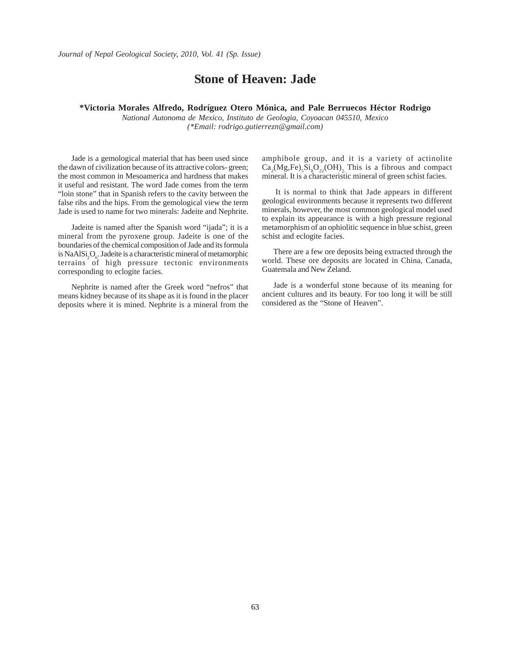#### **Stone of Heaven: Jade**

#### **\*Victoria Morales Alfredo, Rodríguez Otero Mónica, and Pale Berruecos Héctor Rodrigo**

*National Autonoma de Mexico, Instituto de Geologia, Coyoacan 045510, Mexico (\*Email: rodrigo.gutierrezn@gmail.com)*

 Jade is a gemological material that has been used since the dawn of civilization because of its attractive colors- green; the most common in Mesoamerica and hardness that makes it useful and resistant. The word Jade comes from the term "loin stone" that in Spanish refers to the cavity between the false ribs and the hips. From the gemological view the term Jade is used to name for two minerals: Jadeite and Nephrite.

 Jadeite is named after the Spanish word "ijada"; it is a mineral from the pyroxene group. Jadeite is one of the boundaries of the chemical composition of Jade and its formula is NaAlSi<sub>2</sub>O<sub>6</sub>. Jadeite is a characteristic mineral of metamorphic terrains of high pressure tectonic environments corresponding to eclogite facies.

 Nephrite is named after the Greek word "nefros" that means kidney because of its shape as it is found in the placer deposits where it is mined. Nephrite is a mineral from the

amphibole group, and it is a variety of actinolite  $Ca_2(Mg,Fe), Si_8O_{22}(OH)_{2}$ . This is a fibrous and compact mineral. It is a characteristic mineral of green schist facies.

 It is normal to think that Jade appears in different geological environments because it represents two different minerals, however, the most common geological model used to explain its appearance is with a high pressure regional metamorphism of an ophiolitic sequence in blue schist, green schist and eclogite facies.

There are a few ore deposits being extracted through the world. These ore deposits are located in China, Canada, Guatemala and New Zeland.

Jade is a wonderful stone because of its meaning for ancient cultures and its beauty. For too long it will be still considered as the "Stone of Heaven".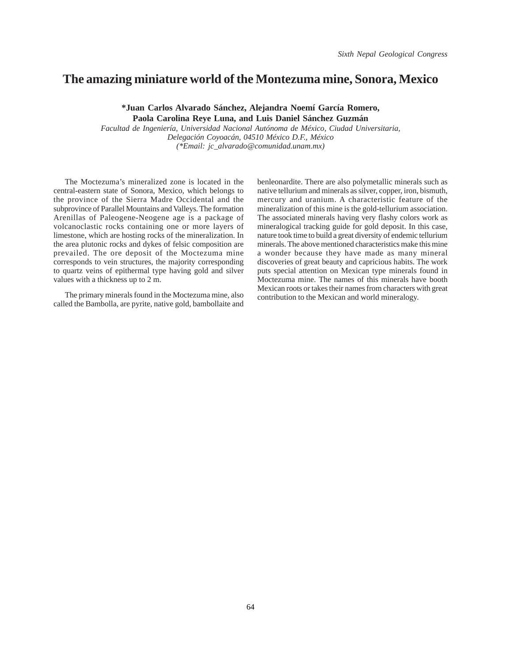#### **The amazing miniature world of the Montezuma mine, Sonora, Mexico**

**\*Juan Carlos Alvarado Sánchez, Alejandra Noemí García Romero, Paola Carolina Reye Luna, and Luis Daniel Sánchez Guzmán**

*Facultad de Ingeniería, Universidad Nacional Autónoma de México, Ciudad Universitaria, Delegación Coyoacán, 04510 México D.F., México (\*Email: jc\_alvarado@comunidad.unam.mx)*

The Moctezuma's mineralized zone is located in the central-eastern state of Sonora, Mexico, which belongs to the province of the Sierra Madre Occidental and the subprovince of Parallel Mountains and Valleys. The formation Arenillas of Paleogene-Neogene age is a package of volcanoclastic rocks containing one or more layers of limestone, which are hosting rocks of the mineralization. In the area plutonic rocks and dykes of felsic composition are prevailed. The ore deposit of the Moctezuma mine corresponds to vein structures, the majority corresponding to quartz veins of epithermal type having gold and silver values with a thickness up to 2 m.

The primary minerals found in the Moctezuma mine, also called the Bambolla, are pyrite, native gold, bambollaite and benleonardite. There are also polymetallic minerals such as native tellurium and minerals as silver, copper, iron, bismuth, mercury and uranium. A characteristic feature of the mineralization of this mine is the gold-tellurium association. The associated minerals having very flashy colors work as mineralogical tracking guide for gold deposit. In this case, nature took time to build a great diversity of endemic tellurium minerals. The above mentioned characteristics make this mine a wonder because they have made as many mineral discoveries of great beauty and capricious habits. The work puts special attention on Mexican type minerals found in Moctezuma mine. The names of this minerals have booth Mexican roots or takes their names from characters with great contribution to the Mexican and world mineralogy.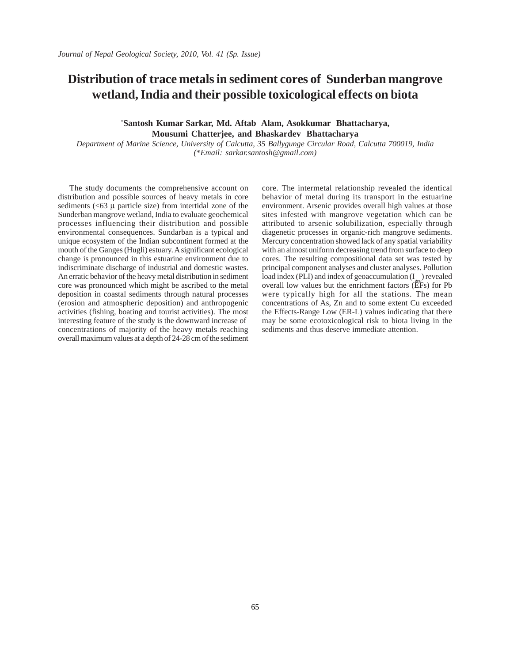# **Distribution of trace metals in sediment cores of Sunderban mangrove wetland, India and their possible toxicological effects on biota**

*\** **Santosh Kumar Sarkar, Md. Aftab Alam, Asokkumar Bhattacharya, Mousumi Chatterjee, and Bhaskardev Bhattacharya**

*Department of Marine Science, University of Calcutta, 35 Ballygunge Circular Road, Calcutta 700019, India (*\**Email: sarkar.santosh@gmail.com)*

The study documents the comprehensive account on distribution and possible sources of heavy metals in core sediments  $(<63 \mu$  particle size) from intertidal zone of the Sunderban mangrove wetland, India to evaluate geochemical processes influencing their distribution and possible environmental consequences. Sundarban is a typical and unique ecosystem of the Indian subcontinent formed at the mouth of the Ganges (Hugli) estuary. A significant ecological change is pronounced in this estuarine environment due to indiscriminate discharge of industrial and domestic wastes. An erratic behavior of the heavy metal distribution in sediment core was pronounced which might be ascribed to the metal deposition in coastal sediments through natural processes (erosion and atmospheric deposition) and anthropogenic activities (fishing, boating and tourist activities). The most interesting feature of the study is the downward increase of concentrations of majority of the heavy metals reaching overall maximum values at a depth of 24-28 cm of the sediment core. The intermetal relationship revealed the identical behavior of metal during its transport in the estuarine environment. Arsenic provides overall high values at those sites infested with mangrove vegetation which can be attributed to arsenic solubilization, especially through diagenetic processes in organic-rich mangrove sediments. Mercury concentration showed lack of any spatial variability with an almost uniform decreasing trend from surface to deep cores. The resulting compositional data set was tested by principal component analyses and cluster analyses. Pollution  $load$  index (PLI) and index of geoaccumulation  $(I)$  revealed overall low values but the enrichment factors (EFs) for Pb were typically high for all the stations. The mean concentrations of As, Zn and to some extent Cu exceeded the Effects-Range Low (ER-L) values indicating that there may be some ecotoxicological risk to biota living in the sediments and thus deserve immediate attention.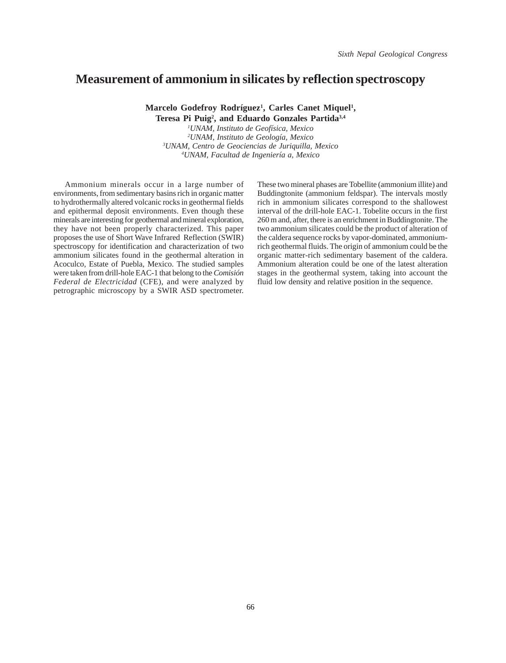#### **Measurement of ammonium in silicates by reflection spectroscopy**

Marcelo Godefroy Rodríguez<sup>1</sup>, Carles Canet Miquel<sup>1</sup>,

**Teresa Pi Puig2 , and Eduardo Gonzales Partida3,4** *UNAM, Instituto de Geofísica, Mexico UNAM, Instituto de Geología, Mexico UNAM, Centro de Geociencias de Juriquilla, Mexico*

*4 UNAM, Facultad de Ingeniería a, Mexico*

Ammonium minerals occur in a large number of environments, from sedimentary basins rich in organic matter to hydrothermally altered volcanic rocks in geothermal fields and epithermal deposit environments. Even though these minerals are interesting for geothermal and mineral exploration, they have not been properly characterized. This paper proposes the use of Short Wave Infrared Reflection (SWIR) spectroscopy for identification and characterization of two ammonium silicates found in the geothermal alteration in Acoculco, Estate of Puebla, Mexico. The studied samples were taken from drill-hole EAC-1 that belong to the *Comisión Federal de Electricidad* (CFE), and were analyzed by petrographic microscopy by a SWIR ASD spectrometer. These two mineral phases are Tobellite (ammonium illite) and Buddingtonite (ammonium feldspar). The intervals mostly rich in ammonium silicates correspond to the shallowest interval of the drill-hole EAC-1. Tobelite occurs in the first 260 m and, after, there is an enrichment in Buddingtonite. The two ammonium silicates could be the product of alteration of the caldera sequence rocks by vapor-dominated, ammoniumrich geothermal fluids. The origin of ammonium could be the organic matter-rich sedimentary basement of the caldera. Ammonium alteration could be one of the latest alteration stages in the geothermal system, taking into account the fluid low density and relative position in the sequence.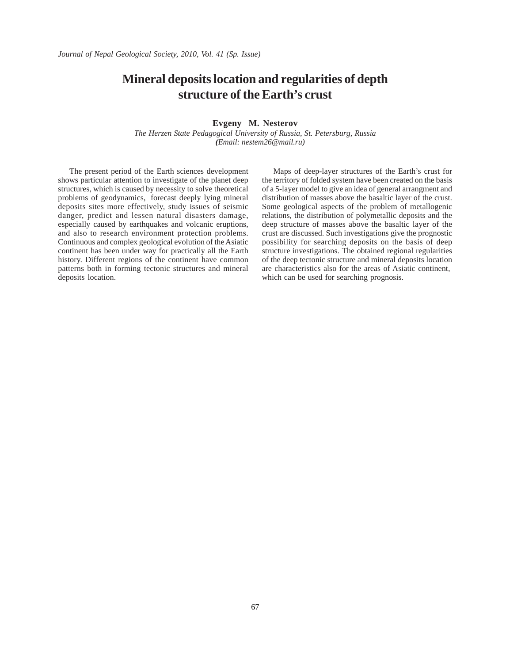## **Mineral deposits location and regularities of depth structure of the Earth's crust**

**Evgeny M. Nesterov**

*The Herzen State Pedagogical University of Russia, St. Petersburg, Russia (Email: nestem26@mail.ru)*

The present period of the Earth sciences development shows particular attention to investigate of the planet deep structures, which is caused by necessity to solve theoretical problems of geodynamics, forecast deeply lying mineral deposits sites more effectively, study issues of seismic danger, predict and lessen natural disasters damage, especially caused by earthquakes and volcanic eruptions, and also to research environment protection problems. Continuous and complex geological evolution of the Asiatic continent has been under way for practically all the Earth history. Different regions of the continent have common patterns both in forming tectonic structures and mineral deposits location.

Maps of deep-layer structures of the Earth's crust for the territory of folded system have been created on the basis of a 5-layer model to give an idea of general arrangment and distribution of masses above the basaltic layer of the crust. Some geological aspects of the problem of metallogenic relations, the distribution of polymetallic deposits and the deep structure of masses above the basaltic layer of the crust are discussed. Such investigations give the prognostic possibility for searching deposits on the basis of deep structure investigations. The obtained regional regularities of the deep tectonic structure and mineral deposits location are characteristics also for the areas of Asiatic continent, which can be used for searching prognosis.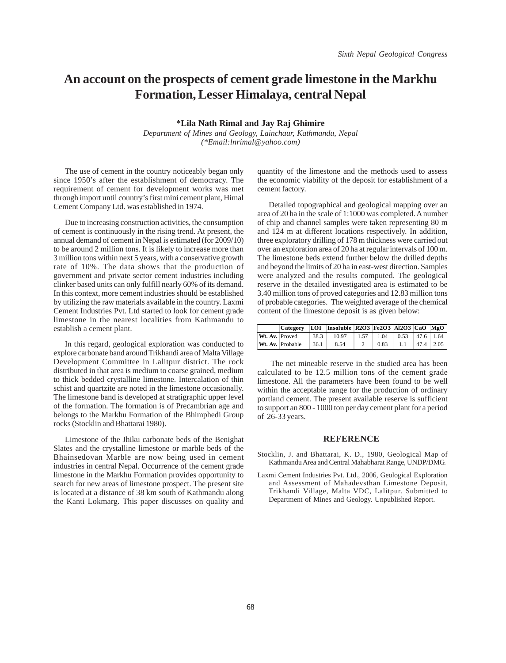### **An account on the prospects of cement grade limestone in the Markhu Formation, Lesser Himalaya, central Nepal**

**\*Lila Nath Rimal and Jay Raj Ghimire**

*Department of Mines and Geology, Lainchaur, Kathmandu, Nepal (\*Email:lnrimal@yahoo.com)*

The use of cement in the country noticeably began only since 1950's after the establishment of democracy. The requirement of cement for development works was met through import until country's first mini cement plant, Himal Cement Company Ltd. was established in 1974.

Due to increasing construction activities, the consumption of cement is continuously in the rising trend. At present, the annual demand of cement in Nepal is estimated (for 2009/10) to be around 2 million tons. It is likely to increase more than 3 million tons within next 5 years, with a conservative growth rate of 10%. The data shows that the production of government and private sector cement industries including clinker based units can only fulfill nearly 60% of its demand. In this context, more cement industries should be established by utilizing the raw materials available in the country. Laxmi Cement Industries Pvt. Ltd started to look for cement grade limestone in the nearest localities from Kathmandu to establish a cement plant.

In this regard, geological exploration was conducted to explore carbonate band around Trikhandi area of Malta Village Development Committee in Lalitpur district. The rock distributed in that area is medium to coarse grained, medium to thick bedded crystalline limestone. Intercalation of thin schist and quartzite are noted in the limestone occasionally. The limestone band is developed at stratigraphic upper level of the formation. The formation is of Precambrian age and belongs to the Markhu Formation of the Bhimphedi Group rocks (Stocklin and Bhattarai 1980).

Limestone of the Jhiku carbonate beds of the Benighat Slates and the crystalline limestone or marble beds of the Bhainsedovan Marble are now being used in cement industries in central Nepal. Occurrence of the cement grade limestone in the Markhu Formation provides opportunity to search for new areas of limestone prospect. The present site is located at a distance of 38 km south of Kathmandu along the Kanti Lokmarg. This paper discusses on quality and

quantity of the limestone and the methods used to assess the economic viability of the deposit for establishment of a cement factory.

Detailed topographical and geological mapping over an area of 20 ha in the scale of 1:1000 was completed. A number of chip and channel samples were taken representing 80 m and 124 m at different locations respectively. In addition, three exploratory drilling of 178 m thickness were carried out over an exploration area of 20 ha at regular intervals of 100 m. The limestone beds extend further below the drilled depths and beyond the limits of 20 ha in east-west direction. Samples were analyzed and the results computed. The geological reserve in the detailed investigated area is estimated to be 3.40 million tons of proved categories and 12.83 million tons of probable categories. The weighted average of the chemical content of the limestone deposit is as given below:

|                | <b>Category</b>  |      | LOI   Insoluble   R2O3   Fe2O3   Al2O3   CaO   MgO |                            |      |                             |               |  |
|----------------|------------------|------|----------------------------------------------------|----------------------------|------|-----------------------------|---------------|--|
| Wt. Av. Proved |                  | 38.3 | 10.97                                              | $\pm 1.57 \pm \frac{1}{2}$ |      | $1.04$   0.53   47.6   1.64 |               |  |
|                | Wt. Av. Probable | 36.1 | 8.54                                               |                            | 0.83 | 1.1                         | $47.4$   2.05 |  |

 The net mineable reserve in the studied area has been calculated to be 12.5 million tons of the cement grade limestone. All the parameters have been found to be well within the acceptable range for the production of ordinary portland cement. The present available reserve is sufficient to support an 800 - 1000 ton per day cement plant for a period of 26-33 years.

#### **REFERENCE**

- Stocklin, J. and Bhattarai, K. D., 1980, Geological Map of Kathmandu Area and Central Mahabharat Range, UNDP/DMG.
- Laxmi Cement Industries Pvt. Ltd., 2006, Geological Exploration and Assessment of Mahadevsthan Limestone Deposit, Trikhandi Village, Malta VDC, Lalitpur. Submitted to Department of Mines and Geology. Unpublished Report.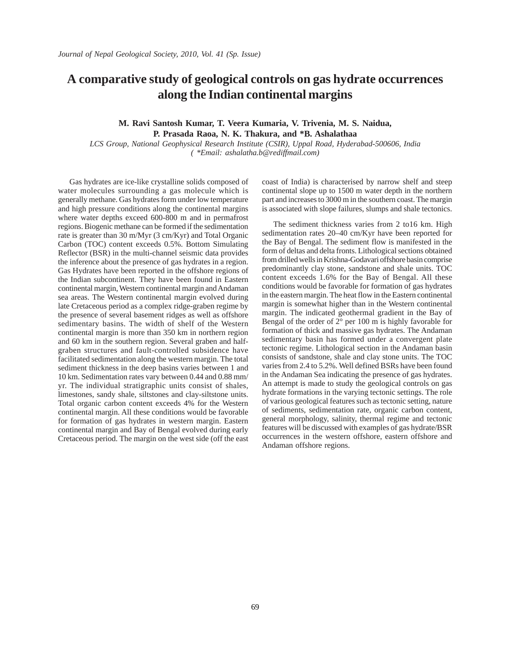### **A comparative study of geological controls on gas hydrate occurrences along the Indian continental margins**

#### **M. Ravi Santosh Kumar, T. Veera Kumaria, V. Trivenia, M. S. Naidua,**

**P. Prasada Raoa, N. K. Thakura, and \*B. Ashalathaa**

*LCS Group, National Geophysical Research Institute (CSIR), Uppal Road, Hyderabad-500606, India ( \*Email: ashalatha.b@rediffmail.com)*

Gas hydrates are ice-like crystalline solids composed of water molecules surrounding a gas molecule which is generally methane. Gas hydrates form under low temperature and high pressure conditions along the continental margins where water depths exceed 600-800 m and in permafrost regions. Biogenic methane can be formed if the sedimentation rate is greater than 30 m/Myr (3 cm/Kyr) and Total Organic Carbon (TOC) content exceeds 0.5%. Bottom Simulating Reflector (BSR) in the multi-channel seismic data provides the inference about the presence of gas hydrates in a region. Gas Hydrates have been reported in the offshore regions of the Indian subcontinent. They have been found in Eastern continental margin, Western continental margin and Andaman sea areas. The Western continental margin evolved during late Cretaceous period as a complex ridge-graben regime by the presence of several basement ridges as well as offshore sedimentary basins. The width of shelf of the Western continental margin is more than 350 km in northern region and 60 km in the southern region. Several graben and halfgraben structures and fault-controlled subsidence have facilitated sedimentation along the western margin. The total sediment thickness in the deep basins varies between 1 and 10 km. Sedimentation rates vary between 0.44 and 0.88 mm/ yr. The individual stratigraphic units consist of shales, limestones, sandy shale, siltstones and clay-siltstone units. Total organic carbon content exceeds 4% for the Western continental margin. All these conditions would be favorable for formation of gas hydrates in western margin. Eastern continental margin and Bay of Bengal evolved during early Cretaceous period. The margin on the west side (off the east coast of India) is characterised by narrow shelf and steep continental slope up to 1500 m water depth in the northern part and increases to 3000 m in the southern coast. The margin is associated with slope failures, slumps and shale tectonics.

The sediment thickness varies from 2 to16 km. High sedimentation rates 20–40 cm/Kyr have been reported for the Bay of Bengal. The sediment flow is manifested in the form of deltas and delta fronts. Lithological sections obtained from drilled wells in Krishna-Godavari offshore basin comprise predominantly clay stone, sandstone and shale units. TOC content exceeds 1.6% for the Bay of Bengal. All these conditions would be favorable for formation of gas hydrates in the eastern margin. The heat flow in the Eastern continental margin is somewhat higher than in the Western continental margin. The indicated geothermal gradient in the Bay of Bengal of the order of 2° per 100 m is highly favorable for formation of thick and massive gas hydrates. The Andaman sedimentary basin has formed under a convergent plate tectonic regime. Lithological section in the Andaman basin consists of sandstone, shale and clay stone units. The TOC varies from 2.4 to 5.2%. Well defined BSRs have been found in the Andaman Sea indicating the presence of gas hydrates. An attempt is made to study the geological controls on gas hydrate formations in the varying tectonic settings. The role of various geological features such as tectonic setting, nature of sediments, sedimentation rate, organic carbon content, general morphology, salinity, thermal regime and tectonic features will be discussed with examples of gas hydrate/BSR occurrences in the western offshore, eastern offshore and Andaman offshore regions.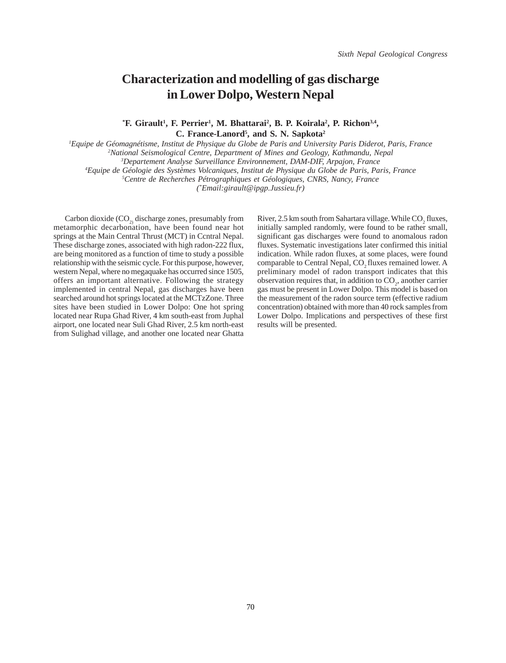### **Characterization and modelling of gas discharge in Lower Dolpo, Western Nepal**

<sup>\*</sup>**F.** Girault<sup>1</sup>, **F.** Perrier<sup>1</sup>, M. Bhattarai<sup>2</sup>, B. P. Koirala<sup>2</sup>, P. Richon<sup>3,4</sup>, **C. France-Lanord5 , and S. N. Sapkota2**

*1 Equipe de Géomagnétisme, Institut de Physique du Globe de Paris and University Paris Diderot, Paris, France*

*2 National Seismological Centre, Department of Mines and Geology, Kathmandu, Nepal*

*3 Departement Analyse Surveillance Environnement, DAM-DIF, Arpajon, France*

*4 Equipe de Géologie des Systèmes Volcaniques, Institut de Physique du Globe de Paris, Paris, France*

*5 Centre de Recherches Pétrographiques et Géologiques, CNRS, Nancy, France*

*(\* Email:girault@ipgp.Jussieu.fr)*

Carbon dioxide  $(CO_2)$  discharge zones, presumably from metamorphic decarbonation, have been found near hot springs at the Main Central Thrust (MCT) in Ccntral Nepal. These discharge zones, associated with high radon-222 flux, are being monitored as a function of time to study a possible relationship with the seismic cycle. For this purpose, however, western Nepal, where no megaquake has occurred since 1505, offers an important alternative. Following the strategy implemented in central Nepal, gas discharges have been searched around hot springs located at the MCTzZone. Three sites have been studied in Lower Dolpo: One hot spring located near Rupa Ghad River, 4 km south-east from Juphal airport, one located near Suli Ghad River, 2.5 km north-east from Sulighad village, and another one located near Ghatta

River, 2.5 km south from Sahartara village. While  $CO<sub>2</sub>$  fluxes, initially sampled randomly, were found to be rather small, significant gas discharges were found to anomalous radon fluxes. Systematic investigations later confirmed this initial indication. While radon fluxes, at some places, were found comparable to Central Nepal, CO<sub>2</sub> fluxes remained lower. A preliminary model of radon transport indicates that this observation requires that, in addition to  $CO<sub>2</sub>$ , another carrier gas must be present in Lower Dolpo. This model is based on the measurement of the radon source term (effective radium concentration) obtained with more than 40 rock samples from Lower Dolpo. Implications and perspectives of these first results will be presented.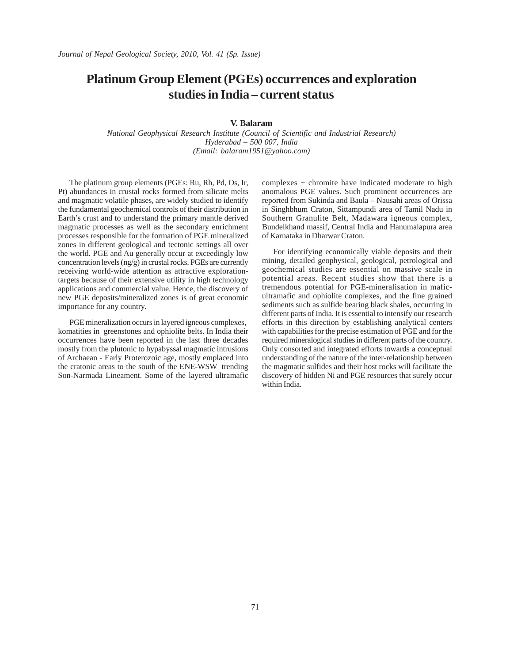## **Platinum Group Element (PGEs) occurrences and exploration studies in India – current status**

#### **V. Balaram**

*National Geophysical Research Institute (Council of Scientific and Industrial Research) Hyderabad – 500 007, India (Email: balaram1951@yahoo.com)*

The platinum group elements (PGEs: Ru, Rh, Pd, Os, Ir, Pt) abundances in crustal rocks formed from silicate melts and magmatic volatile phases, are widely studied to identify the fundamental geochemical controls of their distribution in Earth's crust and to understand the primary mantle derived magmatic processes as well as the secondary enrichment processes responsible for the formation of PGE mineralized zones in different geological and tectonic settings all over the world. PGE and Au generally occur at exceedingly low concentration levels (ng/g) in crustal rocks. PGEs are currently receiving world-wide attention as attractive explorationtargets because of their extensive utility in high technology applications and commercial value. Hence, the discovery of new PGE deposits/mineralized zones is of great economic importance for any country.

PGE mineralization occurs in layered igneous complexes, komatities in greenstones and ophiolite belts. In India their occurrences have been reported in the last three decades mostly from the plutonic to hypabyssal magmatic intrusions of Archaean - Early Proterozoic age, mostly emplaced into the cratonic areas to the south of the ENE-WSW trending Son-Narmada Lineament. Some of the layered ultramafic

complexes + chromite have indicated moderate to high anomalous PGE values. Such prominent occurrences are reported from Sukinda and Baula – Nausahi areas of Orissa in Singhbhum Craton, Sittampundi area of Tamil Nadu in Southern Granulite Belt, Madawara igneous complex, Bundelkhand massif, Central India and Hanumalapura area of Karnataka in Dharwar Craton.

For identifying economically viable deposits and their mining, detailed geophysical, geological, petrological and geochemical studies are essential on massive scale in potential areas. Recent studies show that there is a tremendous potential for PGE-mineralisation in maficultramafic and ophiolite complexes, and the fine grained sediments such as sulfide bearing black shales, occurring in different parts of India. It is essential to intensify our research efforts in this direction by establishing analytical centers with capabilities for the precise estimation of PGE and for the required mineralogical studies in different parts of the country. Only consorted and integrated efforts towards a conceptual understanding of the nature of the inter-relationship between the magmatic sulfides and their host rocks will facilitate the discovery of hidden Ni and PGE resources that surely occur within India.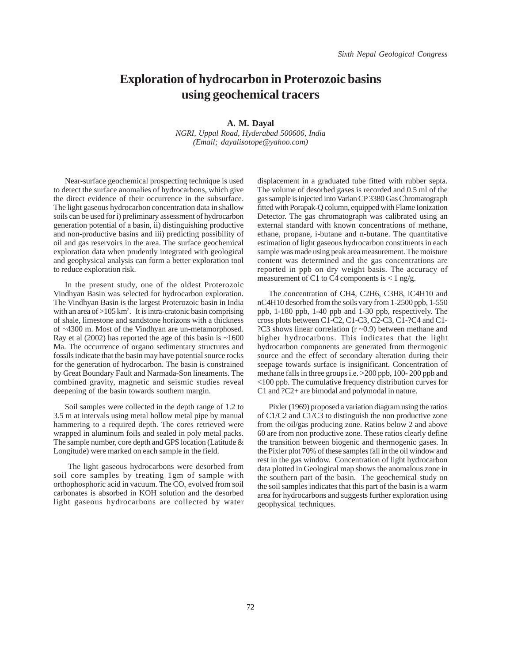### **Exploration of hydrocarbon in Proterozoic basins using geochemical tracers**

**A. M. Dayal** *NGRI, Uppal Road, Hyderabad 500606, India (Email; dayalisotope@yahoo.com)*

Near-surface geochemical prospecting technique is used to detect the surface anomalies of hydrocarbons, which give the direct evidence of their occurrence in the subsurface. The light gaseous hydrocarbon concentration data in shallow soils can be used for i) preliminary assessment of hydrocarbon generation potential of a basin, ii) distinguishing productive and non-productive basins and iii) predicting possibility of oil and gas reservoirs in the area. The surface geochemical exploration data when prudently integrated with geological and geophysical analysis can form a better exploration tool to reduce exploration risk.

In the present study, one of the oldest Proterozoic Vindhyan Basin was selected for hydrocarbon exploration. The Vindhyan Basin is the largest Proterozoic basin in India with an area of  $>105$  km<sup>2</sup>. It is intra-cratonic basin comprising of shale, limestone and sandstone horizons with a thickness of ~4300 m. Most of the Vindhyan are un-metamorphosed. Ray et al  $(2002)$  has reported the age of this basin is  $\sim 1600$ Ma. The occurrence of organo sedimentary structures and fossils indicate that the basin may have potential source rocks for the generation of hydrocarbon. The basin is constrained by Great Boundary Fault and Narmada-Son lineaments. The combined gravity, magnetic and seismic studies reveal deepening of the basin towards southern margin.

Soil samples were collected in the depth range of 1.2 to 3.5 m at intervals using metal hollow metal pipe by manual hammering to a required depth. The cores retrieved were wrapped in aluminum foils and sealed in poly metal packs. The sample number, core depth and GPS location (Latitude & Longitude) were marked on each sample in the field.

 The light gaseous hydrocarbons were desorbed from soil core samples by treating 1gm of sample with orthophosphoric acid in vacuum. The  $\mathrm{CO}_2$  evolved from soil carbonates is absorbed in KOH solution and the desorbed light gaseous hydrocarbons are collected by water

displacement in a graduated tube fitted with rubber septa. The volume of desorbed gases is recorded and 0.5 ml of the gas sample is injected into Varian CP 3380 Gas Chromatograph fitted with Porapak-Q column, equipped with Flame Ionization Detector. The gas chromatograph was calibrated using an external standard with known concentrations of methane, ethane, propane, i-butane and n-butane. The quantitative estimation of light gaseous hydrocarbon constituents in each sample was made using peak area measurement. The moisture content was determined and the gas concentrations are reported in ppb on dry weight basis. The accuracy of measurement of C1 to C4 components is  $< 1$  ng/g.

The concentration of CH4, C2H6, C3H8, iC4H10 and nC4H10 desorbed from the soils vary from 1-2500 ppb, 1-550 ppb, 1-180 ppb, 1-40 ppb and 1-30 ppb, respectively. The cross plots between C1-C2, C1-C3, C2-C3, C1-?C4 and C1- ?C3 shows linear correlation (r ~0.9) between methane and higher hydrocarbons. This indicates that the light hydrocarbon components are generated from thermogenic source and the effect of secondary alteration during their seepage towards surface is insignificant. Concentration of methane falls in three groups i.e. >200 ppb, 100- 200 ppb and <100 ppb. The cumulative frequency distribution curves for C1 and ?C2+ are bimodal and polymodal in nature.

Pixler (1969) proposed a variation diagram using the ratios of C1/C2 and C1/C3 to distinguish the non productive zone from the oil/gas producing zone. Ratios below 2 and above 60 are from non productive zone. These ratios clearly define the transition between biogenic and thermogenic gases. In the Pixler plot 70% of these samples fall in the oil window and rest in the gas window. Concentration of light hydrocarbon data plotted in Geological map shows the anomalous zone in the southern part of the basin. The geochemical study on the soil samples indicates that this part of the basin is a warm area for hydrocarbons and suggests further exploration using geophysical techniques.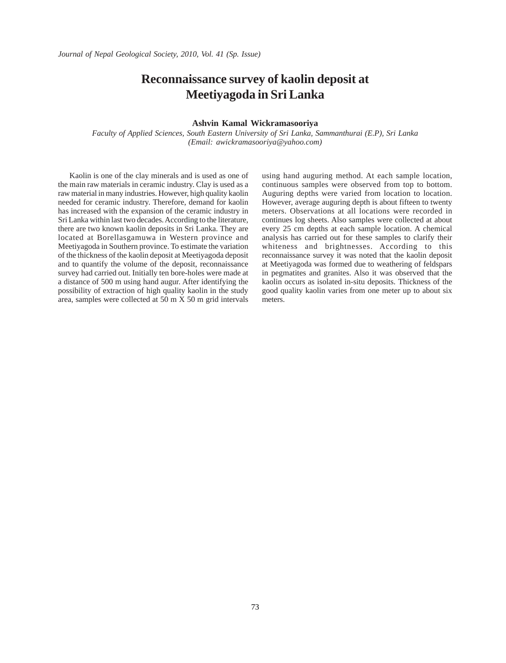## **Reconnaissance survey of kaolin deposit at Meetiyagoda in Sri Lanka**

#### **Ashvin Kamal Wickramasooriya**

*Faculty of Applied Sciences, South Eastern University of Sri Lanka, Sammanthurai (E.P), Sri Lanka (Email: awickramasooriya@yahoo.com)*

Kaolin is one of the clay minerals and is used as one of the main raw materials in ceramic industry. Clay is used as a raw material in many industries. However, high quality kaolin needed for ceramic industry. Therefore, demand for kaolin has increased with the expansion of the ceramic industry in Sri Lanka within last two decades. According to the literature, there are two known kaolin deposits in Sri Lanka. They are located at Borellasgamuwa in Western province and Meetiyagoda in Southern province. To estimate the variation of the thickness of the kaolin deposit at Meetiyagoda deposit and to quantify the volume of the deposit, reconnaissance survey had carried out. Initially ten bore-holes were made at a distance of 500 m using hand augur. After identifying the possibility of extraction of high quality kaolin in the study area, samples were collected at 50 m X 50 m grid intervals using hand auguring method. At each sample location, continuous samples were observed from top to bottom. Auguring depths were varied from location to location. However, average auguring depth is about fifteen to twenty meters. Observations at all locations were recorded in continues log sheets. Also samples were collected at about every 25 cm depths at each sample location. A chemical analysis has carried out for these samples to clarify their whiteness and brightnesses. According to this reconnaissance survey it was noted that the kaolin deposit at Meetiyagoda was formed due to weathering of feldspars in pegmatites and granites. Also it was observed that the kaolin occurs as isolated in-situ deposits. Thickness of the good quality kaolin varies from one meter up to about six meters.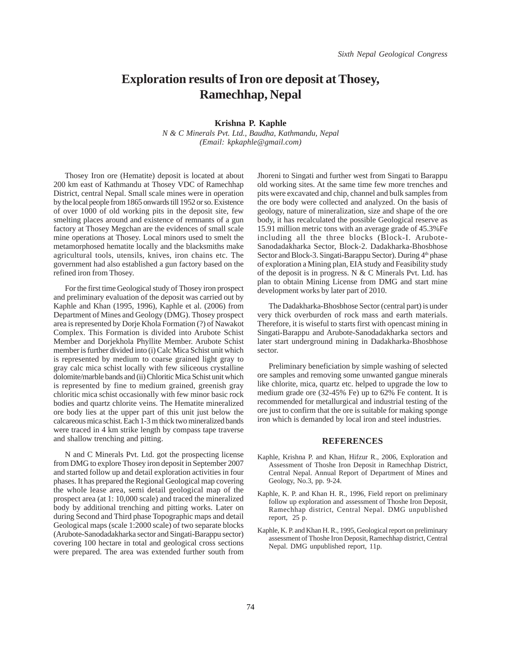### **Exploration results of Iron ore deposit at Thosey, Ramechhap, Nepal**

**Krishna P. Kaphle** *N & C Minerals Pvt. Ltd., Baudha, Kathmandu, Nepal (Email: kpkaphle@gmail.com)*

Thosey Iron ore (Hematite) deposit is located at about 200 km east of Kathmandu at Thosey VDC of Ramechhap District, central Nepal. Small scale mines were in operation by the local people from 1865 onwards till 1952 or so. Existence of over 1000 of old working pits in the deposit site, few smelting places around and existence of remnants of a gun factory at Thosey Megchan are the evidences of small scale mine operations at Thosey. Local minors used to smelt the metamorphosed hematite locally and the blacksmiths make agricultural tools, utensils, knives, iron chains etc. The government had also established a gun factory based on the refined iron from Thosey.

For the first time Geological study of Thosey iron prospect and preliminary evaluation of the deposit was carried out by Kaphle and Khan (1995, 1996), Kaphle et al. (2006) from Department of Mines and Geology (DMG). Thosey prospect area is represented by Dorje Khola Formation (?) of Nawakot Complex. This Formation is divided into Arubote Schist Member and Dorjekhola Phyllite Member. Arubote Schist member is further divided into (i) Calc Mica Schist unit which is represented by medium to coarse grained light gray to gray calc mica schist locally with few siliceous crystalline dolomite/marble bands and (ii) Chloritic Mica Schist unit which is represented by fine to medium grained, greenish gray chloritic mica schist occasionally with few minor basic rock bodies and quartz chlorite veins. The Hematite mineralized ore body lies at the upper part of this unit just below the calcareous mica schist. Each 1-3 m thick two mineralized bands were traced in 4 km strike length by compass tape traverse and shallow trenching and pitting.

N and C Minerals Pvt. Ltd. got the prospecting license from DMG to explore Thosey iron deposit in September 2007 and started follow up and detail exploration activities in four phases. It has prepared the Regional Geological map covering the whole lease area, semi detail geological map of the prospect area (at 1: 10,000 scale) and traced the mineralized body by additional trenching and pitting works. Later on during Second and Third phase Topographic maps and detail Geological maps (scale 1:2000 scale) of two separate blocks (Arubote-Sanodadakharka sector and Singati-Barappu sector) covering 100 hectare in total and geological cross sections were prepared. The area was extended further south from

Jhoreni to Singati and further west from Singati to Barappu old working sites. At the same time few more trenches and pits were excavated and chip, channel and bulk samples from the ore body were collected and analyzed. On the basis of geology, nature of mineralization, size and shape of the ore body, it has recalculated the possible Geological reserve as 15.91 million metric tons with an average grade of 45.3%Fe including all the three blocks (Block-I. Arubote-Sanodadakharka Sector, Block-2. Dadakharka-Bhosbhose Sector and Block-3. Singati-Barappu Sector). During 4<sup>th</sup> phase of exploration a Mining plan, EIA study and Feasibility study of the deposit is in progress. N & C Minerals Pvt. Ltd. has plan to obtain Mining License from DMG and start mine development works by later part of 2010.

The Dadakharka-Bhosbhose Sector (central part) is under very thick overburden of rock mass and earth materials. Therefore, it is wiseful to starts first with opencast mining in Singati-Barappu and Arubote-Sanodadakharka sectors and later start underground mining in Dadakharka-Bhosbhose sector.

Preliminary beneficiation by simple washing of selected ore samples and removing some unwanted gangue minerals like chlorite, mica, quartz etc. helped to upgrade the low to medium grade ore (32-45% Fe) up to 62% Fe content. It is recommended for metallurgical and industrial testing of the ore just to confirm that the ore is suitable for making sponge iron which is demanded by local iron and steel industries.

#### **REFERENCES**

- Kaphle, Krishna P. and Khan, Hifzur R., 2006, Exploration and Assessment of Thoshe Iron Deposit in Ramechhap District, Central Nepal. Annual Report of Department of Mines and Geology, No.3, pp. 9-24.
- Kaphle, K. P. and Khan H. R., 1996, Field report on preliminary follow up exploration and assessment of Thoshe Iron Deposit, Ramechhap district, Central Nepal. DMG unpublished report, 25 p.
- Kaphle, K. P. and Khan H. R., 1995, Geological report on preliminary assessment of Thoshe Iron Deposit, Ramechhap district, Central Nepal. DMG unpublished report, 11p.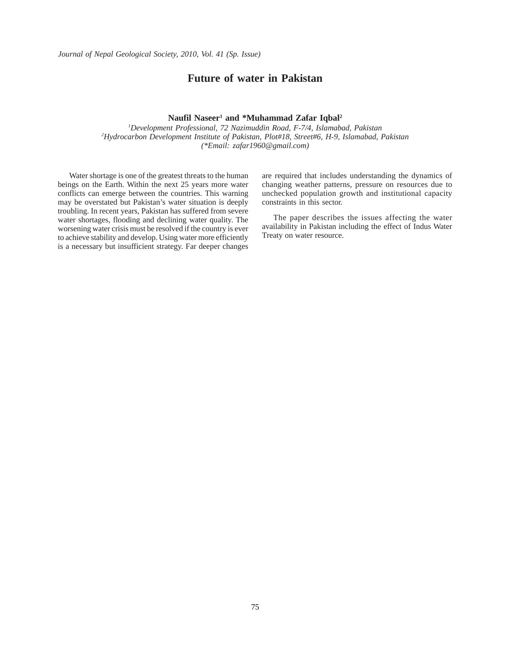#### **Future of water in Pakistan**

#### **Naufil Naseer1 and \*Muhammad Zafar Iqbal2**

*1 Development Professional, 72 Nazimuddin Road, F-7/4, Islamabad, Pakistan 2 Hydrocarbon Development Institute of Pakistan, Plot#18, Street#6, H-9, Islamabad, Pakistan (\*Email: zafar1960@gmail.com)*

Water shortage is one of the greatest threats to the human beings on the Earth. Within the next 25 years more water conflicts can emerge between the countries. This warning may be overstated but Pakistan's water situation is deeply troubling. In recent years, Pakistan has suffered from severe water shortages, flooding and declining water quality. The worsening water crisis must be resolved if the country is ever to achieve stability and develop. Using water more efficiently is a necessary but insufficient strategy. Far deeper changes are required that includes understanding the dynamics of changing weather patterns, pressure on resources due to unchecked population growth and institutional capacity constraints in this sector.

The paper describes the issues affecting the water availability in Pakistan including the effect of Indus Water Treaty on water resource.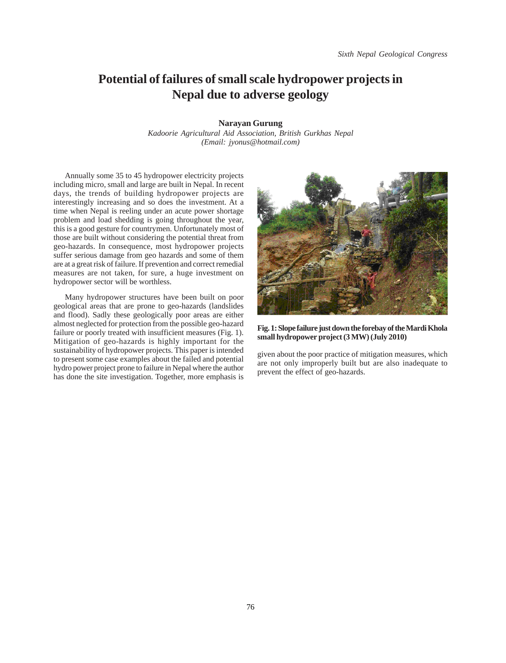## **Potential of failures of small scale hydropower projects in Nepal due to adverse geology**

**Narayan Gurung**

*Kadoorie Agricultural Aid Association, British Gurkhas Nepal (Email: jyonus@hotmail.com)*

Annually some 35 to 45 hydropower electricity projects including micro, small and large are built in Nepal. In recent days, the trends of building hydropower projects are interestingly increasing and so does the investment. At a time when Nepal is reeling under an acute power shortage problem and load shedding is going throughout the year, this is a good gesture for countrymen. Unfortunately most of those are built without considering the potential threat from geo-hazards. In consequence, most hydropower projects suffer serious damage from geo hazards and some of them are at a great risk of failure. If prevention and correct remedial measures are not taken, for sure, a huge investment on hydropower sector will be worthless.

Many hydropower structures have been built on poor geological areas that are prone to geo-hazards (landslides and flood). Sadly these geologically poor areas are either almost neglected for protection from the possible geo-hazard failure or poorly treated with insufficient measures (Fig. 1). Mitigation of geo-hazards is highly important for the sustainability of hydropower projects. This paper is intended to present some case examples about the failed and potential hydro power project prone to failure in Nepal where the author has done the site investigation. Together, more emphasis is



**Fig. 1: Slope failure just down the forebay of the Mardi Khola small hydropower project (3 MW) (July 2010)**

given about the poor practice of mitigation measures, which are not only improperly built but are also inadequate to prevent the effect of geo-hazards.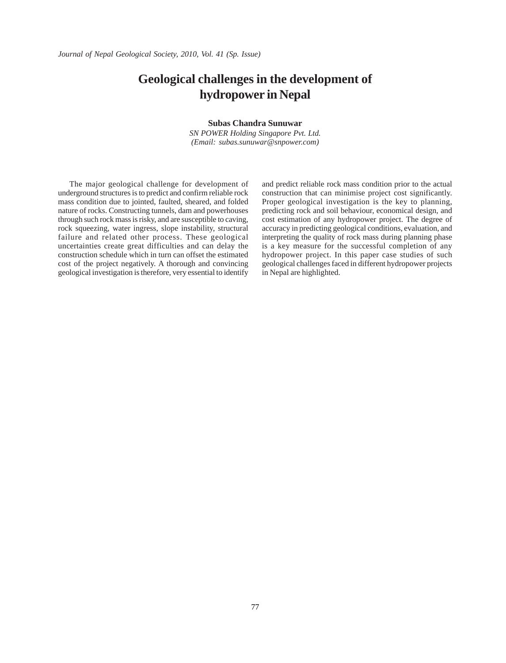## **Geological challenges in the development of hydropower in Nepal**

#### **Subas Chandra Sunuwar**

*SN POWER Holding Singapore Pvt. Ltd. (Email: subas.sunuwar@snpower.com)*

The major geological challenge for development of underground structures is to predict and confirm reliable rock mass condition due to jointed, faulted, sheared, and folded nature of rocks. Constructing tunnels, dam and powerhouses through such rock mass is risky, and are susceptible to caving, rock squeezing, water ingress, slope instability, structural failure and related other process. These geological uncertainties create great difficulties and can delay the construction schedule which in turn can offset the estimated cost of the project negatively. A thorough and convincing geological investigation is therefore, very essential to identify

and predict reliable rock mass condition prior to the actual construction that can minimise project cost significantly. Proper geological investigation is the key to planning, predicting rock and soil behaviour, economical design, and cost estimation of any hydropower project. The degree of accuracy in predicting geological conditions, evaluation, and interpreting the quality of rock mass during planning phase is a key measure for the successful completion of any hydropower project. In this paper case studies of such geological challenges faced in different hydropower projects in Nepal are highlighted.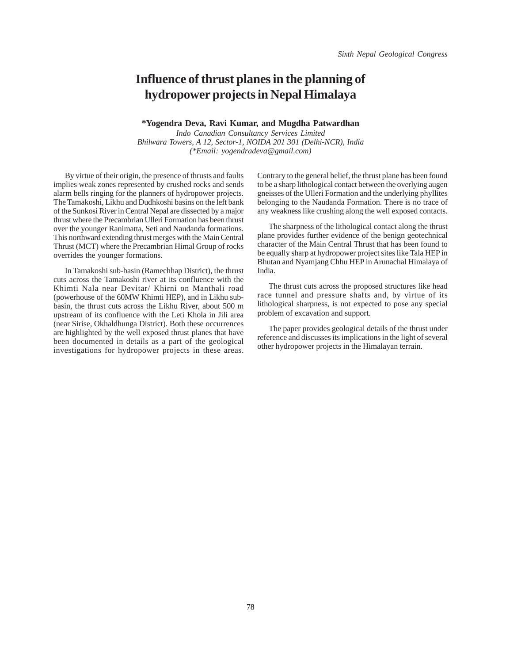## **Influence of thrust planes in the planning of hydropower projects in Nepal Himalaya**

#### **\*Yogendra Deva, Ravi Kumar, and Mugdha Patwardhan**

*Indo Canadian Consultancy Services Limited Bhilwara Towers, A 12, Sector-1, NOIDA 201 301 (Delhi-NCR), India (\*Email: yogendradeva@gmail.com)*

By virtue of their origin, the presence of thrusts and faults implies weak zones represented by crushed rocks and sends alarm bells ringing for the planners of hydropower projects. The Tamakoshi, Likhu and Dudhkoshi basins on the left bank of the Sunkosi River in Central Nepal are dissected by a major thrust where the Precambrian Ulleri Formation has been thrust over the younger Ranimatta, Seti and Naudanda formations. This northward extending thrust merges with the Main Central Thrust (MCT) where the Precambrian Himal Group of rocks overrides the younger formations.

In Tamakoshi sub-basin (Ramechhap District), the thrust cuts across the Tamakoshi river at its confluence with the Khimti Nala near Devitar/ Khirni on Manthali road (powerhouse of the 60MW Khimti HEP), and in Likhu subbasin, the thrust cuts across the Likhu River, about 500 m upstream of its confluence with the Leti Khola in Jili area (near Sirise, Okhaldhunga District). Both these occurrences are highlighted by the well exposed thrust planes that have been documented in details as a part of the geological investigations for hydropower projects in these areas. Contrary to the general belief, the thrust plane has been found to be a sharp lithological contact between the overlying augen gneisses of the Ulleri Formation and the underlying phyllites belonging to the Naudanda Formation. There is no trace of any weakness like crushing along the well exposed contacts.

The sharpness of the lithological contact along the thrust plane provides further evidence of the benign geotechnical character of the Main Central Thrust that has been found to be equally sharp at hydropower project sites like Tala HEP in Bhutan and Nyamjang Chhu HEP in Arunachal Himalaya of India.

The thrust cuts across the proposed structures like head race tunnel and pressure shafts and, by virtue of its lithological sharpness, is not expected to pose any special problem of excavation and support.

The paper provides geological details of the thrust under reference and discusses its implications in the light of several other hydropower projects in the Himalayan terrain.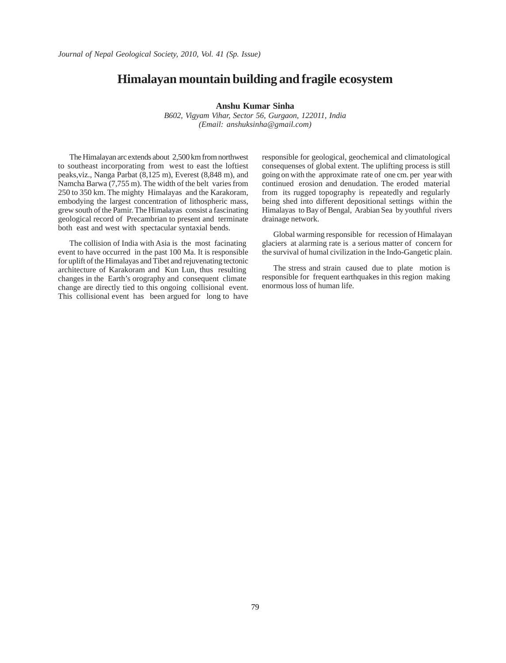#### **Himalayan mountain building and fragile ecosystem**

#### **Anshu Kumar Sinha**

*B602, Vigyam Vihar, Sector 56, Gurgaon, 122011, India (Email: anshuksinha@gmail.com)*

The Himalayan arc extends about 2,500 km from northwest to southeast incorporating from west to east the loftiest peaks,viz., Nanga Parbat (8,125 m), Everest (8,848 m), and Namcha Barwa (7,755 m). The width of the belt varies from 250 to 350 km. The mighty Himalayas and the Karakoram, embodying the largest concentration of lithospheric mass, grew south of the Pamir. The Himalayas consist a fascinating geological record of Precambrian to present and terminate both east and west with spectacular syntaxial bends.

The collision of India with Asia is the most facinating event to have occurred in the past 100 Ma. It is responsible for uplift of the Himalayas and Tibet and rejuvenating tectonic architecture of Karakoram and Kun Lun, thus resulting changes in the Earth's orography and consequent climate change are directly tied to this ongoing collisional event. This collisional event has been argued for long to have responsible for geological, geochemical and climatological consequenses of global extent. The uplifting process is still going on with the approximate rate of one cm. per year with continued erosion and denudation. The eroded material from its rugged topography is repeatedly and regularly being shed into different depositional settings within the Himalayas to Bay of Bengal, Arabian Sea by youthful rivers drainage network.

Global warming responsible for recession of Himalayan glaciers at alarming rate is a serious matter of concern for the survival of humal civilization in the Indo-Gangetic plain.

The stress and strain caused due to plate motion is responsible for frequent earthquakes in this region making enormous loss of human life.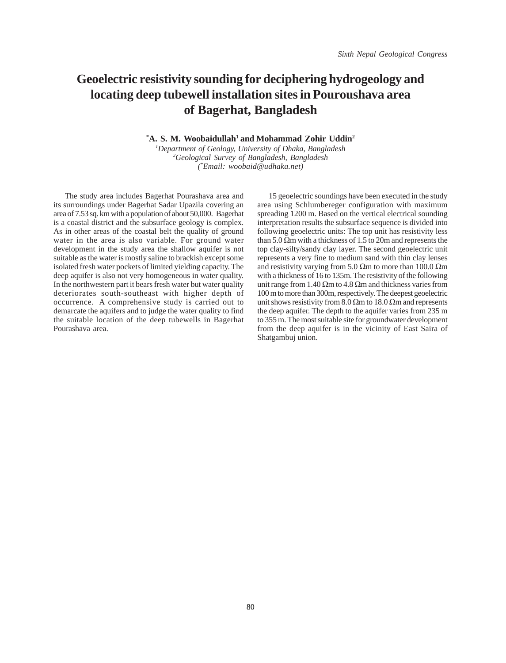# **Geoelectric resistivity sounding for deciphering hydrogeology and locating deep tubewell installation sites in Pouroushava area of Bagerhat, Bangladesh**

**\* A. S. M. Woobaidullah1 and Mohammad Zohir Uddin2**

*1 Department of Geology, University of Dhaka, Bangladesh 2 Geological Survey of Bangladesh, Bangladesh (\* Email: woobaid@udhaka.net)*

The study area includes Bagerhat Pourashava area and its surroundings under Bagerhat Sadar Upazila covering an area of 7.53 sq. km with a population of about 50,000. Bagerhat is a coastal district and the subsurface geology is complex. As in other areas of the coastal belt the quality of ground water in the area is also variable. For ground water development in the study area the shallow aquifer is not suitable as the water is mostly saline to brackish except some isolated fresh water pockets of limited yielding capacity. The deep aquifer is also not very homogeneous in water quality. In the northwestern part it bears fresh water but water quality deteriorates south-southeast with higher depth of occurrence. A comprehensive study is carried out to demarcate the aquifers and to judge the water quality to find the suitable location of the deep tubewells in Bagerhat Pourashava area.

15 geoelectric soundings have been executed in the study area using Schlumbereger configuration with maximum spreading 1200 m. Based on the vertical electrical sounding interpretation results the subsurface sequence is divided into following geoelectric units: The top unit has resistivity less than 5.0  $\Omega$ m with a thickness of 1.5 to 20m and represents the top clay-silty/sandy clay layer. The second geoelectric unit represents a very fine to medium sand with thin clay lenses and resistivity varying from 5.0  $\Omega$ m to more than 100.0  $\Omega$ m with a thickness of 16 to 135m. The resistivity of the following unit range from 1.40  $\Omega$ m to 4.8  $\Omega$ m and thickness varies from 100 m to more than 300m, respectively. The deepest geoelectric unit shows resistivity from 8.0  $\Omega$ m to 18.0  $\Omega$ m and represents the deep aquifer. The depth to the aquifer varies from 235 m to 355 m. The most suitable site for groundwater development from the deep aquifer is in the vicinity of East Saira of Shatgambuj union.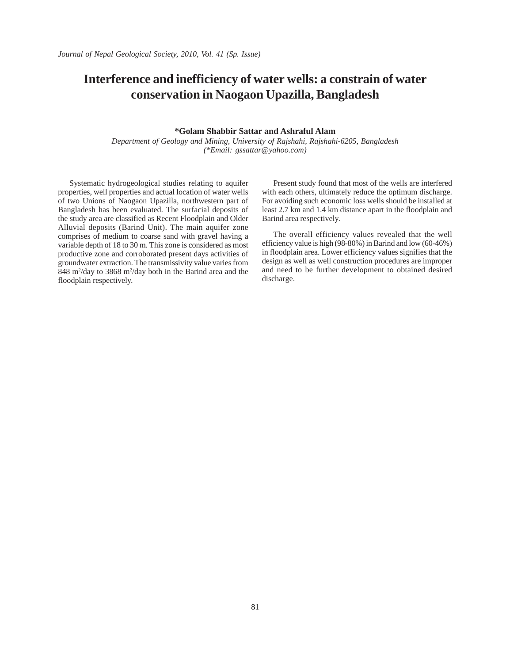# **Interference and inefficiency of water wells: a constrain of water conservation in Naogaon Upazilla, Bangladesh**

#### **\*Golam Shabbir Sattar and Ashraful Alam**

*Department of Geology and Mining, University of Rajshahi, Rajshahi-6205, Bangladesh (\*Email: gssattar@yahoo.com)*

Systematic hydrogeological studies relating to aquifer properties, well properties and actual location of water wells of two Unions of Naogaon Upazilla, northwestern part of Bangladesh has been evaluated. The surfacial deposits of the study area are classified as Recent Floodplain and Older Alluvial deposits (Barind Unit). The main aquifer zone comprises of medium to coarse sand with gravel having a variable depth of 18 to 30 m. This zone is considered as most productive zone and corroborated present days activities of groundwater extraction. The transmissivity value varies from  $848 \text{ m}^2/\text{day}$  to 3868 m<sup>2</sup>/day both in the Barind area and the floodplain respectively.

Present study found that most of the wells are interfered with each others, ultimately reduce the optimum discharge. For avoiding such economic loss wells should be installed at least 2.7 km and 1.4 km distance apart in the floodplain and Barind area respectively.

The overall efficiency values revealed that the well efficiency value is high (98-80%) in Barind and low (60-46%) in floodplain area. Lower efficiency values signifies that the design as well as well construction procedures are improper and need to be further development to obtained desired discharge.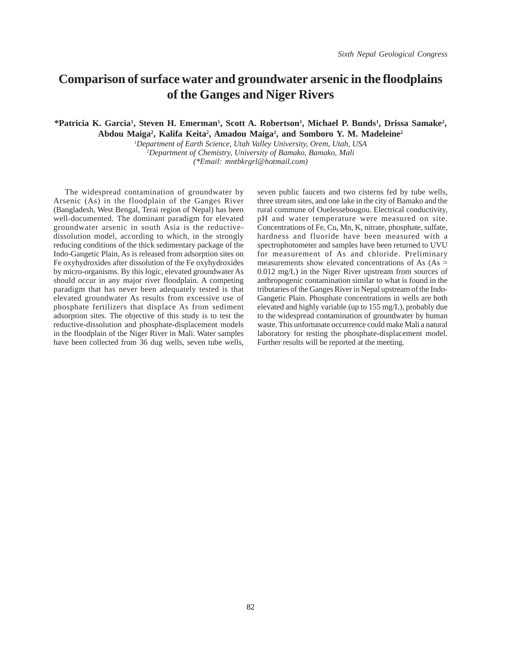## **Comparison of surface water and groundwater arsenic in the floodplains of the Ganges and Niger Rivers**

#### \*Patricia K. Garcia<sup>1</sup>, Steven H. Emerman<sup>1</sup>, Scott A. Robertson<sup>1</sup>, Michael P. Bunds<sup>1</sup>, Drissa Samake<sup>2</sup>, Abdou Maiga<sup>2</sup>, Kalifa Keita<sup>2</sup>, Amadou Maiga<sup>2</sup>, and Somboro Y. M. Madeleine<sup>2</sup>

*1 Department of Earth Science, Utah Valley University, Orem, Utah, USA 2 Department of Chemistry, University of Bamako, Bamako, Mali (\*Email: mntbkrgrl@hotmail.com)*

The widespread contamination of groundwater by Arsenic (As) in the floodplain of the Ganges River (Bangladesh, West Bengal, Terai region of Nepal) has been well-documented. The dominant paradigm for elevated groundwater arsenic in south Asia is the reductivedissolution model, according to which, in the strongly reducing conditions of the thick sedimentary package of the Indo-Gangetic Plain, As is released from adsorption sites on Fe oxyhydroxides after dissolution of the Fe oxyhydroxides by micro-organisms. By this logic, elevated groundwater As should occur in any major river floodplain. A competing paradigm that has never been adequately tested is that elevated groundwater As results from excessive use of phosphate fertilizers that displace As from sediment adsorption sites. The objective of this study is to test the reductive-dissolution and phosphate-displacement models in the floodplain of the Niger River in Mali. Water samples have been collected from 36 dug wells, seven tube wells,

seven public faucets and two cisterns fed by tube wells, three stream sites, and one lake in the city of Bamako and the rural commune of Ouelessebougou. Electrical conductivity, pH and water temperature were measured on site. Concentrations of Fe, Cu, Mn, K, nitrate, phosphate, sulfate, hardness and fluoride have been measured with a spectrophotometer and samples have been returned to UVU for measurement of As and chloride. Preliminary measurements show elevated concentrations of As  $(As =$ 0.012 mg/L) in the Niger River upstream from sources of anthropogenic contamination similar to what is found in the tributaries of the Ganges River in Nepal upstream of the Indo-Gangetic Plain. Phosphate concentrations in wells are both elevated and highly variable (up to 155 mg/L), probably due to the widespread contamination of groundwater by human waste. This unfortunate occurrence could make Mali a natural laboratory for testing the phosphate-displacement model. Further results will be reported at the meeting.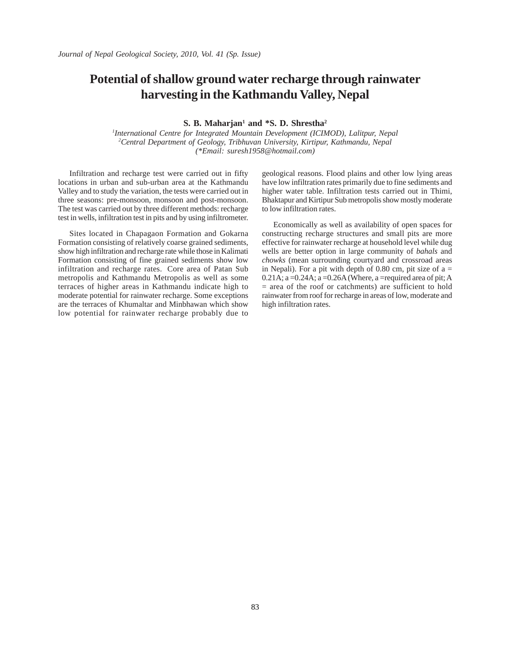# **Potential of shallow ground water recharge through rainwater harvesting in the Kathmandu Valley, Nepal**

**S. B. Maharjan<sup>1</sup> and \*S. D. Shrestha<sup>2</sup>** 

*1 International Centre for Integrated Mountain Development (ICIMOD), Lalitpur, Nepal 2 Central Department of Geology, Tribhuvan University, Kirtipur, Kathmandu, Nepal (\*Email: suresh1958@hotmail.com)*

Infiltration and recharge test were carried out in fifty locations in urban and sub-urban area at the Kathmandu Valley and to study the variation, the tests were carried out in three seasons: pre-monsoon, monsoon and post-monsoon. The test was carried out by three different methods: recharge test in wells, infiltration test in pits and by using infiltrometer.

Sites located in Chapagaon Formation and Gokarna Formation consisting of relatively coarse grained sediments, show high infiltration and recharge rate while those in Kalimati Formation consisting of fine grained sediments show low infiltration and recharge rates. Core area of Patan Sub metropolis and Kathmandu Metropolis as well as some terraces of higher areas in Kathmandu indicate high to moderate potential for rainwater recharge. Some exceptions are the terraces of Khumaltar and Minbhawan which show low potential for rainwater recharge probably due to geological reasons. Flood plains and other low lying areas have low infiltration rates primarily due to fine sediments and higher water table. Infiltration tests carried out in Thimi, Bhaktapur and Kirtipur Sub metropolis show mostly moderate to low infiltration rates.

Economically as well as availability of open spaces for constructing recharge structures and small pits are more effective for rainwater recharge at household level while dug wells are better option in large community of *bahals* and *chowks* (mean surrounding courtyard and crossroad areas in Nepali). For a pit with depth of 0.80 cm, pit size of  $a =$ 0.21A;  $a = 0.24$ A;  $a = 0.26$ A (Where,  $a =$ required area of pit; A = area of the roof or catchments) are sufficient to hold rainwater from roof for recharge in areas of low, moderate and high infiltration rates.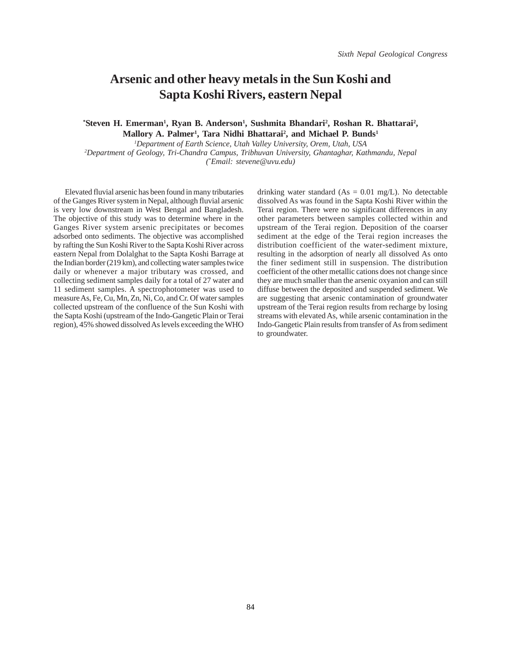### **Arsenic and other heavy metals in the Sun Koshi and Sapta Koshi Rivers, eastern Nepal**

\*Steven H. Emerman<sup>1</sup>, Ryan B. Anderson<sup>1</sup>, Sushmita Bhandari<sup>2</sup>, Roshan R. Bhattarai<sup>2</sup>, Mallory A. Palmer<sup>1</sup>, Tara Nidhi Bhattarai<sup>2</sup>, and Michael P. Bunds<sup>1</sup>

*1 Department of Earth Science, Utah Valley University, Orem, Utah, USA 2 Department of Geology, Tri-Chandra Campus, Tribhuvan University, Ghantaghar, Kathmandu, Nepal (\* Email: stevene@uvu.edu)*

Elevated fluvial arsenic has been found in many tributaries of the Ganges River system in Nepal, although fluvial arsenic is very low downstream in West Bengal and Bangladesh. The objective of this study was to determine where in the Ganges River system arsenic precipitates or becomes adsorbed onto sediments. The objective was accomplished by rafting the Sun Koshi River to the Sapta Koshi River across eastern Nepal from Dolalghat to the Sapta Koshi Barrage at the Indian border (219 km), and collecting water samples twice daily or whenever a major tributary was crossed, and collecting sediment samples daily for a total of 27 water and 11 sediment samples. A spectrophotometer was used to measure As, Fe, Cu, Mn, Zn, Ni, Co, and Cr. Of water samples collected upstream of the confluence of the Sun Koshi with the Sapta Koshi (upstream of the Indo-Gangetic Plain or Terai region), 45% showed dissolved As levels exceeding the WHO

drinking water standard  $(As = 0.01$  mg/L). No detectable dissolved As was found in the Sapta Koshi River within the Terai region. There were no significant differences in any other parameters between samples collected within and upstream of the Terai region. Deposition of the coarser sediment at the edge of the Terai region increases the distribution coefficient of the water-sediment mixture, resulting in the adsorption of nearly all dissolved As onto the finer sediment still in suspension. The distribution coefficient of the other metallic cations does not change since they are much smaller than the arsenic oxyanion and can still diffuse between the deposited and suspended sediment. We are suggesting that arsenic contamination of groundwater upstream of the Terai region results from recharge by losing streams with elevated As, while arsenic contamination in the Indo-Gangetic Plain results from transfer of As from sediment to groundwater.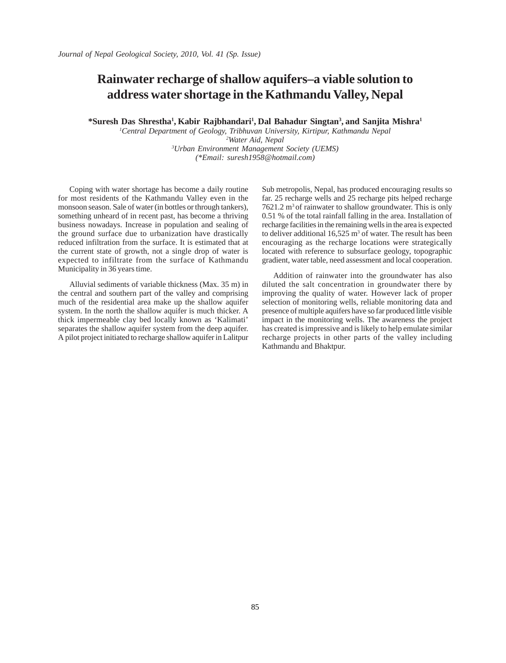# **Rainwater recharge of shallow aquifers–a viable solution to address water shortage in the Kathmandu Valley, Nepal**

**\*Suresh Das Shrestha1 , Kabir Rajbhandari1 , Dal Bahadur Singtan3 , and Sanjita Mishra1**

 *Central Department of Geology, Tribhuvan University, Kirtipur, Kathmandu Nepal Water Aid, Nepal Urban Environment Management Society (UEMS) (\*Email: suresh1958@hotmail.com)*

Coping with water shortage has become a daily routine for most residents of the Kathmandu Valley even in the monsoon season. Sale of water (in bottles or through tankers), something unheard of in recent past, has become a thriving business nowadays. Increase in population and sealing of the ground surface due to urbanization have drastically reduced infiltration from the surface. It is estimated that at the current state of growth, not a single drop of water is expected to infiltrate from the surface of Kathmandu Municipality in 36 years time.

Alluvial sediments of variable thickness (Max. 35 m) in the central and southern part of the valley and comprising much of the residential area make up the shallow aquifer system. In the north the shallow aquifer is much thicker. A thick impermeable clay bed locally known as 'Kalimati' separates the shallow aquifer system from the deep aquifer. A pilot project initiated to recharge shallow aquifer in Lalitpur Sub metropolis, Nepal, has produced encouraging results so far. 25 recharge wells and 25 recharge pits helped recharge 7621.2 m<sup>3</sup> of rainwater to shallow groundwater. This is only 0.51 % of the total rainfall falling in the area. Installation of recharge facilities in the remaining wells in the area is expected to deliver additional  $16,525 \text{ m}^3$  of water. The result has been encouraging as the recharge locations were strategically located with reference to subsurface geology, topographic gradient, water table, need assessment and local cooperation.

Addition of rainwater into the groundwater has also diluted the salt concentration in groundwater there by improving the quality of water. However lack of proper selection of monitoring wells, reliable monitoring data and presence of multiple aquifers have so far produced little visible impact in the monitoring wells. The awareness the project has created is impressive and is likely to help emulate similar recharge projects in other parts of the valley including Kathmandu and Bhaktpur.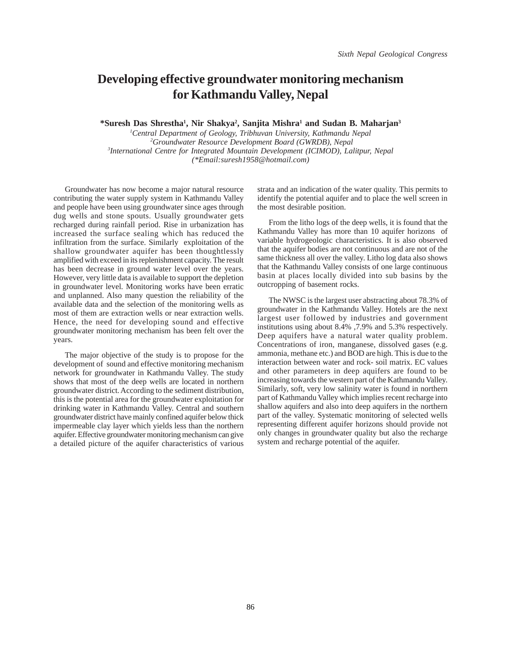## **Developing effective groundwater monitoring mechanism for Kathmandu Valley, Nepal**

**\*Suresh Das Shrestha1 , Nir Shakya2 , Sanjita Mishra1 and Sudan B. Maharjan3**

 *Central Department of Geology, Tribhuvan University, Kathmandu Nepal Groundwater Resource Development Board (GWRDB), Nepal International Centre for Integrated Mountain Development (ICIMOD), Lalitpur, Nepal (\*Email:suresh1958@hotmail.com)*

Groundwater has now become a major natural resource contributing the water supply system in Kathmandu Valley and people have been using groundwater since ages through dug wells and stone spouts. Usually groundwater gets recharged during rainfall period. Rise in urbanization has increased the surface sealing which has reduced the infiltration from the surface. Similarly exploitation of the shallow groundwater aquifer has been thoughtlessly amplified with exceed in its replenishment capacity. The result has been decrease in ground water level over the years. However, very little data is available to support the depletion in groundwater level. Monitoring works have been erratic and unplanned. Also many question the reliability of the available data and the selection of the monitoring wells as most of them are extraction wells or near extraction wells. Hence, the need for developing sound and effective groundwater monitoring mechanism has been felt over the years.

The major objective of the study is to propose for the development of sound and effective monitoring mechanism network for groundwater in Kathmandu Valley. The study shows that most of the deep wells are located in northern groundwater district. According to the sediment distribution, this is the potential area for the groundwater exploitation for drinking water in Kathmandu Valley. Central and southern groundwater district have mainly confined aquifer below thick impermeable clay layer which yields less than the northern aquifer. Effective groundwater monitoring mechanism can give a detailed picture of the aquifer characteristics of various

strata and an indication of the water quality. This permits to identify the potential aquifer and to place the well screen in the most desirable position.

From the litho logs of the deep wells, it is found that the Kathmandu Valley has more than 10 aquifer horizons of variable hydrogeologic characteristics. It is also observed that the aquifer bodies are not continuous and are not of the same thickness all over the valley. Litho log data also shows that the Kathmandu Valley consists of one large continuous basin at places locally divided into sub basins by the outcropping of basement rocks.

The NWSC is the largest user abstracting about 78.3% of groundwater in the Kathmandu Valley. Hotels are the next largest user followed by industries and government institutions using about 8.4% ,7.9% and 5.3% respectively. Deep aquifers have a natural water quality problem. Concentrations of iron, manganese, dissolved gases (e.g. ammonia, methane etc.) and BOD are high. This is due to the interaction between water and rock- soil matrix. EC values and other parameters in deep aquifers are found to be increasing towards the western part of the Kathmandu Valley. Similarly, soft, very low salinity water is found in northern part of Kathmandu Valley which implies recent recharge into shallow aquifers and also into deep aquifers in the northern part of the valley. Systematic monitoring of selected wells representing different aquifer horizons should provide not only changes in groundwater quality but also the recharge system and recharge potential of the aquifer.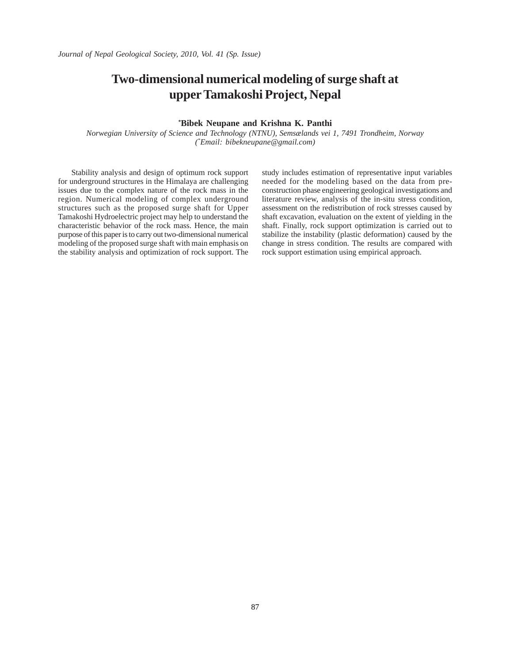# **Two-dimensional numerical modeling of surge shaft at upper Tamakoshi Project, Nepal**

#### **\* Bibek Neupane and Krishna K. Panthi**

*Norwegian University of Science and Technology (NTNU), Semsælands vei 1, 7491 Trondheim, Norway (\* Email: bibekneupane@gmail.com)*

 Stability analysis and design of optimum rock support for underground structures in the Himalaya are challenging issues due to the complex nature of the rock mass in the region. Numerical modeling of complex underground structures such as the proposed surge shaft for Upper Tamakoshi Hydroelectric project may help to understand the characteristic behavior of the rock mass. Hence, the main purpose of this paper is to carry out two-dimensional numerical modeling of the proposed surge shaft with main emphasis on the stability analysis and optimization of rock support. The study includes estimation of representative input variables needed for the modeling based on the data from preconstruction phase engineering geological investigations and literature review, analysis of the in-situ stress condition, assessment on the redistribution of rock stresses caused by shaft excavation, evaluation on the extent of yielding in the shaft. Finally, rock support optimization is carried out to stabilize the instability (plastic deformation) caused by the change in stress condition. The results are compared with rock support estimation using empirical approach.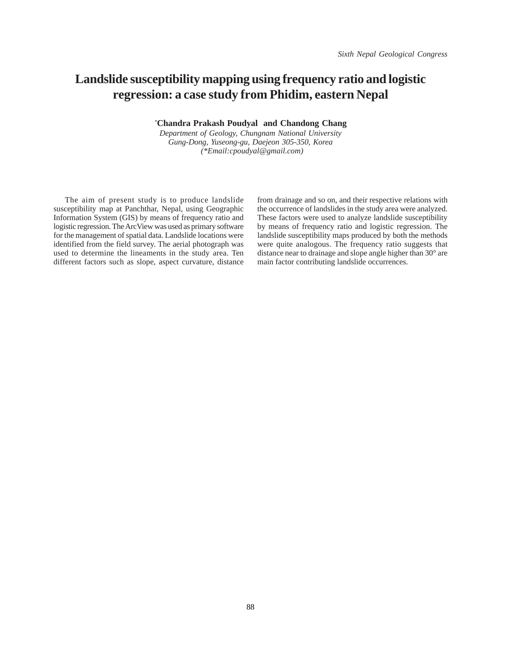# **Landslide susceptibility mapping using frequency ratio and logistic regression: a case study from Phidim, eastern Nepal**

*\** **Chandra Prakash Poudyal and Chandong Chang**

*Department of Geology, Chungnam National University Gung-Dong, Yuseong-gu, Daejeon 305-350, Korea (\*Email:cpoudyal@gmail.com)*

The aim of present study is to produce landslide susceptibility map at Panchthar, Nepal, using Geographic Information System (GIS) by means of frequency ratio and logistic regression. The ArcView was used as primary software for the management of spatial data. Landslide locations were identified from the field survey. The aerial photograph was used to determine the lineaments in the study area. Ten different factors such as slope, aspect curvature, distance

from drainage and so on, and their respective relations with the occurrence of landslides in the study area were analyzed. These factors were used to analyze landslide susceptibility by means of frequency ratio and logistic regression. The landslide susceptibility maps produced by both the methods were quite analogous. The frequency ratio suggests that distance near to drainage and slope angle higher than 30° are main factor contributing landslide occurrences.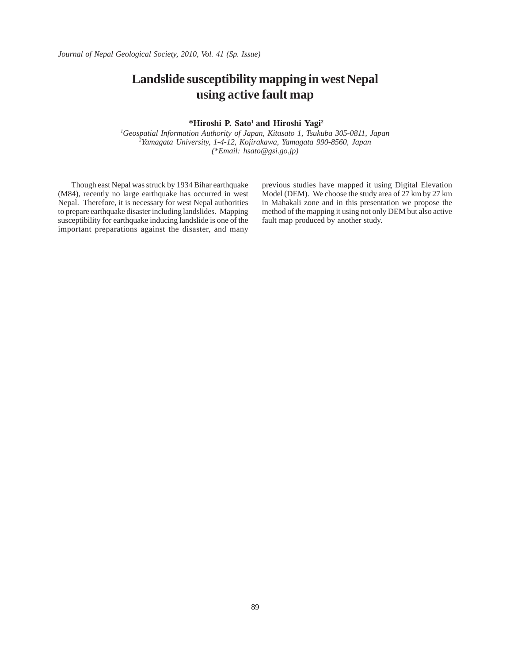*Journal of Nepal Geological Society, 2010, Vol. 41 (Sp. Issue)*

# **Landslide susceptibility mapping in west Nepal using active fault map**

 **\*Hiroshi P. Sato1 and Hiroshi Yagi2**

*1 Geospatial Information Authority of Japan, Kitasato 1, Tsukuba 305-0811, Japan 2 Yamagata University, 1-4-12, Kojirakawa, Yamagata 990-8560, Japan (\*Email: hsato@gsi.go.jp)*

 Though east Nepal was struck by 1934 Bihar earthquake (M84), recently no large earthquake has occurred in west Nepal. Therefore, it is necessary for west Nepal authorities to prepare earthquake disaster including landslides. Mapping susceptibility for earthquake inducing landslide is one of the important preparations against the disaster, and many previous studies have mapped it using Digital Elevation Model (DEM). We choose the study area of 27 km by 27 km in Mahakali zone and in this presentation we propose the method of the mapping it using not only DEM but also active fault map produced by another study.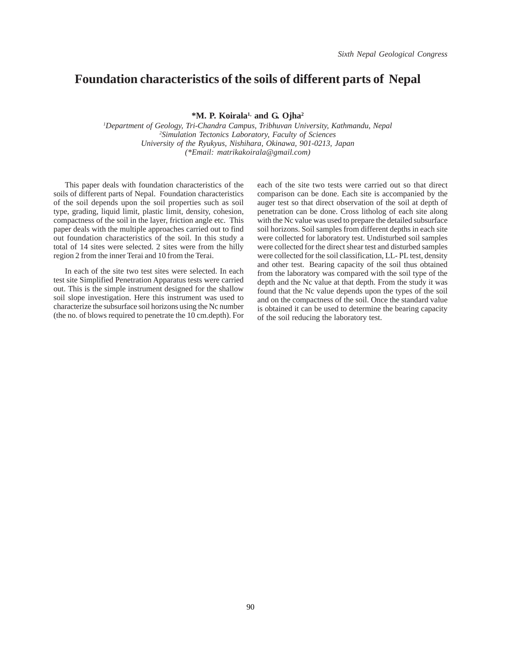#### **Foundation characteristics of the soils of different parts of Nepal**

**\*M. P. Koirala1, and G. Ojha2**

*1 Department of Geology, Tri-Chandra Campus, Tribhuvan University, Kathmandu, Nepal 2 Simulation Tectonics Laboratory, Faculty of Sciences University of the Ryukyus, Nishihara, Okinawa, 901-0213, Japan (\*Email: matrikakoirala@gmail.com)*

This paper deals with foundation characteristics of the soils of different parts of Nepal. Foundation characteristics of the soil depends upon the soil properties such as soil type, grading, liquid limit, plastic limit, density, cohesion, compactness of the soil in the layer, friction angle etc. This paper deals with the multiple approaches carried out to find out foundation characteristics of the soil. In this study a total of 14 sites were selected. 2 sites were from the hilly region 2 from the inner Terai and 10 from the Terai.

In each of the site two test sites were selected. In each test site Simplified Penetration Apparatus tests were carried out. This is the simple instrument designed for the shallow soil slope investigation. Here this instrument was used to characterize the subsurface soil horizons using the Nc number (the no. of blows required to penetrate the 10 cm.depth). For each of the site two tests were carried out so that direct comparison can be done. Each site is accompanied by the auger test so that direct observation of the soil at depth of penetration can be done. Cross litholog of each site along with the Nc value was used to prepare the detailed subsurface soil horizons. Soil samples from different depths in each site were collected for laboratory test. Undisturbed soil samples were collected for the direct shear test and disturbed samples were collected for the soil classification, LL- PL test, density and other test. Bearing capacity of the soil thus obtained from the laboratory was compared with the soil type of the depth and the Nc value at that depth. From the study it was found that the Nc value depends upon the types of the soil and on the compactness of the soil. Once the standard value is obtained it can be used to determine the bearing capacity of the soil reducing the laboratory test.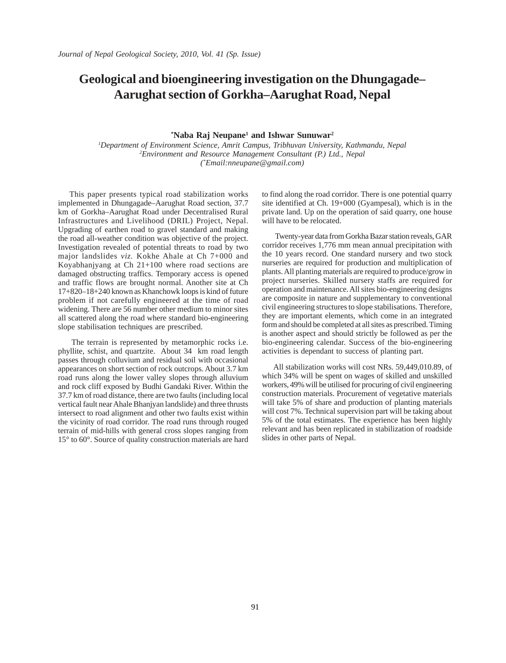# **Geological and bioengineering investigation on the Dhungagade– Aarughat section of Gorkha–Aarughat Road, Nepal**

#### $*$ **Naba Raj Neupane<sup>1</sup> and Ishwar Sunuwar<sup>2</sup>**

*1 Department of Environment Science, Amrit Campus, Tribhuvan University, Kathmandu, Nepal 2 Environment and Resource Management Consultant (P.) Ltd., Nepal (\* Email:nneupane@gmail.com)*

This paper presents typical road stabilization works implemented in Dhungagade–Aarughat Road section, 37.7 km of Gorkha–Aarughat Road under Decentralised Rural Infrastructures and Livelihood (DRIL) Project, Nepal. Upgrading of earthen road to gravel standard and making the road all-weather condition was objective of the project. Investigation revealed of potential threats to road by two major landslides *viz.* Kokhe Ahale at Ch 7+000 and Koyabhanjyang at Ch 21+100 where road sections are damaged obstructing traffics. Temporary access is opened and traffic flows are brought normal. Another site at Ch 17+820–18+240 known as Khanchowk loops is kind of future problem if not carefully engineered at the time of road widening. There are 56 number other medium to minor sites all scattered along the road where standard bio-engineering slope stabilisation techniques are prescribed.

 The terrain is represented by metamorphic rocks i.e. phyllite, schist, and quartzite. About 34 km road length passes through colluvium and residual soil with occasional appearances on short section of rock outcrops. About 3.7 km road runs along the lower valley slopes through alluvium and rock cliff exposed by Budhi Gandaki River. Within the 37.7 km of road distance, there are two faults (including local vertical fault near Ahale Bhanjyan landslide) and three thrusts intersect to road alignment and other two faults exist within the vicinity of road corridor. The road runs through rouged terrain of mid-hills with general cross slopes ranging from 15° to 60°. Source of quality construction materials are hard to find along the road corridor. There is one potential quarry site identified at Ch. 19+000 (Gyampesal), which is in the private land. Up on the operation of said quarry, one house will have to be relocated.

 Twenty-year data from Gorkha Bazar station reveals, GAR corridor receives 1,776 mm mean annual precipitation with the 10 years record. One standard nursery and two stock nurseries are required for production and multiplication of plants. All planting materials are required to produce/grow in project nurseries. Skilled nursery staffs are required for operation and maintenance. All sites bio-engineering designs are composite in nature and supplementary to conventional civil engineering structures to slope stabilisations. Therefore, they are important elements, which come in an integrated form and should be completed at all sites as prescribed. Timing is another aspect and should strictly be followed as per the bio-engineering calendar. Success of the bio-engineering activities is dependant to success of planting part.

All stabilization works will cost NRs. 59,449,010.89, of which 34% will be spent on wages of skilled and unskilled workers, 49% will be utilised for procuring of civil engineering construction materials. Procurement of vegetative materials will take 5% of share and production of planting materials will cost 7%. Technical supervision part will be taking about 5% of the total estimates. The experience has been highly relevant and has been replicated in stabilization of roadside slides in other parts of Nepal.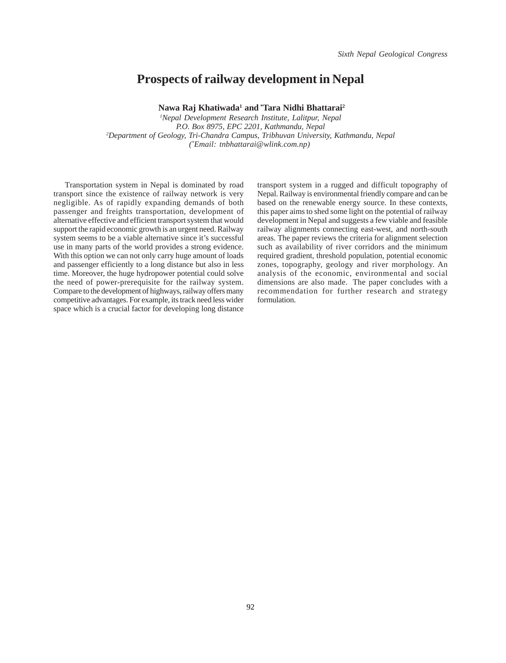#### **Prospects of railway development in Nepal**

Nawa Raj Khatiwada<sup>1</sup> and \*Tara Nidhi Bhattarai<sup>2</sup>

*1 Nepal Development Research Institute, Lalitpur, Nepal P.O. Box 8975, EPC 2201, Kathmandu, Nepal 2 Department of Geology, Tri-Chandra Campus, Tribhuvan University, Kathmandu, Nepal (\* Email: tnbhattarai@wlink.com.np)* 

Transportation system in Nepal is dominated by road transport since the existence of railway network is very negligible. As of rapidly expanding demands of both passenger and freights transportation, development of alternative effective and efficient transport system that would support the rapid economic growth is an urgent need. Railway system seems to be a viable alternative since it's successful use in many parts of the world provides a strong evidence. With this option we can not only carry huge amount of loads and passenger efficiently to a long distance but also in less time. Moreover, the huge hydropower potential could solve the need of power-prerequisite for the railway system. Compare to the development of highways, railway offers many competitive advantages. For example, its track need less wider space which is a crucial factor for developing long distance

transport system in a rugged and difficult topography of Nepal. Railway is environmental friendly compare and can be based on the renewable energy source. In these contexts, this paper aims to shed some light on the potential of railway development in Nepal and suggests a few viable and feasible railway alignments connecting east-west, and north-south areas. The paper reviews the criteria for alignment selection such as availability of river corridors and the minimum required gradient, threshold population, potential economic zones, topography, geology and river morphology. An analysis of the economic, environmental and social dimensions are also made. The paper concludes with a recommendation for further research and strategy formulation.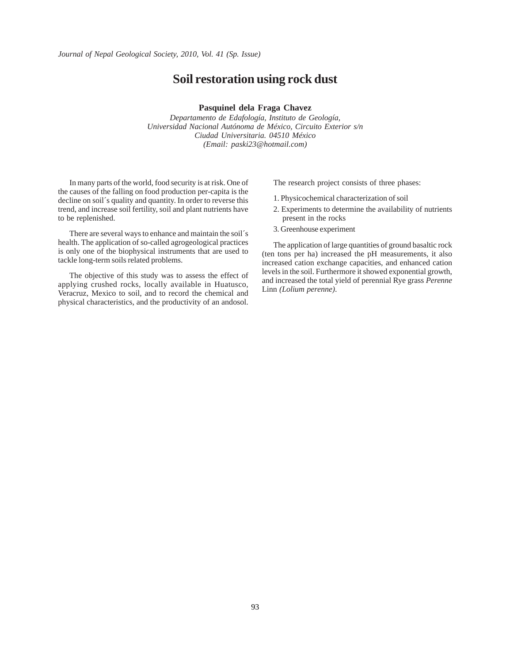#### **Soil restoration using rock dust**

#### **Pasquinel dela Fraga Chavez**

*Departamento de Edafología, Instituto de Geología, Universidad Nacional Autónoma de México, Circuito Exterior s/n Ciudad Universitaria. 04510 México (Email: paski23@hotmail.com)*

In many parts of the world, food security is at risk. One of the causes of the falling on food production per-capita is the decline on soil´s quality and quantity. In order to reverse this trend, and increase soil fertility, soil and plant nutrients have to be replenished.

There are several ways to enhance and maintain the soil´s health. The application of so-called agrogeological practices is only one of the biophysical instruments that are used to tackle long-term soils related problems.

The objective of this study was to assess the effect of applying crushed rocks, locally available in Huatusco, Veracruz, Mexico to soil, and to record the chemical and physical characteristics, and the productivity of an andosol.

The research project consists of three phases:

- 1. Physicochemical characterization of soil
- 2. Experiments to determine the availability of nutrients present in the rocks
- 3. Greenhouse experiment

The application of large quantities of ground basaltic rock (ten tons per ha) increased the pH measurements, it also increased cation exchange capacities, and enhanced cation levels in the soil. Furthermore it showed exponential growth, and increased the total yield of perennial Rye grass *Perenne* Linn *(Lolium perenne)*.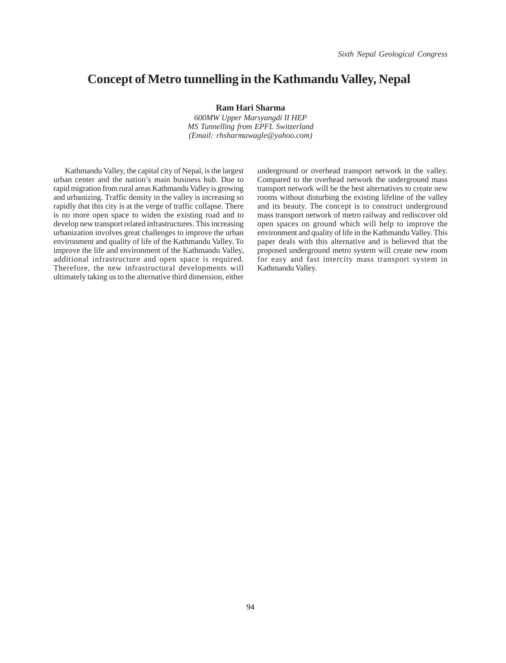### **Concept of Metro tunnelling in the Kathmandu Valley, Nepal**

**Ram Hari Sharma**

*600MW Upper Marsyangdi II HEP MS Tunnelling from EPFL Switzerland (Email: rhsharmawagle@yahoo.com)*

Kathmandu Valley, the capital city of Nepal, is the largest urban center and the nation's main business hub. Due to rapid migration from rural areas Kathmandu Valley is growing and urbanizing. Traffic density in the valley is increasing so rapidly that this city is at the verge of traffic collapse. There is no more open space to widen the existing road and to develop new transport related infrastructures. This increasing urbanization involves great challenges to improve the urban environment and quality of life of the Kathmandu Valley. To improve the life and environment of the Kathmandu Valley, additional infrastructure and open space is required. Therefore, the new infrastructural developments will ultimately taking us to the alternative third dimension, either

underground or overhead transport network in the valley. Compared to the overhead network the underground mass transport network will be the best alternatives to create new rooms without disturbing the existing lifeline of the valley and its beauty. The concept is to construct underground mass transport network of metro railway and rediscover old open spaces on ground which will help to improve the environment and quality of life in the Kathmandu Valley. This paper deals with this alternative and is believed that the proposed underground metro system will create new room for easy and fast intercity mass transport system in Kathmandu Valley.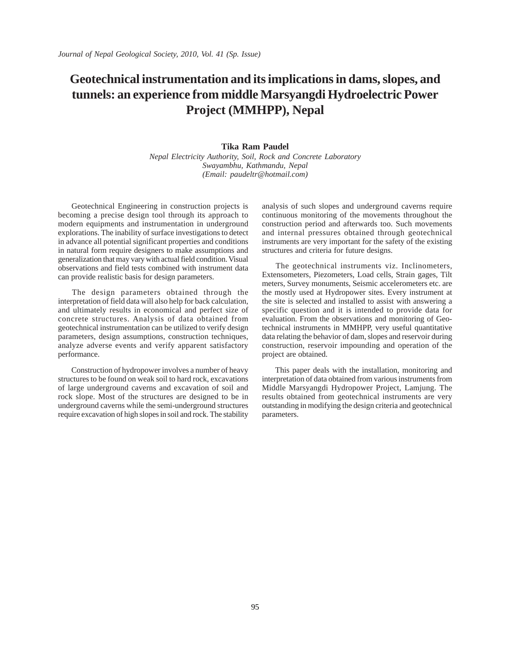# **Geotechnical instrumentation and its implications in dams, slopes, and tunnels: an experience from middle Marsyangdi Hydroelectric Power Project (MMHPP), Nepal**

### **Tika Ram Paudel**

*Nepal Electricity Authority, Soil, Rock and Concrete Laboratory Swayambhu, Kathmandu, Nepal (Email: paudeltr@hotmail.com)*

Geotechnical Engineering in construction projects is becoming a precise design tool through its approach to modern equipments and instrumentation in underground explorations. The inability of surface investigations to detect in advance all potential significant properties and conditions in natural form require designers to make assumptions and generalization that may vary with actual field condition. Visual observations and field tests combined with instrument data can provide realistic basis for design parameters.

 The design parameters obtained through the interpretation of field data will also help for back calculation, and ultimately results in economical and perfect size of concrete structures. Analysis of data obtained from geotechnical instrumentation can be utilized to verify design parameters, design assumptions, construction techniques, analyze adverse events and verify apparent satisfactory performance.

 Construction of hydropower involves a number of heavy structures to be found on weak soil to hard rock, excavations of large underground caverns and excavation of soil and rock slope. Most of the structures are designed to be in underground caverns while the semi-underground structures require excavation of high slopes in soil and rock. The stability

analysis of such slopes and underground caverns require continuous monitoring of the movements throughout the construction period and afterwards too. Such movements and internal pressures obtained through geotechnical instruments are very important for the safety of the existing structures and criteria for future designs.

 The geotechnical instruments viz. Inclinometers, Extensometers, Piezometers, Load cells, Strain gages, Tilt meters, Survey monuments, Seismic accelerometers etc. are the mostly used at Hydropower sites. Every instrument at the site is selected and installed to assist with answering a specific question and it is intended to provide data for evaluation. From the observations and monitoring of Geotechnical instruments in MMHPP, very useful quantitative data relating the behavior of dam, slopes and reservoir during construction, reservoir impounding and operation of the project are obtained.

 This paper deals with the installation, monitoring and interpretation of data obtained from various instruments from Middle Marsyangdi Hydropower Project, Lamjung. The results obtained from geotechnical instruments are very outstanding in modifying the design criteria and geotechnical parameters.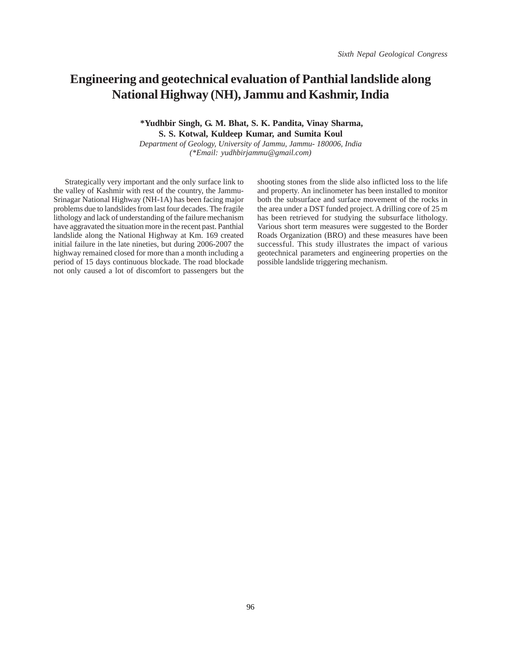### **Engineering and geotechnical evaluation of Panthial landslide along National Highway (NH), Jammu and Kashmir, India**

### **\*Yudhbir Singh, G. M. Bhat, S. K. Pandita, Vinay Sharma, S. S. Kotwal, Kuldeep Kumar, and Sumita Koul**

*Department of Geology, University of Jammu, Jammu- 180006, India (\*Email: yudhbirjammu@gmail.com)*

Strategically very important and the only surface link to the valley of Kashmir with rest of the country, the Jammu-Srinagar National Highway (NH-1A) has been facing major problems due to landslides from last four decades. The fragile lithology and lack of understanding of the failure mechanism have aggravated the situation more in the recent past. Panthial landslide along the National Highway at Km. 169 created initial failure in the late nineties, but during 2006-2007 the highway remained closed for more than a month including a period of 15 days continuous blockade. The road blockade not only caused a lot of discomfort to passengers but the shooting stones from the slide also inflicted loss to the life and property. An inclinometer has been installed to monitor both the subsurface and surface movement of the rocks in the area under a DST funded project. A drilling core of 25 m has been retrieved for studying the subsurface lithology. Various short term measures were suggested to the Border Roads Organization (BRO) and these measures have been successful. This study illustrates the impact of various geotechnical parameters and engineering properties on the possible landslide triggering mechanism.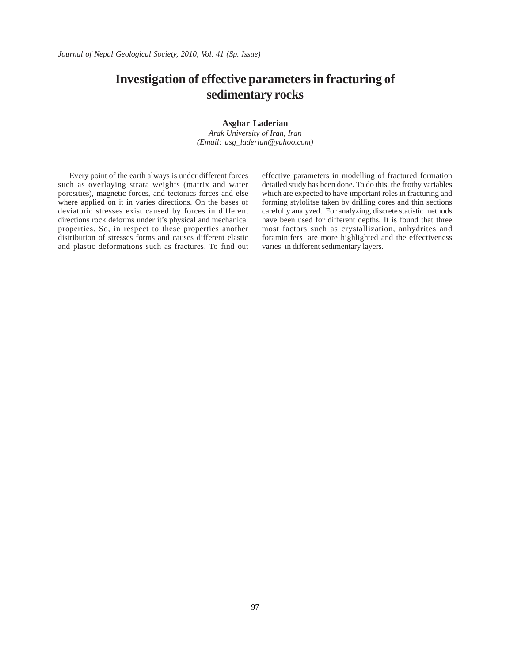# **Investigation of effective parameters in fracturing of sedimentary rocks**

#### **Asghar Laderian**

*Arak University of Iran, Iran (Email: asg\_laderian@yahoo.com)*

Every point of the earth always is under different forces such as overlaying strata weights (matrix and water porosities), magnetic forces, and tectonics forces and else where applied on it in varies directions. On the bases of deviatoric stresses exist caused by forces in different directions rock deforms under it's physical and mechanical properties. So, in respect to these properties another distribution of stresses forms and causes different elastic and plastic deformations such as fractures. To find out effective parameters in modelling of fractured formation detailed study has been done. To do this, the frothy variables which are expected to have important roles in fracturing and forming stylolitse taken by drilling cores and thin sections carefully analyzed. For analyzing, discrete statistic methods have been used for different depths. It is found that three most factors such as crystallization, anhydrites and foraminifers are more highlighted and the effectiveness varies in different sedimentary layers.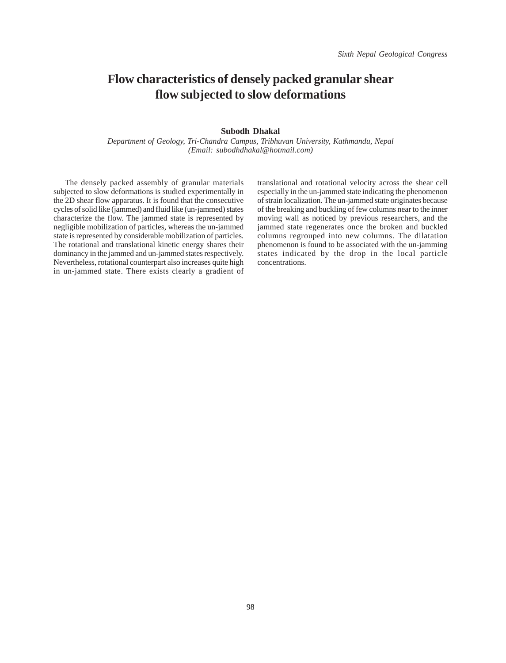## **Flow characteristics of densely packed granular shear flow subjected to slow deformations**

### **Subodh Dhakal**

*Department of Geology, Tri-Chandra Campus, Tribhuvan University, Kathmandu, Nepal (Email: subodhdhakal@hotmail.com)*

The densely packed assembly of granular materials subjected to slow deformations is studied experimentally in the 2D shear flow apparatus. It is found that the consecutive cycles of solid like (jammed) and fluid like (un-jammed) states characterize the flow. The jammed state is represented by negligible mobilization of particles, whereas the un-jammed state is represented by considerable mobilization of particles. The rotational and translational kinetic energy shares their dominancy in the jammed and un-jammed states respectively. Nevertheless, rotational counterpart also increases quite high in un-jammed state. There exists clearly a gradient of

translational and rotational velocity across the shear cell especially in the un-jammed state indicating the phenomenon of strain localization. The un-jammed state originates because of the breaking and buckling of few columns near to the inner moving wall as noticed by previous researchers, and the jammed state regenerates once the broken and buckled columns regrouped into new columns. The dilatation phenomenon is found to be associated with the un-jamming states indicated by the drop in the local particle concentrations.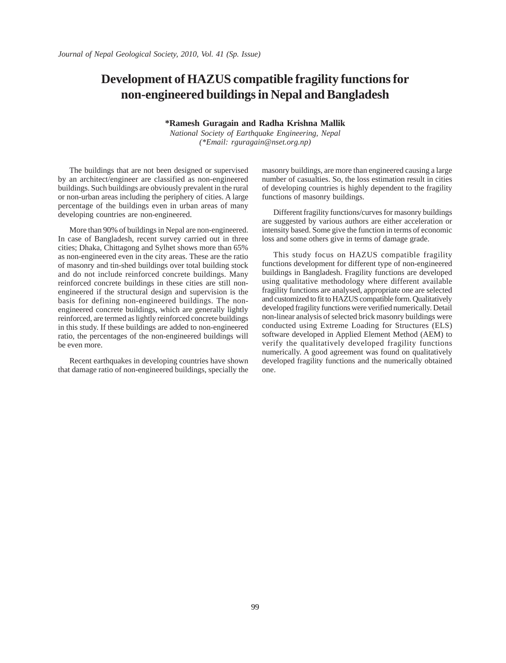## **Development of HAZUS compatible fragility functions for non-engineered buildings in Nepal and Bangladesh**

**\*Ramesh Guragain and Radha Krishna Mallik**

*National Society of Earthquake Engineering, Nepal (\*Email: rguragain@nset.org.np)*

The buildings that are not been designed or supervised by an architect/engineer are classified as non-engineered buildings. Such buildings are obviously prevalent in the rural or non-urban areas including the periphery of cities. A large percentage of the buildings even in urban areas of many developing countries are non-engineered.

More than 90% of buildings in Nepal are non-engineered. In case of Bangladesh, recent survey carried out in three cities; Dhaka, Chittagong and Sylhet shows more than 65% as non-engineered even in the city areas. These are the ratio of masonry and tin-shed buildings over total building stock and do not include reinforced concrete buildings. Many reinforced concrete buildings in these cities are still nonengineered if the structural design and supervision is the basis for defining non-engineered buildings. The nonengineered concrete buildings, which are generally lightly reinforced, are termed as lightly reinforced concrete buildings in this study. If these buildings are added to non-engineered ratio, the percentages of the non-engineered buildings will be even more.

Recent earthquakes in developing countries have shown that damage ratio of non-engineered buildings, specially the masonry buildings, are more than engineered causing a large number of casualties. So, the loss estimation result in cities of developing countries is highly dependent to the fragility functions of masonry buildings.

Different fragility functions/curves for masonry buildings are suggested by various authors are either acceleration or intensity based. Some give the function in terms of economic loss and some others give in terms of damage grade.

This study focus on HAZUS compatible fragility functions development for different type of non-engineered buildings in Bangladesh. Fragility functions are developed using qualitative methodology where different available fragility functions are analysed, appropriate one are selected and customized to fit to HAZUS compatible form. Qualitatively developed fragility functions were verified numerically. Detail non-linear analysis of selected brick masonry buildings were conducted using Extreme Loading for Structures (ELS) software developed in Applied Element Method (AEM) to verify the qualitatively developed fragility functions numerically. A good agreement was found on qualitatively developed fragility functions and the numerically obtained one.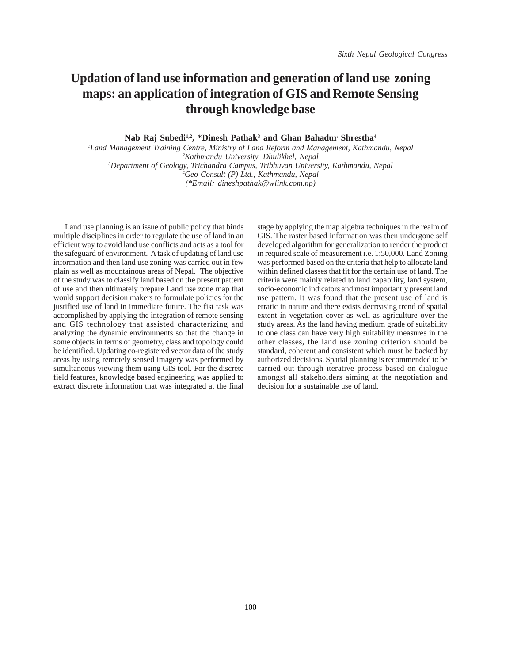# **Updation of land use information and generation of land use zoning maps: an application of integration of GIS and Remote Sensing through knowledge base**

Nab Raj Subedi<sup>1,2</sup>, \*Dinesh Pathak<sup>3</sup> and Ghan Bahadur Shrestha<sup>4</sup>

 *Land Management Training Centre, Ministry of Land Reform and Management, Kathmandu, Nepal Kathmandu University, Dhulikhel, Nepal Department of Geology, Trichandra Campus, Tribhuvan University, Kathmandu, Nepal Geo Consult (P) Ltd., Kathmandu, Nepal (\*Email: dineshpathak@wlink.com.np)*

Land use planning is an issue of public policy that binds multiple disciplines in order to regulate the use of land in an efficient way to avoid land use conflicts and acts as a tool for the safeguard of environment. A task of updating of land use information and then land use zoning was carried out in few plain as well as mountainous areas of Nepal. The objective of the study was to classify land based on the present pattern of use and then ultimately prepare Land use zone map that would support decision makers to formulate policies for the justified use of land in immediate future. The fist task was accomplished by applying the integration of remote sensing and GIS technology that assisted characterizing and analyzing the dynamic environments so that the change in some objects in terms of geometry, class and topology could be identified. Updating co-registered vector data of the study areas by using remotely sensed imagery was performed by simultaneous viewing them using GIS tool. For the discrete field features, knowledge based engineering was applied to extract discrete information that was integrated at the final

stage by applying the map algebra techniques in the realm of GIS. The raster based information was then undergone self developed algorithm for generalization to render the product in required scale of measurement i.e. 1:50,000. Land Zoning was performed based on the criteria that help to allocate land within defined classes that fit for the certain use of land. The criteria were mainly related to land capability, land system, socio-economic indicators and most importantly present land use pattern. It was found that the present use of land is erratic in nature and there exists decreasing trend of spatial extent in vegetation cover as well as agriculture over the study areas. As the land having medium grade of suitability to one class can have very high suitability measures in the other classes, the land use zoning criterion should be standard, coherent and consistent which must be backed by authorized decisions. Spatial planning is recommended to be carried out through iterative process based on dialogue amongst all stakeholders aiming at the negotiation and decision for a sustainable use of land.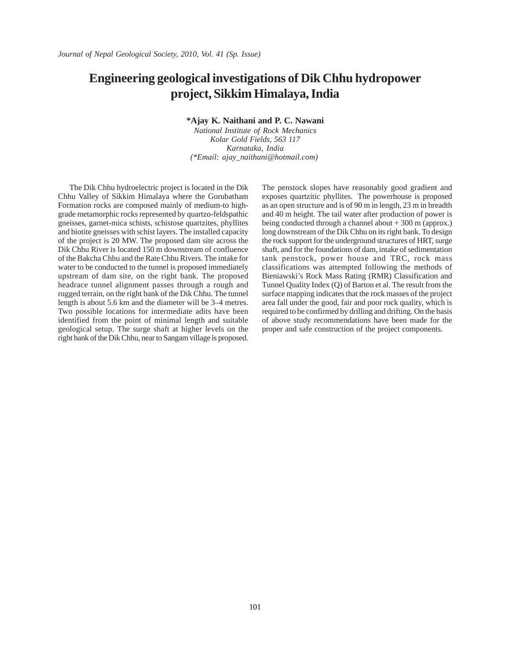### **Engineering geological investigations of Dik Chhu hydropower project, Sikkim Himalaya, India**

**\*Ajay K. Naithani and P. C. Nawani**

*National Institute of Rock Mechanics Kolar Gold Fields, 563 117 Karnataka, India (\*Email: ajay\_naithani@hotmail.com)* 

The Dik Chhu hydroelectric project is located in the Dik Chhu Valley of Sikkim Himalaya where the Gorubatham Formation rocks are composed mainly of medium-to highgrade metamorphic rocks represented by quartzo-feldspathic gneisses, garnet-mica schists, schistose quartzites, phyllites and biotite gneisses with schist layers. The installed capacity of the project is 20 MW. The proposed dam site across the Dik Chhu River is located 150 m downstream of confluence of the Bakcha Chhu and the Rate Chhu Rivers. The intake for water to be conducted to the tunnel is proposed immediately upstream of dam site, on the right bank. The proposed headrace tunnel alignment passes through a rough and rugged terrain, on the right bank of the Dik Chhu. The tunnel length is about 5.6 km and the diameter will be 3–4 metres. Two possible locations for intermediate adits have been identified from the point of minimal length and suitable geological setup. The surge shaft at higher levels on the right bank of the Dik Chhu, near to Sangam village is proposed.

The penstock slopes have reasonably good gradient and exposes quartzitic phyllites. The powerhouse is proposed as an open structure and is of 90 m in length, 23 m in breadth and 40 m height. The tail water after production of power is being conducted through a channel about + 300 m (approx.) long downstream of the Dik Chhu on its right bank. To design the rock support for the underground structures of HRT, surge shaft, and for the foundations of dam, intake of sedimentation tank penstock, power house and TRC, rock mass classifications was attempted following the methods of Bieniawski's Rock Mass Rating (RMR) Classification and Tunnel Quality Index (Q) of Barton et al. The result from the surface mapping indicates that the rock masses of the project area fall under the good, fair and poor rock quality, which is required to be confirmed by drilling and drifting. On the basis of above study recommendations have been made for the proper and safe construction of the project components.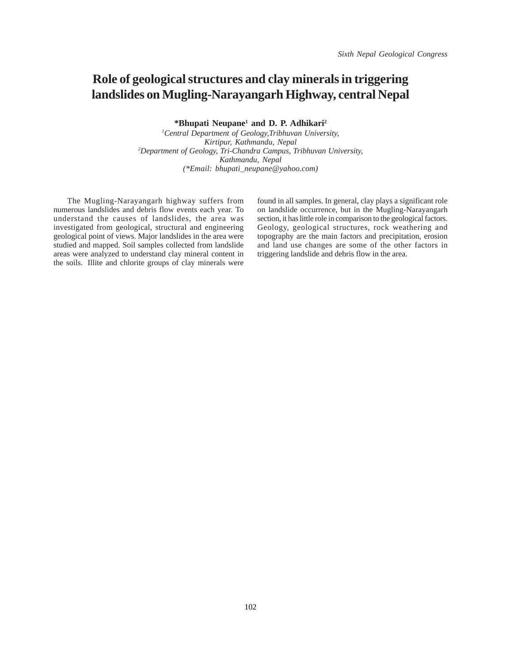# **Role of geological structures and clay minerals in triggering landslides on Mugling-Narayangarh Highway, central Nepal**

**\*Bhupati Neupane1 and D. P. Adhikari2**

*1 Central Department of Geology,Tribhuvan University, Kirtipur, Kathmandu, Nepal 2 Department of Geology, Tri-Chandra Campus, Tribhuvan University, Kathmandu, Nepal (\*Email: bhupati\_neupane@yahoo.com)*

 The Mugling-Narayangarh highway suffers from numerous landslides and debris flow events each year. To understand the causes of landslides, the area was investigated from geological, structural and engineering geological point of views. Major landslides in the area were studied and mapped. Soil samples collected from landslide areas were analyzed to understand clay mineral content in the soils. Illite and chlorite groups of clay minerals were

found in all samples. In general, clay plays a significant role on landslide occurrence, but in the Mugling-Narayangarh section, it has little role in comparison to the geological factors. Geology, geological structures, rock weathering and topography are the main factors and precipitation, erosion and land use changes are some of the other factors in triggering landslide and debris flow in the area.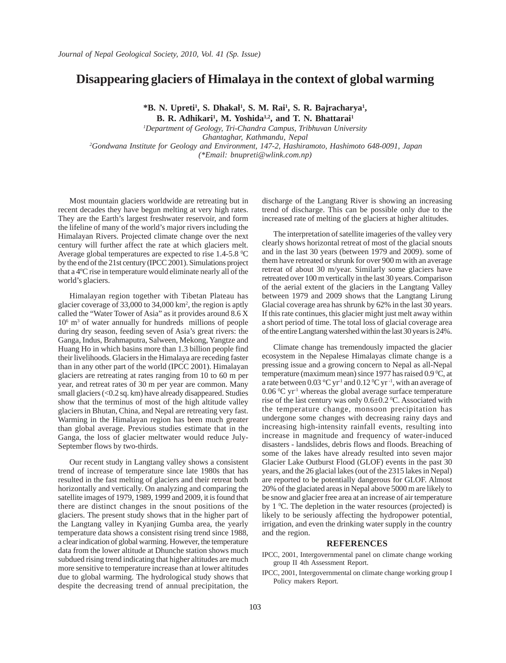### **Disappearing glaciers of Himalaya in the context of global warming**

\*B. N. Upreti<sup>1</sup>, S. Dhakal<sup>1</sup>, S. M. Rai<sup>1</sup>, S. R. Bajracharya<sup>1</sup>,

**B. R. Adhikari<sup>1</sup>, M. Yoshida<sup>1,2</sup>, and T. N. Bhattarai<sup>1</sup>** 

*1 Department of Geology, Tri-Chandra Campus, Tribhuvan University Ghantaghar, Kathmandu, Nepal 2Gondwana Institute for Geology and Environment, 147-2, Hashiramoto, Hashimoto 648-0091, Japan (\*Email: bnupreti@wlink.com.np)*

Most mountain glaciers worldwide are retreating but in recent decades they have begun melting at very high rates. They are the Earth's largest freshwater reservoir, and form the lifeline of many of the world's major rivers including the Himalayan Rivers. Projected climate change over the next century will further affect the rate at which glaciers melt. Average global temperatures are expected to rise  $1.4$ -5.8  $^{\circ}$ C by the end of the 21st century (IPCC 2001). Simulations project that a 4ºC rise in temperature would eliminate nearly all of the world's glaciers.

Himalayan region together with Tibetan Plateau has glacier coverage of 33,000 to 34,000 km2 , the region is aptly called the "Water Tower of Asia" as it provides around 8.6 X 10<sup>6</sup> m<sup>3</sup> of water annually for hundreds millions of people during dry season, feeding seven of Asia's great rivers: the Ganga, Indus, Brahmaputra, Salween, Mekong, Yangtze and Huang Ho in which basins more than 1.3 billion people find their livelihoods. Glaciers in the Himalaya are receding faster than in any other part of the world (IPCC 2001). Himalayan glaciers are retreating at rates ranging from 10 to 60 m per year, and retreat rates of 30 m per year are common. Many small glaciers (<0.2 sq. km) have already disappeared. Studies show that the terminus of most of the high altitude valley glaciers in Bhutan, China, and Nepal are retreating very fast. Warming in the Himalayan region has been much greater than global average. Previous studies estimate that in the Ganga, the loss of glacier meltwater would reduce July-September flows by two-thirds.

Our recent study in Langtang valley shows a consistent trend of increase of temperature since late 1980s that has resulted in the fast melting of glaciers and their retreat both horizontally and vertically. On analyzing and comparing the satellite images of 1979, 1989, 1999 and 2009, it is found that there are distinct changes in the snout positions of the glaciers. The present study shows that in the higher part of the Langtang valley in Kyanjing Gumba area, the yearly temperature data shows a consistent rising trend since 1988, a clear indication of global warming. However, the temperature data from the lower altitude at Dhunche station shows much subdued rising trend indicating that higher altitudes are much more sensitive to temperature increase than at lower altitudes due to global warming. The hydrological study shows that despite the decreasing trend of annual precipitation, the

discharge of the Langtang River is showing an increasing trend of discharge. This can be possible only due to the increased rate of melting of the glaciers at higher altitudes.

The interpretation of satellite imageries of the valley very clearly shows horizontal retreat of most of the glacial snouts and in the last 30 years (between 1979 and 2009). some of them have retreated or shrunk for over 900 m with an average retreat of about 30 m/year. Similarly some glaciers have retreated over 100 m vertically in the last 30 years. Comparison of the aerial extent of the glaciers in the Langtang Valley between 1979 and 2009 shows that the Langtang Lirung Glacial coverage area has shrunk by 62% in the last 30 years. If this rate continues, this glacier might just melt away within a short period of time. The total loss of glacial coverage area of the entire Langtang watershed within the last 30 years is 24%.

Climate change has tremendously impacted the glacier ecosystem in the Nepalese Himalayas climate change is a pressing issue and a growing concern to Nepal as all-Nepal temperature (maximum mean) since 1977 has raised 0.9 °C, at a rate between 0.03 °C yr<sup>-1</sup> and 0.12 °C yr<sup>-1</sup>, with an average of  $0.06 \,^{\circ}\text{C}$  yr<sup>-1</sup> whereas the global average surface temperature rise of the last century was only  $0.6 \pm 0.2$  °C. Associated with the temperature change, monsoon precipitation has undergone some changes with decreasing rainy days and increasing high-intensity rainfall events, resulting into increase in magnitude and frequency of water-induced disasters - landslides, debris flows and floods. Breaching of some of the lakes have already resulted into seven major Glacier Lake Outburst Flood (GLOF) events in the past 30 years, and the 26 glacial lakes (out of the 2315 lakes in Nepal) are reported to be potentially dangerous for GLOF. Almost 20% of the glaciated areas in Nepal above 5000 m are likely to be snow and glacier free area at an increase of air temperature by  $1 \,^0$ C. The depletion in the water resources (projected) is likely to be seriously affecting the hydropower potential, irrigation, and even the drinking water supply in the country and the region.

#### **REFERENCES**

- IPCC, 2001, Intergovernmental panel on climate change working group II 4th Assessment Report.
- IPCC, 2001, Intergovernmental on climate change working group I Policy makers Report.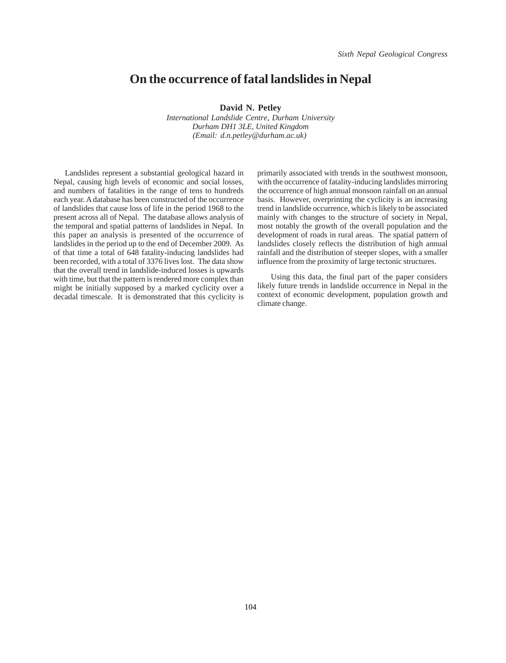### **On the occurrence of fatal landslides in Nepal**

**David N. Petley**

*International Landslide Centre, Durham University Durham DH1 3LE, United Kingdom (Email: d.n.petley@durham.ac.uk)* 

Landslides represent a substantial geological hazard in Nepal, causing high levels of economic and social losses, and numbers of fatalities in the range of tens to hundreds each year. A database has been constructed of the occurrence of landslides that cause loss of life in the period 1968 to the present across all of Nepal. The database allows analysis of the temporal and spatial patterns of landslides in Nepal. In this paper an analysis is presented of the occurrence of landslides in the period up to the end of December 2009. As of that time a total of 648 fatality-inducing landslides had been recorded, with a total of 3376 lives lost. The data show that the overall trend in landslide-induced losses is upwards with time, but that the pattern is rendered more complex than might be initially supposed by a marked cyclicity over a decadal timescale. It is demonstrated that this cyclicity is

primarily associated with trends in the southwest monsoon, with the occurrence of fatality-inducing landslides mirroring the occurrence of high annual monsoon rainfall on an annual basis. However, overprinting the cyclicity is an increasing trend in landslide occurrence, which is likely to be associated mainly with changes to the structure of society in Nepal, most notably the growth of the overall population and the development of roads in rural areas. The spatial pattern of landslides closely reflects the distribution of high annual rainfall and the distribution of steeper slopes, with a smaller influence from the proximity of large tectonic structures.

 Using this data, the final part of the paper considers likely future trends in landslide occurrence in Nepal in the context of economic development, population growth and climate change.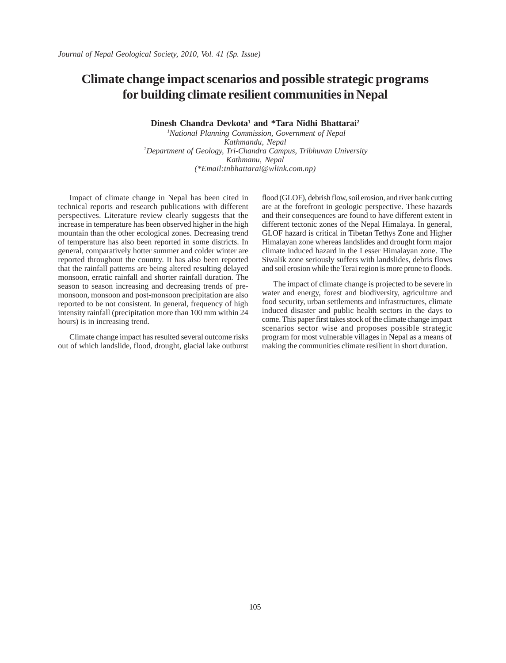## **Climate change impact scenarios and possible strategic programs for building climate resilient communities in Nepal**

Dinesh Chandra Devkota<sup>1</sup> and \*Tara Nidhi Bhattarai<sup>2</sup>

*1 National Planning Commission, Government of Nepal Kathmandu, Nepal 2Department of Geology, Tri-Chandra Campus, Tribhuvan University Kathmanu, Nepal (\*Email:tnbhattarai@wlink.com.np)*

Impact of climate change in Nepal has been cited in technical reports and research publications with different perspectives. Literature review clearly suggests that the increase in temperature has been observed higher in the high mountain than the other ecological zones. Decreasing trend of temperature has also been reported in some districts. In general, comparatively hotter summer and colder winter are reported throughout the country. It has also been reported that the rainfall patterns are being altered resulting delayed monsoon, erratic rainfall and shorter rainfall duration. The season to season increasing and decreasing trends of premonsoon, monsoon and post-monsoon precipitation are also reported to be not consistent. In general, frequency of high intensity rainfall (precipitation more than 100 mm within 24 hours) is in increasing trend.

Climate change impact has resulted several outcome risks out of which landslide, flood, drought, glacial lake outburst flood (GLOF), debrish flow, soil erosion, and river bank cutting are at the forefront in geologic perspective. These hazards and their consequences are found to have different extent in different tectonic zones of the Nepal Himalaya. In general, GLOF hazard is critical in Tibetan Tethys Zone and Higher Himalayan zone whereas landslides and drought form major climate induced hazard in the Lesser Himalayan zone. The Siwalik zone seriously suffers with landslides, debris flows and soil erosion while the Terai region is more prone to floods.

The impact of climate change is projected to be severe in water and energy, forest and biodiversity, agriculture and food security, urban settlements and infrastructures, climate induced disaster and public health sectors in the days to come. This paper first takes stock of the climate change impact scenarios sector wise and proposes possible strategic program for most vulnerable villages in Nepal as a means of making the communities climate resilient in short duration.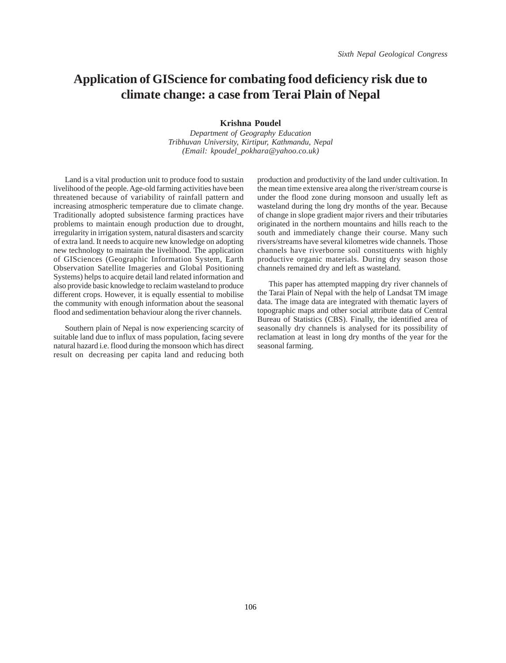## **Application of GIScience for combating food deficiency risk due to climate change: a case from Terai Plain of Nepal**

**Krishna Poudel**

*Department of Geography Education Tribhuvan University, Kirtipur, Kathmandu, Nepal (Email: kpoudel\_pokhara@yahoo.co.uk)*

Land is a vital production unit to produce food to sustain livelihood of the people. Age-old farming activities have been threatened because of variability of rainfall pattern and increasing atmospheric temperature due to climate change. Traditionally adopted subsistence farming practices have problems to maintain enough production due to drought, irregularity in irrigation system, natural disasters and scarcity of extra land. It needs to acquire new knowledge on adopting new technology to maintain the livelihood. The application of GISciences (Geographic Information System, Earth Observation Satellite Imageries and Global Positioning Systems) helps to acquire detail land related information and also provide basic knowledge to reclaim wasteland to produce different crops. However, it is equally essential to mobilise the community with enough information about the seasonal flood and sedimentation behaviour along the river channels.

Southern plain of Nepal is now experiencing scarcity of suitable land due to influx of mass population, facing severe natural hazard i.e. flood during the monsoon which has direct result on decreasing per capita land and reducing both

production and productivity of the land under cultivation. In the mean time extensive area along the river/stream course is under the flood zone during monsoon and usually left as wasteland during the long dry months of the year. Because of change in slope gradient major rivers and their tributaries originated in the northern mountains and hills reach to the south and immediately change their course. Many such rivers/streams have several kilometres wide channels. Those channels have riverborne soil constituents with highly productive organic materials. During dry season those channels remained dry and left as wasteland.

This paper has attempted mapping dry river channels of the Tarai Plain of Nepal with the help of Landsat TM image data. The image data are integrated with thematic layers of topographic maps and other social attribute data of Central Bureau of Statistics (CBS). Finally, the identified area of seasonally dry channels is analysed for its possibility of reclamation at least in long dry months of the year for the seasonal farming.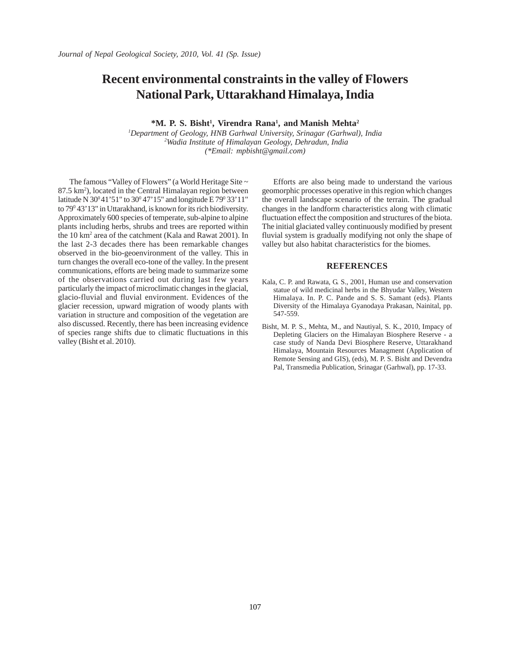### **Recent environmental constraints in the valley of Flowers National Park, Uttarakhand Himalaya, India**

 $*M$ . P. S. Bisht<sup>1</sup>, Virendra Rana<sup>1</sup>, and Manish Mehta<sup>2</sup>

*1 Department of Geology, HNB Garhwal University, Srinagar (Garhwal), India 2 Wadia Institute of Himalayan Geology, Dehradun, India (\*Email: mpbisht@gmail.com)*

The famous "Valley of Flowers" (a World Heritage Site ~ 87.5 km<sup>2</sup>), located in the Central Himalayan region between latitude N 30<sup>0</sup>41'51" to 30<sup>0</sup>47'15" and longitude E 79<sup>0</sup>33'11" to 79<sup>0</sup> 43' 13" in Uttarakhand, is known for its rich biodiversity. Approximately 600 species of temperate, sub-alpine to alpine plants including herbs, shrubs and trees are reported within the 10 km2 area of the catchment (Kala and Rawat 2001). In the last 2-3 decades there has been remarkable changes observed in the bio-geoenvironment of the valley. This in turn changes the overall eco-tone of the valley. In the present communications, efforts are being made to summarize some of the observations carried out during last few years particularly the impact of microclimatic changes in the glacial, glacio-fluvial and fluvial environment. Evidences of the glacier recession, upward migration of woody plants with variation in structure and composition of the vegetation are also discussed. Recently, there has been increasing evidence of species range shifts due to climatic fluctuations in this valley (Bisht et al. 2010).

Efforts are also being made to understand the various geomorphic processes operative in this region which changes the overall landscape scenario of the terrain. The gradual changes in the landform characteristics along with climatic fluctuation effect the composition and structures of the biota. The initial glaciated valley continuously modified by present fluvial system is gradually modifying not only the shape of valley but also habitat characteristics for the biomes.

#### **REFERENCES**

- Kala, C. P. and Rawata, G. S., 2001, Human use and conservation statue of wild medicinal herbs in the Bhyudar Valley, Western Himalaya. In. P. C. Pande and S. S. Samant (eds). Plants Diversity of the Himalaya Gyanodaya Prakasan, Nainital, pp. 547-559.
- Bisht, M. P. S., Mehta, M., and Nautiyal, S. K., 2010, Impacy of Depleting Glaciers on the Himalayan Biosphere Reserve - a case study of Nanda Devi Biosphere Reserve, Uttarakhand Himalaya, Mountain Resources Managment (Application of Remote Sensing and GIS), (eds), M. P. S. Bisht and Devendra Pal, Transmedia Publication, Srinagar (Garhwal), pp. 17-33.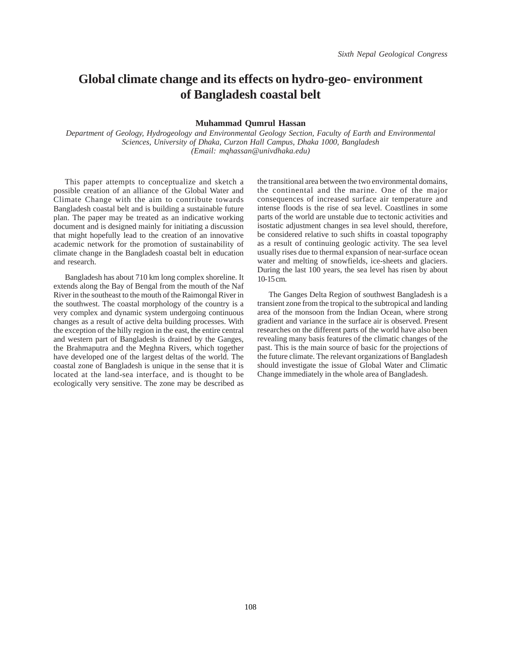## **Global climate change and its effects on hydro-geo- environment of Bangladesh coastal belt**

#### **Muhammad Qumrul Hassan**

*Department of Geology, Hydrogeology and Environmental Geology Section, Faculty of Earth and Environmental Sciences, University of Dhaka, Curzon Hall Campus, Dhaka 1000, Bangladesh (Email: mqhassan@univdhaka.edu)*

This paper attempts to conceptualize and sketch a possible creation of an alliance of the Global Water and Climate Change with the aim to contribute towards Bangladesh coastal belt and is building a sustainable future plan. The paper may be treated as an indicative working document and is designed mainly for initiating a discussion that might hopefully lead to the creation of an innovative academic network for the promotion of sustainability of climate change in the Bangladesh coastal belt in education and research.

Bangladesh has about 710 km long complex shoreline. It extends along the Bay of Bengal from the mouth of the Naf River in the southeast to the mouth of the Raimongal River in the southwest. The coastal morphology of the country is a very complex and dynamic system undergoing continuous changes as a result of active delta building processes. With the exception of the hilly region in the east, the entire central and western part of Bangladesh is drained by the Ganges, the Brahmaputra and the Meghna Rivers, which together have developed one of the largest deltas of the world. The coastal zone of Bangladesh is unique in the sense that it is located at the land-sea interface, and is thought to be ecologically very sensitive. The zone may be described as

the transitional area between the two environmental domains, the continental and the marine. One of the major consequences of increased surface air temperature and intense floods is the rise of sea level. Coastlines in some parts of the world are unstable due to tectonic activities and isostatic adjustment changes in sea level should, therefore, be considered relative to such shifts in coastal topography as a result of continuing geologic activity. The sea level usually rises due to thermal expansion of near-surface ocean water and melting of snowfields, ice-sheets and glaciers. During the last 100 years, the sea level has risen by about 10-15 cm.

The Ganges Delta Region of southwest Bangladesh is a transient zone from the tropical to the subtropical and landing area of the monsoon from the Indian Ocean, where strong gradient and variance in the surface air is observed. Present researches on the different parts of the world have also been revealing many basis features of the climatic changes of the past. This is the main source of basic for the projections of the future climate. The relevant organizations of Bangladesh should investigate the issue of Global Water and Climatic Change immediately in the whole area of Bangladesh.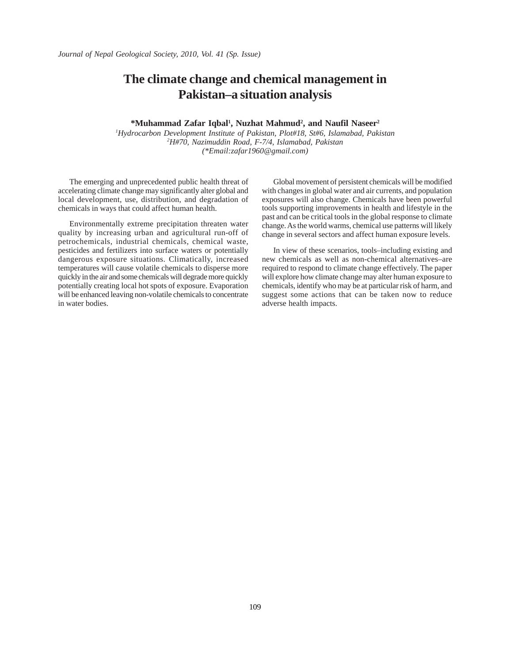### **The climate change and chemical management in Pakistan–a situation analysis**

#### **\*Muhammad Zafar Iqbal1 , Nuzhat Mahmud2 , and Naufil Naseer2**

*1 Hydrocarbon Development Institute of Pakistan, Plot#18, St#6, Islamabad, Pakistan 2 H#70, Nazimuddin Road, F-7/4, Islamabad, Pakistan (\*Email:zafar1960@gmail.com)*

The emerging and unprecedented public health threat of accelerating climate change may significantly alter global and local development, use, distribution, and degradation of chemicals in ways that could affect human health.

Environmentally extreme precipitation threaten water quality by increasing urban and agricultural run-off of petrochemicals, industrial chemicals, chemical waste, pesticides and fertilizers into surface waters or potentially dangerous exposure situations. Climatically, increased temperatures will cause volatile chemicals to disperse more quickly in the air and some chemicals will degrade more quickly potentially creating local hot spots of exposure. Evaporation will be enhanced leaving non-volatile chemicals to concentrate in water bodies.

Global movement of persistent chemicals will be modified with changes in global water and air currents, and population exposures will also change. Chemicals have been powerful tools supporting improvements in health and lifestyle in the past and can be critical tools in the global response to climate change. As the world warms, chemical use patterns will likely change in several sectors and affect human exposure levels.

In view of these scenarios, tools–including existing and new chemicals as well as non-chemical alternatives–are required to respond to climate change effectively. The paper will explore how climate change may alter human exposure to chemicals, identify who may be at particular risk of harm, and suggest some actions that can be taken now to reduce adverse health impacts.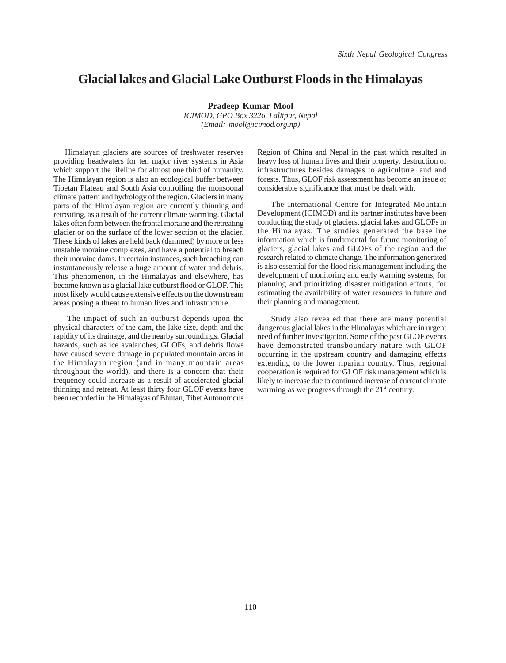### **Glacial lakes and Glacial Lake Outburst Floods in the Himalayas**

**Pradeep Kumar Mool**

*ICIMOD, GPO Box 3226, Lalitpur, Nepal (Email: mool@icimod.org.np)*

Himalayan glaciers are sources of freshwater reserves providing headwaters for ten major river systems in Asia which support the lifeline for almost one third of humanity. The Himalayan region is also an ecological buffer between Tibetan Plateau and South Asia controlling the monsoonal climate pattern and hydrology of the region. Glaciers in many parts of the Himalayan region are currently thinning and retreating, as a result of the current climate warming. Glacial lakes often form between the frontal moraine and the retreating glacier or on the surface of the lower section of the glacier. These kinds of lakes are held back (dammed) by more or less unstable moraine complexes, and have a potential to breach their moraine dams. In certain instances, such breaching can instantaneously release a huge amount of water and debris. This phenomenon, in the Himalayas and elsewhere, has become known as a glacial lake outburst flood or GLOF. This most likely would cause extensive effects on the downstream areas posing a threat to human lives and infrastructure.

 The impact of such an outburst depends upon the physical characters of the dam, the lake size, depth and the rapidity of its drainage, and the nearby surroundings. Glacial hazards, such as ice avalanches, GLOFs, and debris flows have caused severe damage in populated mountain areas in the Himalayan region (and in many mountain areas throughout the world), and there is a concern that their frequency could increase as a result of accelerated glacial thinning and retreat. At least thirty four GLOF events have been recorded in the Himalayas of Bhutan, Tibet Autonomous

Region of China and Nepal in the past which resulted in heavy loss of human lives and their property, destruction of infrastructures besides damages to agriculture land and forests. Thus, GLOF risk assessment has become an issue of considerable significance that must be dealt with.

 The International Centre for Integrated Mountain Development (ICIMOD) and its partner institutes have been conducting the study of glaciers, glacial lakes and GLOFs in the Himalayas. The studies generated the baseline information which is fundamental for future monitoring of glaciers, glacial lakes and GLOFs of the region and the research related to climate change. The information generated is also essential for the flood risk management including the development of monitoring and early warning systems, for planning and prioritizing disaster mitigation efforts, for estimating the availability of water resources in future and their planning and management.

 Study also revealed that there are many potential dangerous glacial lakes in the Himalayas which are in urgent need of further investigation. Some of the past GLOF events have demonstrated transboundary nature with GLOF occurring in the upstream country and damaging effects extending to the lower riparian country. Thus, regional cooperation is required for GLOF risk management which is likely to increase due to continued increase of current climate warming as we progress through the 21<sup>st</sup> century.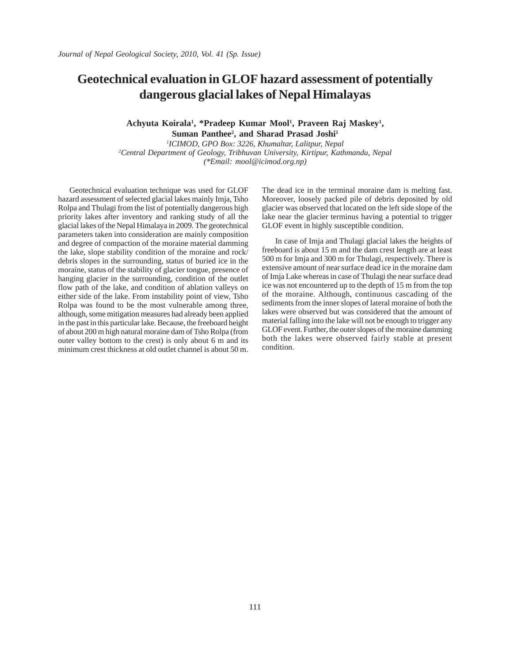## **Geotechnical evaluation in GLOF hazard assessment of potentially dangerous glacial lakes of Nepal Himalayas**

Achyuta Koirala<sup>1</sup>, \*Pradeep Kumar Mool<sup>1</sup>, Praveen Raj Maskey<sup>1</sup>, Suman Panthee<sup>2</sup>, and Sharad Prasad Joshi<sup>1</sup>

*1 ICIMOD, GPO Box: 3226, Khumaltar, Lalitpur, Nepal 2 Central Department of Geology, Tribhuvan University, Kirtipur, Kathmandu, Nepal (\*Email: mool@icimod.org.np)*

Geotechnical evaluation technique was used for GLOF hazard assessment of selected glacial lakes mainly Imja, Tsho Rolpa and Thulagi from the list of potentially dangerous high priority lakes after inventory and ranking study of all the glacial lakes of the Nepal Himalaya in 2009. The geotechnical parameters taken into consideration are mainly composition and degree of compaction of the moraine material damming the lake, slope stability condition of the moraine and rock/ debris slopes in the surrounding, status of buried ice in the moraine, status of the stability of glacier tongue, presence of hanging glacier in the surrounding, condition of the outlet flow path of the lake, and condition of ablation valleys on either side of the lake. From instability point of view, Tsho Rolpa was found to be the most vulnerable among three, although, some mitigation measures had already been applied in the past in this particular lake. Because, the freeboard height of about 200 m high natural moraine dam of Tsho Rolpa (from outer valley bottom to the crest) is only about 6 m and its minimum crest thickness at old outlet channel is about 50 m.

The dead ice in the terminal moraine dam is melting fast. Moreover, loosely packed pile of debris deposited by old glacier was observed that located on the left side slope of the lake near the glacier terminus having a potential to trigger GLOF event in highly susceptible condition.

 In case of Imja and Thulagi glacial lakes the heights of freeboard is about 15 m and the dam crest length are at least 500 m for Imja and 300 m for Thulagi, respectively. There is extensive amount of near surface dead ice in the moraine dam of Imja Lake whereas in case of Thulagi the near surface dead ice was not encountered up to the depth of 15 m from the top of the moraine. Although, continuous cascading of the sediments from the inner slopes of lateral moraine of both the lakes were observed but was considered that the amount of material falling into the lake will not be enough to trigger any GLOF event. Further, the outer slopes of the moraine damming both the lakes were observed fairly stable at present condition.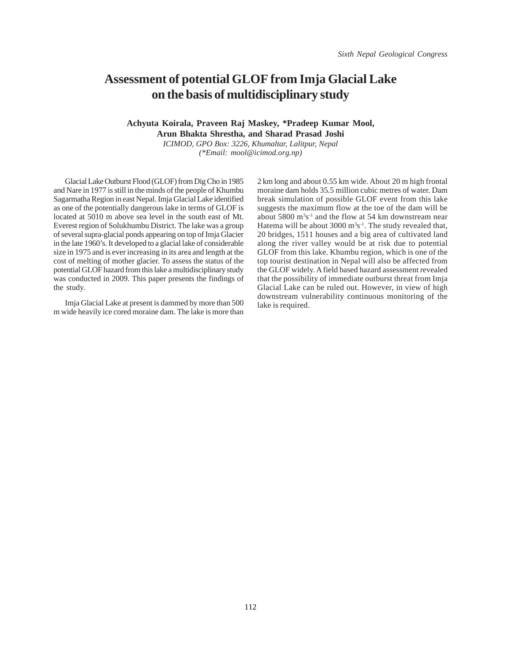### **Assessment of potential GLOF from Imja Glacial Lake on the basis of multidisciplinary study**

### **Achyuta Koirala, Praveen Raj Maskey, \*Pradeep Kumar Mool, Arun Bhakta Shrestha, and Sharad Prasad Joshi**

*ICIMOD, GPO Box: 3226, Khumaltar, Lalitpur, Nepal (\*Email: mool@icimod.org.np)*

Glacial Lake Outburst Flood (GLOF) from Dig Cho in 1985 and Nare in 1977 is still in the minds of the people of Khumbu Sagarmatha Region in east Nepal. Imja Glacial Lake identified as one of the potentially dangerous lake in terms of GLOF is located at 5010 m above sea level in the south east of Mt. Everest region of Solukhumbu District. The lake was a group of several supra-glacial ponds appearing on top of Imja Glacier in the late 1960's. It developed to a glacial lake of considerable size in 1975 and is ever increasing in its area and length at the cost of melting of mother glacier. To assess the status of the potential GLOF hazard from this lake a multidisciplinary study was conducted in 2009. This paper presents the findings of the study.

Imja Glacial Lake at present is dammed by more than 500 m wide heavily ice cored moraine dam. The lake is more than 2 km long and about 0.55 km wide. About 20 m high frontal moraine dam holds 35.5 million cubic metres of water. Dam break simulation of possible GLOF event from this lake suggests the maximum flow at the toe of the dam will be about  $5800 \text{ m}^3\text{s}^{-1}$  and the flow at  $54 \text{ km}$  downstream near Hatema will be about  $3000 \text{ m}^3\text{s}^{-1}$ . The study revealed that, 20 bridges, 1511 houses and a big area of cultivated land along the river valley would be at risk due to potential GLOF from this lake. Khumbu region, which is one of the top tourist destination in Nepal will also be affected from the GLOF widely. A field based hazard assessment revealed that the possibility of immediate outburst threat from Imja Glacial Lake can be ruled out. However, in view of high downstream vulnerability continuous monitoring of the lake is required.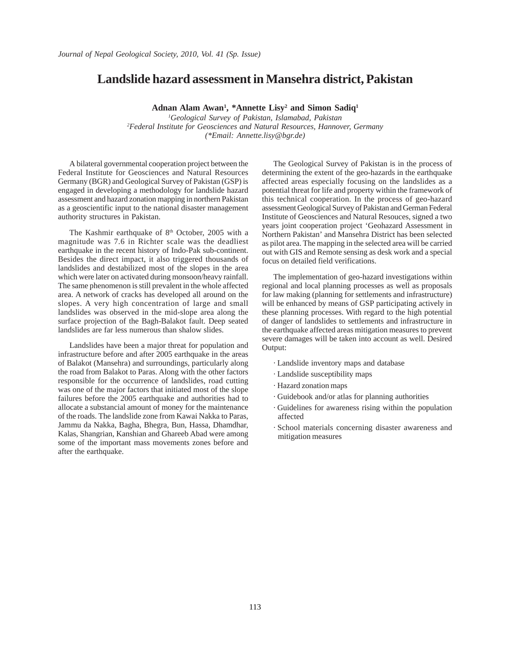### **Landslide hazard assessment in Mansehra district, Pakistan**

**Adnan Alam Awan1 , \*Annette Lisy2 and Simon Sadiq1**

*1 Geological Survey of Pakistan, Islamabad, Pakistan 2 Federal Institute for Geosciences and Natural Resources, Hannover, Germany (\*Email: Annette.lisy@bgr.de)*

A bilateral governmental cooperation project between the Federal Institute for Geosciences and Natural Resources Germany (BGR) and Geological Survey of Pakistan (GSP) is engaged in developing a methodology for landslide hazard assessment and hazard zonation mapping in northern Pakistan as a geoscientific input to the national disaster management authority structures in Pakistan.

The Kashmir earthquake of 8<sup>th</sup> October, 2005 with a magnitude was 7.6 in Richter scale was the deadliest earthquake in the recent history of Indo-Pak sub-continent. Besides the direct impact, it also triggered thousands of landslides and destabilized most of the slopes in the area which were later on activated during monsoon/heavy rainfall. The same phenomenon is still prevalent in the whole affected area. A network of cracks has developed all around on the slopes. A very high concentration of large and small landslides was observed in the mid-slope area along the surface projection of the Bagh-Balakot fault. Deep seated landslides are far less numerous than shalow slides.

Landslides have been a major threat for population and infrastructure before and after 2005 earthquake in the areas of Balakot (Mansehra) and surroundings, particularly along the road from Balakot to Paras. Along with the other factors responsible for the occurrence of landslides, road cutting was one of the major factors that initiated most of the slope failures before the 2005 earthquake and authorities had to allocate a substancial amount of money for the maintenance of the roads. The landslide zone from Kawai Nakka to Paras, Jammu da Nakka, Bagha, Bhegra, Bun, Hassa, Dhamdhar, Kalas, Shangrian, Kanshian and Ghareeb Abad were among some of the important mass movements zones before and after the earthquake.

The Geological Survey of Pakistan is in the process of determining the extent of the geo-hazards in the earthquake affected areas especially focusing on the landslides as a potential threat for life and property within the framework of this technical cooperation. In the process of geo-hazard assessment Geological Survey of Pakistan and German Federal Institute of Geosciences and Natural Resouces, signed a two years joint cooperation project 'Geohazard Assessment in Northern Pakistan' and Mansehra District has been selected as pilot area. The mapping in the selected area will be carried out with GIS and Remote sensing as desk work and a special focus on detailed field verifications.

The implementation of geo-hazard investigations within regional and local planning processes as well as proposals for law making (planning for settlements and infrastructure) will be enhanced by means of GSP participating actively in these planning processes. With regard to the high potential of danger of landslides to settlements and infrastructure in the earthquake affected areas mitigation measures to prevent severe damages will be taken into account as well. Desired Output:

- *·* Landslide inventory maps and database
- *·* Landslide susceptibility maps
- *·* Hazard zonation maps
- *·* Guidebook and/or atlas for planning authorities
- *·* Guidelines for awareness rising within the population affected
- *·* School materials concerning disaster awareness and mitigation measures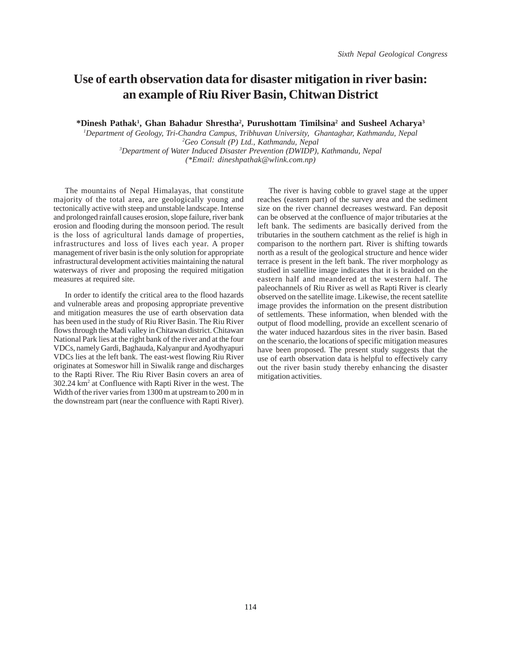## **Use of earth observation data for disaster mitigation in river basin: an example of Riu River Basin, Chitwan District**

**\*Dinesh Pathak1 , Ghan Bahadur Shrestha2 , Purushottam Timilsina2 and Susheel Acharya3**

 *Department of Geology, Tri-Chandra Campus, Tribhuvan University, Ghantaghar, Kathmandu, Nepal Geo Consult (P) Ltd., Kathmandu, Nepal Department of Water Induced Disaster Prevention (DWIDP), Kathmandu, Nepal (\*Email: dineshpathak@wlink.com.np)*

The mountains of Nepal Himalayas, that constitute majority of the total area, are geologically young and tectonically active with steep and unstable landscape. Intense and prolonged rainfall causes erosion, slope failure, river bank erosion and flooding during the monsoon period. The result is the loss of agricultural lands damage of properties, infrastructures and loss of lives each year. A proper management of river basin is the only solution for appropriate infrastructural development activities maintaining the natural waterways of river and proposing the required mitigation measures at required site.

In order to identify the critical area to the flood hazards and vulnerable areas and proposing appropriate preventive and mitigation measures the use of earth observation data has been used in the study of Riu River Basin. The Riu River flows through the Madi valley in Chitawan district. Chitawan National Park lies at the right bank of the river and at the four VDCs, namely Gardi, Baghauda, Kalyanpur and Ayodhyapuri VDCs lies at the left bank. The east-west flowing Riu River originates at Someswor hill in Siwalik range and discharges to the Rapti River. The Riu River Basin covers an area of 302.24 km2 at Confluence with Rapti River in the west. The Width of the river varies from 1300 m at upstream to 200 m in the downstream part (near the confluence with Rapti River).

The river is having cobble to gravel stage at the upper reaches (eastern part) of the survey area and the sediment size on the river channel decreases westward. Fan deposit can be observed at the confluence of major tributaries at the left bank. The sediments are basically derived from the tributaries in the southern catchment as the relief is high in comparison to the northern part. River is shifting towards north as a result of the geological structure and hence wider terrace is present in the left bank. The river morphology as studied in satellite image indicates that it is braided on the eastern half and meandered at the western half. The paleochannels of Riu River as well as Rapti River is clearly observed on the satellite image. Likewise, the recent satellite image provides the information on the present distribution of settlements. These information, when blended with the output of flood modelling, provide an excellent scenario of the water induced hazardous sites in the river basin. Based on the scenario, the locations of specific mitigation measures have been proposed. The present study suggests that the use of earth observation data is helpful to effectively carry out the river basin study thereby enhancing the disaster mitigation activities.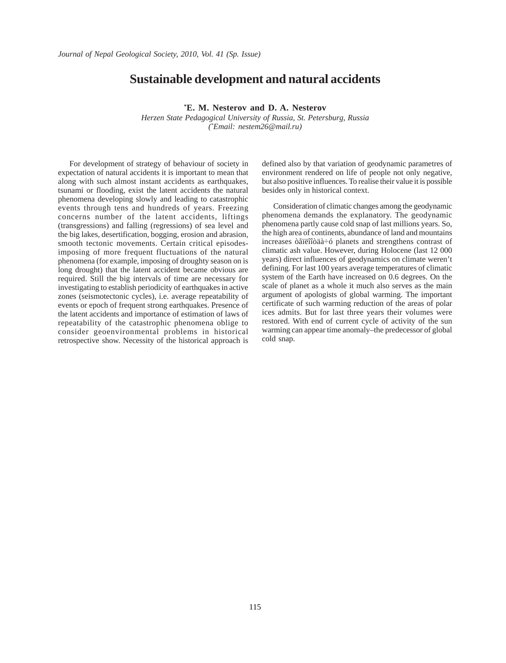### **Sustainable development and natural accidents**

**\* E. M. Nesterov and D. A. Nesterov**

*Herzen State Pedagogical University of Russia, St. Petersburg, Russia ( \* Email: nestem26@mail.ru)*

For development of strategy of behaviour of society in expectation of natural accidents it is important to mean that along with such almost instant accidents as earthquakes, tsunami or flooding, exist the latent accidents the natural phenomena developing slowly and leading to catastrophic events through tens and hundreds of years. Freezing concerns number of the latent accidents, liftings (transgressions) and falling (regressions) of sea level and the big lakes, desertification, bogging, erosion and abrasion, smooth tectonic movements. Certain critical episodesimposing of more frequent fluctuations of the natural phenomena (for example, imposing of droughty season on is long drought) that the latent accident became obvious are required. Still the big intervals of time are necessary for investigating to establish periodicity of earthquakes in active zones (seismotectonic cycles), i.e. average repeatability of events or epoch of frequent strong earthquakes. Presence of the latent accidents and importance of estimation of laws of repeatability of the catastrophic phenomena oblige to consider geoenvironmental problems in historical retrospective show. Necessity of the historical approach is defined also by that variation of geodynamic parametres of environment rendered on life of people not only negative, but also positive influences. To realise their value it is possible besides only in historical context.

Consideration of climatic changes among the geodynamic phenomena demands the explanatory. The geodynamic phenomena partly cause cold snap of last millions years. So, the high area of continents, abundance of land and mountains increases òåïëîîòäà÷ó planets and strengthens contrast of climatic ash value. However, during Holocene (last 12 000 years) direct influences of geodynamics on climate weren't defining. For last 100 years average temperatures of climatic system of the Earth have increased on 0.6 degrees. On the scale of planet as a whole it much also serves as the main argument of apologists of global warming. The important certificate of such warming reduction of the areas of polar ices admits. But for last three years their volumes were restored. With end of current cycle of activity of the sun warming can appear time anomaly–the predecessor of global cold snap.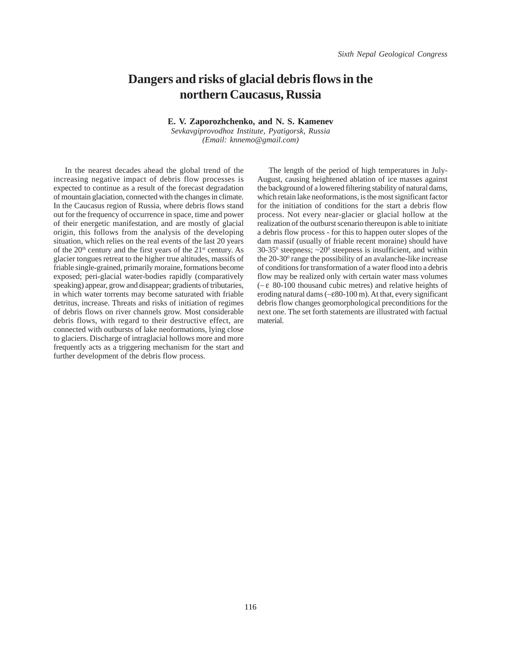## **Dangers and risks of glacial debris flows in the northern Caucasus, Russia**

**E. V. Zaporozhchenko, and N. S. Kamenev**

*Sevkavgiprovodhoz Institute, Pyatigorsk, Russia (Email: knnemo@gmail.com)*

In the nearest decades ahead the global trend of the increasing negative impact of debris flow processes is expected to continue as a result of the forecast degradation of mountain glaciation, connected with the changes in climate. In the Caucasus region of Russia, where debris flows stand out for the frequency of occurrence in space, time and power of their energetic manifestation, and are mostly of glacial origin, this follows from the analysis of the developing situation, which relies on the real events of the last 20 years of the  $20<sup>th</sup>$  century and the first years of the  $21<sup>st</sup>$  century. As glacier tongues retreat to the higher true altitudes, massifs of friable single-grained, primarily moraine, formations become exposed; peri-glacial water-bodies rapidly (comparatively speaking) appear, grow and disappear; gradients of tributaries, in which water torrents may become saturated with friable detritus, increase. Threats and risks of initiation of regimes of debris flows on river channels grow. Most considerable debris flows, with regard to their destructive effect, are connected with outbursts of lake neoformations, lying close to glaciers. Discharge of intraglacial hollows more and more frequently acts as a triggering mechanism for the start and further development of the debris flow process.

The length of the period of high temperatures in July-August, causing heightened ablation of ice masses against the background of a lowered filtering stability of natural dams, which retain lake neoformations, is the most significant factor for the initiation of conditions for the start a debris flow process. Not every near-glacier or glacial hollow at the realization of the outburst scenario thereupon is able to initiate a debris flow process - for this to happen outer slopes of the dam massif (usually of friable recent moraine) should have  $30-35^{\circ}$  steepness;  $\sim 20^{\circ}$  steepness is insufficient, and within the 20-30<sup>°</sup> range the possibility of an avalanche-like increase of conditions for transformation of a water flood into a debris flow may be realized only with certain water mass volumes (∼ ε 80-100 thousand cubic metres) and relative heights of eroding natural dams (∼ε80-100 m). At that, every significant debris flow changes geomorphological preconditions for the next one. The set forth statements are illustrated with factual material.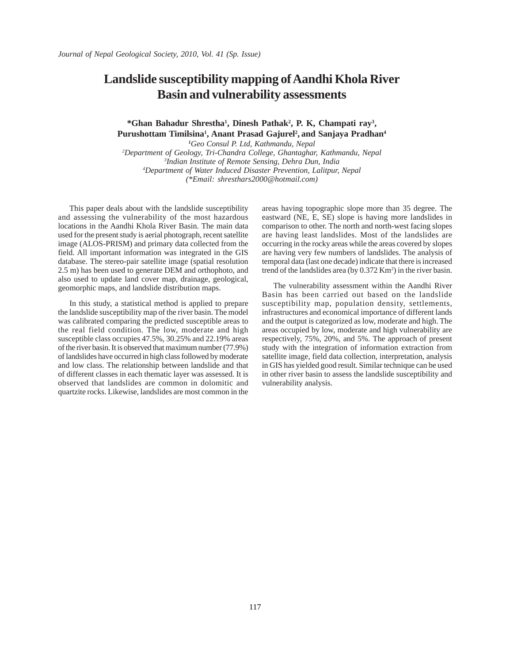### **Landslide susceptibility mapping of Aandhi Khola River Basin and vulnerability assessments**

### \*Ghan Bahadur Shrestha<sup>1</sup>, Dinesh Pathak<sup>2</sup>, P. K, Champati ray<sup>3</sup>, **Purushottam Timilsina1 , Anant Prasad Gajurel2 , and Sanjaya Pradhan4**

 *Geo Consul P. Ltd, Kathmandu, Nepal Department of Geology, Tri-Chandra College, Ghantaghar, Kathmandu, Nepal Indian Institute of Remote Sensing, Dehra Dun, India Department of Water Induced Disaster Prevention, Lalitpur, Nepal (\*Email: shresthars2000@hotmail.com)*

This paper deals about with the landslide susceptibility and assessing the vulnerability of the most hazardous locations in the Aandhi Khola River Basin. The main data used for the present study is aerial photograph, recent satellite image (ALOS-PRISM) and primary data collected from the field. All important information was integrated in the GIS database. The stereo-pair satellite image (spatial resolution 2.5 m) has been used to generate DEM and orthophoto, and also used to update land cover map, drainage, geological, geomorphic maps, and landslide distribution maps.

In this study, a statistical method is applied to prepare the landslide susceptibility map of the river basin. The model was calibrated comparing the predicted susceptible areas to the real field condition. The low, moderate and high susceptible class occupies 47.5%, 30.25% and 22.19% areas of the river basin. It is observed that maximum number (77.9%) of landslides have occurred in high class followed by moderate and low class. The relationship between landslide and that of different classes in each thematic layer was assessed. It is observed that landslides are common in dolomitic and quartzite rocks. Likewise, landslides are most common in the

areas having topographic slope more than 35 degree. The eastward (NE, E, SE) slope is having more landslides in comparison to other. The north and north-west facing slopes are having least landslides. Most of the landslides are occurring in the rocky areas while the areas covered by slopes are having very few numbers of landslides. The analysis of temporal data (last one decade) indicate that there is increased trend of the landslides area (by  $0.372$  Km<sup>2</sup>) in the river basin.

The vulnerability assessment within the Aandhi River Basin has been carried out based on the landslide susceptibility map, population density, settlements, infrastructures and economical importance of different lands and the output is categorized as low, moderate and high. The areas occupied by low, moderate and high vulnerability are respectively, 75%, 20%, and 5%. The approach of present study with the integration of information extraction from satellite image, field data collection, interpretation, analysis in GIS has yielded good result. Similar technique can be used in other river basin to assess the landslide susceptibility and vulnerability analysis.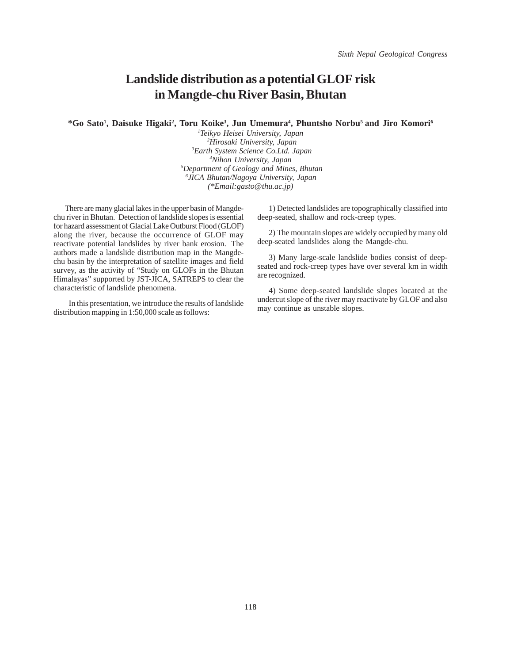### **Landslide distribution as a potential GLOF risk in Mangde-chu River Basin, Bhutan**

\*Go Sato<sup>1</sup>, Daisuke Higaki<sup>2</sup>, Toru Koike<sup>3</sup>, Jun Umemura<sup>4</sup>, Phuntsho Norbu<sup>5</sup> and Jiro Komori<sup>6</sup>

 *Teikyo Heisei University, Japan Hirosaki University, Japan Earth System Science Co.Ltd. Japan Nihon University, Japan Department of Geology and Mines, Bhutan JICA Bhutan/Nagoya University, Japan (\*Email:gasto@thu.ac.jp)*

There are many glacial lakes in the upper basin of Mangdechu river in Bhutan. Detection of landslide slopes is essential for hazard assessment of Glacial Lake Outburst Flood (GLOF) along the river, because the occurrence of GLOF may reactivate potential landslides by river bank erosion. The authors made a landslide distribution map in the Mangdechu basin by the interpretation of satellite images and field survey, as the activity of "Study on GLOFs in the Bhutan Himalayas" supported by JST-JICA, SATREPS to clear the characteristic of landslide phenomena.

 In this presentation, we introduce the results of landslide distribution mapping in 1:50,000 scale as follows:

1) Detected landslides are topographically classified into deep-seated, shallow and rock-creep types.

2) The mountain slopes are widely occupied by many old deep-seated landslides along the Mangde-chu.

3) Many large-scale landslide bodies consist of deepseated and rock-creep types have over several km in width are recognized.

4) Some deep-seated landslide slopes located at the undercut slope of the river may reactivate by GLOF and also may continue as unstable slopes.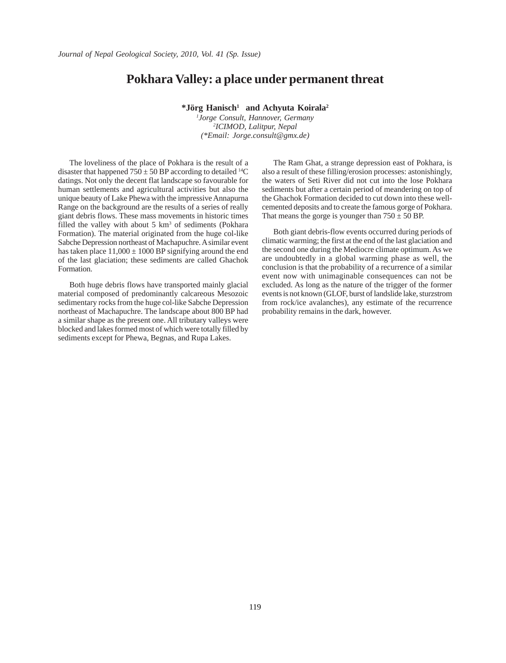### **Pokhara Valley: a place under permanent threat**

**\*Jörg Hanisch1 and Achyuta Koirala2**

*1 Jorge Consult, Hannover, Germany 2 ICIMOD, Lalitpur, Nepal (\*Email: Jorge.consult@gmx.de)*

The loveliness of the place of Pokhara is the result of a disaster that happened  $750 \pm 50$  BP according to detailed <sup>14</sup>C datings. Not only the decent flat landscape so favourable for human settlements and agricultural activities but also the unique beauty of Lake Phewa with the impressive Annapurna Range on the background are the results of a series of really giant debris flows. These mass movements in historic times filled the valley with about  $5 \text{ km}^3$  of sediments (Pokhara Formation). The material originated from the huge col-like Sabche Depression northeast of Machapuchre. A similar event has taken place  $11,000 \pm 1000$  BP signifying around the end of the last glaciation; these sediments are called Ghachok Formation.

Both huge debris flows have transported mainly glacial material composed of predominantly calcareous Mesozoic sedimentary rocks from the huge col-like Sabche Depression northeast of Machapuchre. The landscape about 800 BP had a similar shape as the present one. All tributary valleys were blocked and lakes formed most of which were totally filled by sediments except for Phewa, Begnas, and Rupa Lakes.

The Ram Ghat, a strange depression east of Pokhara, is also a result of these filling/erosion processes: astonishingly, the waters of Seti River did not cut into the lose Pokhara sediments but after a certain period of meandering on top of the Ghachok Formation decided to cut down into these wellcemented deposits and to create the famous gorge of Pokhara. That means the gorge is younger than  $750 \pm 50$  BP.

Both giant debris-flow events occurred during periods of climatic warming; the first at the end of the last glaciation and the second one during the Mediocre climate optimum. As we are undoubtedly in a global warming phase as well, the conclusion is that the probability of a recurrence of a similar event now with unimaginable consequences can not be excluded. As long as the nature of the trigger of the former events is not known (GLOF, burst of landslide lake, sturzstrom from rock/ice avalanches), any estimate of the recurrence probability remains in the dark, however.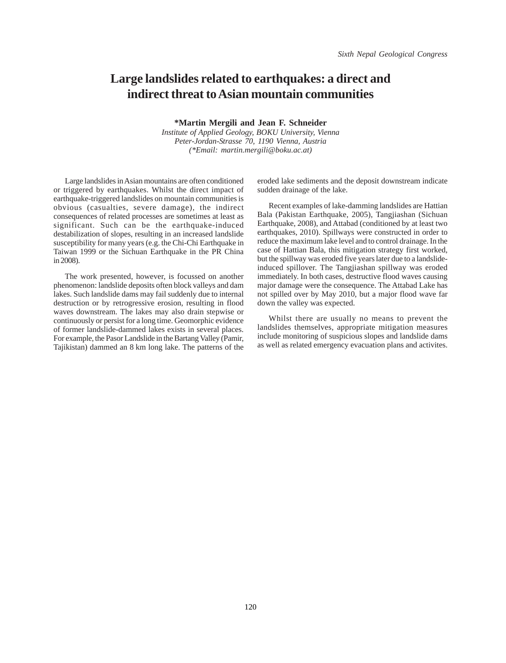### **Large landslides related to earthquakes: a direct and indirect threat to Asian mountain communities**

**\*Martin Mergili and Jean F. Schneider**

*Institute of Applied Geology, BOKU University, Vienna Peter-Jordan-Strasse 70, 1190 Vienna, Austria (\*Email: martin.mergili@boku.ac.at)*

Large landslides in Asian mountains are often conditioned or triggered by earthquakes. Whilst the direct impact of earthquake-triggered landslides on mountain communities is obvious (casualties, severe damage), the indirect consequences of related processes are sometimes at least as significant. Such can be the earthquake-induced destabilization of slopes, resulting in an increased landslide susceptibility for many years (e.g. the Chi-Chi Earthquake in Taiwan 1999 or the Sichuan Earthquake in the PR China in 2008).

The work presented, however, is focussed on another phenomenon: landslide deposits often block valleys and dam lakes. Such landslide dams may fail suddenly due to internal destruction or by retrogressive erosion, resulting in flood waves downstream. The lakes may also drain stepwise or continuously or persist for a long time. Geomorphic evidence of former landslide-dammed lakes exists in several places. For example, the Pasor Landslide in the Bartang Valley (Pamir, Tajikistan) dammed an 8 km long lake. The patterns of the

eroded lake sediments and the deposit downstream indicate sudden drainage of the lake.

Recent examples of lake-damming landslides are Hattian Bala (Pakistan Earthquake, 2005), Tangjiashan (Sichuan Earthquake, 2008), and Attabad (conditioned by at least two earthquakes, 2010). Spillways were constructed in order to reduce the maximum lake level and to control drainage. In the case of Hattian Bala, this mitigation strategy first worked, but the spillway was eroded five years later due to a landslideinduced spillover. The Tangjiashan spillway was eroded immediately. In both cases, destructive flood waves causing major damage were the consequence. The Attabad Lake has not spilled over by May 2010, but a major flood wave far down the valley was expected.

Whilst there are usually no means to prevent the landslides themselves, appropriate mitigation measures include monitoring of suspicious slopes and landslide dams as well as related emergency evacuation plans and activites.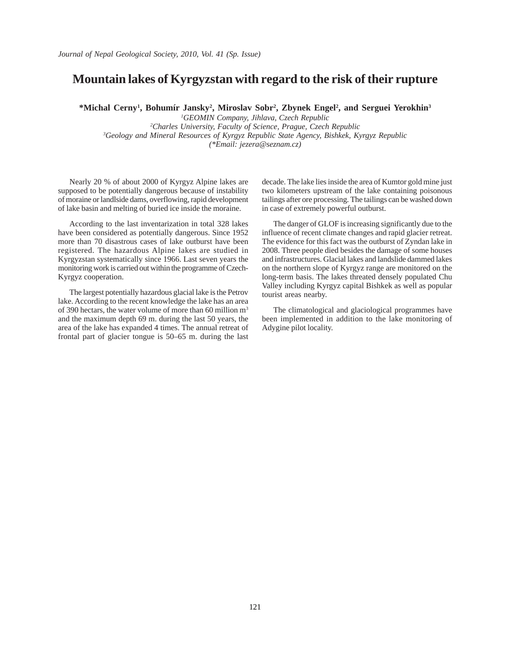### **Mountain lakes of Kyrgyzstan with regard to the risk of their rupture**

\*Michal Cerny<sup>1</sup>, Bohumír Jansky<sup>2</sup>, Miroslav Sobr<sup>2</sup>, Zbynek Engel<sup>2</sup>, and Serguei Yerokhin<sup>3</sup>

 *GEOMIN Company, Jihlava, Czech Republic Charles University, Faculty of Science, Prague, Czech Republic Geology and Mineral Resources of Kyrgyz Republic State Agency, Bishkek, Kyrgyz Republic (\*Email: jezera@seznam.cz)*

Nearly 20 % of about 2000 of Kyrgyz Alpine lakes are supposed to be potentially dangerous because of instability of moraine or landlside dams, overflowing, rapid development of lake basin and melting of buried ice inside the moraine.

According to the last inventarization in total 328 lakes have been considered as potentially dangerous. Since 1952 more than 70 disastrous cases of lake outburst have been registered. The hazardous Alpine lakes are studied in Kyrgyzstan systematically since 1966. Last seven years the monitoring work is carried out within the programme of Czech-Kyrgyz cooperation.

The largest potentially hazardous glacial lake is the Petrov lake. According to the recent knowledge the lake has an area of 390 hectars, the water volume of more than 60 million m3 and the maximum depth 69 m. during the last 50 years, the area of the lake has expanded 4 times. The annual retreat of frontal part of glacier tongue is 50–65 m. during the last decade. The lake lies inside the area of Kumtor gold mine just two kilometers upstream of the lake containing poisonous tailings after ore processing. The tailings can be washed down in case of extremely powerful outburst.

The danger of GLOF is increasing significantly due to the influence of recent climate changes and rapid glacier retreat. The evidence for this fact was the outburst of Zyndan lake in 2008. Three people died besides the damage of some houses and infrastructures. Glacial lakes and landslide dammed lakes on the northern slope of Kyrgyz range are monitored on the long-term basis. The lakes threated densely populated Chu Valley including Kyrgyz capital Bishkek as well as popular tourist areas nearby.

The climatological and glaciological programmes have been implemented in addition to the lake monitoring of Adygine pilot locality.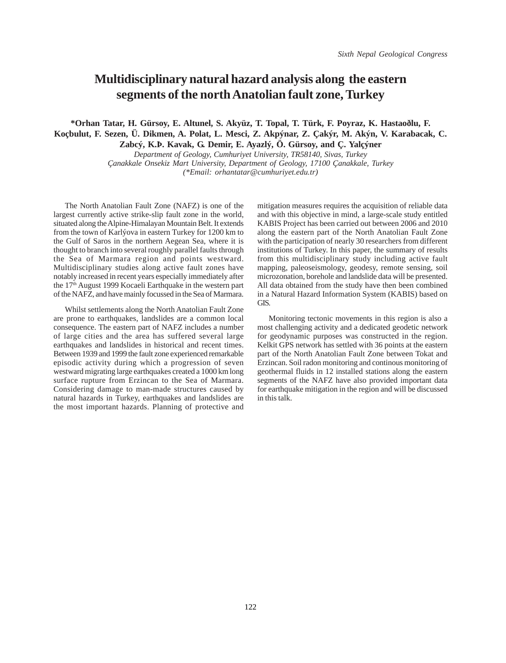### **Multidisciplinary natural hazard analysis along the eastern segments of the north Anatolian fault zone, Turkey**

**\*Orhan Tatar, H. Gürsoy, E. Altunel, S. Akyüz, T. Topal, T. Türk, F. Poyraz, K. Hastaoðlu, F. Koçbulut, F. Sezen, Ü. Dikmen, A. Polat, L. Mesci, Z. Akpýnar, Z. Çakýr, M. Akýn, V. Karabacak, C. Zabcý, K.Þ. Kavak, G. Demir, E. Ayazlý, Ö. Gürsoy, and Ç. Yalçýner**

> *Department of Geology, Cumhuriyet University, TR58140, Sivas, Turkey Çanakkale Onsekiz Mart University, Department of Geology, 17100 Çanakkale, Turkey (\*Email: orhantatar@cumhuriyet.edu.tr)*

The North Anatolian Fault Zone (NAFZ) is one of the largest currently active strike-slip fault zone in the world, situated along the Alpine-Himalayan Mountain Belt. It extends from the town of Karlýova in eastern Turkey for 1200 km to the Gulf of Saros in the northern Aegean Sea, where it is thought to branch into several roughly parallel faults through the Sea of Marmara region and points westward. Multidisciplinary studies along active fault zones have notably increased in recent years especially immediately after the 17<sup>th</sup> August 1999 Kocaeli Earthquake in the western part of the NAFZ, and have mainly focussed in the Sea of Marmara.

Whilst settlements along the North Anatolian Fault Zone are prone to earthquakes, landslides are a common local consequence. The eastern part of NAFZ includes a number of large cities and the area has suffered several large earthquakes and landslides in historical and recent times. Between 1939 and 1999 the fault zone experienced remarkable episodic activity during which a progression of seven westward migrating large earthquakes created a 1000 km long surface rupture from Erzincan to the Sea of Marmara. Considering damage to man-made structures caused by natural hazards in Turkey, earthquakes and landslides are the most important hazards. Planning of protective and

mitigation measures requires the acquisition of reliable data and with this objective in mind, a large-scale study entitled KABIS Project has been carried out between 2006 and 2010 along the eastern part of the North Anatolian Fault Zone with the participation of nearly 30 researchers from different institutions of Turkey. In this paper, the summary of results from this multidisciplinary study including active fault mapping, paleoseismology, geodesy, remote sensing, soil microzonation, borehole and landslide data will be presented. All data obtained from the study have then been combined in a Natural Hazard Information System (KABIS) based on GIS.

Monitoring tectonic movements in this region is also a most challenging activity and a dedicated geodetic network for geodynamic purposes was constructed in the region. Kelkit GPS network has settled with 36 points at the eastern part of the North Anatolian Fault Zone between Tokat and Erzincan. Soil radon monitoring and continous monitoring of geothermal fluids in 12 installed stations along the eastern segments of the NAFZ have also provided important data for earthquake mitigation in the region and will be discussed in this talk.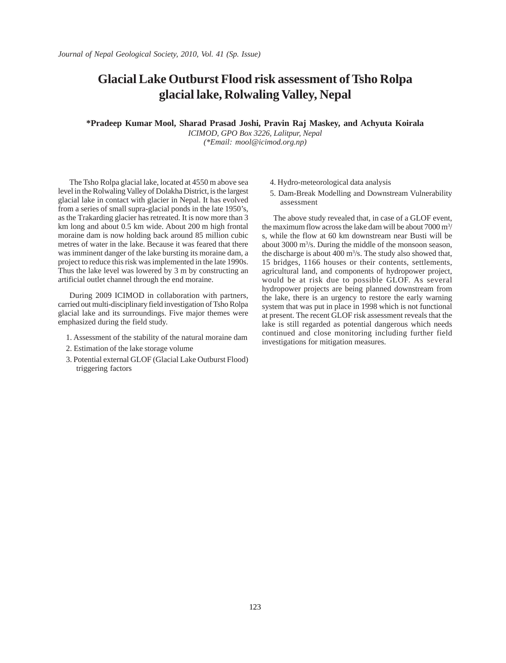## **Glacial Lake Outburst Flood risk assessment of Tsho Rolpa glacial lake, Rolwaling Valley, Nepal**

**\*Pradeep Kumar Mool, Sharad Prasad Joshi, Pravin Raj Maskey, and Achyuta Koirala**

*ICIMOD, GPO Box 3226, Lalitpur, Nepal (\*Email: mool@icimod.org.np)*

The Tsho Rolpa glacial lake, located at 4550 m above sea level in the Rolwaling Valley of Dolakha District, is the largest glacial lake in contact with glacier in Nepal. It has evolved from a series of small supra-glacial ponds in the late 1950's, as the Trakarding glacier has retreated. It is now more than 3 km long and about 0.5 km wide. About 200 m high frontal moraine dam is now holding back around 85 million cubic metres of water in the lake. Because it was feared that there was imminent danger of the lake bursting its moraine dam, a project to reduce this risk was implemented in the late 1990s. Thus the lake level was lowered by 3 m by constructing an artificial outlet channel through the end moraine.

During 2009 ICIMOD in collaboration with partners, carried out multi-disciplinary field investigation of Tsho Rolpa glacial lake and its surroundings. Five major themes were emphasized during the field study.

- 1. Assessment of the stability of the natural moraine dam
- 2. Estimation of the lake storage volume
- 3. Potential external GLOF (Glacial Lake Outburst Flood) triggering factors
- 4. Hydro-meteorological data analysis
- 5. Dam-Break Modelling and Downstream Vulnerability assessment

The above study revealed that, in case of a GLOF event, the maximum flow across the lake dam will be about  $7000 \text{ m}^3$ s, while the flow at 60 km downstream near Busti will be about 3000 m3 /s. During the middle of the monsoon season, the discharge is about  $400 \text{ m}^3$ /s. The study also showed that, 15 bridges, 1166 houses or their contents, settlements, agricultural land, and components of hydropower project, would be at risk due to possible GLOF. As several hydropower projects are being planned downstream from the lake, there is an urgency to restore the early warning system that was put in place in 1998 which is not functional at present. The recent GLOF risk assessment reveals that the lake is still regarded as potential dangerous which needs continued and close monitoring including further field investigations for mitigation measures.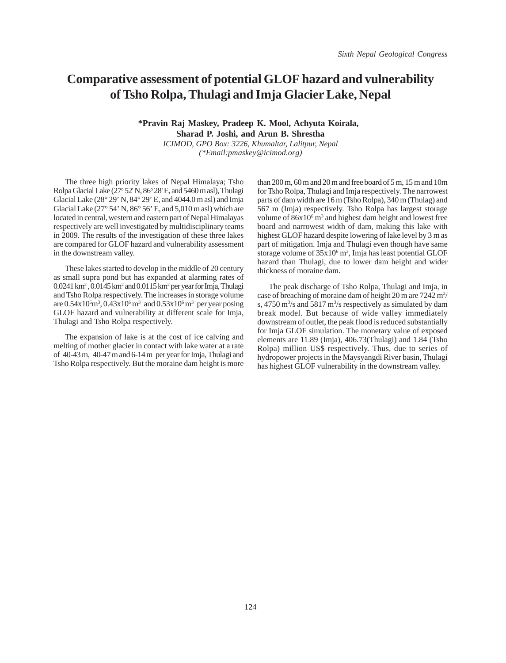### **Comparative assessment of potential GLOF hazard and vulnerability of Tsho Rolpa, Thulagi and Imja Glacier Lake, Nepal**

#### **\*Pravin Raj Maskey, Pradeep K. Mool, Achyuta Koirala, Sharad P. Joshi, and Arun B. Shrestha** *ICIMOD, GPO Box: 3226, Khumaltar, Lalitpur, Nepal*

*(\*Email:pmaskey@icimod.org)*

The three high priority lakes of Nepal Himalaya; Tsho Rolpa Glacial Lake (27° 52' N, 86° 28' E, and 5460 m asl), Thulagi Glacial Lake (28° 29' N, 84° 29' E, and 4044.0 m asl) and Imja Glacial Lake ( $27^{\circ}$  54' N,  $86^{\circ}$  56' E, and 5,010 m asl) which are located in central, western and eastern part of Nepal Himalayas respectively are well investigated by multidisciplinary teams in 2009. The results of the investigation of these three lakes are compared for GLOF hazard and vulnerability assessment in the downstream valley.

These lakes started to develop in the middle of 20 century as small supra pond but has expanded at alarming rates of 0.0241 km2 , 0.0145 km2 and 0.0115 km2 per year for Imja, Thulagi and Tsho Rolpa respectively. The increases in storage volume are  $0.54x10^6$ m<sup>3</sup>,  $0.43x10^6$  m<sup>3</sup> and  $0.53x10^6$  m<sup>3</sup> per year posing GLOF hazard and vulnerability at different scale for Imja, Thulagi and Tsho Rolpa respectively.

The expansion of lake is at the cost of ice calving and melting of mother glacier in contact with lake water at a rate of 40-43 m, 40-47 m and 6-14 m per year for Imja, Thulagi and Tsho Rolpa respectively. But the moraine dam height is more

than 200 m, 60 m and 20 m and free board of 5 m, 15 m and 10m for Tsho Rolpa, Thulagi and Imja respectively. The narrowest parts of dam width are 16 m (Tsho Rolpa), 340 m (Thulag) and 567 m (Imja) respectively. Tsho Rolpa has largest storage volume of  $86x10<sup>6</sup>$  m<sup>3</sup> and highest dam height and lowest free board and narrowest width of dam, making this lake with highest GLOF hazard despite lowering of lake level by 3 m as part of mitigation. Imja and Thulagi even though have same storage volume of  $35x10^6$  m<sup>3</sup>, Imja has least potential GLOF hazard than Thulagi, due to lower dam height and wider thickness of moraine dam.

The peak discharge of Tsho Rolpa, Thulagi and Imja, in case of breaching of moraine dam of height 20 m are 7242 m<sup>3</sup>/ s,  $4750 \text{ m}^3/\text{s}$  and  $5817 \text{ m}^3/\text{s}$  respectively as simulated by dam break model. But because of wide valley immediately downstream of outlet, the peak flood is reduced substantially for Imja GLOF simulation. The monetary value of exposed elements are 11.89 (Imja), 406.73(Thulagi) and 1.84 (Tsho Rolpa) million US\$ respectively. Thus, due to series of hydropower projects in the Maysyangdi River basin, Thulagi has highest GLOF vulnerability in the downstream valley.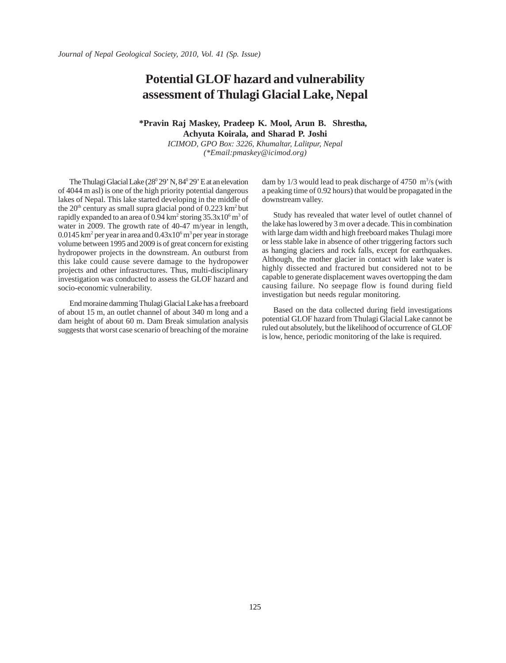## **Potential GLOF hazard and vulnerability assessment of Thulagi Glacial Lake, Nepal**

### **\*Pravin Raj Maskey, Pradeep K. Mool, Arun B. Shrestha, Achyuta Koirala, and Sharad P. Joshi**

*ICIMOD, GPO Box: 3226, Khumaltar, Lalitpur, Nepal (\*Email:pmaskey@icimod.org)*

The Thulagi Glacial Lake (28<sup>0</sup> 29' N, 84<sup>0</sup> 29' E at an elevation of 4044 m asl) is one of the high priority potential dangerous lakes of Nepal. This lake started developing in the middle of the  $20<sup>th</sup>$  century as small supra glacial pond of 0.223 km<sup>2</sup> but rapidly expanded to an area of  $0.94\,\mathrm{km^2}$  storing  $35.3\mathrm{x}10^6\,\mathrm{m^3}$  of water in 2009. The growth rate of 40-47 m/year in length,  $0.0145$  km<sup>2</sup> per year in area and  $0.43x10<sup>6</sup>$  m<sup>3</sup> per year in storage volume between 1995 and 2009 is of great concern for existing hydropower projects in the downstream. An outburst from this lake could cause severe damage to the hydropower projects and other infrastructures. Thus, multi-disciplinary investigation was conducted to assess the GLOF hazard and socio-economic vulnerability.

End moraine damming Thulagi Glacial Lake has a freeboard of about 15 m, an outlet channel of about 340 m long and a dam height of about 60 m. Dam Break simulation analysis suggests that worst case scenario of breaching of the moraine

dam by  $1/3$  would lead to peak discharge of 4750 m<sup>3</sup>/s (with a peaking time of 0.92 hours) that would be propagated in the downstream valley.

Study has revealed that water level of outlet channel of the lake has lowered by 3 m over a decade. This in combination with large dam width and high freeboard makes Thulagi more or less stable lake in absence of other triggering factors such as hanging glaciers and rock falls, except for earthquakes. Although, the mother glacier in contact with lake water is highly dissected and fractured but considered not to be capable to generate displacement waves overtopping the dam causing failure. No seepage flow is found during field investigation but needs regular monitoring.

Based on the data collected during field investigations potential GLOF hazard from Thulagi Glacial Lake cannot be ruled out absolutely, but the likelihood of occurrence of GLOF is low, hence, periodic monitoring of the lake is required.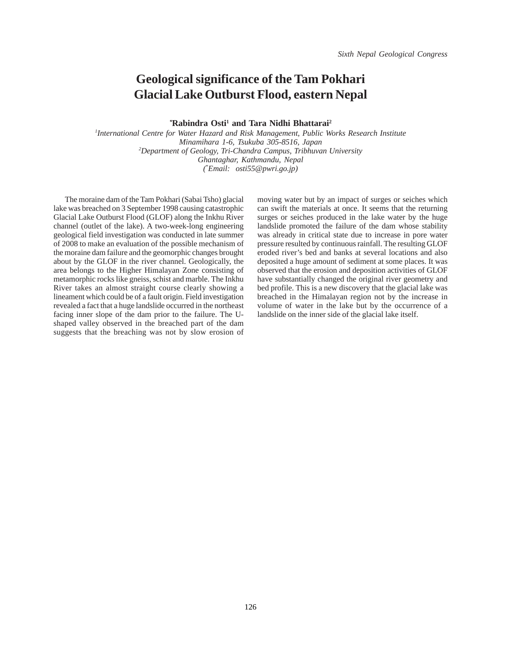## **Geological significance of the Tam Pokhari Glacial Lake Outburst Flood, eastern Nepal**

<sup>\*</sup>**Rabindra Osti<sup>1</sup> and Tara Nidhi Bhattarai<sup>2</sup>** 

*1 International Centre for Water Hazard and Risk Management, Public Works Research Institute Minamihara 1-6, Tsukuba 305-8516, Japan 2 Department of Geology, Tri-Chandra Campus, Tribhuvan University Ghantaghar, Kathmandu, Nepal (* \* *Email: osti55@pwri.go.jp)*

The moraine dam of the Tam Pokhari (Sabai Tsho) glacial lake was breached on 3 September 1998 causing catastrophic Glacial Lake Outburst Flood (GLOF) along the Inkhu River channel (outlet of the lake). A two-week-long engineering geological field investigation was conducted in late summer of 2008 to make an evaluation of the possible mechanism of the moraine dam failure and the geomorphic changes brought about by the GLOF in the river channel. Geologically, the area belongs to the Higher Himalayan Zone consisting of metamorphic rocks like gneiss, schist and marble. The Inkhu River takes an almost straight course clearly showing a lineament which could be of a fault origin. Field investigation revealed a fact that a huge landslide occurred in the northeast facing inner slope of the dam prior to the failure. The Ushaped valley observed in the breached part of the dam suggests that the breaching was not by slow erosion of moving water but by an impact of surges or seiches which can swift the materials at once. It seems that the returning surges or seiches produced in the lake water by the huge landslide promoted the failure of the dam whose stability was already in critical state due to increase in pore water pressure resulted by continuous rainfall. The resulting GLOF eroded river's bed and banks at several locations and also deposited a huge amount of sediment at some places. It was observed that the erosion and deposition activities of GLOF have substantially changed the original river geometry and bed profile. This is a new discovery that the glacial lake was breached in the Himalayan region not by the increase in volume of water in the lake but by the occurrence of a landslide on the inner side of the glacial lake itself.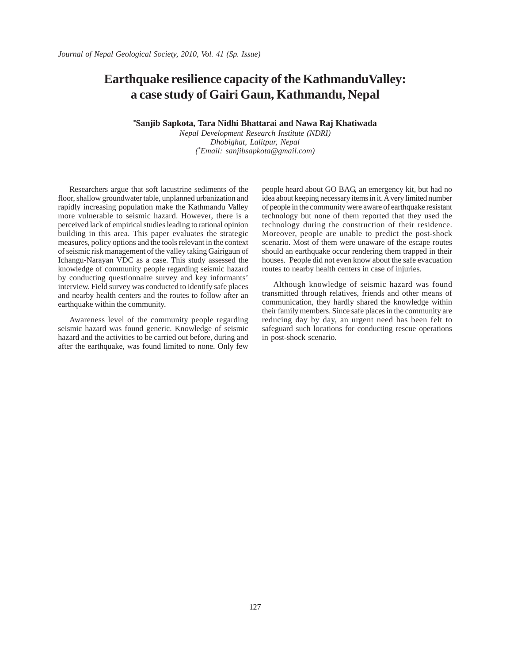## **Earthquake resilience capacity of the KathmanduValley: a case study of Gairi Gaun, Kathmandu, Nepal**

**\* Sanjib Sapkota, Tara Nidhi Bhattarai and Nawa Raj Khatiwada**

*Nepal Development Research Institute (NDRI) Dhobighat, Lalitpur, Nepal ( \* Email: sanjibsapkota@gmail.com)*

Researchers argue that soft lacustrine sediments of the floor, shallow groundwater table, unplanned urbanization and rapidly increasing population make the Kathmandu Valley more vulnerable to seismic hazard. However, there is a perceived lack of empirical studies leading to rational opinion building in this area. This paper evaluates the strategic measures, policy options and the tools relevant in the context of seismic risk management of the valley taking Gairigaun of Ichangu-Narayan VDC as a case. This study assessed the knowledge of community people regarding seismic hazard by conducting questionnaire survey and key informants' interview. Field survey was conducted to identify safe places and nearby health centers and the routes to follow after an earthquake within the community.

Awareness level of the community people regarding seismic hazard was found generic. Knowledge of seismic hazard and the activities to be carried out before, during and after the earthquake, was found limited to none. Only few

people heard about GO BAG, an emergency kit, but had no idea about keeping necessary items in it. A very limited number of people in the community were aware of earthquake resistant technology but none of them reported that they used the technology during the construction of their residence. Moreover, people are unable to predict the post-shock scenario. Most of them were unaware of the escape routes should an earthquake occur rendering them trapped in their houses. People did not even know about the safe evacuation routes to nearby health centers in case of injuries.

Although knowledge of seismic hazard was found transmitted through relatives, friends and other means of communication, they hardly shared the knowledge within their family members. Since safe places in the community are reducing day by day, an urgent need has been felt to safeguard such locations for conducting rescue operations in post-shock scenario.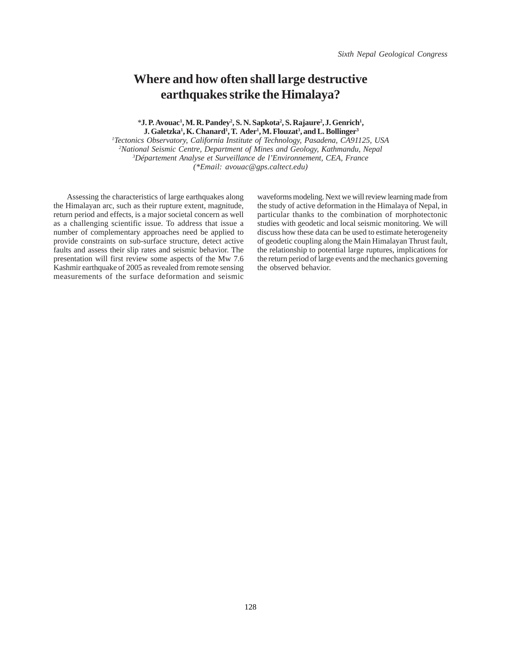### **Where and how often shall large destructive earthquakes strike the Himalaya?**

<sup>\*</sup>**J.** P. Avouac<sup>1</sup>, M. R. Pandey<sup>2</sup>, S. N. Sapkota<sup>2</sup>, S. Rajaure<sup>2</sup>, J. Genrich<sup>1</sup>,  **J. Galetzka1 , K. Chanard1 , T. Ader1 , M. Flouzat3 , and L. Bollinger3**

 *Tectonics Observatory, California Institute of Technology, Pasadena, CA91125, USA National Seismic Centre, Department of Mines and Geology, Kathmandu, Nepal Département Analyse et Surveillance de l'Environnement, CEA, France (\*Email: avouac@gps.caltect.edu)*

 Assessing the characteristics of large earthquakes along the Himalayan arc, such as their rupture extent, magnitude, return period and effects, is a major societal concern as well as a challenging scientific issue. To address that issue a number of complementary approaches need be applied to provide constraints on sub-surface structure, detect active faults and assess their slip rates and seismic behavior. The presentation will first review some aspects of the Mw 7.6 Kashmir earthquake of 2005 as revealed from remote sensing measurements of the surface deformation and seismic

waveforms modeling. Next we will review learning made from the study of active deformation in the Himalaya of Nepal, in particular thanks to the combination of morphotectonic studies with geodetic and local seismic monitoring. We will discuss how these data can be used to estimate heterogeneity of geodetic coupling along the Main Himalayan Thrust fault, the relationship to potential large ruptures, implications for the return period of large events and the mechanics governing the observed behavior.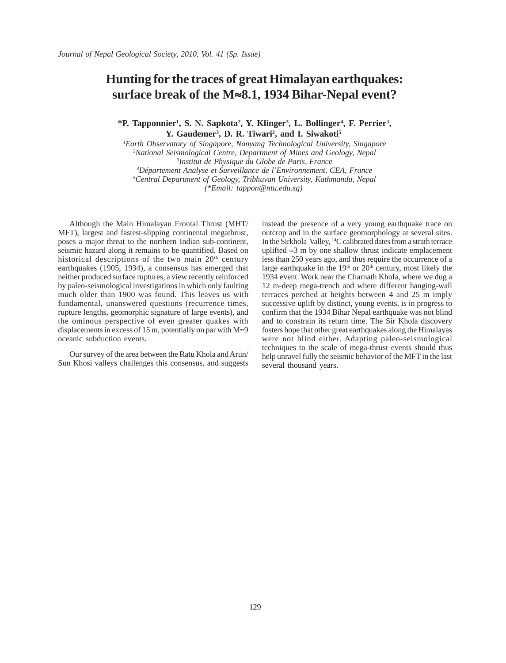### **Hunting for the traces of great Himalayan earthquakes: surface break of the M**≈**8.1, 1934 Bihar-Nepal event?**

<sup>\*</sup>P. Tapponnier<sup>1</sup>, S. N. Sapkota<sup>2</sup>, Y. Klinger<sup>3</sup>, L. Bollinger<sup>4</sup>, F. Perrier<sup>3</sup>, Y. Gaudemer<sup>3</sup>, D. R. Tiwari<sup>2</sup>, and I. Siwakoti<sup>5</sup>

 *Earth Observatory of Singapore, Nanyang Technological University, Singapore National Seismological Centre, Department of Mines and Geology, Nepal Institut de Physique du Globe de Paris, France Département Analyse et Surveillance de l'Environnement, CEA, France Central Department of Geology, Tribhuvan University, Kathmandu, Nepal (\*Email: tappon@ntu.edu.sg)* 

Although the Main Himalayan Frontal Thrust (MHT/ MFT), largest and fastest-slipping continental megathrust, poses a major threat to the northern Indian sub-continent, seismic hazard along it remains to be quantified. Based on historical descriptions of the two main  $20<sup>th</sup>$  century earthquakes (1905, 1934), a consensus has emerged that neither produced surface ruptures, a view recently reinforced by paleo-seismological investigations in which only faulting much older than 1900 was found. This leaves us with fundamental, unanswered questions (recurrence times, rupture lengths, geomorphic signature of large events), and the ominous perspective of even greater quakes with displacements in excess of 15 m, potentially on par with M≈9 oceanic subduction events.

Our survey of the area between the Ratu Khola and Arun/ Sun Khosi valleys challenges this consensus, and suggests instead the presence of a very young earthquake trace on outcrop and in the surface geomorphology at several sites. In the Sirkhola Valley, 14C calibrated dates from a strath terrace uplifted ≈3 m by one shallow thrust indicate emplacement less than 250 years ago, and thus require the occurrence of a large earthquake in the 19<sup>th</sup> or 20<sup>th</sup> century, most likely the 1934 event. Work near the Charnath Khola, where we dug a 12 m-deep mega-trench and where different hanging-wall terraces perched at heights between 4 and 25 m imply successive uplift by distinct, young events, is in progress to confirm that the 1934 Bihar Nepal earthquake was not blind and to constrain its return time. The Sir Khola discovery fosters hope that other great earthquakes along the Himalayas were not blind either. Adapting paleo-seismological techniques to the scale of mega-thrust events should thus help unravel fully the seismic behavior of the MFT in the last several thousand years.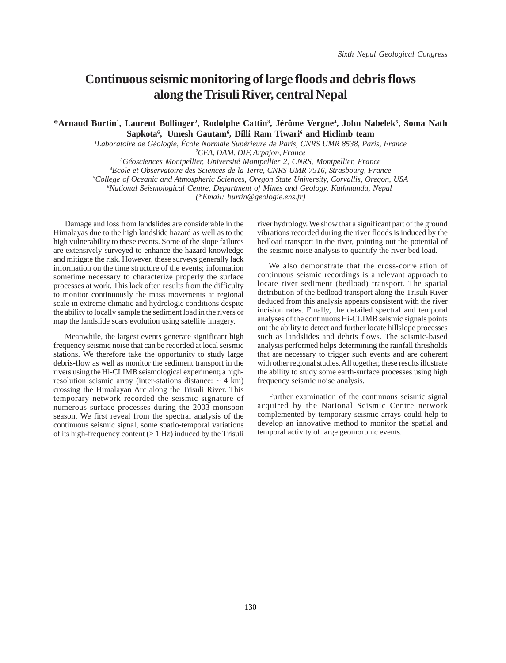## **Continuous seismic monitoring of large floods and debris flows along the Trisuli River, central Nepal**

**\*Arnaud Burtin1 , Laurent Bollinger2 , Rodolphe Cattin3 , Jérôme Vergne4 , John Nabelek5 , Soma Nath** Sapkota<sup>6</sup>, Umesh Gautam<sup>6</sup>, Dilli Ram Tiwari<sup>6</sup> and Hiclimb team

*1 Laboratoire de Géologie, École Normale Supérieure de Paris, CNRS UMR 8538, Paris, France 2 CEA, DAM, DIF, Arpajon, France*

 *Géosciences Montpellier, Université Montpellier 2, CNRS, Montpellier, France Ecole et Observatoire des Sciences de la Terre, CNRS UMR 7516, Strasbourg, France College of Oceanic and Atmospheric Sciences, Oregon State University, Corvallis, Oregon, USA* <sup>6</sup> National Seismological Centre, Department of Mines and Geology, Kathmandu, Nepal

*(\*Email: burtin@geologie.ens.fr)*

Damage and loss from landslides are considerable in the Himalayas due to the high landslide hazard as well as to the high vulnerability to these events. Some of the slope failures are extensively surveyed to enhance the hazard knowledge and mitigate the risk. However, these surveys generally lack information on the time structure of the events; information sometime necessary to characterize properly the surface processes at work. This lack often results from the difficulty to monitor continuously the mass movements at regional scale in extreme climatic and hydrologic conditions despite the ability to locally sample the sediment load in the rivers or map the landslide scars evolution using satellite imagery.

Meanwhile, the largest events generate significant high frequency seismic noise that can be recorded at local seismic stations. We therefore take the opportunity to study large debris-flow as well as monitor the sediment transport in the rivers using the Hi-CLIMB seismological experiment; a highresolution seismic array (inter-stations distance:  $\sim$  4 km) crossing the Himalayan Arc along the Trisuli River. This temporary network recorded the seismic signature of numerous surface processes during the 2003 monsoon season. We first reveal from the spectral analysis of the continuous seismic signal, some spatio-temporal variations of its high-frequency content (> 1 Hz) induced by the Trisuli

river hydrology. We show that a significant part of the ground vibrations recorded during the river floods is induced by the bedload transport in the river, pointing out the potential of the seismic noise analysis to quantify the river bed load.

We also demonstrate that the cross-correlation of continuous seismic recordings is a relevant approach to locate river sediment (bedload) transport. The spatial distribution of the bedload transport along the Trisuli River deduced from this analysis appears consistent with the river incision rates. Finally, the detailed spectral and temporal analyses of the continuous Hi-CLIMB seismic signals points out the ability to detect and further locate hillslope processes such as landslides and debris flows. The seismic-based analysis performed helps determining the rainfall thresholds that are necessary to trigger such events and are coherent with other regional studies. All together, these results illustrate the ability to study some earth-surface processes using high frequency seismic noise analysis.

Further examination of the continuous seismic signal acquired by the National Seismic Centre network complemented by temporary seismic arrays could help to develop an innovative method to monitor the spatial and temporal activity of large geomorphic events.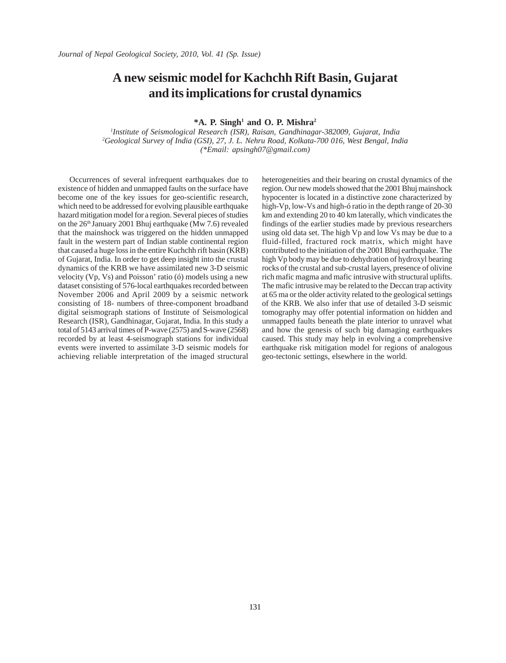#### **A new seismic model for Kachchh Rift Basin, Gujarat and its implications for crustal dynamics**

**\*A. P. Singh1 and O. P. Mishra2**

*1 Institute of Seismological Research (ISR), Raisan, Gandhinagar-382009, Gujarat, India 2 Geological Survey of India (GSI), 27, J. L. Nehru Road, Kolkata-700 016, West Bengal, India (\*Email: apsingh07@gmail.com)*

Occurrences of several infrequent earthquakes due to existence of hidden and unmapped faults on the surface have become one of the key issues for geo-scientific research, which need to be addressed for evolving plausible earthquake hazard mitigation model for a region. Several pieces of studies on the 26<sup>th</sup> January 2001 Bhuj earthquake (Mw 7.6) revealed that the mainshock was triggered on the hidden unmapped fault in the western part of Indian stable continental region that caused a huge loss in the entire Kuchchh rift basin (KRB) of Gujarat, India. In order to get deep insight into the crustal dynamics of the KRB we have assimilated new 3-D seismic velocity (Vp, Vs) and Poisson' ratio (ó) models using a new dataset consisting of 576-local earthquakes recorded between November 2006 and April 2009 by a seismic network consisting of 18- numbers of three-component broadband digital seismograph stations of Institute of Seismological Research (ISR), Gandhinagar, Gujarat, India. In this study a total of 5143 arrival times of P-wave (2575) and S-wave (2568) recorded by at least 4-seismograph stations for individual events were inverted to assimilate 3-D seismic models for achieving reliable interpretation of the imaged structural heterogeneities and their bearing on crustal dynamics of the region. Our new models showed that the 2001 Bhuj mainshock hypocenter is located in a distinctive zone characterized by high-Vp, low-Vs and high-ó ratio in the depth range of 20-30 km and extending 20 to 40 km laterally, which vindicates the findings of the earlier studies made by previous researchers using old data set. The high Vp and low Vs may be due to a fluid-filled, fractured rock matrix, which might have contributed to the initiation of the 2001 Bhuj earthquake. The high Vp body may be due to dehydration of hydroxyl bearing rocks of the crustal and sub-crustal layers, presence of olivine rich mafic magma and mafic intrusive with structural uplifts. The mafic intrusive may be related to the Deccan trap activity at 65 ma or the older activity related to the geological settings of the KRB. We also infer that use of detailed 3-D seismic tomography may offer potential information on hidden and unmapped faults beneath the plate interior to unravel what and how the genesis of such big damaging earthquakes caused. This study may help in evolving a comprehensive earthquake risk mitigation model for regions of analogous geo-tectonic settings, elsewhere in the world.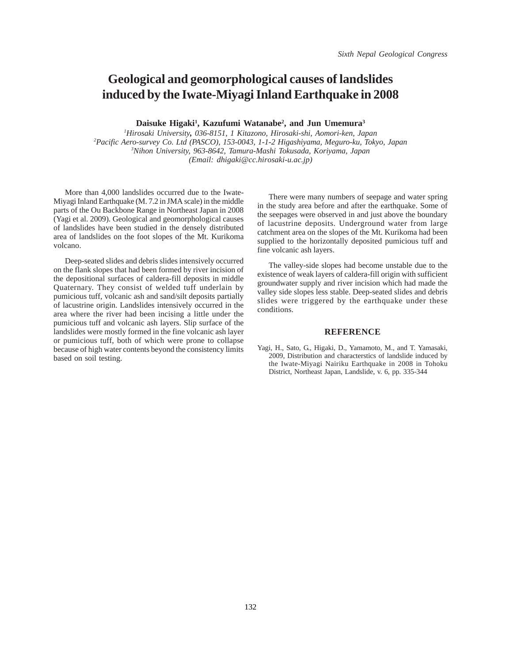# **Geological and geomorphological causes of landslides induced by the Iwate-Miyagi Inland Earthquake in 2008**

**Daisuke Higaki1 , Kazufumi Watanabe2 , and Jun Umemura3**

 *Hirosaki University, 036-8151, 1 Kitazono, Hirosaki-shi, Aomori-ken, Japan Pacific Aero-survey Co. Ltd (PASCO), 153-0043, 1-1-2 Higashiyama, Meguro-ku, Tokyo, Japan Nihon University, 963-8642, Tamura-Mashi Tokusada, Koriyama, Japan (Email: dhigaki@cc.hirosaki-u.ac.jp)*

More than 4,000 landslides occurred due to the Iwate-Miyagi Inland Earthquake (M. 7.2 in JMA scale) in the middle parts of the Ou Backbone Range in Northeast Japan in 2008 (Yagi et al. 2009). Geological and geomorphological causes of landslides have been studied in the densely distributed area of landslides on the foot slopes of the Mt. Kurikoma volcano.

Deep-seated slides and debris slides intensively occurred on the flank slopes that had been formed by river incision of the depositional surfaces of caldera-fill deposits in middle Quaternary. They consist of welded tuff underlain by pumicious tuff, volcanic ash and sand/silt deposits partially of lacustrine origin. Landslides intensively occurred in the area where the river had been incising a little under the pumicious tuff and volcanic ash layers. Slip surface of the landslides were mostly formed in the fine volcanic ash layer or pumicious tuff, both of which were prone to collapse because of high water contents beyond the consistency limits based on soil testing.

There were many numbers of seepage and water spring in the study area before and after the earthquake. Some of the seepages were observed in and just above the boundary of lacustrine deposits. Underground water from large catchment area on the slopes of the Mt. Kurikoma had been supplied to the horizontally deposited pumicious tuff and fine volcanic ash layers.

The valley-side slopes had become unstable due to the existence of weak layers of caldera-fill origin with sufficient groundwater supply and river incision which had made the valley side slopes less stable. Deep-seated slides and debris slides were triggered by the earthquake under these conditions.

#### **REFERENCE**

Yagi, H., Sato, G., Higaki, D., Yamamoto, M., and T. Yamasaki, 2009, Distribution and characterstics of landslide induced by the Iwate-Miyagi Nairiku Earthquake in 2008 in Tohoku District, Northeast Japan, Landslide, v. 6, pp. 335-344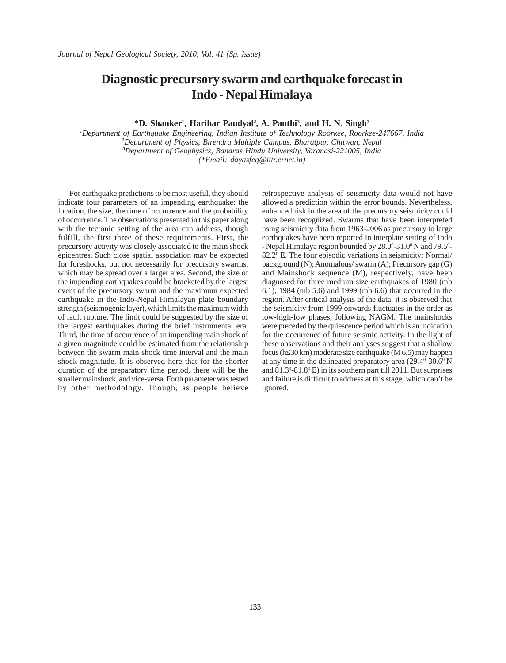## **Diagnostic precursory swarm and earthquake forecast in Indo - Nepal Himalaya**

**\*D. Shanker1 , Harihar Paudyal2 , A. Panthi3 , and H. N. Singh3**

 *Department of Earthquake Engineering, Indian Institute of Technology Roorkee, Roorkee-247667, India Department of Physics, Birendra Multiple Campus, Bharatpur, Chitwan, Nepal Department of Geophysics, Banaras Hindu University, Varanasi-221005, India (\*Email: dayasfeq@iitr.ernet.in)*

For earthquake predictions to be most useful, they should indicate four parameters of an impending earthquake: the location, the size, the time of occurrence and the probability of occurrence. The observations presented in this paper along with the tectonic setting of the area can address, though fulfill, the first three of these requirements. First, the precursory activity was closely associated to the main shock epicentres. Such close spatial association may be expected for foreshocks, but not necessarily for precursory swarms, which may be spread over a larger area. Second, the size of the impending earthquakes could be bracketed by the largest event of the precursory swarm and the maximum expected earthquake in the Indo-Nepal Himalayan plate boundary strength (seismogenic layer), which limits the maximum width of fault rupture. The limit could be suggested by the size of the largest earthquakes during the brief instrumental era. Third, the time of occurrence of an impending main shock of a given magnitude could be estimated from the relationship between the swarm main shock time interval and the main shock magnitude. It is observed here that for the shorter duration of the preparatory time period, there will be the smaller mainshock, and vice-versa. Forth parameter was tested by other methodology. Though, as people believe retrospective analysis of seismicity data would not have allowed a prediction within the error bounds. Nevertheless, enhanced risk in the area of the precursory seismicity could have been recognized. Swarms that have been interpreted using seismicity data from 1963-2006 as precursory to large earthquakes have been reported in interplate setting of Indo - Nepal Himalaya region bounded by  $28.0^{\circ}$ -31.0° N and 79.5°-82.2<sup>0</sup> E. The four episodic variations in seismicity: Normal/ background (N); Anomalous/ swarm (A); Precursory gap (G) and Mainshock sequence (M), respectively, have been diagnosed for three medium size earthquakes of 1980 (mb 6.1), 1984 (mb 5.6) and 1999 (mb 6.6) that occurred in the region. After critical analysis of the data, it is observed that the seismicity from 1999 onwards fluctuates in the order as low-high-low phases, following NAGM. The mainshocks were preceded by the quiescence period which is an indication for the occurrence of future seismic activity. In the light of these observations and their analyses suggest that a shallow focus (h≤30 km) moderate size earthquake (M 6.5) may happen at any time in the delineated preparatory area  $(29.4^{\circ}$ -30.6 $^{\circ}$  N and 81.3<sup>o</sup>-81.8<sup>o</sup> E) in its southern part till 2011. But surprises and failure is difficult to address at this stage, which can't be ignored.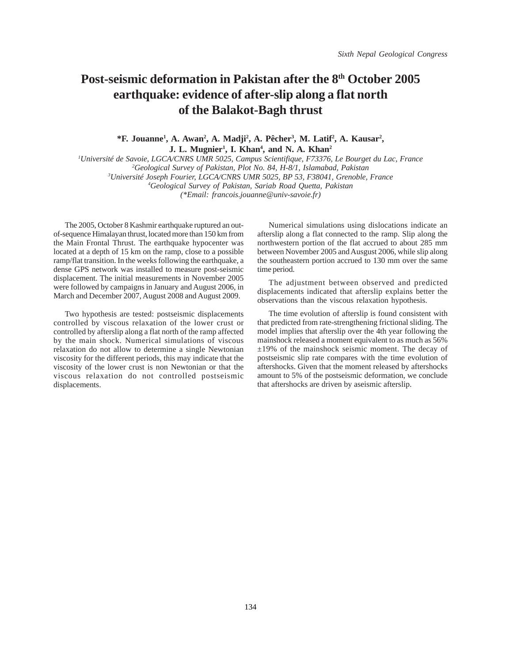# Post-seismic deformation in Pakistan after the 8<sup>th</sup> October 2005 **earthquake: evidence of after-slip along a flat north of the Balakot-Bagh thrust**

\*F. Jouanne<sup>1</sup>, A. Awan<sup>2</sup>, A. Madji<sup>2</sup>, A. Pêcher<sup>3</sup>, M. Latif<sup>2</sup>, A. Kausar<sup>2</sup>, **J. L. Mugnier<sup>1</sup>, I. Khan<sup>4</sup>, and N. A. Khan<sup>2</sup>** 

 *Université de Savoie, LGCA/CNRS UMR 5025, Campus Scientifique, F73376, Le Bourget du Lac, France Geological Survey of Pakistan, Plot No. 84, H-8/1, Islamabad, Pakistan Université Joseph Fourier, LGCA/CNRS UMR 5025, BP 53, F38041, Grenoble, France Geological Survey of Pakistan, Sariab Road Quetta, Pakistan (\*Email: francois.jouanne@univ-savoie.fr)*

The 2005, October 8 Kashmir earthquake ruptured an outof-sequence Himalayan thrust, located more than 150 km from the Main Frontal Thrust. The earthquake hypocenter was located at a depth of 15 km on the ramp, close to a possible ramp/flat transition. In the weeks following the earthquake, a dense GPS network was installed to measure post-seismic displacement. The initial measurements in November 2005 were followed by campaigns in January and August 2006, in March and December 2007, August 2008 and August 2009.

Two hypothesis are tested: postseismic displacements controlled by viscous relaxation of the lower crust or controlled by afterslip along a flat north of the ramp affected by the main shock. Numerical simulations of viscous relaxation do not allow to determine a single Newtonian viscosity for the different periods, this may indicate that the viscosity of the lower crust is non Newtonian or that the viscous relaxation do not controlled postseismic displacements.

Numerical simulations using dislocations indicate an afterslip along a flat connected to the ramp. Slip along the northwestern portion of the flat accrued to about 285 mm between November 2005 and Ausgust 2006, while slip along the southeastern portion accrued to 130 mm over the same time period.

The adjustment between observed and predicted displacements indicated that afterslip explains better the observations than the viscous relaxation hypothesis.

The time evolution of afterslip is found consistent with that predicted from rate-strengthening frictional sliding. The model implies that afterslip over the 4th year following the mainshock released a moment equivalent to as much as 56% ±19% of the mainshock seismic moment. The decay of postseismic slip rate compares with the time evolution of aftershocks. Given that the moment released by aftershocks amount to 5% of the postseismic deformation, we conclude that aftershocks are driven by aseismic afterslip.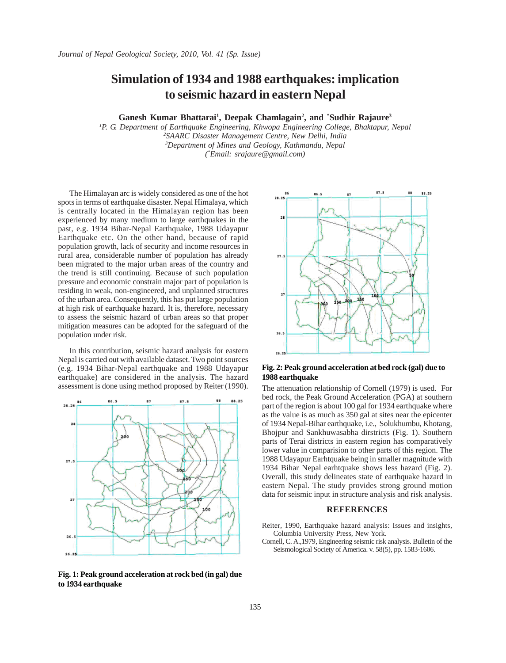#### **Simulation of 1934 and 1988 earthquakes: implication to seismic hazard in eastern Nepal**

Ganesh Kumar Bhattarai<sup>1</sup>, Deepak Chamlagain<sup>2</sup>, and \*Sudhir Rajaure<sup>3</sup>

 *P. G. Department of Earthquake Engineering, Khwopa Engineering College, Bhaktapur, Nepal SAARC Disaster Management Centre, New Delhi, India Department of Mines and Geology, Kathmandu, Nepal ( \* Email: srajaure@gmail.com)*

The Himalayan arc is widely considered as one of the hot spots in terms of earthquake disaster. Nepal Himalaya, which is centrally located in the Himalayan region has been experienced by many medium to large earthquakes in the past, e.g. 1934 Bihar-Nepal Earthquake, 1988 Udayapur Earthquake etc. On the other hand, because of rapid population growth, lack of security and income resources in rural area, considerable number of population has already been migrated to the major urban areas of the country and the trend is still continuing. Because of such population pressure and economic constrain major part of population is residing in weak, non-engineered, and unplanned structures of the urban area. Consequently, this has put large population at high risk of earthquake hazard. It is, therefore, necessary to assess the seismic hazard of urban areas so that proper mitigation measures can be adopted for the safeguard of the population under risk.

In this contribution, seismic hazard analysis for eastern Nepal is carried out with available dataset. Two point sources (e.g. 1934 Bihar-Nepal earthquake and 1988 Udayapur earthquake) are considered in the analysis. The hazard assessment is done using method proposed by Reiter (1990). The attenuation relationship of Cornell (1979) is used. For



**Fig. 1: Peak ground acceleration at rock bed (in gal) due to 1934 earthquake**



#### **Fig. 2: Peak ground acceleration at bed rock (gal) due to 1988 earthquake**

bed rock, the Peak Ground Acceleration (PGA) at southern part of the region is about 100 gal for 1934 earthquake where as the value is as much as 350 gal at sites near the epicenter of 1934 Nepal-Bihar earthquake, i.e., Solukhumbu, Khotang, Bhojpur and Sankhuwasabha dirstricts (Fig. 1). Southern parts of Terai districts in eastern region has comparatively lower value in comparision to other parts of this region. The 1988 Udayapur Earhtquake being in smaller magnitude with 1934 Bihar Nepal earhtquake shows less hazard (Fig. 2). Overall, this study delineates state of earthquake hazard in eastern Nepal. The study provides strong ground motion data for seismic input in structure analysis and risk analysis.

#### **REFERENCES**

Reiter, 1990, Earthquake hazard analysis: Issues and insights, Columbia University Press, New York.

Cornell, C. A.,1979, Engineering seismic risk analysis. Bulletin of the Seismological Society of America. v. 58(5), pp. 1583-1606.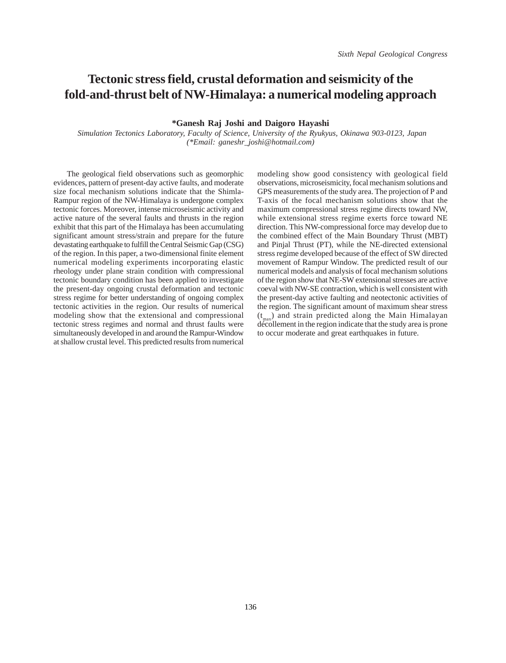## **Tectonic stress field, crustal deformation and seismicity of the fold-and-thrust belt of NW-Himalaya: a numerical modeling approach**

**\*Ganesh Raj Joshi and Daigoro Hayashi**

 *Simulation Tectonics Laboratory, Faculty of Science, University of the Ryukyus, Okinawa 903-0123, Japan (\*Email: ganeshr\_joshi@hotmail.com)*

The geological field observations such as geomorphic evidences, pattern of present-day active faults, and moderate size focal mechanism solutions indicate that the Shimla-Rampur region of the NW-Himalaya is undergone complex tectonic forces. Moreover, intense microseismic activity and active nature of the several faults and thrusts in the region exhibit that this part of the Himalaya has been accumulating significant amount stress/strain and prepare for the future devastating earthquake to fulfill the Central Seismic Gap (CSG) of the region. In this paper, a two-dimensional finite element numerical modeling experiments incorporating elastic rheology under plane strain condition with compressional tectonic boundary condition has been applied to investigate the present-day ongoing crustal deformation and tectonic stress regime for better understanding of ongoing complex tectonic activities in the region. Our results of numerical modeling show that the extensional and compressional tectonic stress regimes and normal and thrust faults were simultaneously developed in and around the Rampur-Window at shallow crustal level. This predicted results from numerical

modeling show good consistency with geological field observations, microseismicity, focal mechanism solutions and GPS measurements of the study area. The projection of P and T-axis of the focal mechanism solutions show that the maximum compressional stress regime directs toward NW, while extensional stress regime exerts force toward NE direction. This NW-compressional force may develop due to the combined effect of the Main Boundary Thrust (MBT) and Pinjal Thrust (PT), while the NE-directed extensional stress regime developed because of the effect of SW directed movement of Rampur Window. The predicted result of our numerical models and analysis of focal mechanism solutions of the region show that NE-SW extensional stresses are active coeval with NW-SE contraction, which is well consistent with the present-day active faulting and neotectonic activities of the region. The significant amount of maximum shear stress  $(t<sub>max</sub>)$  and strain predicted along the Main Himalayan décollement in the region indicate that the study area is prone to occur moderate and great earthquakes in future.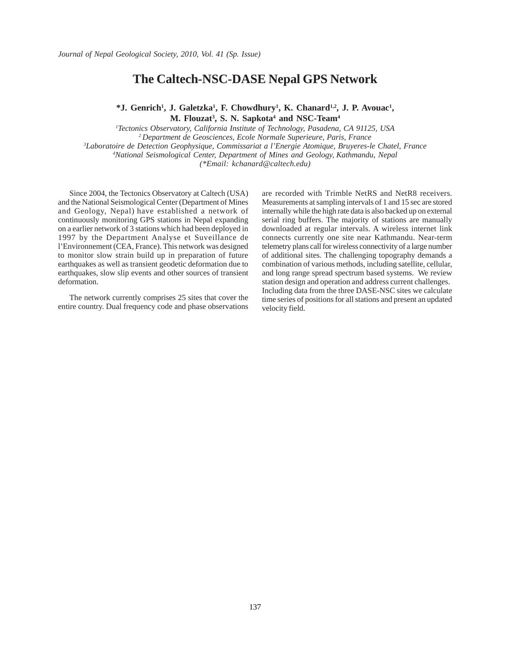#### **The Caltech-NSC-DASE Nepal GPS Network**

<sup>\*</sup>**J.** Genrich<sup>1</sup>, **J.** Galetzka<sup>1</sup>, **F.** Chowdhury<sup>1</sup>, **K.** Chanard<sup>1,2</sup>, **J.** P. Avouac<sup>1</sup>, **M. Flouzat3 , S. N. Sapkota4 and NSC-Team4**

*1 Tectonics Observatory, California Institute of Technology, Pasadena, CA 91125, USA 2 Department de Geosciences, Ecole Normale Superieure, Paris, France 3 Laboratoire de Detection Geophysique, Commissariat a l'Energie Atomique, Bruyeres-le Chatel, France 4 National Seismological Center, Department of Mines and Geology, Kathmandu, Nepal (\*Email: kchanard@caltech.edu)*

Since 2004, the Tectonics Observatory at Caltech (USA) and the National Seismological Center (Department of Mines and Geology, Nepal) have established a network of continuously monitoring GPS stations in Nepal expanding on a earlier network of 3 stations which had been deployed in 1997 by the Department Analyse et Suveillance de l'Environnement (CEA, France). This network was designed to monitor slow strain build up in preparation of future earthquakes as well as transient geodetic deformation due to earthquakes, slow slip events and other sources of transient deformation.

The network currently comprises 25 sites that cover the entire country. Dual frequency code and phase observations

are recorded with Trimble NetRS and NetR8 receivers. Measurements at sampling intervals of 1 and 15 sec are stored internally while the high rate data is also backed up on external serial ring buffers. The majority of stations are manually downloaded at regular intervals. A wireless internet link connects currently one site near Kathmandu. Near-term telemetry plans call for wireless connectivity of a large number of additional sites. The challenging topography demands a combination of various methods, including satellite, cellular, and long range spread spectrum based systems. We review station design and operation and address current challenges. Including data from the three DASE-NSC sites we calculate time series of positions for all stations and present an updated velocity field.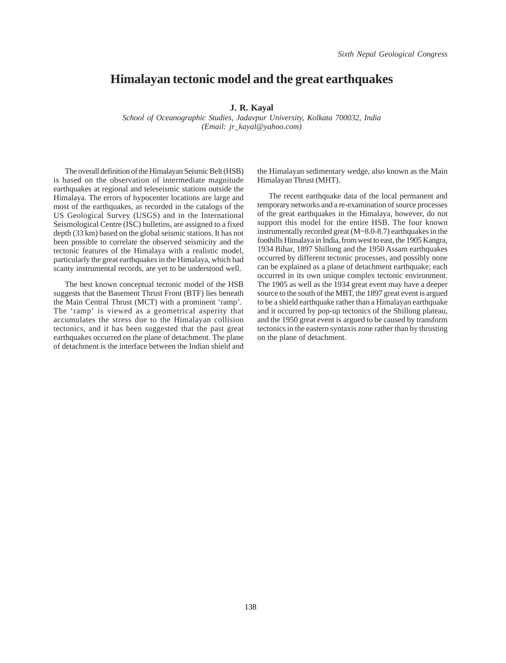#### **Himalayan tectonic model and the great earthquakes**

#### **J. R. Kayal**

*School of Oceanographic Studies, Jadavpur University, Kolkata 700032, India (Email: jr\_kayal@yahoo.com)*

The overall definition of the Himalayan Seismic Belt (HSB) is based on the observation of intermediate magnitude earthquakes at regional and teleseismic stations outside the Himalaya. The errors of hypocenter locations are large and most of the earthquakes, as recorded in the catalogs of the US Geological Survey (USGS) and in the International Seismological Centre (ISC) bulletins, are assigned to a fixed depth (33 km) based on the global seismic stations. It has not been possible to correlate the observed seismicity and the tectonic features of the Himalaya with a realistic model, particularly the great earthquakes in the Himalaya, which had scanty instrumental records, are yet to be understood well.

The best known conceptual tectonic model of the HSB suggests that the Basement Thrust Front (BTF) lies beneath the Main Central Thrust (MCT) with a prominent 'ramp'. The 'ramp' is viewed as a geometrical asperity that accumulates the stress due to the Himalayan collision tectonics, and it has been suggested that the past great earthquakes occurred on the plane of detachment. The plane of detachment is the interface between the Indian shield and

the Himalayan sedimentary wedge, also known as the Main Himalayan Thrust (MHT).

The recent earthquake data of the local permanent and temporary networks and a re-examination of source processes of the great earthquakes in the Himalaya, however, do not support this model for the entire HSB. The four known instrumentally recorded great (M~8.0-8.7) earthquakes in the foothills Himalaya in India, from west to east, the 1905 Kangra, 1934 Bihar, 1897 Shillong and the 1950 Assam earthquakes occurred by different tectonic processes, and possibly none can be explained as a plane of detachment earthquake; each occurred in its own unique complex tectonic environment. The 1905 as well as the 1934 great event may have a deeper source to the south of the MBT, the 1897 great event is argued to be a shield earthquake rather than a Himalayan earthquake and it occurred by pop-up tectonics of the Shillong plateau, and the 1950 great event is argued to be caused by transform tectonics in the eastern syntaxis zone rather than by thrusting on the plane of detachment.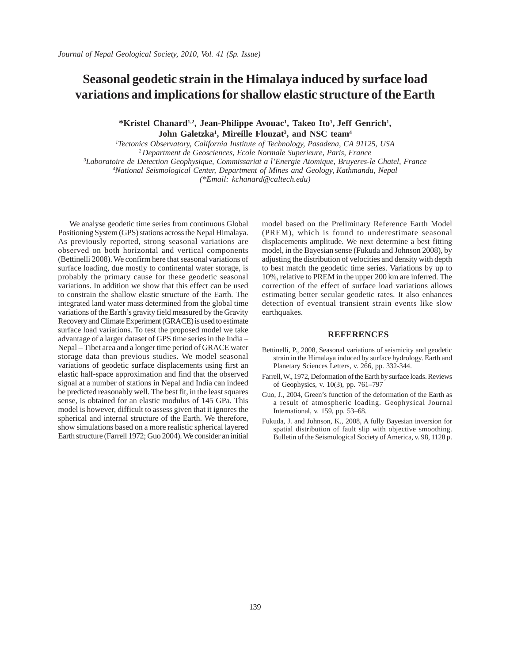## **Seasonal geodetic strain in the Himalaya induced by surface load variations and implications for shallow elastic structure of the Earth**

\*Kristel Chanard<sup>1,2</sup>, Jean-Philippe Avouac<sup>1</sup>, Takeo Ito<sup>1</sup>, Jeff Genrich<sup>1</sup>, **John Galetzka1 , Mireille Flouzat3 , and NSC team4**

*1 Tectonics Observatory, California Institute of Technology, Pasadena, CA 91125, USA 2 Department de Geosciences, Ecole Normale Superieure, Paris, France 3 Laboratoire de Detection Geophysique, Commissariat a l'Energie Atomique, Bruyeres-le Chatel, France 4 National Seismological Center, Department of Mines and Geology, Kathmandu, Nepal (\*Email: kchanard@caltech.edu)*

We analyse geodetic time series from continuous Global Positioning System (GPS) stations across the Nepal Himalaya. As previously reported, strong seasonal variations are observed on both horizontal and vertical components (Bettinelli 2008). We confirm here that seasonal variations of surface loading, due mostly to continental water storage, is probably the primary cause for these geodetic seasonal variations. In addition we show that this effect can be used to constrain the shallow elastic structure of the Earth. The integrated land water mass determined from the global time variations of the Earth's gravity field measured by the Gravity Recovery and Climate Experiment (GRACE) is used to estimate surface load variations. To test the proposed model we take advantage of a larger dataset of GPS time series in the India – Nepal – Tibet area and a longer time period of GRACE water storage data than previous studies. We model seasonal variations of geodetic surface displacements using first an elastic half-space approximation and find that the observed signal at a number of stations in Nepal and India can indeed be predicted reasonably well. The best fit, in the least squares sense, is obtained for an elastic modulus of 145 GPa. This model is however, difficult to assess given that it ignores the spherical and internal structure of the Earth. We therefore, show simulations based on a more realistic spherical layered Earth structure (Farrell 1972; Guo 2004). We consider an initial

model based on the Preliminary Reference Earth Model (PREM), which is found to underestimate seasonal displacements amplitude. We next determine a best fitting model, in the Bayesian sense (Fukuda and Johnson 2008), by adjusting the distribution of velocities and density with depth to best match the geodetic time series. Variations by up to 10%, relative to PREM in the upper 200 km are inferred. The correction of the effect of surface load variations allows estimating better secular geodetic rates. It also enhances detection of eventual transient strain events like slow earthquakes.

#### **REFERENCES**

- Bettinelli, P., 2008, Seasonal variations of seismicity and geodetic strain in the Himalaya induced by surface hydrology. Earth and Planetary Sciences Letters, v. 266, pp. 332-344.
- Farrell, W., 1972, Deformation of the Earth by surface loads. Reviews of Geophysics, v. 10(3), pp. 761–797
- Guo, J., 2004, Green's function of the deformation of the Earth as a result of atmospheric loading. Geophysical Journal International, v. 159, pp. 53–68.
- Fukuda, J. and Johnson, K., 2008, A fully Bayesian inversion for spatial distribution of fault slip with objective smoothing. Bulletin of the Seismological Society of America, v. 98, 1128 p.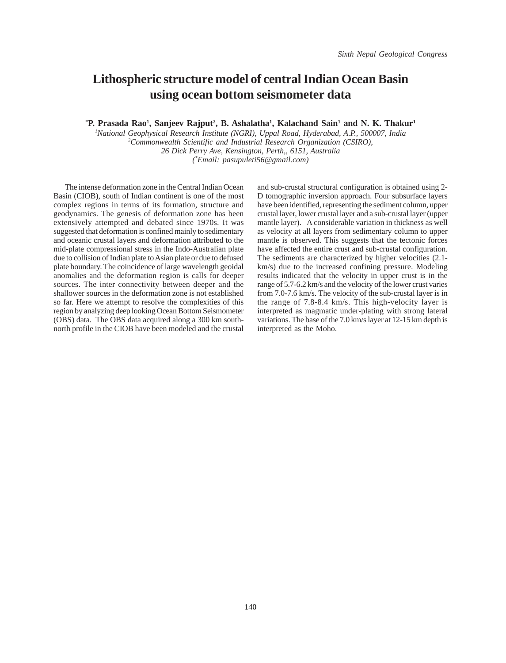### **Lithospheric structure model of central Indian Ocean Basin using ocean bottom seismometer data**

<sup>\*</sup>**P.** Prasada Rao<sup>1</sup>, Sanjeev Rajput<sup>2</sup>, B. Ashalatha<sup>1</sup>, Kalachand Sain<sup>1</sup> and N. K. Thakur<sup>1</sup>

*1 National Geophysical Research Institute (NGRI), Uppal Road, Hyderabad, A.P., 500007, India 2 Commonwealth Scientific and Industrial Research Organization (CSIRO), 26 Dick Perry Ave, Kensington, Perth,, 6151, Australia (\* Email: pasupuleti56@gmail.com)*

The intense deformation zone in the Central Indian Ocean Basin (CIOB), south of Indian continent is one of the most complex regions in terms of its formation, structure and geodynamics. The genesis of deformation zone has been extensively attempted and debated since 1970s. It was suggested that deformation is confined mainly to sedimentary and oceanic crustal layers and deformation attributed to the mid-plate compressional stress in the Indo-Australian plate due to collision of Indian plate to Asian plate or due to defused plate boundary. The coincidence of large wavelength geoidal anomalies and the deformation region is calls for deeper sources. The inter connectivity between deeper and the shallower sources in the deformation zone is not established so far. Here we attempt to resolve the complexities of this region by analyzing deep looking Ocean Bottom Seismometer (OBS) data. The OBS data acquired along a 300 km southnorth profile in the CIOB have been modeled and the crustal

and sub-crustal structural configuration is obtained using 2- D tomographic inversion approach. Four subsurface layers have been identified, representing the sediment column, upper crustal layer, lower crustal layer and a sub-crustal layer (upper mantle layer). A considerable variation in thickness as well as velocity at all layers from sedimentary column to upper mantle is observed. This suggests that the tectonic forces have affected the entire crust and sub-crustal configuration. The sediments are characterized by higher velocities (2.1 km/s) due to the increased confining pressure. Modeling results indicated that the velocity in upper crust is in the range of 5.7-6.2 km/s and the velocity of the lower crust varies from 7.0-7.6 km/s. The velocity of the sub-crustal layer is in the range of 7.8-8.4 km/s. This high-velocity layer is interpreted as magmatic under-plating with strong lateral variations. The base of the 7.0 km/s layer at 12-15 km depth is interpreted as the Moho.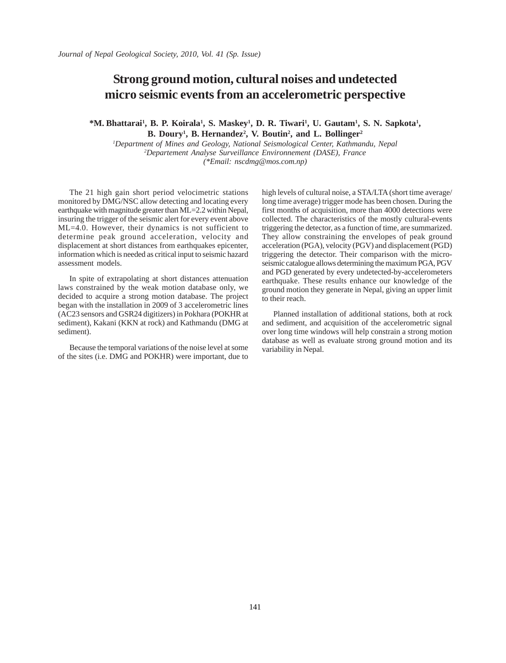#### **Strong ground motion, cultural noises and undetected micro seismic events from an accelerometric perspective**

\*M. Bhattarai<sup>1</sup>, B. P. Koirala<sup>1</sup>, S. Maskey<sup>1</sup>, D. R. Tiwari<sup>1</sup>, U. Gautam<sup>1</sup>, S. N. Sapkota<sup>1</sup>, **B. Doury1 , B. Hernandez2 , V. Boutin2 , and L. Bollinger2**

*1 Department of Mines and Geology, National Seismological Center, Kathmandu, Nepal 2 Departement Analyse Surveillance Environnement (DASE), France (\*Email: nscdmg@mos.com.np)*

The 21 high gain short period velocimetric stations monitored by DMG/NSC allow detecting and locating every earthquake with magnitude greater than ML=2.2 within Nepal, insuring the trigger of the seismic alert for every event above ML=4.0. However, their dynamics is not sufficient to determine peak ground acceleration, velocity and displacement at short distances from earthquakes epicenter, information which is needed as critical input to seismic hazard assessment models.

In spite of extrapolating at short distances attenuation laws constrained by the weak motion database only, we decided to acquire a strong motion database. The project began with the installation in 2009 of 3 accelerometric lines (AC23 sensors and GSR24 digitizers) in Pokhara (POKHR at sediment), Kakani (KKN at rock) and Kathmandu (DMG at sediment).

Because the temporal variations of the noise level at some of the sites (i.e. DMG and POKHR) were important, due to high levels of cultural noise, a STA/LTA (short time average/ long time average) trigger mode has been chosen. During the first months of acquisition, more than 4000 detections were collected. The characteristics of the mostly cultural-events triggering the detector, as a function of time, are summarized. They allow constraining the envelopes of peak ground acceleration (PGA), velocity (PGV) and displacement (PGD) triggering the detector. Their comparison with the microseismic catalogue allows determining the maximum PGA, PGV and PGD generated by every undetected-by-accelerometers earthquake. These results enhance our knowledge of the ground motion they generate in Nepal, giving an upper limit to their reach.

Planned installation of additional stations, both at rock and sediment, and acquisition of the accelerometric signal over long time windows will help constrain a strong motion database as well as evaluate strong ground motion and its variability in Nepal.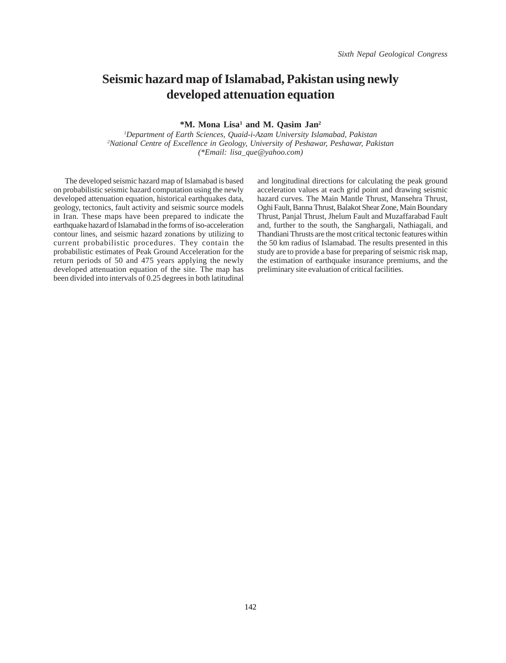# **Seismic hazard map of Islamabad, Pakistan using newly developed attenuation equation**

#### $*$ **M.** Mona Lisa<sup>1</sup> and M. Qasim Jan<sup>2</sup>

*1 Department of Earth Sciences, Quaid-i-Azam University Islamabad, Pakistan 2 National Centre of Excellence in Geology, University of Peshawar, Peshawar, Pakistan (\*Email: lisa\_que@yahoo.com)*

The developed seismic hazard map of Islamabad is based on probabilistic seismic hazard computation using the newly developed attenuation equation, historical earthquakes data, geology, tectonics, fault activity and seismic source models in Iran. These maps have been prepared to indicate the earthquake hazard of Islamabad in the forms of iso-acceleration contour lines, and seismic hazard zonations by utilizing to current probabilistic procedures. They contain the probabilistic estimates of Peak Ground Acceleration for the return periods of 50 and 475 years applying the newly developed attenuation equation of the site. The map has been divided into intervals of 0.25 degrees in both latitudinal

and longitudinal directions for calculating the peak ground acceleration values at each grid point and drawing seismic hazard curves. The Main Mantle Thrust, Mansehra Thrust, Oghi Fault, Banna Thrust, Balakot Shear Zone, Main Boundary Thrust, Panjal Thrust, Jhelum Fault and Muzaffarabad Fault and, further to the south, the Sanghargali, Nathiagali, and Thandiani Thrusts are the most critical tectonic features within the 50 km radius of Islamabad. The results presented in this study are to provide a base for preparing of seismic risk map, the estimation of earthquake insurance premiums, and the preliminary site evaluation of critical facilities.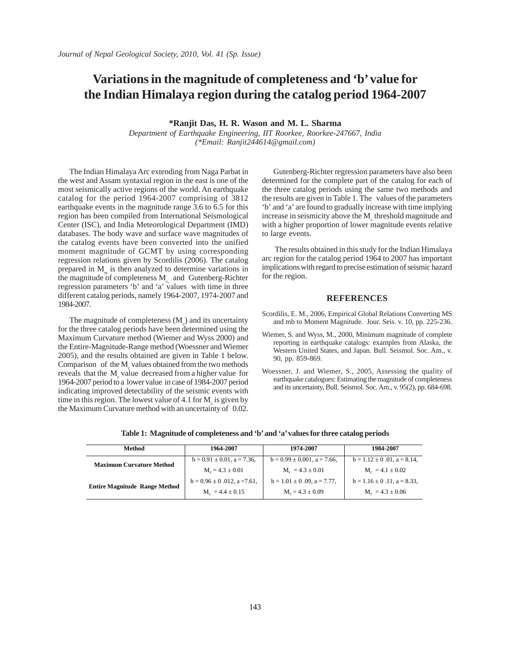# **Variations in the magnitude of completeness and 'b' value for the Indian Himalaya region during the catalog period 1964-2007**

**\*Ranjit Das, H. R. Wason and M. L. Sharma**

*Department of Earthquake Engineering, IIT Roorkee, Roorkee-247667, India (\*Email: Ranjit244614@gmail.com)*

The Indian Himalaya Arc extending from Naga Parbat in the west and Assam syntaxial region in the east is one of the most seismically active regions of the world. An earthquake catalog for the period 1964-2007 comprising of 3812 earthquake events in the magnitude range 3.6 to 6.5 for this region has been compiled from International Seismological Center (ISC), and India Meteorological Department (IMD) databases. The body wave and surface wave magnitudes of the catalog events have been converted into the unified moment magnitude of GCMT by using corresponding regression relations given by Scordilis (2006). The catalog prepared in  $M_{\ldots}$  is then analyzed to determine variations in the magnitude of completeness  $M_c$  and Gutenberg-Richter regression parameters 'b' and 'a' values with time in three different catalog periods, namely 1964-2007, 1974-2007 and 1984-2007.

The magnitude of completeness  $(M<sub>c</sub>)$  and its uncertainty for the three catalog periods have been determined using the Maximum Curvature method (Wiemer and Wyss 2000) and the Entire-Magnitude-Range method (Woessner and Wiemer 2005), and the results obtained are given in Table 1 below. Comparison of the  $M_{\rm g}$  values obtained from the two methods reveals that the  $M_c$  value decreased from a higher value for 1964-2007 period to a lower value in case of 1984-2007 period indicating improved detectability of the seismic events with time in this region. The lowest value of  $4.1$  for  $M_{c}$  is given by the Maximum Curvature method with an uncertainty of 0.02.

Gutenberg-Richter regression parameters have also been determined for the complete part of the catalog for each of the three catalog periods using the same two methods and the results are given in Table 1. The values of the parameters 'b' and 'a' are found to gradually increase with time implying increase in seismicity above the  $M_c$  threshold magnitude and with a higher proportion of lower magnitude events relative to large events.

 The results obtained in this study for the Indian Himalaya arc region for the catalog period 1964 to 2007 has important implications with regard to precise estimation of seismic hazard for the region.

#### **REFERENCES**

- Scordilis, E. M., 2006, Empirical Global Relations Converting MS and mb to Moment Magnitude. Jour. Seis. v. 10, pp. 225-236.
- Wiemer, S. and Wyss, M., 2000, Minimum magnitude of complete reporting in earthquake catalogs: examples from Alaska, the Western United States, and Japan. Bull. Seismol. Soc. Am., v. 90, pp. 859-869.
- Woessner, J. and Wiemer, S., 2005, Assessing the quality of earthquake catalogues: Estimating the magnitude of completeness and its uncertainty, Bull. Seismol. Soc. Am., v. 95(2), pp. 684-698.

| Method                               | 1964-2007                        | 1974-2007                          | 1984-2007                          |
|--------------------------------------|----------------------------------|------------------------------------|------------------------------------|
| <b>Maximum Curvature Method</b>      | $b = 0.91 \pm 0.01$ , a = 7.36,  | $b = 0.99 \pm 0.001$ , a = 7.66,   | $b = 1.12 \pm 0.01$ , $a = 8.14$ , |
|                                      | $M_c = 4.3 \pm 0.01$             | $M_e = 4.3 \pm 0.01$               | $M_c = 4.1 \pm 0.02$               |
| <b>Entire Magnitude Range Method</b> | $b = 0.96 \pm 0.012$ , a = 7.61, | $b = 1.01 \pm 0.09$ , $a = 7.77$ , | $b = 1.16 \pm 0.11$ , a = 8.33,    |
|                                      | $M_e = 4.4 \pm 0.15$             | $M_c = 4.3 \pm 0.09$               | $M_c = 4.3 \pm 0.06$               |

**Table 1: Magnitude of completeness and 'b' and 'a' values for three catalog periods**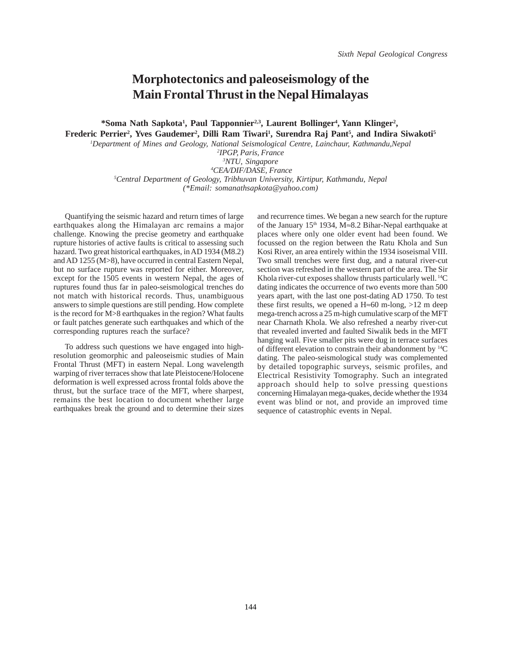### **Morphotectonics and paleoseismology of the Main Frontal Thrust in the Nepal Himalayas**

\*Soma Nath Sapkota<sup>1</sup>, Paul Tapponnier<sup>2,3</sup>, Laurent Bollinger<sup>4</sup>, Yann Klinger<sup>2</sup>, **Frederic Perrier2 , Yves Gaudemer2 , Dilli Ram Tiwari1 , Surendra Raj Pant5 , and Indira Siwakoti5**

*1 Department of Mines and Geology, National Seismological Centre, Lainchaur, Kathmandu,Nepal*

 *IPGP, Paris, France NTU, Singapore CEA/DIF/DASE, France Central Department of Geology, Tribhuvan University, Kirtipur, Kathmandu, Nepal (\*Email: somanathsapkota@yahoo.com)*

Quantifying the seismic hazard and return times of large earthquakes along the Himalayan arc remains a major challenge. Knowing the precise geometry and earthquake rupture histories of active faults is critical to assessing such hazard. Two great historical earthquakes, in AD 1934 (M8.2) and AD 1255 (M>8), have occurred in central Eastern Nepal, but no surface rupture was reported for either. Moreover, except for the 1505 events in western Nepal, the ages of ruptures found thus far in paleo-seismological trenches do not match with historical records. Thus, unambiguous answers to simple questions are still pending. How complete is the record for M>8 earthquakes in the region? What faults or fault patches generate such earthquakes and which of the corresponding ruptures reach the surface?

To address such questions we have engaged into highresolution geomorphic and paleoseismic studies of Main Frontal Thrust (MFT) in eastern Nepal. Long wavelength warping of river terraces show that late Pleistocene/Holocene deformation is well expressed across frontal folds above the thrust, but the surface trace of the MFT, where sharpest, remains the best location to document whether large earthquakes break the ground and to determine their sizes and recurrence times. We began a new search for the rupture of the January 15th 1934, M≈8.2 Bihar-Nepal earthquake at places where only one older event had been found. We focussed on the region between the Ratu Khola and Sun Kosi River, an area entirely within the 1934 isoseismal VIII. Two small trenches were first dug, and a natural river-cut section was refreshed in the western part of the area. The Sir Khola river-cut exposes shallow thrusts particularly well. <sup>14</sup>C dating indicates the occurrence of two events more than 500 years apart, with the last one post-dating AD 1750. To test these first results, we opened a H≈60 m-long,  $>12$  m deep mega-trench across a 25 m-high cumulative scarp of the MFT near Charnath Khola. We also refreshed a nearby river-cut that revealed inverted and faulted Siwalik beds in the MFT hanging wall. Five smaller pits were dug in terrace surfaces of different elevation to constrain their abandonment by 14C dating. The paleo-seismological study was complemented by detailed topographic surveys, seismic profiles, and Electrical Resistivity Tomography. Such an integrated approach should help to solve pressing questions concerning Himalayan mega-quakes, decide whether the 1934 event was blind or not, and provide an improved time sequence of catastrophic events in Nepal.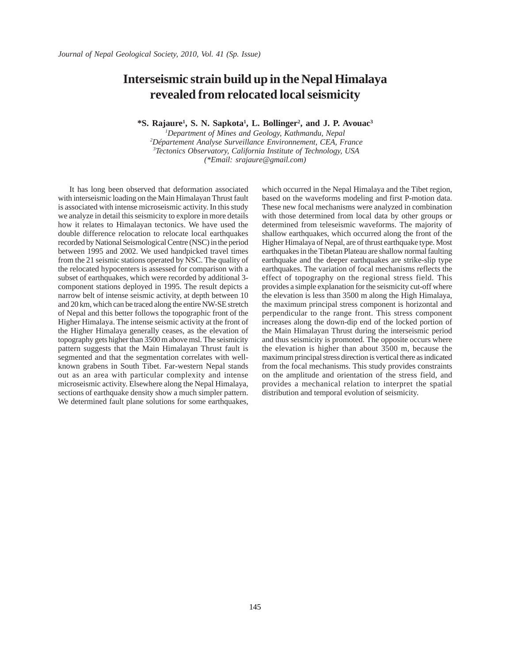### **Interseismic strain build up in the Nepal Himalaya revealed from relocated local seismicity**

**\*S. Rajaure1 , S. N. Sapkota1 , L. Bollinger2 , and J. P. Avouac3**

 *Department of Mines and Geology, Kathmandu, Nepal Département Analyse Surveillance Environnement, CEA, France Tectonics Observatory, California Institute of Technology, USA (\*Email: srajaure@gmail.com)*

It has long been observed that deformation associated with interseismic loading on the Main Himalayan Thrust fault is associated with intense microseismic activity. In this study we analyze in detail this seismicity to explore in more details how it relates to Himalayan tectonics. We have used the double difference relocation to relocate local earthquakes recorded by National Seismological Centre (NSC) in the period between 1995 and 2002. We used handpicked travel times from the 21 seismic stations operated by NSC. The quality of the relocated hypocenters is assessed for comparison with a subset of earthquakes, which were recorded by additional 3 component stations deployed in 1995. The result depicts a narrow belt of intense seismic activity, at depth between 10 and 20 km, which can be traced along the entire NW-SE stretch of Nepal and this better follows the topographic front of the Higher Himalaya. The intense seismic activity at the front of the Higher Himalaya generally ceases, as the elevation of topography gets higher than 3500 m above msl. The seismicity pattern suggests that the Main Himalayan Thrust fault is segmented and that the segmentation correlates with wellknown grabens in South Tibet. Far-western Nepal stands out as an area with particular complexity and intense microseismic activity. Elsewhere along the Nepal Himalaya, sections of earthquake density show a much simpler pattern. We determined fault plane solutions for some earthquakes,

which occurred in the Nepal Himalaya and the Tibet region, based on the waveforms modeling and first P-motion data. These new focal mechanisms were analyzed in combination with those determined from local data by other groups or determined from teleseismic waveforms. The majority of shallow earthquakes, which occurred along the front of the Higher Himalaya of Nepal, are of thrust earthquake type. Most earthquakes in the Tibetan Plateau are shallow normal faulting earthquake and the deeper earthquakes are strike-slip type earthquakes. The variation of focal mechanisms reflects the effect of topography on the regional stress field. This provides a simple explanation for the seismicity cut-off where the elevation is less than 3500 m along the High Himalaya, the maximum principal stress component is horizontal and perpendicular to the range front. This stress component increases along the down-dip end of the locked portion of the Main Himalayan Thrust during the interseismic period and thus seismicity is promoted. The opposite occurs where the elevation is higher than about 3500 m, because the maximum principal stress direction is vertical there as indicated from the focal mechanisms. This study provides constraints on the amplitude and orientation of the stress field, and provides a mechanical relation to interpret the spatial distribution and temporal evolution of seismicity.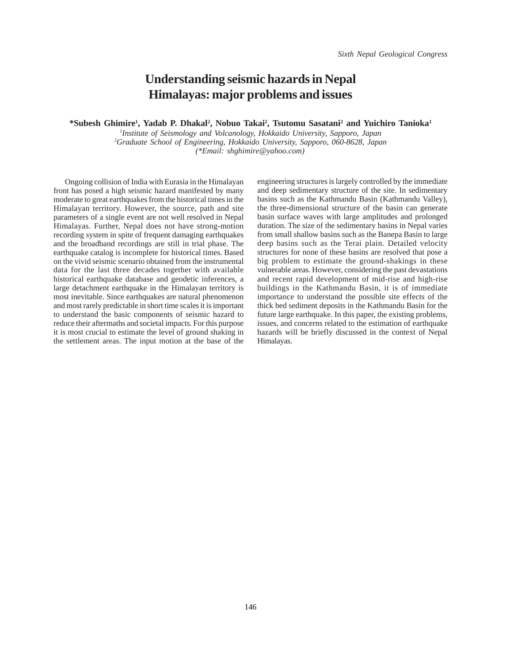## **Understanding seismic hazards in Nepal Himalayas: major problems and issues**

\*Subesh Ghimire<sup>1</sup>, Yadab P. Dhakal<sup>2</sup>, Nobuo Takai<sup>2</sup>, Tsutomu Sasatani<sup>2</sup> and Yuichiro Tanioka<sup>1</sup>

*1 Institute of Seismology and Volcanology, Hokkaido University, Sapporo, Japan 2 Graduate School of Engineering, Hokkaido University, Sapporo, 060-8628, Japan (\*Email: shghimire@yahoo.com)*

Ongoing collision of India with Eurasia in the Himalayan front has posed a high seismic hazard manifested by many moderate to great earthquakes from the historical times in the Himalayan territory. However, the source, path and site parameters of a single event are not well resolved in Nepal Himalayas. Further, Nepal does not have strong-motion recording system in spite of frequent damaging earthquakes and the broadband recordings are still in trial phase. The earthquake catalog is incomplete for historical times. Based on the vivid seismic scenario obtained from the instrumental data for the last three decades together with available historical earthquake database and geodetic inferences, a large detachment earthquake in the Himalayan territory is most inevitable. Since earthquakes are natural phenomenon and most rarely predictable in short time scales it is important to understand the basic components of seismic hazard to reduce their aftermaths and societal impacts. For this purpose it is most crucial to estimate the level of ground shaking in the settlement areas. The input motion at the base of the engineering structures is largely controlled by the immediate and deep sedimentary structure of the site. In sedimentary basins such as the Kathmandu Basin (Kathmandu Valley), the three-dimensional structure of the basin can generate basin surface waves with large amplitudes and prolonged duration. The size of the sedimentary basins in Nepal varies from small shallow basins such as the Banepa Basin to large deep basins such as the Terai plain. Detailed velocity structures for none of these basins are resolved that pose a big problem to estimate the ground-shakings in these vulnerable areas. However, considering the past devastations and recent rapid development of mid-rise and high-rise buildings in the Kathmandu Basin, it is of immediate importance to understand the possible site effects of the thick bed sediment deposits in the Kathmandu Basin for the future large earthquake. In this paper, the existing problems, issues, and concerns related to the estimation of earthquake hazards will be briefly discussed in the context of Nepal Himalayas.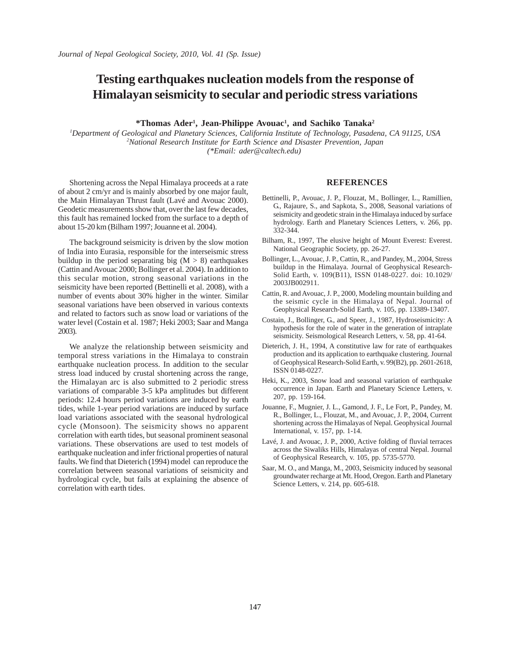# **Testing earthquakes nucleation models from the response of Himalayan seismicity to secular and periodic stress variations**

**\*Thomas Ader1 , Jean-Philippe Avouac1 , and Sachiko Tanaka2**

*1 Department of Geological and Planetary Sciences, California Institute of Technology, Pasadena, CA 91125, USA 2 National Research Institute for Earth Science and Disaster Prevention, Japan (\*Email: ader@caltech.edu)* 

Shortening across the Nepal Himalaya proceeds at a rate of about 2 cm/yr and is mainly absorbed by one major fault, the Main Himalayan Thrust fault (Lavé and Avouac 2000). Geodetic measurements show that, over the last few decades, this fault has remained locked from the surface to a depth of about 15-20 km (Bilham 1997; Jouanne et al. 2004).

The background seismicity is driven by the slow motion of India into Eurasia, responsible for the interseismic stress buildup in the period separating big  $(M > 8)$  earthquakes (Cattin and Avouac 2000; Bollinger et al. 2004). In addition to this secular motion, strong seasonal variations in the seismicity have been reported (Bettinelli et al. 2008), with a number of events about 30% higher in the winter. Similar seasonal variations have been observed in various contexts and related to factors such as snow load or variations of the water level (Costain et al. 1987; Heki 2003; Saar and Manga 2003).

We analyze the relationship between seismicity and temporal stress variations in the Himalaya to constrain earthquake nucleation process. In addition to the secular stress load induced by crustal shortening across the range, the Himalayan arc is also submitted to 2 periodic stress variations of comparable 3-5 kPa amplitudes but different periods: 12.4 hours period variations are induced by earth tides, while 1-year period variations are induced by surface load variations associated with the seasonal hydrological cycle (Monsoon). The seismicity shows no apparent correlation with earth tides, but seasonal prominent seasonal variations. These observations are used to test models of earthquake nucleation and infer frictional properties of natural faults. We find that Dieterich (1994) model can reproduce the correlation between seasonal variations of seismicity and hydrological cycle, but fails at explaining the absence of correlation with earth tides.

#### **REFERENCES**

- Bettinelli, P., Avouac, J. P., Flouzat, M., Bollinger, L., Ramillien, G., Rajaure, S., and Sapkota, S., 2008, Seasonal variations of seismicity and geodetic strain in the Himalaya induced by surface hydrology. Earth and Planetary Sciences Letters, v. 266, pp. 332-344.
- Bilham, R., 1997, The elusive height of Mount Everest: Everest. National Geographic Society, pp. 26-27.
- Bollinger, L., Avouac, J. P., Cattin, R., and Pandey, M., 2004, Stress buildup in the Himalaya. Journal of Geophysical Research-Solid Earth, v. 109(B11), ISSN 0148-0227. doi: 10.1029/ 2003JB002911.
- Cattin, R. and Avouac, J. P., 2000, Modeling mountain building and the seismic cycle in the Himalaya of Nepal. Journal of Geophysical Research-Solid Earth, v. 105, pp. 13389-13407.
- Costain, J., Bollinger, G., and Speer, J., 1987, Hydroseismicity: A hypothesis for the role of water in the generation of intraplate seismicity. Seismological Research Letters, v. 58, pp. 41-64.
- Dieterich, J. H., 1994, A constitutive law for rate of earthquakes production and its application to earthquake clustering. Journal of Geophysical Research-Solid Earth, v. 99(B2), pp. 2601-2618, ISSN 0148-0227.
- Heki, K., 2003, Snow load and seasonal variation of earthquake occurrence in Japan. Earth and Planetary Science Letters, v. 207, pp. 159-164.
- Jouanne, F., Mugnier, J. L., Gamond, J. F., Le Fort, P., Pandey, M. R., Bollinger, L., Flouzat, M., and Avouac, J. P., 2004, Current shortening across the Himalayas of Nepal. Geophysical Journal International, v. 157, pp. 1-14.
- Lavé, J. and Avouac, J. P., 2000, Active folding of fluvial terraces across the Siwaliks Hills, Himalayas of central Nepal. Journal of Geophysical Research, v. 105, pp. 5735-5770.
- Saar, M. O., and Manga, M., 2003, Seismicity induced by seasonal groundwater recharge at Mt. Hood, Oregon. Earth and Planetary Science Letters, v. 214, pp. 605-618.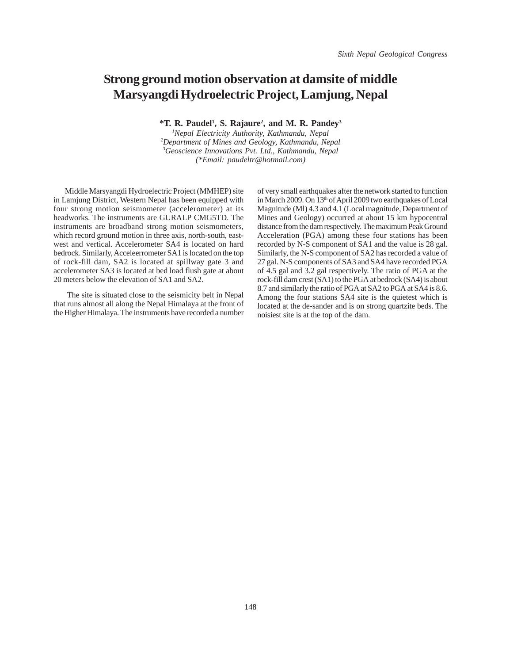## **Strong ground motion observation at damsite of middle Marsyangdi Hydroelectric Project, Lamjung, Nepal**

**\*T. R. Paudel1 , S. Rajaure2 , and M. R. Pandey3**

 *Nepal Electricity Authority, Kathmandu, Nepal Department of Mines and Geology, Kathmandu, Nepal Geoscience Innovations Pvt. Ltd., Kathmandu, Nepal (\*Email: paudeltr@hotmail.com)*

Middle Marsyangdi Hydroelectric Project (MMHEP) site in Lamjung District, Western Nepal has been equipped with four strong motion seismometer (accelerometer) at its headworks. The instruments are GURALP CMG5TD. The instruments are broadband strong motion seismometers, which record ground motion in three axis, north-south, eastwest and vertical. Accelerometer SA4 is located on hard bedrock. Similarly, Acceleerrometer SA1 is located on the top of rock-fill dam, SA2 is located at spillway gate 3 and accelerometer SA3 is located at bed load flush gate at about 20 meters below the elevation of SA1 and SA2.

 The site is situated close to the seismicity belt in Nepal that runs almost all along the Nepal Himalaya at the front of the Higher Himalaya. The instruments have recorded a number

of very small earthquakes after the network started to function in March 2009. On 13<sup>th</sup> of April 2009 two earthquakes of Local Magnitude (Ml) 4.3 and 4.1 (Local magnitude, Department of Mines and Geology) occurred at about 15 km hypocentral distance from the dam respectively. The maximum Peak Ground Acceleration (PGA) among these four stations has been recorded by N-S component of SA1 and the value is 28 gal. Similarly, the N-S component of SA2 has recorded a value of 27 gal. N-S components of SA3 and SA4 have recorded PGA of 4.5 gal and 3.2 gal respectively. The ratio of PGA at the rock-fill dam crest (SA1) to the PGA at bedrock (SA4) is about 8.7 and similarly the ratio of PGA at SA2 to PGA at SA4 is 8.6. Among the four stations SA4 site is the quietest which is located at the de-sander and is on strong quartzite beds. The noisiest site is at the top of the dam.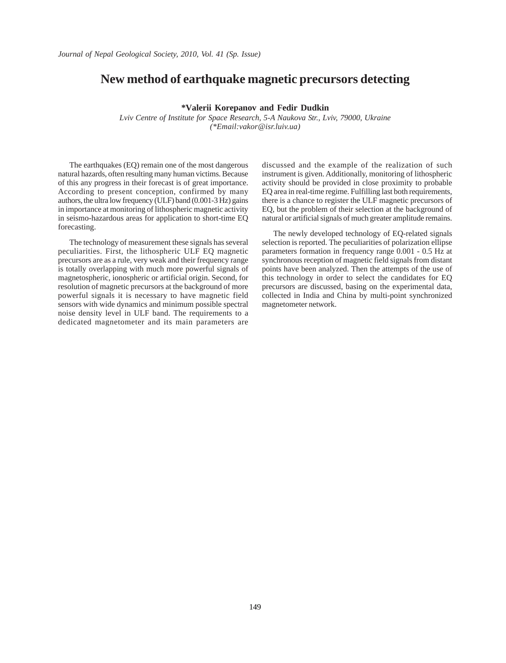#### **New method of earthquake magnetic precursors detecting**

#### **\*Valerii Korepanov and Fedir Dudkin**

*Lviv Centre of Institute for Space Research, 5-A Naukova Str., Lviv, 79000, Ukraine (\*Email:vakor@isr.luiv.ua)*

The earthquakes (EQ) remain one of the most dangerous natural hazards, often resulting many human victims. Because of this any progress in their forecast is of great importance. According to present conception, confirmed by many authors, the ultra low frequency (ULF) band (0.001-3 Hz) gains in importance at monitoring of lithospheric magnetic activity in seismo-hazardous areas for application to short-time EQ forecasting.

The technology of measurement these signals has several peculiarities. First, the lithospheric ULF EQ magnetic precursors are as a rule, very weak and their frequency range is totally overlapping with much more powerful signals of magnetospheric, ionospheric or artificial origin. Second, for resolution of magnetic precursors at the background of more powerful signals it is necessary to have magnetic field sensors with wide dynamics and minimum possible spectral noise density level in ULF band. The requirements to a dedicated magnetometer and its main parameters are

discussed and the example of the realization of such instrument is given. Additionally, monitoring of lithospheric activity should be provided in close proximity to probable EQ area in real-time regime. Fulfilling last both requirements, there is a chance to register the ULF magnetic precursors of EQ, but the problem of their selection at the background of natural or artificial signals of much greater amplitude remains.

The newly developed technology of EQ-related signals selection is reported. The peculiarities of polarization ellipse parameters formation in frequency range 0.001 - 0.5 Hz at synchronous reception of magnetic field signals from distant points have been analyzed. Then the attempts of the use of this technology in order to select the candidates for EQ precursors are discussed, basing on the experimental data, collected in India and China by multi-point synchronized magnetometer network.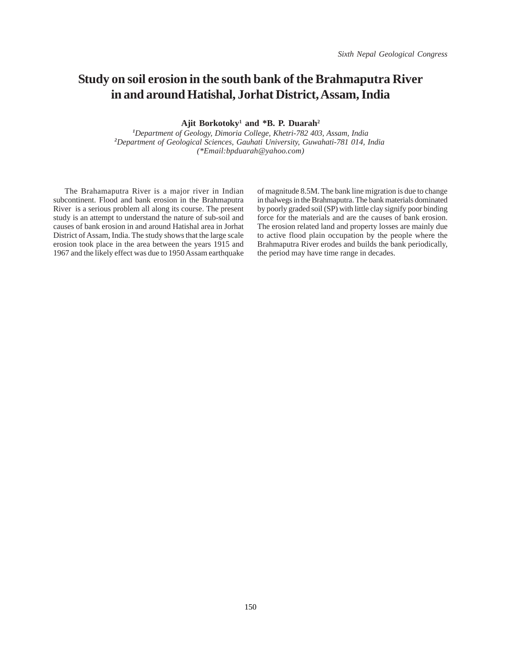### **Study on soil erosion in the south bank of the Brahmaputra River in and around Hatishal, Jorhat District, Assam, India**

**Ajit Borkotoky1 and \*B. P. Duarah2**

*1 Department of Geology, Dimoria College, Khetri-782 403, Assam, India 2 Department of Geological Sciences, Gauhati University, Guwahati-781 014, India (\*Email:bpduarah@yahoo.com)*

The Brahamaputra River is a major river in Indian subcontinent. Flood and bank erosion in the Brahmaputra River is a serious problem all along its course. The present study is an attempt to understand the nature of sub-soil and causes of bank erosion in and around Hatishal area in Jorhat District of Assam, India. The study shows that the large scale erosion took place in the area between the years 1915 and 1967 and the likely effect was due to 1950 Assam earthquake

of magnitude 8.5M. The bank line migration is due to change in thalwegs in the Brahmaputra. The bank materials dominated by poorly graded soil (SP) with little clay signify poor binding force for the materials and are the causes of bank erosion. The erosion related land and property losses are mainly due to active flood plain occupation by the people where the Brahmaputra River erodes and builds the bank periodically, the period may have time range in decades.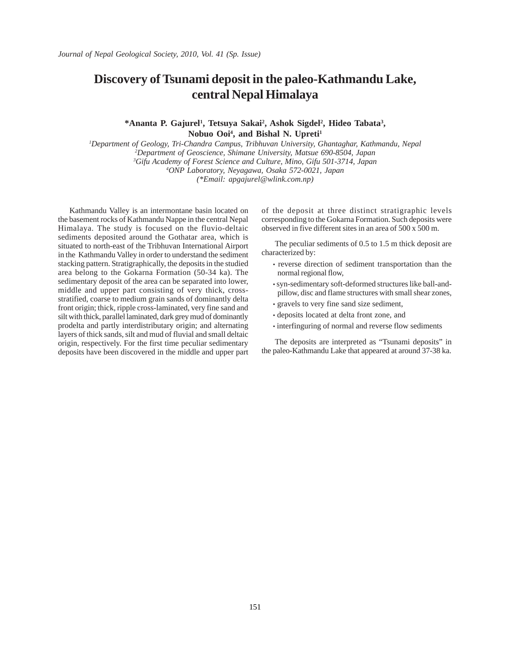# **Discovery of Tsunami deposit in the paleo-Kathmandu Lake, central Nepal Himalaya**

\*Ananta P. Gajurel<sup>1</sup>, Tetsuya Sakai<sup>2</sup>, Ashok Sigdel<sup>2</sup>, Hideo Tabata<sup>3</sup>, **Nobuo Ooi4 , and Bishal N. Upreti1**

 *Department of Geology, Tri-Chandra Campus, Tribhuvan University, Ghantaghar, Kathmandu, Nepal Department of Geoscience, Shimane University, Matsue 690-8504, Japan Gifu Academy of Forest Science and Culture, Mino, Gifu 501-3714, Japan ONP Laboratory, Neyagawa, Osaka 572-0021, Japan (\*Email: apgajurel@wlink.com.np)*

Kathmandu Valley is an intermontane basin located on the basement rocks of Kathmandu Nappe in the central Nepal Himalaya. The study is focused on the fluvio-deltaic sediments deposited around the Gothatar area, which is situated to north-east of the Tribhuvan International Airport in the Kathmandu Valley in order to understand the sediment stacking pattern. Stratigraphically, the deposits in the studied area belong to the Gokarna Formation (50-34 ka). The sedimentary deposit of the area can be separated into lower, middle and upper part consisting of very thick, crossstratified, coarse to medium grain sands of dominantly delta front origin; thick, ripple cross-laminated, very fine sand and silt with thick, parallel laminated, dark grey mud of dominantly prodelta and partly interdistributary origin; and alternating layers of thick sands, silt and mud of fluvial and small deltaic origin, respectively. For the first time peculiar sedimentary deposits have been discovered in the middle and upper part of the deposit at three distinct stratigraphic levels corresponding to the Gokarna Formation. Such deposits were observed in five different sites in an area of 500 x 500 m.

 The peculiar sediments of 0.5 to 1.5 m thick deposit are characterized by:

- reverse direction of sediment transportation than the normal regional flow,
- syn-sedimentary soft-deformed structures like ball-andpillow, disc and flame structures with small shear zones,
- gravels to very fine sand size sediment,
- deposits located at delta front zone, and
- interfinguring of normal and reverse flow sediments

 The deposits are interpreted as "Tsunami deposits" in the paleo-Kathmandu Lake that appeared at around 37-38 ka.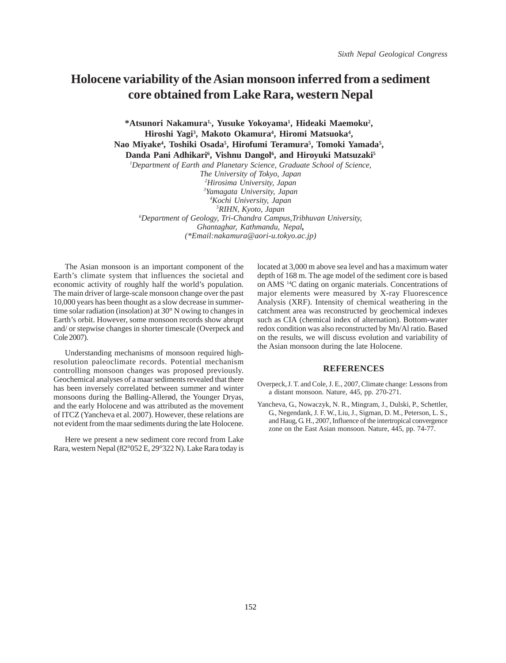#### **Holocene variability of the Asian monsoon inferred from a sediment core obtained from Lake Rara, western Nepal**

\*Atsunori Nakamura<sup>1</sup>, Yusuke Yokoyama<sup>1</sup>, Hideaki Maemoku<sup>2</sup>, **Hiroshi Yagi3 , Makoto Okamura4 , Hiromi Matsuoka4 ,**  Nao Miyake<sup>4</sup>, Toshiki Osada<sup>5</sup>, Hirofumi Teramura<sup>5</sup>, Tomoki Yamada<sup>5</sup>, Danda Pani Adhikari<sup>6</sup>, Vishnu Dangol<sup>6</sup>, and Hiroyuki Matsuzaki<sup>s</sup>

*1 Department of Earth and Planetary Science, Graduate School of Science,*

*The University of Tokyo, Japan Hirosima University, Japan Yamagata University, Japan Kochi University, Japan RIHN, Kyoto, Japan Department of Geology, Tri-Chandra Campus,Tribhuvan University, Ghantaghar, Kathmandu, Nepal, (\*Email:nakamura@aori-u.tokyo.ac.jp)*

The Asian monsoon is an important component of the Earth's climate system that influences the societal and economic activity of roughly half the world's population. The main driver of large-scale monsoon change over the past 10,000 years has been thought as a slow decrease in summertime solar radiation (insolation) at 30° N owing to changes in Earth's orbit. However, some monsoon records show abrupt and/ or stepwise changes in shorter timescale (Overpeck and Cole 2007).

Understanding mechanisms of monsoon required highresolution paleoclimate records. Potential mechanism controlling monsoon changes was proposed previously. Geochemical analyses of a maar sediments revealed that there has been inversely correlated between summer and winter monsoons during the Bølling-Allerød, the Younger Dryas, and the early Holocene and was attributed as the movement of ITCZ (Yancheva et al. 2007). However, these relations are not evident from the maar sediments during the late Holocene.

Here we present a new sediment core record from Lake Rara, western Nepal (82°052 E, 29°322 N). Lake Rara today is located at 3,000 m above sea level and has a maximum water depth of 168 m. The age model of the sediment core is based on AMS 14C dating on organic materials. Concentrations of major elements were measured by X-ray Fluorescence Analysis (XRF). Intensity of chemical weathering in the catchment area was reconstructed by geochemical indexes such as CIA (chemical index of alternation). Bottom-water redox condition was also reconstructed by Mn/Al ratio. Based on the results, we will discuss evolution and variability of the Asian monsoon during the late Holocene.

#### **REFERENCES**

- Overpeck,J. T. and Cole, J. E., 2007, Climate change: Lessons from a distant monsoon. Nature, 445, pp. 270-271.
- Yancheva, G., Nowaczyk, N. R., Mingram, J., Dulski, P., Schettler, G., Negendank, J. F. W., Liu, J., Sigman, D. M., Peterson, L. S., and Haug, G. H., 2007, Influence of the intertropical convergence zone on the East Asian monsoon. Nature, 445, pp. 74-77.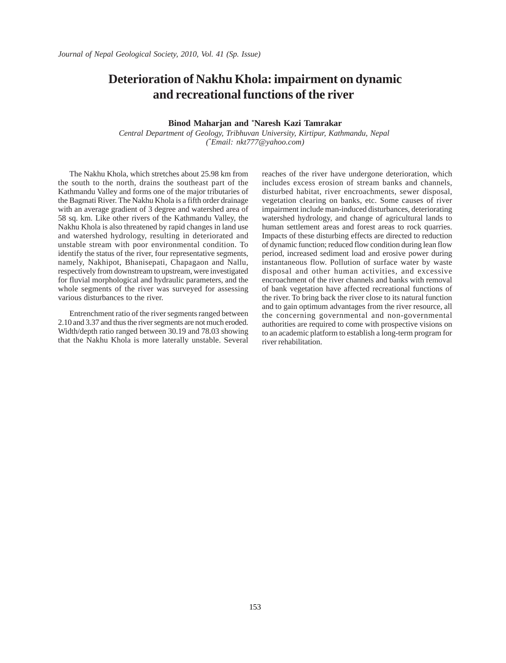### **Deterioration of Nakhu Khola: impairment on dynamic and recreational functions of the river**

#### **Binod Maharjan and \* Naresh Kazi Tamrakar**

*Central Department of Geology, Tribhuvan University, Kirtipur, Kathmandu, Nepal (\* Email: nkt777@yahoo.com)*

The Nakhu Khola, which stretches about 25.98 km from the south to the north, drains the southeast part of the Kathmandu Valley and forms one of the major tributaries of the Bagmati River. The Nakhu Khola is a fifth order drainage with an average gradient of 3 degree and watershed area of 58 sq. km. Like other rivers of the Kathmandu Valley, the Nakhu Khola is also threatened by rapid changes in land use and watershed hydrology, resulting in deteriorated and unstable stream with poor environmental condition. To identify the status of the river, four representative segments, namely, Nakhipot, Bhanisepati, Chapagaon and Nallu, respectively from downstream to upstream, were investigated for fluvial morphological and hydraulic parameters, and the whole segments of the river was surveyed for assessing various disturbances to the river.

Entrenchment ratio of the river segments ranged between 2.10 and 3.37 and thus the river segments are not much eroded. Width/depth ratio ranged between 30.19 and 78.03 showing that the Nakhu Khola is more laterally unstable. Several reaches of the river have undergone deterioration, which includes excess erosion of stream banks and channels, disturbed habitat, river encroachments, sewer disposal, vegetation clearing on banks, etc. Some causes of river impairment include man-induced disturbances, deteriorating watershed hydrology, and change of agricultural lands to human settlement areas and forest areas to rock quarries. Impacts of these disturbing effects are directed to reduction of dynamic function; reduced flow condition during lean flow period, increased sediment load and erosive power during instantaneous flow. Pollution of surface water by waste disposal and other human activities, and excessive encroachment of the river channels and banks with removal of bank vegetation have affected recreational functions of the river. To bring back the river close to its natural function and to gain optimum advantages from the river resource, all the concerning governmental and non-governmental authorities are required to come with prospective visions on to an academic platform to establish a long-term program for river rehabilitation.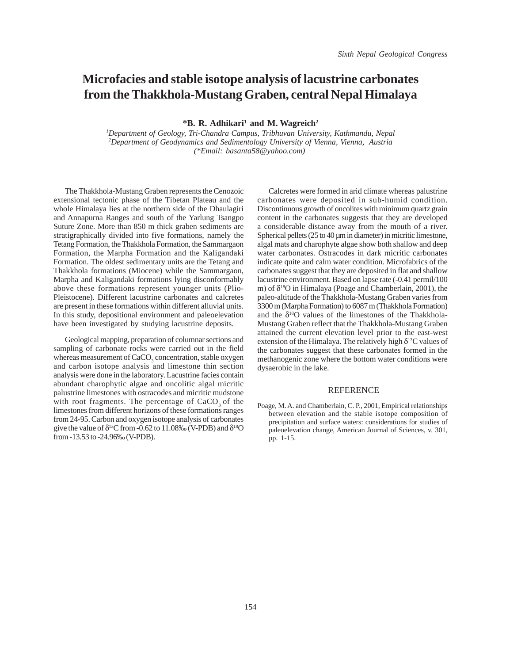# **Microfacies and stable isotope analysis of lacustrine carbonates from the Thakkhola-Mustang Graben, central Nepal Himalaya**

 $*$ **B. R. Adhikari<sup>1</sup> and M. Wagreich<sup>2</sup>** 

*1 Department of Geology, Tri-Chandra Campus, Tribhuvan University, Kathmandu, Nepal 2 Department of Geodynamics and Sedimentology University of Vienna, Vienna, Austria (\*Email: basanta58@yahoo.com)* 

The Thakkhola-Mustang Graben represents the Cenozoic extensional tectonic phase of the Tibetan Plateau and the whole Himalaya lies at the northern side of the Dhaulagiri and Annapurna Ranges and south of the Yarlung Tsangpo Suture Zone. More than 850 m thick graben sediments are stratigraphically divided into five formations, namely the Tetang Formation, the Thakkhola Formation, the Sammargaon Formation, the Marpha Formation and the Kaligandaki Formation. The oldest sedimentary units are the Tetang and Thakkhola formations (Miocene) while the Sammargaon, Marpha and Kaligandaki formations lying disconformably above these formations represent younger units (Plio-Pleistocene). Different lacustrine carbonates and calcretes are present in these formations within different alluvial units. In this study, depositional environment and paleoelevation have been investigated by studying lacustrine deposits.

Geological mapping, preparation of columnar sections and sampling of carbonate rocks were carried out in the field whereas measurement of CaCO<sub>3</sub> concentration, stable oxygen and carbon isotope analysis and limestone thin section analysis were done in the laboratory. Lacustrine facies contain abundant charophytic algae and oncolitic algal micritic palustrine limestones with ostracodes and micritic mudstone with root fragments. The percentage of CaCO<sub>2</sub> of the limestones from different horizons of these formations ranges from 24-95. Carbon and oxygen isotope analysis of carbonates give the value of  $\delta^{13}C$  from -0.62 to 11.08‰ (V-PDB) and  $\delta^{18}O$ from -13.53 to -24.96‰ (V-PDB).

Calcretes were formed in arid climate whereas palustrine carbonates were deposited in sub-humid condition. Discontinuous growth of oncolites with minimum quartz grain content in the carbonates suggests that they are developed a considerable distance away from the mouth of a river. Spherical pellets (25 to 40 µm in diameter) in micritic limestone, algal mats and charophyte algae show both shallow and deep water carbonates. Ostracodes in dark micritic carbonates indicate quite and calm water condition. Microfabrics of the carbonates suggest that they are deposited in flat and shallow lacustrine environment. Based on lapse rate (-0.41 permil/100 m) of  $\delta^{18}$ O in Himalaya (Poage and Chamberlain, 2001), the paleo-altitude of the Thakkhola-Mustang Graben varies from 3300 m (Marpha Formation) to 6087 m (Thakkhola Formation) and the  $\delta^{18}$ O values of the limestones of the Thakkhola-Mustang Graben reflect that the Thakkhola-Mustang Graben attained the current elevation level prior to the east-west extension of the Himalaya. The relatively high  $\delta^{13}$ C values of the carbonates suggest that these carbonates formed in the methanogenic zone where the bottom water conditions were dysaerobic in the lake.

#### **REFERENCE**

Poage, M. A. and Chamberlain, C. P., 2001, Empirical relationships between elevation and the stable isotope composition of precipitation and surface waters: considerations for studies of paleoelevation change, American Journal of Sciences, v. 301, pp. 1-15.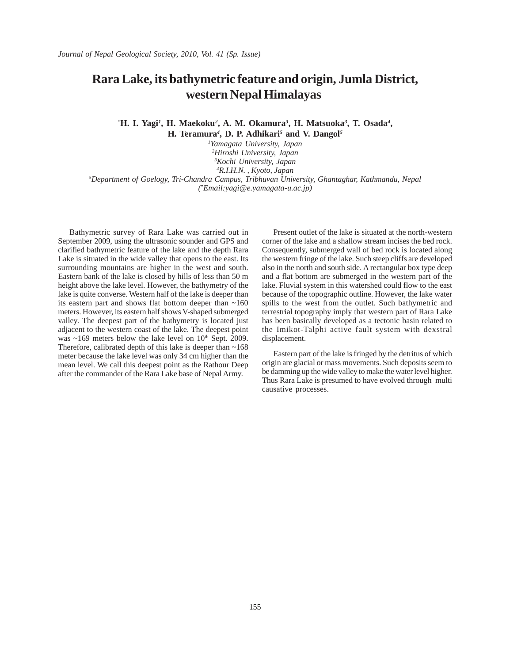## **Rara Lake, its bathymetric feature and origin, Jumla District, western Nepal Himalayas**

*\** **H. I. Yagi***<sup>1</sup>* **, H. Maekoku***<sup>2</sup>* **, A. M. Okamura***<sup>3</sup>* **, H. Matsuoka***<sup>3</sup>* **, T. Osada***<sup>4</sup>* **, H. Teramura***<sup>4</sup>* **, D. P. Adhikari***<sup>5</sup>*  **and V. Dangol***<sup>5</sup>*

 *Yamagata University, Japan Hiroshi University, Japan Kochi University, Japan R.I.H.N. , Kyoto, Japan Department of Goelogy, Tri-Chandra Campus, Tribhuvan University, Ghantaghar, Kathmandu, Nepal (***\*** *Email:yagi@e.yamagata-u.ac.jp)*

Bathymetric survey of Rara Lake was carried out in September 2009, using the ultrasonic sounder and GPS and clarified bathymetric feature of the lake and the depth Rara Lake is situated in the wide valley that opens to the east. Its surrounding mountains are higher in the west and south. Eastern bank of the lake is closed by hills of less than 50 m height above the lake level. However, the bathymetry of the lake is quite converse. Western half of the lake is deeper than its eastern part and shows flat bottom deeper than  $\sim 160$ meters. However, its eastern half shows V-shaped submerged valley. The deepest part of the bathymetry is located just adjacent to the western coast of the lake. The deepest point was  $\sim$ 169 meters below the lake level on 10<sup>th</sup> Sept. 2009. Therefore, calibrated depth of this lake is deeper than  $~168$ meter because the lake level was only 34 cm higher than the mean level. We call this deepest point as the Rathour Deep after the commander of the Rara Lake base of Nepal Army.

Present outlet of the lake is situated at the north-western corner of the lake and a shallow stream incises the bed rock. Consequently, submerged wall of bed rock is located along the western fringe of the lake. Such steep cliffs are developed also in the north and south side. A rectangular box type deep and a flat bottom are submerged in the western part of the lake. Fluvial system in this watershed could flow to the east because of the topographic outline. However, the lake water spills to the west from the outlet. Such bathymetric and terrestrial topography imply that western part of Rara Lake has been basically developed as a tectonic basin related to the Imikot-Talphi active fault system with dexstral displacement.

Eastern part of the lake is fringed by the detritus of which origin are glacial or mass movements. Such deposits seem to be damming up the wide valley to make the water level higher. Thus Rara Lake is presumed to have evolved through multi causative processes.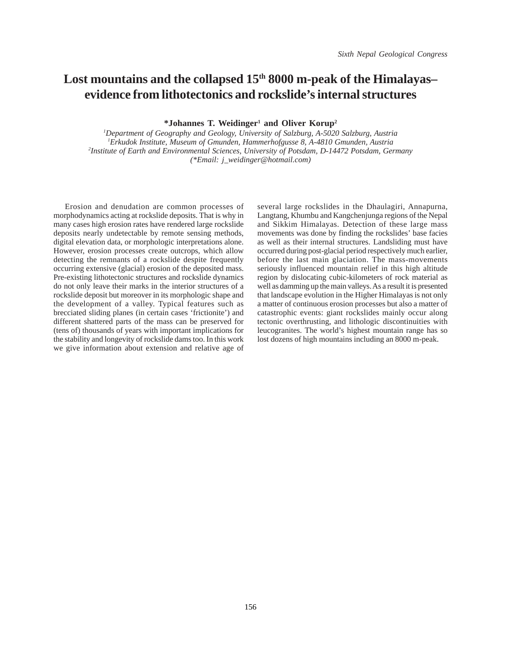# Lost mountains and the collapsed  $15<sup>th</sup> 8000$  m-peak of the Himalayas– **evidence from lithotectonics and rockslide's internal structures**

**\*Johannes T. Weidinger1 and Oliver Korup2**

 *Department of Geography and Geology, University of Salzburg, A-5020 Salzburg, Austria Erkudok Institute, Museum of Gmunden, Hammerhofgusse 8, A-4810 Gmunden, Austria Institute of Earth and Environmental Sciences, University of Potsdam, D-14472 Potsdam, Germany (\*Email: j\_weidinger@hotmail.com)*

Erosion and denudation are common processes of morphodynamics acting at rockslide deposits. That is why in many cases high erosion rates have rendered large rockslide deposits nearly undetectable by remote sensing methods, digital elevation data, or morphologic interpretations alone. However, erosion processes create outcrops, which allow detecting the remnants of a rockslide despite frequently occurring extensive (glacial) erosion of the deposited mass. Pre-existing lithotectonic structures and rockslide dynamics do not only leave their marks in the interior structures of a rockslide deposit but moreover in its morphologic shape and the development of a valley. Typical features such as brecciated sliding planes (in certain cases 'frictionite') and different shattered parts of the mass can be preserved for (tens of) thousands of years with important implications for the stability and longevity of rockslide dams too. In this work we give information about extension and relative age of

several large rockslides in the Dhaulagiri, Annapurna, Langtang, Khumbu and Kangchenjunga regions of the Nepal and Sikkim Himalayas. Detection of these large mass movements was done by finding the rockslides' base facies as well as their internal structures. Landsliding must have occurred during post-glacial period respectively much earlier, before the last main glaciation. The mass-movements seriously influenced mountain relief in this high altitude region by dislocating cubic-kilometers of rock material as well as damming up the main valleys. As a result it is presented that landscape evolution in the Higher Himalayas is not only a matter of continuous erosion processes but also a matter of catastrophic events: giant rockslides mainly occur along tectonic overthrusting, and lithologic discontinuities with leucogranites. The world's highest mountain range has so lost dozens of high mountains including an 8000 m-peak.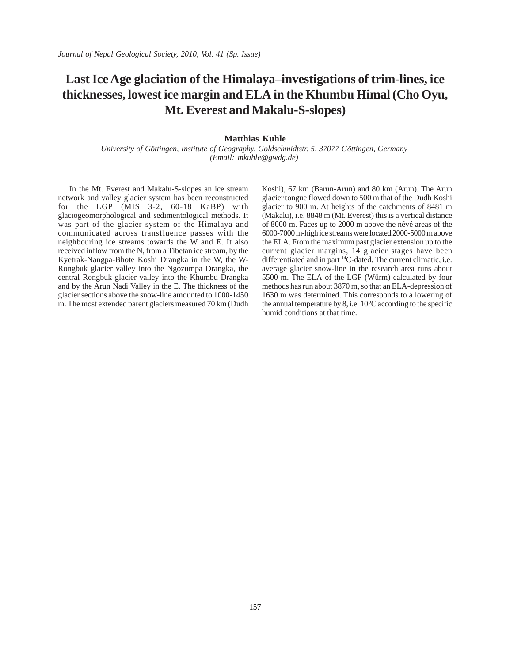# **Last Ice Age glaciation of the Himalaya–investigations of trim-lines, ice thicknesses, lowest ice margin and ELA in the Khumbu Himal (Cho Oyu, Mt. Everest and Makalu-S-slopes)**

#### **Matthias Kuhle**

*University of Göttingen, Institute of Geography, Goldschmidtstr. 5, 37077 Göttingen, Germany (Email: mkuhle@gwdg.de)* 

In the Mt. Everest and Makalu-S-slopes an ice stream network and valley glacier system has been reconstructed for the LGP (MIS 3-2, 60-18 KaBP) with glaciogeomorphological and sedimentological methods. It was part of the glacier system of the Himalaya and communicated across transfluence passes with the neighbouring ice streams towards the W and E. It also received inflow from the N, from a Tibetan ice stream, by the Kyetrak-Nangpa-Bhote Koshi Drangka in the W, the W-Rongbuk glacier valley into the Ngozumpa Drangka, the central Rongbuk glacier valley into the Khumbu Drangka and by the Arun Nadi Valley in the E. The thickness of the glacier sections above the snow-line amounted to 1000-1450 m. The most extended parent glaciers measured 70 km (Dudh

Koshi), 67 km (Barun-Arun) and 80 km (Arun). The Arun glacier tongue flowed down to 500 m that of the Dudh Koshi glacier to 900 m. At heights of the catchments of 8481 m (Makalu), i.e. 8848 m (Mt. Everest) this is a vertical distance of 8000 m. Faces up to 2000 m above the névé areas of the 6000-7000 m-high ice streams were located 2000-5000 m above the ELA. From the maximum past glacier extension up to the current glacier margins, 14 glacier stages have been differentiated and in part 14C-dated. The current climatic, i.e. average glacier snow-line in the research area runs about 5500 m. The ELA of the LGP (Würm) calculated by four methods has run about 3870 m, so that an ELA-depression of 1630 m was determined. This corresponds to a lowering of the annual temperature by 8, i.e. 10°C according to the specific humid conditions at that time.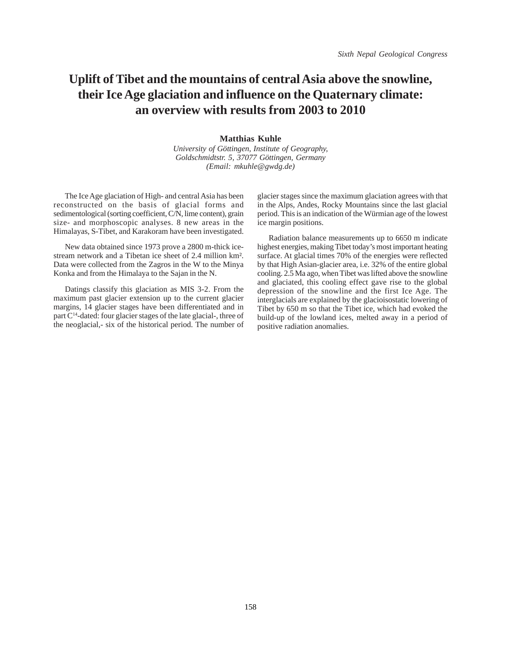# **Uplift of Tibet and the mountains of central Asia above the snowline, their Ice Age glaciation and influence on the Quaternary climate: an overview with results from 2003 to 2010**

#### **Matthias Kuhle**

*University of Göttingen, Institute of Geography, Goldschmidtstr. 5, 37077 Göttingen, Germany (Email: mkuhle@gwdg.de)*

The Ice Age glaciation of High- and central Asia has been reconstructed on the basis of glacial forms and sedimentological (sorting coefficient, C/N, lime content), grain size- and morphoscopic analyses. 8 new areas in the Himalayas, S-Tibet, and Karakoram have been investigated.

New data obtained since 1973 prove a 2800 m-thick icestream network and a Tibetan ice sheet of 2.4 million km². Data were collected from the Zagros in the W to the Minya Konka and from the Himalaya to the Sajan in the N.

Datings classify this glaciation as MIS 3-2. From the maximum past glacier extension up to the current glacier margins, 14 glacier stages have been differentiated and in part C14-dated: four glacier stages of the late glacial-, three of the neoglacial,- six of the historical period. The number of glacier stages since the maximum glaciation agrees with that in the Alps, Andes, Rocky Mountains since the last glacial period. This is an indication of the Würmian age of the lowest ice margin positions.

Radiation balance measurements up to 6650 m indicate highest energies, making Tibet today's most important heating surface. At glacial times 70% of the energies were reflected by that High Asian-glacier area, i.e. 32% of the entire global cooling. 2.5 Ma ago, when Tibet was lifted above the snowline and glaciated, this cooling effect gave rise to the global depression of the snowline and the first Ice Age. The interglacials are explained by the glacioisostatic lowering of Tibet by 650 m so that the Tibet ice, which had evoked the build-up of the lowland ices, melted away in a period of positive radiation anomalies.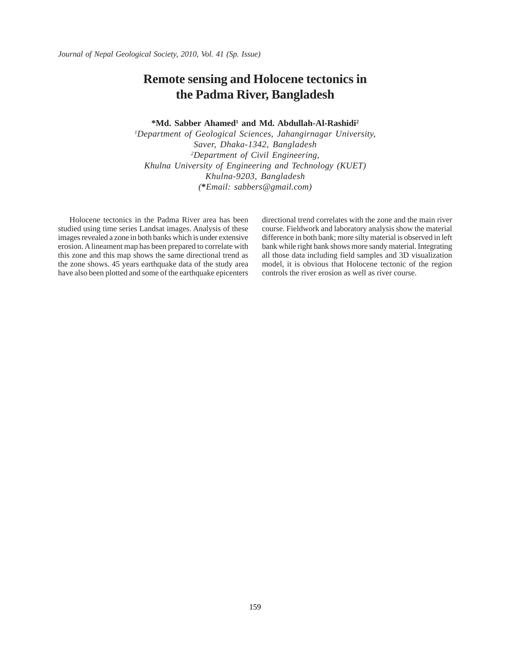## **Remote sensing and Holocene tectonics in the Padma River, Bangladesh**

#### <sup>\*</sup>Md. Sabber Ahamed<sup>1</sup> and Md. Abdullah-Al-Rashidi<sup>2</sup>

*1 Department of Geological Sciences, Jahangirnagar University, Saver, Dhaka-1342, Bangladesh 2 Department of Civil Engineering, Khulna University of Engineering and Technology (KUET) Khulna-9203, Bangladesh (***\****Email: sabbers@gmail.com)*

Holocene tectonics in the Padma River area has been studied using time series Landsat images. Analysis of these images revealed a zone in both banks which is under extensive erosion. A lineament map has been prepared to correlate with this zone and this map shows the same directional trend as the zone shows. 45 years earthquake data of the study area have also been plotted and some of the earthquake epicenters directional trend correlates with the zone and the main river course. Fieldwork and laboratory analysis show the material difference in both bank; more silty material is observed in left bank while right bank shows more sandy material. Integrating all those data including field samples and 3D visualization model, it is obvious that Holocene tectonic of the region controls the river erosion as well as river course.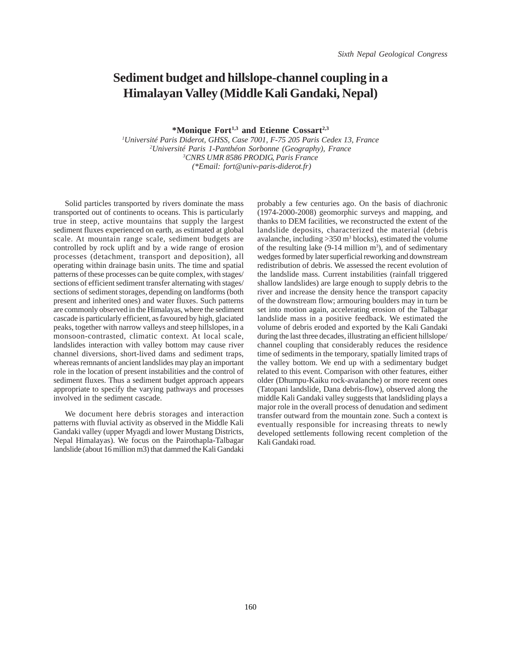#### **Sediment budget and hillslope-channel coupling in a Himalayan Valley (Middle Kali Gandaki, Nepal)**

**\*Monique Fort1,3 and Etienne Cossart2,3**

 *Université Paris Diderot, GHSS, Case 7001, F-75 205 Paris Cedex 13, France Université Paris 1-Panthéon Sorbonne (Geography), France CNRS UMR 8586 PRODIG, Paris France (\*Email: fort@univ-paris-diderot.fr)*

Solid particles transported by rivers dominate the mass transported out of continents to oceans. This is particularly true in steep, active mountains that supply the largest sediment fluxes experienced on earth, as estimated at global scale. At mountain range scale, sediment budgets are controlled by rock uplift and by a wide range of erosion processes (detachment, transport and deposition), all operating within drainage basin units. The time and spatial patterns of these processes can be quite complex, with stages/ sections of efficient sediment transfer alternating with stages/ sections of sediment storages, depending on landforms (both present and inherited ones) and water fluxes. Such patterns are commonly observed in the Himalayas, where the sediment cascade is particularly efficient, as favoured by high, glaciated peaks, together with narrow valleys and steep hillslopes, in a monsoon-contrasted, climatic context. At local scale, landslides interaction with valley bottom may cause river channel diversions, short-lived dams and sediment traps, whereas remnants of ancient landslides may play an important role in the location of present instabilities and the control of sediment fluxes. Thus a sediment budget approach appears appropriate to specify the varying pathways and processes involved in the sediment cascade.

We document here debris storages and interaction patterns with fluvial activity as observed in the Middle Kali Gandaki valley (upper Myagdi and lower Mustang Districts, Nepal Himalayas). We focus on the Pairothapla-Talbagar landslide (about 16 million m3) that dammed the Kali Gandaki

probably a few centuries ago. On the basis of diachronic (1974-2000-2008) geomorphic surveys and mapping, and thanks to DEM facilities, we reconstructed the extent of the landslide deposits, characterized the material (debris avalanche, including  $>350$  m<sup>3</sup> blocks), estimated the volume of the resulting lake  $(9-14$  million m<sup>3</sup>), and of sedimentary wedges formed by later superficial reworking and downstream redistribution of debris. We assessed the recent evolution of the landslide mass. Current instabilities (rainfall triggered shallow landslides) are large enough to supply debris to the river and increase the density hence the transport capacity of the downstream flow; armouring boulders may in turn be set into motion again, accelerating erosion of the Talbagar landslide mass in a positive feedback. We estimated the volume of debris eroded and exported by the Kali Gandaki during the last three decades, illustrating an efficient hillslope/ channel coupling that considerably reduces the residence time of sediments in the temporary, spatially limited traps of the valley bottom. We end up with a sedimentary budget related to this event. Comparison with other features, either older (Dhumpu-Kaiku rock-avalanche) or more recent ones (Tatopani landslide, Dana debris-flow), observed along the middle Kali Gandaki valley suggests that landsliding plays a major role in the overall process of denudation and sediment transfer outward from the mountain zone. Such a context is eventually responsible for increasing threats to newly developed settlements following recent completion of the Kali Gandaki road.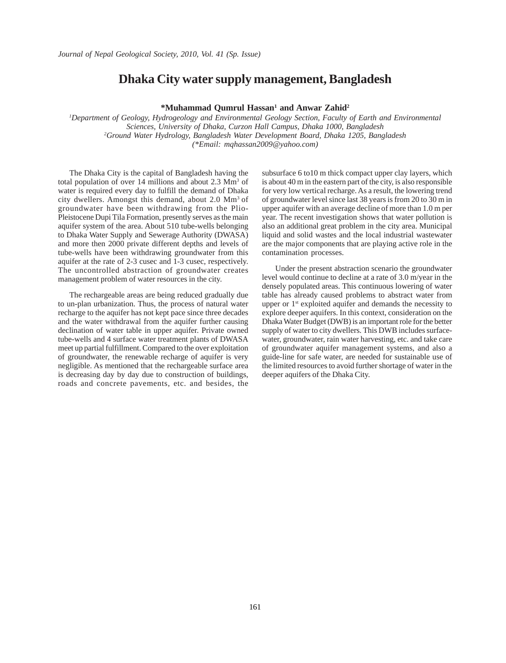#### **Dhaka City water supply management, Bangladesh**

\*Muhammad Qumrul Hassan<sup>1</sup> and Anwar Zahid<sup>2</sup>

*1 Department of Geology, Hydrogeology and Environmental Geology Section, Faculty of Earth and Environmental Sciences, University of Dhaka, Curzon Hall Campus, Dhaka 1000, Bangladesh 2 Ground Water Hydrology, Bangladesh Water Development Board, Dhaka 1205, Bangladesh (\*Email: mqhassan2009@yahoo.com)*

The Dhaka City is the capital of Bangladesh having the total population of over 14 millions and about 2.3 Mm<sup>3</sup> of water is required every day to fulfill the demand of Dhaka city dwellers. Amongst this demand, about 2.0 Mm3 of groundwater have been withdrawing from the Plio-Pleistocene Dupi Tila Formation, presently serves as the main aquifer system of the area. About 510 tube-wells belonging to Dhaka Water Supply and Sewerage Authority (DWASA) and more then 2000 private different depths and levels of tube-wells have been withdrawing groundwater from this aquifer at the rate of 2-3 cusec and 1-3 cusec, respectively. The uncontrolled abstraction of groundwater creates management problem of water resources in the city.

The rechargeable areas are being reduced gradually due to un-plan urbanization. Thus, the process of natural water recharge to the aquifer has not kept pace since three decades and the water withdrawal from the aquifer further causing declination of water table in upper aquifer. Private owned tube-wells and 4 surface water treatment plants of DWASA meet up partial fulfillment. Compared to the over exploitation of groundwater, the renewable recharge of aquifer is very negligible. As mentioned that the rechargeable surface area is decreasing day by day due to construction of buildings, roads and concrete pavements, etc. and besides, the subsurface 6 to10 m thick compact upper clay layers, which is about 40 m in the eastern part of the city, is also responsible for very low vertical recharge. As a result, the lowering trend of groundwater level since last 38 years is from 20 to 30 m in upper aquifer with an average decline of more than 1.0 m per year. The recent investigation shows that water pollution is also an additional great problem in the city area. Municipal liquid and solid wastes and the local industrial wastewater are the major components that are playing active role in the contamination processes.

 Under the present abstraction scenario the groundwater level would continue to decline at a rate of 3.0 m/year in the densely populated areas. This continuous lowering of water table has already caused problems to abstract water from upper or 1<sup>st</sup> exploited aquifer and demands the necessity to explore deeper aquifers. In this context, consideration on the Dhaka Water Budget (DWB) is an important role for the better supply of water to city dwellers. This DWB includes surfacewater, groundwater, rain water harvesting, etc. and take care of groundwater aquifer management systems, and also a guide-line for safe water, are needed for sustainable use of the limited resources to avoid further shortage of water in the deeper aquifers of the Dhaka City.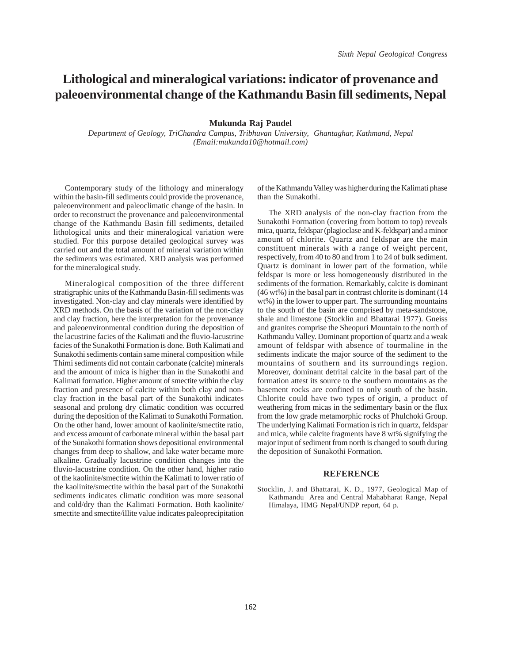### **Lithological and mineralogical variations: indicator of provenance and paleoenvironmental change of the Kathmandu Basin fill sediments, Nepal**

#### **Mukunda Raj Paudel**

*Department of Geology, TriChandra Campus, Tribhuvan University, Ghantaghar, Kathmand, Nepal (Email:mukunda10@hotmail.com)*

Contemporary study of the lithology and mineralogy within the basin-fill sediments could provide the provenance, paleoenvironment and paleoclimatic change of the basin. In order to reconstruct the provenance and paleoenvironmental change of the Kathmandu Basin fill sediments, detailed lithological units and their mineralogical variation were studied. For this purpose detailed geological survey was carried out and the total amount of mineral variation within the sediments was estimated. XRD analysis was performed for the mineralogical study.

Mineralogical composition of the three different stratigraphic units of the Kathmandu Basin-fill sediments was investigated. Non-clay and clay minerals were identified by XRD methods. On the basis of the variation of the non-clay and clay fraction, here the interpretation for the provenance and paleoenvironmental condition during the deposition of the lacustrine facies of the Kalimati and the fluvio-lacustrine facies of the Sunakothi Formation is done. Both Kalimati and Sunakothi sediments contain same mineral composition while Thimi sediments did not contain carbonate (calcite) minerals and the amount of mica is higher than in the Sunakothi and Kalimati formation. Higher amount of smectite within the clay fraction and presence of calcite within both clay and nonclay fraction in the basal part of the Sunakothi indicates seasonal and prolong dry climatic condition was occurred during the deposition of the Kalimati to Sunakothi Formation. On the other hand, lower amount of kaolinite/smectite ratio, and excess amount of carbonate mineral within the basal part of the Sunakothi formation shows depositional environmental changes from deep to shallow, and lake water became more alkaline. Gradually lacustrine condition changes into the fluvio-lacustrine condition. On the other hand, higher ratio of the kaolinite/smectite within the Kalimati to lower ratio of the kaolinite/smectite within the basal part of the Sunakothi sediments indicates climatic condition was more seasonal and cold/dry than the Kalimati Formation. Both kaolinite/ smectite and smectite/illite value indicates paleoprecipitation

of the Kathmandu Valley was higher during the Kalimati phase than the Sunakothi.

The XRD analysis of the non-clay fraction from the Sunakothi Formation (covering from bottom to top) reveals mica, quartz, feldspar (plagioclase and K-feldspar) and a minor amount of chlorite. Quartz and feldspar are the main constituent minerals with a range of weight percent, respectively, from 40 to 80 and from 1 to 24 of bulk sediment. Quartz is dominant in lower part of the formation, while feldspar is more or less homogeneously distributed in the sediments of the formation. Remarkably, calcite is dominant (46 wt%) in the basal part in contrast chlorite is dominant (14 wt%) in the lower to upper part. The surrounding mountains to the south of the basin are comprised by meta-sandstone, shale and limestone (Stocklin and Bhattarai 1977). Gneiss and granites comprise the Sheopuri Mountain to the north of Kathmandu Valley. Dominant proportion of quartz and a weak amount of feldspar with absence of tourmaline in the sediments indicate the major source of the sediment to the mountains of southern and its surroundings region. Moreover, dominant detrital calcite in the basal part of the formation attest its source to the southern mountains as the basement rocks are confined to only south of the basin. Chlorite could have two types of origin, a product of weathering from micas in the sedimentary basin or the flux from the low grade metamorphic rocks of Phulchoki Group. The underlying Kalimati Formation is rich in quartz, feldspar and mica, while calcite fragments have 8 wt% signifying the major input of sediment from north is changed to south during the deposition of Sunakothi Formation.

#### **REFERENCE**

Stocklin, J. and Bhattarai, K. D., 1977, Geological Map of Kathmandu Area and Central Mahabharat Range, Nepal Himalaya, HMG Nepal/UNDP report, 64 p.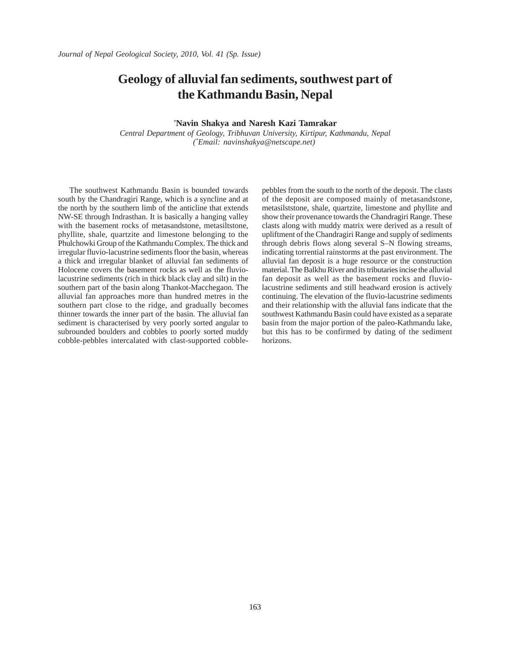### **Geology of alluvial fan sediments, southwest part of the Kathmandu Basin, Nepal**

#### *\** **Navin Shakya and Naresh Kazi Tamrakar**

*Central Department of Geology, Tribhuvan University, Kirtipur, Kathmandu, Nepal (\* Email: navinshakya@netscape.net)* 

The southwest Kathmandu Basin is bounded towards south by the Chandragiri Range, which is a syncline and at the north by the southern limb of the anticline that extends NW-SE through Indrasthan. It is basically a hanging valley with the basement rocks of metasandstone, metasiltstone, phyllite, shale, quartzite and limestone belonging to the Phulchowki Group of the Kathmandu Complex. The thick and irregular fluvio-lacustrine sediments floor the basin, whereas a thick and irregular blanket of alluvial fan sediments of Holocene covers the basement rocks as well as the fluviolacustrine sediments (rich in thick black clay and silt) in the southern part of the basin along Thankot-Macchegaon. The alluvial fan approaches more than hundred metres in the southern part close to the ridge, and gradually becomes thinner towards the inner part of the basin. The alluvial fan sediment is characterised by very poorly sorted angular to subrounded boulders and cobbles to poorly sorted muddy cobble-pebbles intercalated with clast-supported cobblepebbles from the south to the north of the deposit. The clasts of the deposit are composed mainly of metasandstone, metasilststone, shale, quartzite, limestone and phyllite and show their provenance towards the Chandragiri Range. These clasts along with muddy matrix were derived as a result of upliftment of the Chandragiri Range and supply of sediments through debris flows along several S–N flowing streams, indicating torrential rainstorms at the past environment. The alluvial fan deposit is a huge resource or the construction material. The Balkhu River and its tributaries incise the alluvial fan deposit as well as the basement rocks and fluviolacustrine sediments and still headward erosion is actively continuing. The elevation of the fluvio-lacustrine sediments and their relationship with the alluvial fans indicate that the southwest Kathmandu Basin could have existed as a separate basin from the major portion of the paleo-Kathmandu lake, but this has to be confirmed by dating of the sediment horizons.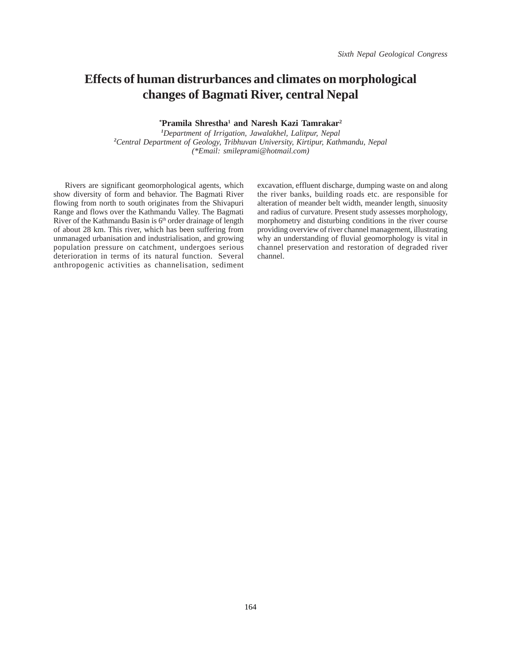# **Effects of human distrurbances and climates on morphological changes of Bagmati River, central Nepal**

**\* Pramila Shrestha1 and Naresh Kazi Tamrakar2**

*1 Department of Irrigation, Jawalakhel, Lalitpur, Nepal 2 Central Department of Geology, Tribhuvan University, Kirtipur, Kathmandu, Nepal (\*Email: smileprami@hotmail.com)*

Rivers are significant geomorphological agents, which show diversity of form and behavior. The Bagmati River flowing from north to south originates from the Shivapuri Range and flows over the Kathmandu Valley. The Bagmati River of the Kathmandu Basin is 6<sup>th</sup> order drainage of length of about 28 km. This river, which has been suffering from unmanaged urbanisation and industrialisation, and growing population pressure on catchment, undergoes serious deterioration in terms of its natural function. Several anthropogenic activities as channelisation, sediment excavation, effluent discharge, dumping waste on and along the river banks, building roads etc. are responsible for alteration of meander belt width, meander length, sinuosity and radius of curvature. Present study assesses morphology, morphometry and disturbing conditions in the river course providing overview of river channel management, illustrating why an understanding of fluvial geomorphology is vital in channel preservation and restoration of degraded river channel.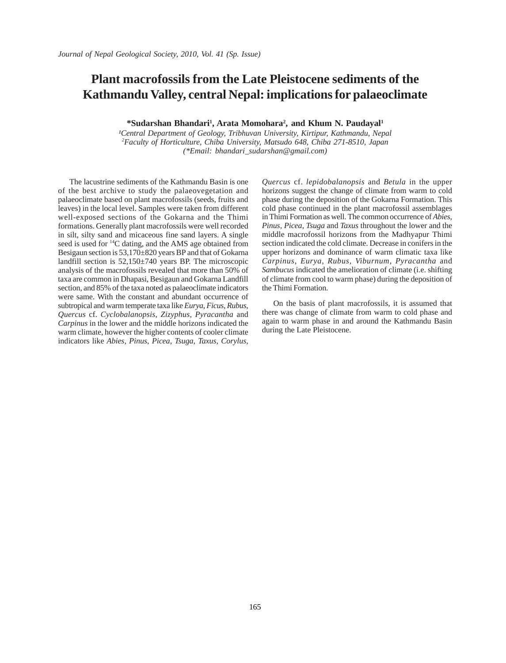# **Plant macrofossils from the Late Pleistocene sediments of the Kathmandu Valley, central Nepal: implications for palaeoclimate**

\*Sudarshan Bhandari<sup>1</sup>, Arata Momohara<sup>2</sup>, and Khum N. Paudayal<sup>1</sup>

<sup>1</sup>Central Department of Geology, Tribhuvan University, Kirtipur, Kathmandu, Nepal *2 Faculty of Horticulture, Chiba University, Matsudo 648, Chiba 271-8510, Japan (\*Email: bhandari\_sudarshan@gmail.com)*

The lacustrine sediments of the Kathmandu Basin is one of the best archive to study the palaeovegetation and palaeoclimate based on plant macrofossils (seeds, fruits and leaves) in the local level. Samples were taken from different well-exposed sections of the Gokarna and the Thimi formations. Generally plant macrofossils were well recorded in silt, silty sand and micaceous fine sand layers. A single seed is used for 14C dating, and the AMS age obtained from Besigaun section is 53,170±820 years BP and that of Gokarna landfill section is 52,150±740 years BP. The microscopic analysis of the macrofossils revealed that more than 50% of taxa are common in Dhapasi, Besigaun and Gokarna Landfill section, and 85% of the taxa noted as palaeoclimate indicators were same. With the constant and abundant occurrence of subtropical and warm temperate taxa like *Eurya*, *Ficus*, *Rubus*, *Quercus* cf. *Cyclobalanopsis*, *Zizyphus*, *Pyracantha* and *Carpinus* in the lower and the middle horizons indicated the warm climate, however the higher contents of cooler climate indicators like *Abies*, *Pinus*, *Picea*, *Tsuga*, *Taxus*, *Corylus*,

*Quercus* cf. *lepidobalanopsis* and *Betula* in the upper horizons suggest the change of climate from warm to cold phase during the deposition of the Gokarna Formation. This cold phase continued in the plant macrofossil assemblages in Thimi Formation as well. The common occurrence of *Abies*, *Pinus*, *Picea*, *Tsuga* and *Taxus* throughout the lower and the middle macrofossil horizons from the Madhyapur Thimi section indicated the cold climate. Decrease in conifers in the upper horizons and dominance of warm climatic taxa like *Carpinus*, *Eurya*, *Rubus*, *Viburnum*, *Pyracantha* and *Sambucus* indicated the amelioration of climate (i.e. shifting of climate from cool to warm phase) during the deposition of the Thimi Formation.

On the basis of plant macrofossils, it is assumed that there was change of climate from warm to cold phase and again to warm phase in and around the Kathmandu Basin during the Late Pleistocene.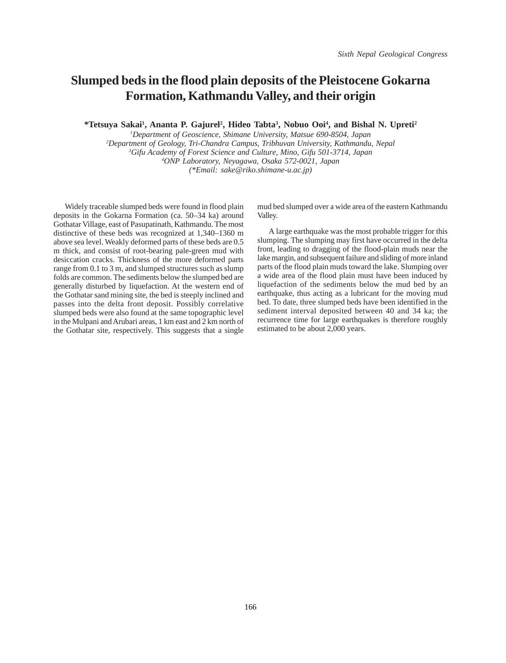### **Slumped beds in the flood plain deposits of the Pleistocene Gokarna Formation, Kathmandu Valley, and their origin**

**\*Tetsuya Sakai1 , Ananta P. Gajurel2 , Hideo Tabta3 , Nobuo Ooi4 , and Bishal N. Upreti2**

 *Department of Geoscience, Shimane University, Matsue 690-8504, Japan Department of Geology, Tri-Chandra Campus, Tribhuvan University, Kathmandu, Nepal Gifu Academy of Forest Science and Culture, Mino, Gifu 501-3714, Japan ONP Laboratory, Neyagawa, Osaka 572-0021, Japan (\*Email: sake@riko.shimane-u.ac.jp)*

Widely traceable slumped beds were found in flood plain deposits in the Gokarna Formation (ca. 50–34 ka) around Gothatar Village, east of Pasupatinath, Kathmandu. The most distinctive of these beds was recognized at 1,340–1360 m above sea level. Weakly deformed parts of these beds are 0.5 m thick, and consist of root-bearing pale-green mud with desiccation cracks. Thickness of the more deformed parts range from 0.1 to 3 m, and slumped structures such as slump folds are common. The sediments below the slumped bed are generally disturbed by liquefaction. At the western end of the Gothatar sand mining site, the bed is steeply inclined and passes into the delta front deposit. Possibly correlative slumped beds were also found at the same topographic level in the Mulpani and Arubari areas, 1 km east and 2 km north of the Gothatar site, respectively. This suggests that a single

mud bed slumped over a wide area of the eastern Kathmandu Valley.

A large earthquake was the most probable trigger for this slumping. The slumping may first have occurred in the delta front, leading to dragging of the flood-plain muds near the lake margin, and subsequent failure and sliding of more inland parts of the flood plain muds toward the lake. Slumping over a wide area of the flood plain must have been induced by liquefaction of the sediments below the mud bed by an earthquake, thus acting as a lubricant for the moving mud bed. To date, three slumped beds have been identified in the sediment interval deposited between 40 and 34 ka; the recurrence time for large earthquakes is therefore roughly estimated to be about 2,000 years.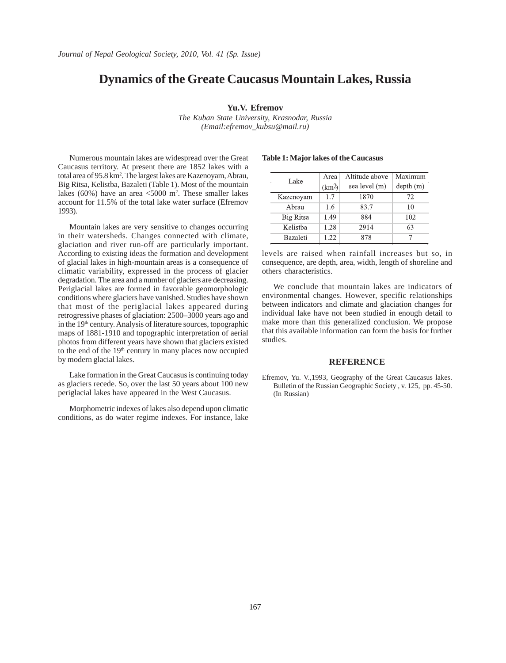## **Dynamics of the Greate Caucasus Mountain Lakes, Russia**

#### **Yu.V. Efremov**

*The Kuban State University, Krasnodar, Russia (Email:efremov\_kubsu@mail.ru)*

Numerous mountain lakes are widespread over the Great Caucasus territory. At present there are 1852 lakes with a total area of 95.8 km<sup>2</sup>. The largest lakes are Kazenoyam, Abrau, Big Ritsa, Kelistba, Bazaleti (Table 1). Most of the mountain lakes (60%) have an area <5000 m2 . These smaller lakes account for 11.5% of the total lake water surface (Efremov 1993).

Mountain lakes are very sensitive to changes occurring in their watersheds. Changes connected with climate, glaciation and river run-off are particularly important. According to existing ideas the formation and development of glacial lakes in high-mountain areas is a consequence of climatic variability, expressed in the process of glacier degradation. The area and a number of glaciers are decreasing. Periglacial lakes are formed in favorable geomorphologic conditions where glaciers have vanished. Studies have shown that most of the periglacial lakes appeared during retrogressive phases of glaciation: 2500–3000 years ago and in the 19<sup>th</sup> century. Analysis of literature sources, topographic maps of 1881-1910 and topographic interpretation of aerial photos from different years have shown that glaciers existed to the end of the 19<sup>th</sup> century in many places now occupied by modern glacial lakes.

Lake formation in the Great Caucasus is continuing today as glaciers recede. So, over the last 50 years about 100 new periglacial lakes have appeared in the West Caucasus.

Morphometric indexes of lakes also depend upon climatic conditions, as do water regime indexes. For instance, lake

#### **Table 1: Major lakes of the Caucasus**

| Lake            | Area<br>(km <sup>2</sup> ) | Altitude above<br>sea level (m) | Maximum<br>depth(m) |
|-----------------|----------------------------|---------------------------------|---------------------|
| Kazenoyam       | 1.7                        | 1870                            | 72                  |
| Abrau           | 1.6                        | 83.7                            | 10                  |
| Big Ritsa       | 1.49                       | 884                             | 102                 |
| Kelistba        | 1.28                       | 2914                            | 63                  |
| <b>Bazaleti</b> | 1.22                       | 878                             |                     |

levels are raised when rainfall increases but so, in consequence, are depth, area, width, length of shoreline and others characteristics.

We conclude that mountain lakes are indicators of environmental changes. However, specific relationships between indicators and climate and glaciation changes for individual lake have not been studied in enough detail to make more than this generalized conclusion. We propose that this available information can form the basis for further studies.

#### **REFERENCE**

Efremov, Yu. V.,1993, Geography of the Great Caucasus lakes. Bulletin of the Russian Geographic Society , v. 125, pp. 45-50. (In Russian)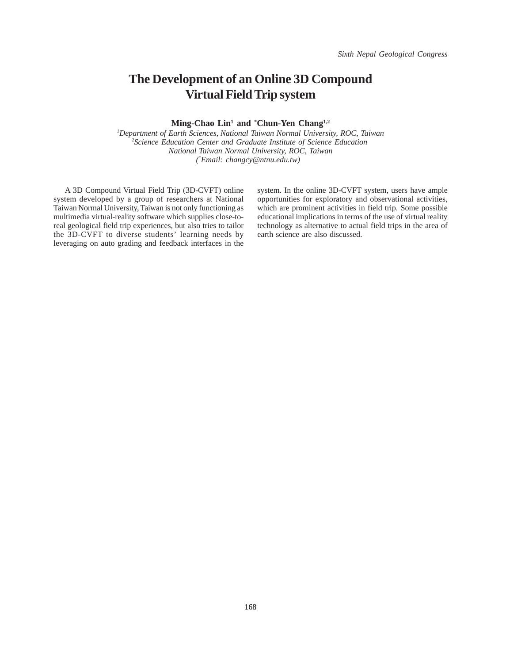# **The Development of an Online 3D Compound Virtual Field Trip system**

#### **Ming-Chao Lin1 and \* Chun-Yen Chang1,2**

*1 Department of Earth Sciences, National Taiwan Normal University, ROC, Taiwan* <sup>2</sup> Science Education Center and Graduate Institute of Science Education *National Taiwan Normal University, ROC, Taiwan ( \* Email: changcy@ntnu.edu.tw)* 

A 3D Compound Virtual Field Trip (3D-CVFT) online system developed by a group of researchers at National Taiwan Normal University, Taiwan is not only functioning as multimedia virtual-reality software which supplies close-toreal geological field trip experiences, but also tries to tailor the 3D-CVFT to diverse students' learning needs by leveraging on auto grading and feedback interfaces in the

system. In the online 3D-CVFT system, users have ample opportunities for exploratory and observational activities, which are prominent activities in field trip. Some possible educational implications in terms of the use of virtual reality technology as alternative to actual field trips in the area of earth science are also discussed.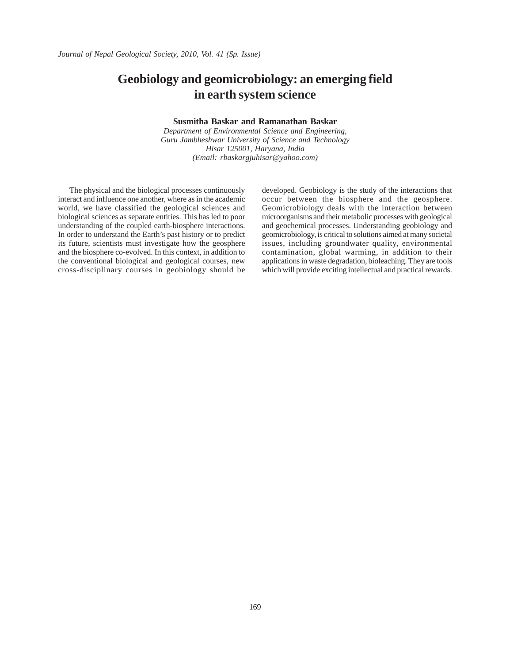# **Geobiology and geomicrobiology: an emerging field in earth system science**

#### **Susmitha Baskar and Ramanathan Baskar**

*Department of Environmental Science and Engineering, Guru Jambheshwar University of Science and Technology Hisar 125001, Haryana, India (Email: rbaskargjuhisar@yahoo.com)*

The physical and the biological processes continuously interact and influence one another, where as in the academic world, we have classified the geological sciences and biological sciences as separate entities. This has led to poor understanding of the coupled earth-biosphere interactions. In order to understand the Earth's past history or to predict its future, scientists must investigate how the geosphere and the biosphere co-evolved. In this context, in addition to the conventional biological and geological courses, new cross-disciplinary courses in geobiology should be developed. Geobiology is the study of the interactions that occur between the biosphere and the geosphere. Geomicrobiology deals with the interaction between microorganisms and their metabolic processes with geological and geochemical processes. Understanding geobiology and geomicrobiology, is critical to solutions aimed at many societal issues, including groundwater quality, environmental contamination, global warming, in addition to their applications in waste degradation, bioleaching. They are tools which will provide exciting intellectual and practical rewards.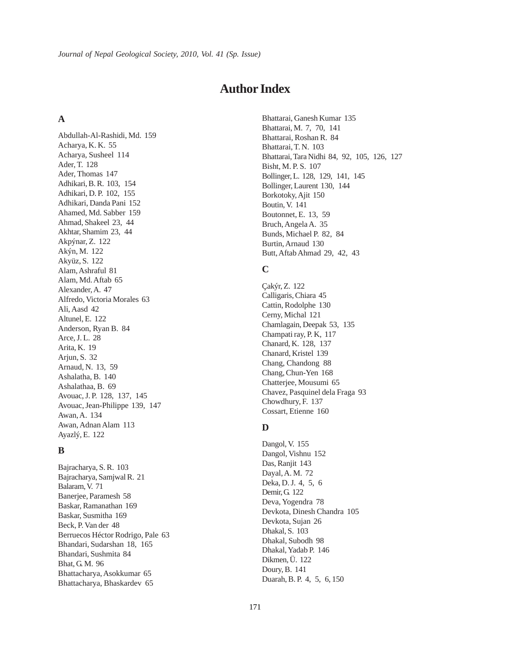## **Author Index**

#### **A**

Abdullah-Al-Rashidi, Md. 159 Acharya, K. K. 55 Acharya, Susheel 114 Ader, T. 128 Ader, Thomas 147 Adhikari, B. R. 103, 154 Adhikari, D. P. 102, 155 Adhikari, Danda Pani 152 Ahamed, Md. Sabber 159 Ahmad, Shakeel 23, 44 Akhtar, Shamim 23, 44 Akpýnar, Z. 122 Akýn, M. 122 Akyüz, S. 122 Alam, Ashraful 81 Alam, Md. Aftab 65 Alexander, A. 47 Alfredo, Victoria Morales 63 Ali, Aasd 42 Altunel, E. 122 Anderson, Ryan B. 84 Arce, J. L. 28 Arita, K. 19 Arjun, S. 32 Arnaud, N. 13, 59 Ashalatha, B. 140 Ashalathaa, B. 69 Avouac, J. P. 128, 137, 145 Avouac, Jean-Philippe 139, 147 Awan, A. 134 Awan, Adnan Alam 113 Ayazlý, E. 122

#### **B**

Bajracharya, S. R. 103 Bajracharya, Samjwal R. 21 Balaram, V. 71 Banerjee, Paramesh 58 Baskar, Ramanathan 169 Baskar, Susmitha 169 Beck, P. Van der 48 Berruecos Héctor Rodrigo, Pale 63 Bhandari, Sudarshan 18, 165 Bhandari, Sushmita 84 Bhat, G. M. 96 Bhattacharya, Asokkumar 65 Bhattacharya, Bhaskardev 65

Bhattarai, Ganesh Kumar 135 Bhattarai, M. 7, 70, 141 Bhattarai, Roshan R. 84 Bhattarai, T. N. 103 Bhattarai, Tara Nidhi 84, 92, 105, 126, 127 Bisht, M. P. S. 107 Bollinger, L. 128, 129, 141, 145 Bollinger, Laurent 130, 144 Borkotoky, Ajit 150 Boutin, V. 141 Boutonnet, E. 13, 59 Bruch, Angela A. 35 Bunds, Michael P. 82, 84 Burtin, Arnaud 130 Butt, Aftab Ahmad 29, 42, 43

#### **C**

Çakýr, Z. 122 Calligaris, Chiara 45 Cattin, Rodolphe 130 Cerny, Michal 121 Chamlagain, Deepak 53, 135 Champati ray, P. K, 117 Chanard, K. 128, 137 Chanard, Kristel 139 Chang, Chandong 88 Chang, Chun-Yen 168 Chatterjee, Mousumi 65 Chavez, Pasquinel dela Fraga 93 Chowdhury, F. 137 Cossart, Etienne 160

## **D**

Dangol, V. 155 Dangol, Vishnu 152 Das, Ranjit 143 Dayal, A. M. 72 Deka, D. J. 4, 5, 6 Demir, G. 122 Deva, Yogendra 78 Devkota, Dinesh Chandra 105 Devkota, Sujan 26 Dhakal, S. 103 Dhakal, Subodh 98 Dhakal, Yadab P. 146 Dikmen, Ü. 122 Doury, B. 141 Duarah, B. P. 4, 5, 6, 150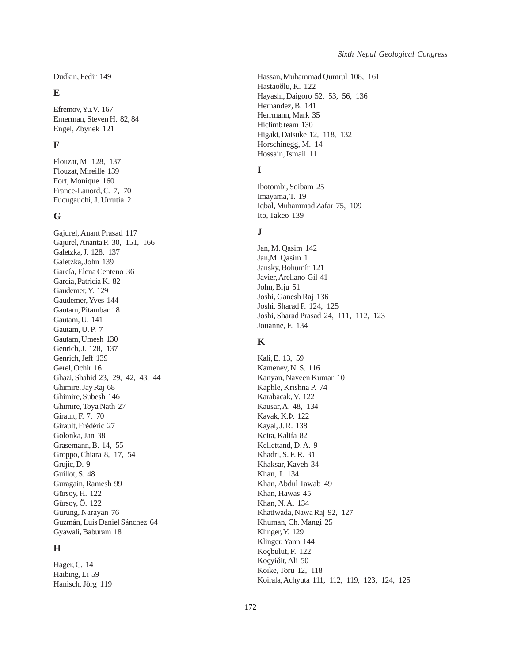Dudkin, Fedir 149

## **E**

Efremov, Yu.V. 167 Emerman, Steven H. 82, 84 Engel, Zbynek 121

## **F**

Flouzat, M. 128, 137 Flouzat, Mireille 139 Fort, Monique 160 France-Lanord, C. 7, 70 Fucugauchi, J. Urrutia 2

#### **G**

Gajurel, Anant Prasad 117 Gajurel, Ananta P. 30, 151, 166 Galetzka, J. 128, 137 Galetzka, John 139 García, Elena Centeno 36 Garcia, Patricia K. 82 Gaudemer, Y. 129 Gaudemer, Yves 144 Gautam, Pitambar 18 Gautam, U. 141 Gautam, U. P. 7 Gautam, Umesh 130 Genrich, J. 128, 137 Genrich, Jeff 139 Gerel, Ochir 16 Ghazi, Shahid 23, 29, 42, 43, 44 Ghimire, Jay Raj 68 Ghimire, Subesh 146 Ghimire, Toya Nath 27 Girault, F. 7, 70 Girault, Frédéric 27 Golonka, Jan 38 Grasemann, B. 14, 55 Groppo, Chiara 8, 17, 54 Grujic, D. 9 Guillot, S. 48 Guragain, Ramesh 99 Gürsoy, H. 122 Gürsoy, Ö. 122 Gurung, Narayan 76 Guzmán, Luis Daniel Sánchez 64 Gyawali, Baburam 18

## **H**

Hager, C. 14 Haibing, Li 59 Hanisch, Jörg 119

Hassan, Muhammad Qumrul 108, 161 Hastaoðlu, K. 122 Hayashi, Daigoro 52, 53, 56, 136 Hernandez, B. 141 Herrmann, Mark 35 Hiclimb team 130 Higaki, Daisuke 12, 118, 132 Horschinegg, M. 14 Hossain, Ismail 11

## **I**

Ibotombi, Soibam 25 Imayama, T. 19 Iqbal, Muhammad Zafar 75, 109 Ito, Takeo 139

## **J**

Jan, M. Qasim 142 Jan,M. Qasim 1 Jansky, Bohumír 121 Javier, Arellano-Gil 41 John, Biju 51 Joshi, Ganesh Raj 136 Joshi, Sharad P. 124, 125 Joshi, Sharad Prasad 24, 111, 112, 123 Jouanne, F. 134

## **K**

Kali, E. 13, 59 Kamenev, N. S. 116 Kanyan, Naveen Kumar 10 Kaphle, Krishna P. 74 Karabacak, V. 122 Kausar, A. 48, 134 Kavak, K.Þ. 122 Kayal, J. R. 138 Keita, Kalifa 82 Kellettand, D. A. 9 Khadri, S. F. R. 31 Khaksar, Kaveh 34 Khan, I. 134 Khan, Abdul Tawab 49 Khan, Hawas 45 Khan, N. A. 134 Khatiwada, Nawa Raj 92, 127 Khuman, Ch. Mangi 25 Klinger, Y. 129 Klinger, Yann 144 Koçbulut, F. 122 Koçyiðit, Ali 50 Koike, Toru 12, 118 Koirala, Achyuta 111, 112, 119, 123, 124, 125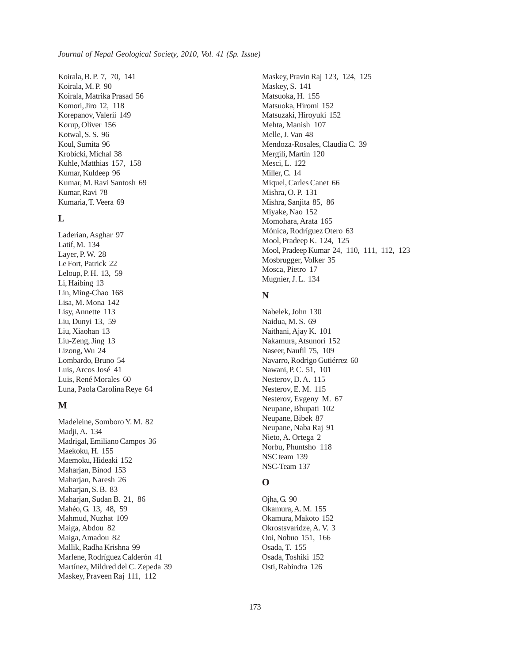Koirala, B. P. 7, 70, 141 Koirala, M. P. 90 Koirala, Matrika Prasad 56 Komori, Jiro 12, 118 Korepanov, Valerii 149 Korup, Oliver 156 Kotwal, S. S. 96 Koul, Sumita 96 Krobicki, Michal 38 Kuhle, Matthias 157, 158 Kumar, Kuldeep 96 Kumar, M. Ravi Santosh 69 Kumar, Ravi 78 Kumaria, T. Veera 69

#### **L**

Laderian, Asghar 97 Latif, M. 134 Layer, P. W. 28 Le Fort, Patrick 22 Leloup, P. H. 13, 59 Li, Haibing 13 Lin, Ming-Chao 168 Lisa, M. Mona 142 Lisy, Annette 113 Liu, Dunyi 13, 59 Liu, Xiaohan 13 Liu-Zeng, Jing 13 Lizong, Wu 24 Lombardo, Bruno 54 Luis, Arcos José 41 Luis, René Morales 60 Luna, Paola Carolina Reye 64

#### **M**

Madeleine, Somboro Y. M. 82 Madji, A. 134 Madrigal, Emiliano Campos 36 Maekoku, H. 155 Maemoku, Hideaki 152 Maharjan, Binod 153 Maharjan, Naresh 26 Maharjan, S. B. 83 Maharjan, Sudan B. 21, 86 Mahéo, G. 13, 48, 59 Mahmud, Nuzhat 109 Maiga, Abdou 82 Maiga, Amadou 82 Mallik, Radha Krishna 99 Marlene, Rodríguez Calderón 41 Martínez, Mildred del C. Zepeda 39 Maskey, Praveen Raj 111, 112

Maskey, Pravin Raj 123, 124, 125 Maskey, S. 141 Matsuoka, H. 155 Matsuoka, Hiromi 152 Matsuzaki, Hiroyuki 152 Mehta, Manish 107 Melle, J. Van 48 Mendoza-Rosales, Claudia C. 39 Mergili, Martin 120 Mesci, L. 122 Miller, C. 14 Miquel, Carles Canet 66 Mishra, O. P. 131 Mishra, Sanjita 85, 86 Miyake, Nao 152 Momohara, Arata 165 Mónica, Rodríguez Otero 63 Mool, Pradeep K. 124, 125 Mool, Pradeep Kumar 24, 110, 111, 112, 123 Mosbrugger, Volker 35 Mosca, Pietro 17 Mugnier, J. L. 134

#### **N**

Nabelek, John 130 Naidua, M. S. 69 Naithani, Ajay K. 101 Nakamura, Atsunori 152 Naseer, Naufil 75, 109 Navarro, Rodrigo Gutiérrez 60 Nawani, P. C. 51, 101 Nesterov, D. A. 115 Nesterov, E. M. 115 Nesterov, Evgeny M. 67 Neupane, Bhupati 102 Neupane, Bibek 87 Neupane, Naba Raj 91 Nieto, A. Ortega 2 Norbu, Phuntsho 118 NSC team 139 NSC-Team 137

## **O**

Ojha, G. 90 Okamura, A. M. 155 Okamura, Makoto 152 Okrostsvaridze, A. V. 3 Ooi, Nobuo 151, 166 Osada, T. 155 Osada, Toshiki 152 Osti, Rabindra 126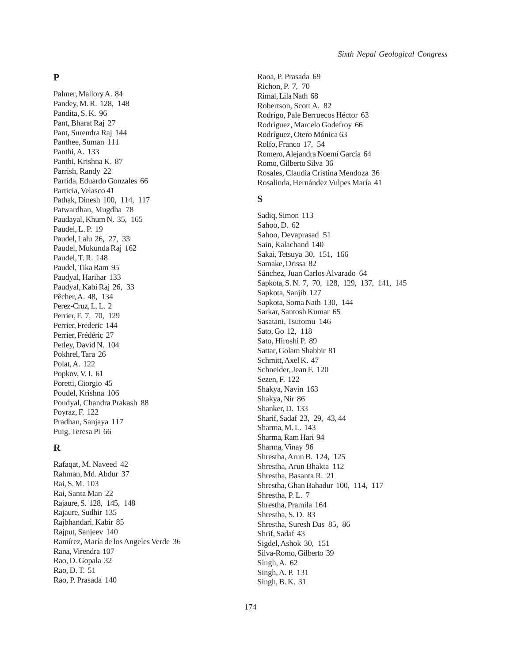## **P**

Palmer, Mallory A. 84 Pandey, M. R. 128, 148 Pandita, S. K. 96 Pant, Bharat Raj 27 Pant, Surendra Raj 144 Panthee, Suman 111 Panthi, A. 133 Panthi, Krishna K. 87 Parrish, Randy 22 Partida, Eduardo Gonzales 66 Particia, Velasco 41 Pathak, Dinesh 100, 114, 117 Patwardhan, Mugdha 78 Paudayal, Khum N. 35, 165 Paudel, L. P. 19 Paudel, Lalu 26, 27, 33 Paudel, Mukunda Raj 162 Paudel, T. R. 148 Paudel, Tika Ram 95 Paudyal, Harihar 133 Paudyal, Kabi Raj 26, 33 Pêcher, A. 48, 134 Perez-Cruz, L. L. 2 Perrier, F. 7, 70, 129 Perrier, Frederic 144 Perrier, Frédéric 27 Petley, David N. 104 Pokhrel, Tara 26 Polat, A. 122 Popkov, V. I. 61 Poretti, Giorgio 45 Poudel, Krishna 106 Poudyal, Chandra Prakash 88 Poyraz, F. 122 Pradhan, Sanjaya 117 Puig, Teresa Pi 66

## **R**

Rafaqat, M. Naveed 42 Rahman, Md. Abdur 37 Rai, S. M. 103 Rai, Santa Man 22 Rajaure, S. 128, 145, 148 Rajaure, Sudhir 135 Rajbhandari, Kabir 85 Rajput, Sanjeev 140 Ramírez, María de los Angeles Verde 36 Rana, Virendra 107 Rao, D. Gopala 32 Rao, D. T. 51 Rao, P. Prasada 140

Raoa, P. Prasada 69 Richon, P. 7, 70 Rimal, Lila Nath 68 Robertson, Scott A. 82 Rodrigo, Pale Berruecos Héctor 63 Rodríguez, Marcelo Godefroy 66 Rodríguez, Otero Mónica 63 Rolfo, Franco 17, 54 Romero, Alejandra Noemí García 64 Romo, Gilberto Silva 36 Rosales, Claudia Cristina Mendoza 36 Rosalinda, Hernández Vulpes María 41

#### **S**

Sadiq, Simon 113 Sahoo, D. 62 Sahoo, Devaprasad 51 Sain, Kalachand 140 Sakai, Tetsuya 30, 151, 166 Samake, Drissa 82 Sánchez, Juan Carlos Alvarado 64 Sapkota, S. N. 7, 70, 128, 129, 137, 141, 145 Sapkota, Sanjib 127 Sapkota, Soma Nath 130, 144 Sarkar, Santosh Kumar 65 Sasatani, Tsutomu 146 Sato, Go 12, 118 Sato, Hiroshi P. 89 Sattar, Golam Shabbir 81 Schmitt, Axel K. 47 Schneider, Jean F. 120 Sezen, F. 122 Shakya, Navin 163 Shakya, Nir 86 Shanker, D. 133 Sharif, Sadaf 23, 29, 43, 44 Sharma, M. L. 143 Sharma, Ram Hari 94 Sharma, Vinay 96 Shrestha, Arun B. 124, 125 Shrestha, Arun Bhakta 112 Shrestha, Basanta R. 21 Shrestha, Ghan Bahadur 100, 114, 117 Shrestha, P. L. 7 Shrestha, Pramila 164 Shrestha, S. D. 83 Shrestha, Suresh Das 85, 86 Shrif, Sadaf 43 Sigdel, Ashok 30, 151 Silva-Romo, Gilberto 39 Singh, A. 62 Singh, A. P. 131 Singh, B. K. 31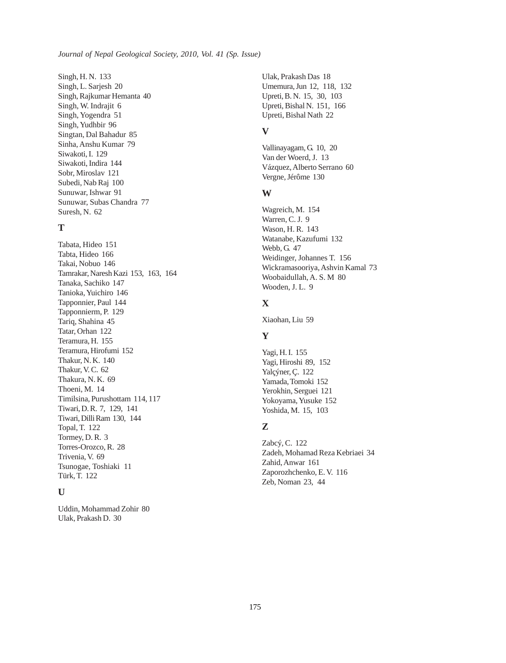Singh, H. N. 133 Singh, L. Sarjesh 20 Singh, Rajkumar Hemanta 40 Singh, W. Indrajit 6 Singh, Yogendra 51 Singh, Yudhbir 96 Singtan, Dal Bahadur 85 Sinha, Anshu Kumar 79 Siwakoti, I. 129 Siwakoti, Indira 144 Sobr, Miroslav 121 Subedi, Nab Raj 100 Sunuwar, Ishwar 91 Sunuwar, Subas Chandra 77 Suresh, N. 62

#### **T**

Tabata, Hideo 151 Tabta, Hideo 166 Takai, Nobuo 146 Tamrakar, Naresh Kazi 153, 163, 164 Tanaka, Sachiko 147 Tanioka, Yuichiro 146 Tapponnier, Paul 144 Tapponnierm, P. 129 Tariq, Shahina 45 Tatar, Orhan 122 Teramura, H. 155 Teramura, Hirofumi 152 Thakur, N. K. 140 Thakur, V. C. 62 Thakura, N. K. 69 Thoeni, M. 14 Timilsina, Purushottam 114, 117 Tiwari, D. R. 7, 129, 141 Tiwari, Dilli Ram 130, 144 Topal, T. 122 Tormey, D. R. 3 Torres-Orozco, R. 28 Trivenia, V. 69 Tsunogae, Toshiaki 11 Türk, T. 122

#### **U**

Uddin, Mohammad Zohir 80 Ulak, Prakash D. 30

Ulak, Prakash Das 18 Umemura, Jun 12, 118, 132 Upreti, B. N. 15, 30, 103 Upreti, Bishal N. 151, 166 Upreti, Bishal Nath 22

## **V**

Vallinayagam, G. 10, 20 Van der Woerd, J. 13 Vázquez, Alberto Serrano 60 Vergne, Jérôme 130

## **W**

Wagreich, M. 154 Warren, C. J. 9 Wason, H. R. 143 Watanabe, Kazufumi 132 Webb, G. 47 Weidinger, Johannes T. 156 Wickramasooriya, Ashvin Kamal 73 Woobaidullah, A. S. M 80 Wooden, J. L. 9

## **X**

Xiaohan, Liu 59

#### **Y**

Yagi, H. I. 155 Yagi, Hiroshi 89, 152 Yalçýner, Ç. 122 Yamada, Tomoki 152 Yerokhin, Serguei 121 Yokoyama, Yusuke 152 Yoshida, M. 15, 103

## **Z**

Zabcý, C. 122 Zadeh, Mohamad Reza Kebriaei 34 Zahid, Anwar 161 Zaporozhchenko, E. V. 116 Zeb, Noman 23, 44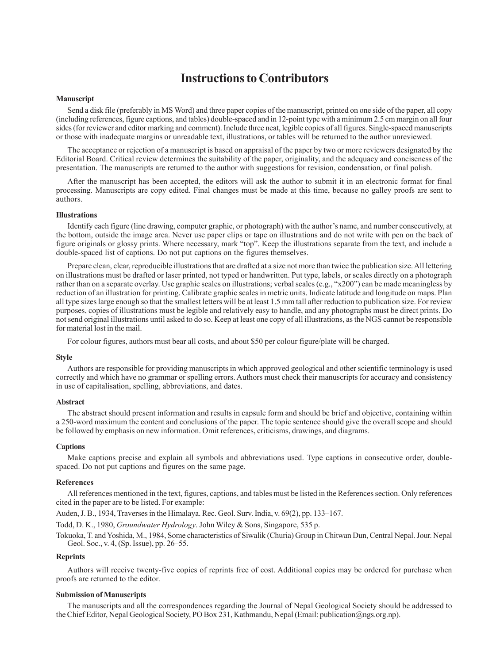## **Instructions to Contributors**

#### **Manuscript**

Send a disk file (preferably in MS Word) and three paper copies of the manuscript, printed on one side of the paper, all copy (including references, figure captions, and tables) double-spaced and in 12-point type with a minimum 2.5 cm margin on all four sides (for reviewer and editor marking and comment). Include three neat, legible copies of all figures. Single-spaced manuscripts or those with inadequate margins or unreadable text, illustrations, or tables will be returned to the author unreviewed.

The acceptance or rejection of a manuscript is based on appraisal of the paper by two or more reviewers designated by the Editorial Board. Critical review determines the suitability of the paper, originality, and the adequacy and conciseness of the presentation. The manuscripts are returned to the author with suggestions for revision, condensation, or final polish.

After the manuscript has been accepted, the editors will ask the author to submit it in an electronic format for final processing. Manuscripts are copy edited. Final changes must be made at this time, because no galley proofs are sent to authors.

#### **Illustrations**

Identify each figure (line drawing, computer graphic, or photograph) with the author's name, and number consecutively, at the bottom, outside the image area. Never use paper clips or tape on illustrations and do not write with pen on the back of figure originals or glossy prints. Where necessary, mark "top". Keep the illustrations separate from the text, and include a double-spaced list of captions. Do not put captions on the figures themselves.

Prepare clean, clear, reproducible illustrations that are drafted at a size not more than twice the publication size. All lettering on illustrations must be drafted or laser printed, not typed or handwritten. Put type, labels, or scales directly on a photograph rather than on a separate overlay. Use graphic scales on illustrations; verbal scales (e.g., "x200") can be made meaningless by reduction of an illustration for printing. Calibrate graphic scales in metric units. Indicate latitude and longitude on maps. Plan all type sizes large enough so that the smallest letters will be at least 1.5 mm tall after reduction to publication size. For review purposes, copies of illustrations must be legible and relatively easy to handle, and any photographs must be direct prints. Do not send original illustrations until asked to do so. Keep at least one copy of all illustrations, as the NGS cannot be responsible for material lost in the mail.

For colour figures, authors must bear all costs, and about \$50 per colour figure/plate will be charged.

#### **Style**

Authors are responsible for providing manuscripts in which approved geological and other scientific terminology is used correctly and which have no grammar or spelling errors. Authors must check their manuscripts for accuracy and consistency in use of capitalisation, spelling, abbreviations, and dates.

#### **Abstract**

The abstract should present information and results in capsule form and should be brief and objective, containing within a 250-word maximum the content and conclusions of the paper. The topic sentence should give the overall scope and should be followed by emphasis on new information. Omit references, criticisms, drawings, and diagrams.

#### **Captions**

Make captions precise and explain all symbols and abbreviations used. Type captions in consecutive order, doublespaced. Do not put captions and figures on the same page.

#### **References**

All references mentioned in the text, figures, captions, and tables must be listed in the References section. Only references cited in the paper are to be listed. For example:

Auden, J. B., 1934, Traverses in the Himalaya. Rec. Geol. Surv. India, v. 69(2), pp. 133–167.

Todd, D. K., 1980, *Groundwater Hydrology*. John Wiley & Sons, Singapore, 535 p.

Tokuoka, T. and Yoshida, M., 1984, Some characteristics of Siwalik (Churia) Group in Chitwan Dun, Central Nepal. Jour. Nepal Geol. Soc., v. 4, (Sp. Issue), pp. 26–55.

#### **Reprints**

Authors will receive twenty-five copies of reprints free of cost. Additional copies may be ordered for purchase when proofs are returned to the editor.

#### **Submission of Manuscripts**

The manuscripts and all the correspondences regarding the Journal of Nepal Geological Society should be addressed to the Chief Editor, Nepal Geological Society, PO Box 231, Kathmandu, Nepal (Email: publication@ngs.org.np).